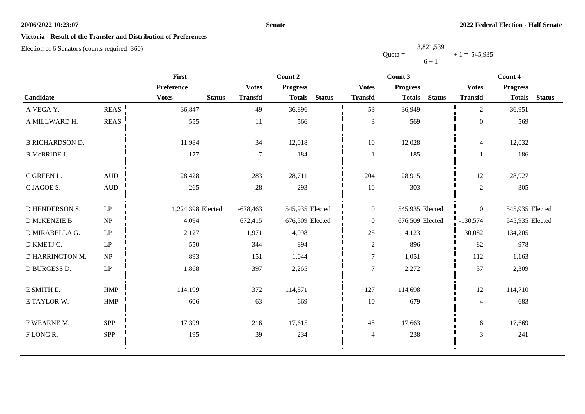## **Senate**

## **Victoria - Result of the Transfer and Distribution of Preferences**

Election of 6 Senators (counts required: 360)

|                        |                                   | First                         |                | Count 2                        |                  | Count 3                        | Count 4          |                                |  |
|------------------------|-----------------------------------|-------------------------------|----------------|--------------------------------|------------------|--------------------------------|------------------|--------------------------------|--|
|                        |                                   | Preference                    | <b>Votes</b>   | <b>Progress</b>                | <b>Votes</b>     | <b>Progress</b>                | <b>Votes</b>     | <b>Progress</b>                |  |
| Candidate              |                                   | <b>Votes</b><br><b>Status</b> | <b>Transfd</b> | <b>Totals</b><br><b>Status</b> | <b>Transfd</b>   | <b>Totals</b><br><b>Status</b> | <b>Transfd</b>   | <b>Totals</b><br><b>Status</b> |  |
| A VEGA Y.              | REAS                              | 36,847                        | 49             | 36,896                         | 53               | 36,949                         | $\overline{2}$   | 36,951                         |  |
| A MILLWARD H.          | <b>REAS</b>                       | 555                           | 11             | 566                            | $\mathfrak{Z}$   | 569                            | $\boldsymbol{0}$ | 569                            |  |
| <b>B RICHARDSON D.</b> |                                   | 11,984                        | 34             | 12,018                         | 10               | 12,028                         | $\overline{4}$   | 12,032                         |  |
| <b>B McBRIDE J.</b>    |                                   | 177                           | $\overline{7}$ | 184                            |                  | 185                            |                  | 186                            |  |
| C GREEN L.             | $\mbox{AUD}$                      | 28,428                        | 283            | 28,711                         | 204              | 28,915                         | 12               | 28,927                         |  |
| C JAGOE S.             | <b>AUD</b>                        | 265                           | 28             | 293                            | $10\,$           | 303                            | $\overline{2}$   | 305                            |  |
| <b>D HENDERSON S.</b>  | $\mathbf{L}\mathbf{P}$            | 1,224,398 Elected             | $-678,463$     | 545,935 Elected                | $\boldsymbol{0}$ | 545,935 Elected                | $\overline{0}$   | 545,935 Elected                |  |
| D McKENZIE B.          | NP                                | 4,094                         | 672,415        | 676,509 Elected                | $\overline{0}$   | 676,509 Elected                | $-130,574$       | 545,935 Elected                |  |
| D MIRABELLA G.         | $\mathbf{L}\mathbf{P}$            | 2,127                         | 1,971          | 4,098                          | 25               | 4,123                          | 130,082          | 134,205                        |  |
| D KMETJ C.             | $\ensuremath{\mathrm{LP}}$        | 550                           | 344            | 894                            | $\mathbf{2}$     | 896                            | 82               | 978                            |  |
| D HARRINGTON M.        | $\ensuremath{\mathbf{NP}}\xspace$ | 893                           | 151            | 1,044                          | $\boldsymbol{7}$ | 1,051                          | 112              | 1,163                          |  |
| <b>D BURGESS D.</b>    | $\ensuremath{\mathrm{LP}}$        | 1,868                         | 397            | 2,265                          | 7                | 2,272                          | 37               | 2,309                          |  |
| E SMITH E.             | HMP                               | 114,199                       | 372            | 114,571                        | 127              | 114,698                        | 12               | 114,710                        |  |
| E TAYLOR W.            | HMP                               | 606                           | 63             | 669                            | $10\,$           | 679                            | $\overline{4}$   | 683                            |  |
| F WEARNE M.            | SPP                               | 17,399                        | 216            | 17,615                         | 48               | 17,663                         | 6                | 17,669                         |  |
| FLONGR.                | SPP                               | 195                           | 39             | 234                            | $\overline{4}$   | 238                            | 3                | 241                            |  |
|                        |                                   |                               |                |                                |                  |                                |                  |                                |  |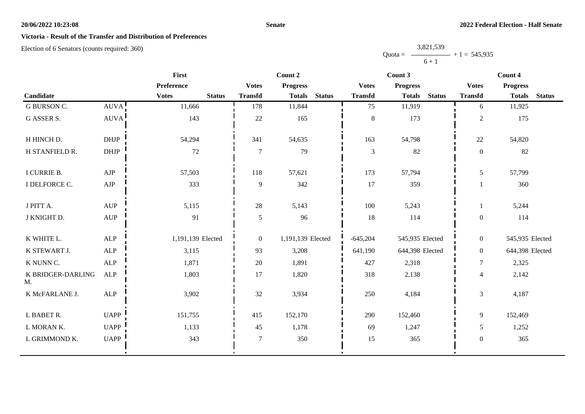## **Senate**

# **Victoria - Result of the Transfer and Distribution of Preferences**

|           | 3,821,539 |                |
|-----------|-----------|----------------|
| $Quota =$ |           | $+1 = 545,935$ |
|           | $6 + 1$   |                |

|                         | <b>First</b>                     |                               | Count 2        |                                |                | Count 3                        | Count 4        |                                |  |
|-------------------------|----------------------------------|-------------------------------|----------------|--------------------------------|----------------|--------------------------------|----------------|--------------------------------|--|
|                         |                                  | Preference                    | <b>Votes</b>   | <b>Progress</b>                | <b>Votes</b>   | <b>Progress</b>                | <b>Votes</b>   | <b>Progress</b>                |  |
| Candidate               |                                  | <b>Votes</b><br><b>Status</b> | <b>Transfd</b> | <b>Status</b><br><b>Totals</b> | <b>Transfd</b> | <b>Status</b><br><b>Totals</b> | <b>Transfd</b> | <b>Totals</b><br><b>Status</b> |  |
| <b>G BURSON C.</b>      | AUVA!                            | 11,666                        | 178            | 11,844                         | 75             | 11,919                         | 6              | 11,925                         |  |
| <b>G ASSER S.</b>       | <b>AUVA</b>                      | 143                           | 22             | 165                            | $8\,$          | 173                            | $\overline{2}$ | 175                            |  |
| H HINCH D.              | <b>DHJP</b>                      | 54,294                        | 341            | 54,635                         | 163            | 54,798                         | 22             | 54,820                         |  |
| H STANFIELD R.          | $DHJP$                           | 72                            | $\overline{7}$ | 79                             | $\mathfrak{Z}$ | 82                             | $\mathbf{0}$   | 82                             |  |
| I CURRIE B.             | ${\rm AJP}$                      | 57,503                        | 118            | 57,621                         | 173            | 57,794                         | 5              | 57,799                         |  |
| I DELFORCE C.           | ${\rm AJP}$                      | 333                           | 9              | 342                            | 17             | 359                            |                | 360                            |  |
| J PITT A.               | <b>AUP</b>                       | 5,115                         | 28             | 5,143                          | 100            | 5,243                          | $\mathbf{1}$   | 5,244                          |  |
| J KNIGHT D.             | $\mathbf{A}\mathbf{U}\mathbf{P}$ | 91                            | 5              | 96                             | 18             | 114                            | $\mathbf{0}$   | 114                            |  |
| K WHITE L.              | ALP                              | 1,191,139 Elected             | $\overline{0}$ | 1,191,139 Elected              | $-645,204$     | 545,935 Elected                | $\overline{0}$ | 545,935 Elected                |  |
| K STEWART J.            | <b>ALP</b>                       | 3,115                         | 93             | 3,208                          | 641,190        | 644,398 Elected                | $\overline{0}$ | 644,398 Elected                |  |
| K NUNN C.               | <b>ALP</b>                       | 1,871                         | 20             | 1,891                          | 427            | 2,318                          | $\tau$         | 2,325                          |  |
| K BRIDGER-DARLING<br>M. | <b>ALP</b>                       | 1,803                         | 17             | 1,820                          | 318            | 2,138                          | $\overline{4}$ | 2,142                          |  |
| K McFARLANE J.          | ${\sf ALP}$                      | 3,902                         | 32             | 3,934                          | 250            | 4,184                          | 3              | 4,187                          |  |
| L BABET R.              | <b>UAPP</b>                      | 151,755                       | 415            | 152,170                        | 290            | 152,460                        | 9              | 152,469                        |  |
| L MORAN K.              | <b>UAPP</b>                      | 1,133                         | 45             | 1,178                          | 69             | 1,247                          | 5              | 1,252                          |  |
| L GRIMMOND K.           | <b>UAPP</b>                      | 343                           | $\overline{7}$ | 350                            | 15             | 365                            | $\mathbf{0}$   | 365                            |  |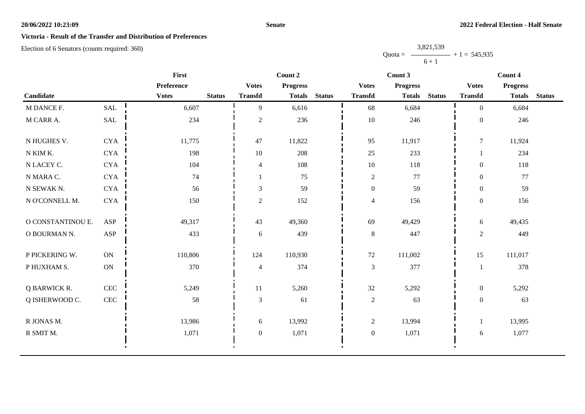## **Senate**

## **Victoria - Result of the Transfer and Distribution of Preferences**

Election of 6 Senators (counts required: 360)

|                   |                      | First        |               | Count 2          |                 |               |                  | Count 3         |               |                  | Count 4         |               |  |
|-------------------|----------------------|--------------|---------------|------------------|-----------------|---------------|------------------|-----------------|---------------|------------------|-----------------|---------------|--|
|                   |                      | Preference   |               | <b>Votes</b>     | <b>Progress</b> |               | <b>Votes</b>     | <b>Progress</b> |               | <b>Votes</b>     | <b>Progress</b> |               |  |
| Candidate         |                      | <b>Votes</b> | <b>Status</b> | <b>Transfd</b>   | <b>Totals</b>   | <b>Status</b> | <b>Transfd</b>   | <b>Totals</b>   | <b>Status</b> | <b>Transfd</b>   | <b>Totals</b>   | <b>Status</b> |  |
| M DANCE F.        | <b>SAL</b>           | 6,607        |               | 9                | 6,616           |               | 68               | 6,684           |               | $\overline{0}$   | 6,684           |               |  |
| M CARR A.         | $\operatorname{SAL}$ | 234          |               | $\sqrt{2}$       | 236             |               | $10\,$           | 246             |               | $\mathbf{0}$     | 246             |               |  |
| N HUGHES V.       | <b>CYA</b>           | 11,775       |               | 47               | 11,822          |               | 95               | 11,917          |               | $\overline{7}$   | 11,924          |               |  |
| N KIM K.          | <b>CYA</b>           | 198          |               | 10               | 208             |               | $25\,$           | 233             |               |                  | 234             |               |  |
| N LACEY C.        | <b>CYA</b>           | 104          |               | $\overline{4}$   | 108             |               | $10\,$           | 118             |               | $\boldsymbol{0}$ | 118             |               |  |
| N MARA C.         | <b>CYA</b>           | 74           |               |                  | 75              |               | $\sqrt{2}$       | 77              |               | $\overline{0}$   | 77              |               |  |
| N SEWAK N.        | <b>CYA</b>           | 56           |               | $\mathfrak{Z}$   | 59              |               | $\boldsymbol{0}$ | 59              |               | $\overline{0}$   | 59              |               |  |
| N O'CONNELL M.    | <b>CYA</b>           | 150          |               | $\overline{2}$   | 152             |               | $\overline{4}$   | 156             |               | $\boldsymbol{0}$ | 156             |               |  |
| O CONSTANTINOU E. | ASP                  | 49,317       |               | 43               | 49,360          |               | 69               | 49,429          |               | 6                | 49,435          |               |  |
| O BOURMAN N.      | ASP                  | 433          |               | 6                | 439             |               | $8\,$            | 447             |               | $\overline{2}$   | 449             |               |  |
| P PICKERING W.    | ON                   | 110,806      |               | 124              | 110,930         |               | $72\,$           | 111,002         |               | 15               | 111,017         |               |  |
| P HUXHAM S.       | ON                   | 370          |               | $\overline{4}$   | 374             |               | $\mathfrak{Z}$   | 377             |               | 1                | 378             |               |  |
| Q BARWICK R.      | <b>CEC</b>           | 5,249        |               | 11               | 5,260           |               | $32\,$           | 5,292           |               | $\boldsymbol{0}$ | 5,292           |               |  |
| Q ISHERWOOD C.    | $\mbox{CEC}$         | 58           |               | 3                | 61              |               | $\overline{2}$   | 63              |               | $\boldsymbol{0}$ | 63              |               |  |
| R JONAS M.        |                      | 13,986       |               | 6                | 13,992          |               | $\mathfrak{2}$   | 13,994          |               | 1                | 13,995          |               |  |
| R SMIT M.         |                      | 1,071        |               | $\boldsymbol{0}$ | 1,071           |               | $\boldsymbol{0}$ | 1,071           |               | 6                | 1,077           |               |  |
|                   |                      |              |               |                  |                 |               |                  |                 |               |                  |                 |               |  |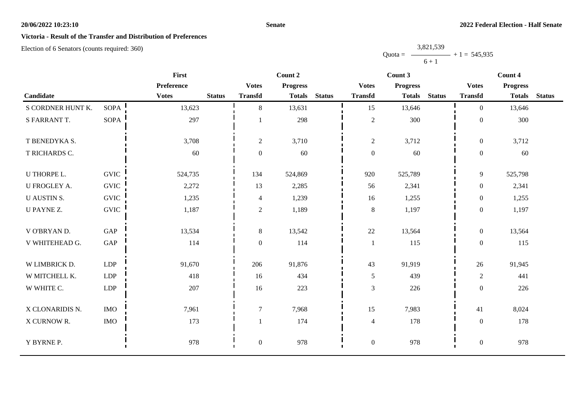## **Senate**

## **Victoria - Result of the Transfer and Distribution of Preferences**

Election of 6 Senators (counts required: 360)

|                     |             | <b>First</b>                  | Count 2                  |                 |               |                  | Count 3         |               | Count 4          |                 |               |
|---------------------|-------------|-------------------------------|--------------------------|-----------------|---------------|------------------|-----------------|---------------|------------------|-----------------|---------------|
|                     |             | Preference                    | <b>Votes</b>             | <b>Progress</b> |               | <b>Votes</b>     | <b>Progress</b> |               | <b>Votes</b>     | <b>Progress</b> |               |
| Candidate           |             | <b>Votes</b><br><b>Status</b> | <b>Transfd</b>           | <b>Totals</b>   | <b>Status</b> | <b>Transfd</b>   | <b>Totals</b>   | <b>Status</b> | <b>Transfd</b>   | <b>Totals</b>   | <b>Status</b> |
| S CORDNER HUNT K.   | <b>SOPA</b> | 13,623                        | 8                        | 13,631          |               | 15               | 13,646          |               | $\Omega$         | 13,646          |               |
| S FARRANT T.        | SOPA        | 297                           |                          | 298             |               | $\sqrt{2}$       | 300             |               | $\boldsymbol{0}$ | 300             |               |
| T BENEDYKA S.       |             | 3,708                         | $\overline{c}$           | 3,710           |               | $\sqrt{2}$       | 3,712           |               | $\overline{0}$   | 3,712           |               |
| T RICHARDS C.       |             | 60                            | $\overline{0}$           | 60              |               | $\boldsymbol{0}$ | 60              |               | $\overline{0}$   | 60              |               |
| U THORPE L.         | <b>GVIC</b> | 524,735                       | 134                      | 524,869         |               | 920              | 525,789         |               | 9                | 525,798         |               |
| <b>U FROGLEY A.</b> | <b>GVIC</b> | 2,272                         | 13                       | 2,285           |               | 56               | 2,341           |               | $\overline{0}$   | 2,341           |               |
| <b>U AUSTIN S.</b>  | <b>GVIC</b> | 1,235                         | $\overline{\mathcal{L}}$ | 1,239           |               | 16               | 1,255           |               | $\overline{0}$   | 1,255           |               |
| U PAYNE Z.          | <b>GVIC</b> | 1,187                         | 2                        | 1,189           |               | $8\,$            | 1,197           |               | $\overline{0}$   | 1,197           |               |
| V O'BRYAN D.        | GAP         | 13,534                        | $8\,$                    | 13,542          |               | $22\,$           | 13,564          |               | $\overline{0}$   | 13,564          |               |
| V WHITEHEAD G.      | GAP         | 114                           | $\mathbf{0}$             | 114             |               | $\mathbf{1}$     | 115             |               | $\mathbf{0}$     | 115             |               |
| W LIMBRICK D.       | <b>LDP</b>  | 91,670                        | 206                      | 91,876          |               | 43               | 91,919          |               | 26               | 91,945          |               |
| W MITCHELL K.       | LDP         | 418                           | 16                       | 434             |               | $\mathfrak{S}$   | 439             |               | $\overline{2}$   | 441             |               |
| W WHITE C.          | <b>LDP</b>  | 207                           | 16                       | 223             |               | 3                | 226             |               | $\boldsymbol{0}$ | 226             |               |
| X CLONARIDIS N.     | <b>IMO</b>  | 7,961                         | $\tau$                   | 7,968           |               | 15               | 7,983           |               | 41               | 8,024           |               |
| X CURNOW R.         | $\rm{IMO}$  | 173                           |                          | 174             |               | $\overline{4}$   | 178             |               | $\boldsymbol{0}$ | 178             |               |
| Y BYRNE P.          |             | 978                           | $\boldsymbol{0}$         | 978             |               | $\boldsymbol{0}$ | 978             |               | $\boldsymbol{0}$ | 978             |               |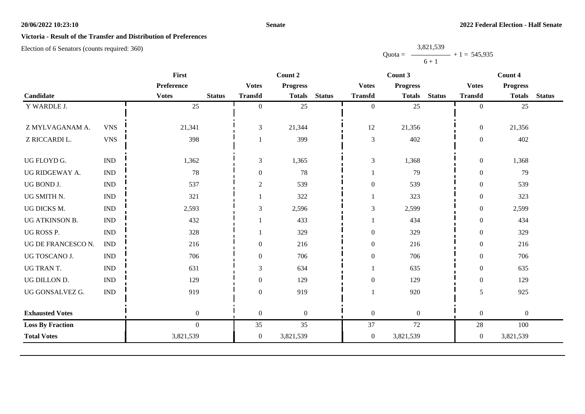## **Senate**

## **Victoria - Result of the Transfer and Distribution of Preferences**

Election of 6 Senators (counts required: 360)

|            | First            |               |                  | Count 2         |               |                             | Count 3         |               |                  | Count 4          |               |
|------------|------------------|---------------|------------------|-----------------|---------------|-----------------------------|-----------------|---------------|------------------|------------------|---------------|
|            | Preference       |               | <b>Votes</b>     | <b>Progress</b> |               | <b>Votes</b>                | <b>Progress</b> |               | <b>Votes</b>     | <b>Progress</b>  |               |
|            | <b>Votes</b>     | <b>Status</b> | <b>Transfd</b>   | <b>Totals</b>   | <b>Status</b> | <b>Transfd</b>              | <b>Totals</b>   | <b>Status</b> | <b>Transfd</b>   | <b>Totals</b>    | <b>Status</b> |
|            | 25               |               | $\theta$         | 25              |               | $\boldsymbol{0}$            | 25              |               | $\overline{0}$   | 25               |               |
|            |                  |               |                  |                 |               |                             |                 |               |                  |                  |               |
| <b>VNS</b> | 21,341           |               | 3                | 21,344          |               | 12                          | 21,356          |               | $\mathbf{0}$     | 21,356           |               |
| <b>VNS</b> | 398              |               |                  | 399             |               | $\ensuremath{\mathfrak{Z}}$ | 402             |               | $\boldsymbol{0}$ | 402              |               |
|            |                  |               |                  |                 |               |                             |                 |               |                  |                  |               |
|            |                  |               |                  |                 |               |                             |                 |               |                  |                  |               |
| <b>IND</b> | 78               |               | $\overline{0}$   | 78              |               |                             | 79              |               | $\mathbf{0}$     | 79               |               |
| <b>IND</b> | 537              |               | $\boldsymbol{2}$ | 539             |               | $\boldsymbol{0}$            | 539             |               | $\boldsymbol{0}$ | 539              |               |
| <b>IND</b> | 321              |               |                  | 322             |               | 1                           | 323             |               | $\boldsymbol{0}$ | 323              |               |
| <b>IND</b> | 2,593            |               | $\mathfrak{Z}$   | 2,596           |               | $\mathfrak{Z}$              | 2,599           |               | $\boldsymbol{0}$ | 2,599            |               |
| <b>IND</b> | 432              |               |                  | 433             |               |                             | 434             |               | $\mathbf{0}$     | 434              |               |
| <b>IND</b> | 328              |               |                  | 329             |               | $\boldsymbol{0}$            | 329             |               | $\boldsymbol{0}$ | 329              |               |
| <b>IND</b> | 216              |               | $\boldsymbol{0}$ | 216             |               | $\boldsymbol{0}$            | 216             |               | $\boldsymbol{0}$ | 216              |               |
| <b>IND</b> | 706              |               | $\overline{0}$   | 706             |               | $\boldsymbol{0}$            | 706             |               | $\overline{0}$   | 706              |               |
| <b>IND</b> | 631              |               | $\mathfrak{Z}$   | 634             |               |                             | 635             |               | $\boldsymbol{0}$ | 635              |               |
| <b>IND</b> | 129              |               | $\theta$         | 129             |               | $\boldsymbol{0}$            | 129             |               | $\boldsymbol{0}$ | 129              |               |
| <b>IND</b> | 919              |               | $\theta$         | 919             |               |                             | 920             |               | 5                | 925              |               |
|            |                  |               |                  |                 |               |                             |                 |               |                  |                  |               |
|            | $\boldsymbol{0}$ |               | $\overline{0}$   | $\overline{0}$  |               | $\boldsymbol{0}$            | $\overline{0}$  |               | $\boldsymbol{0}$ | $\boldsymbol{0}$ |               |
|            | $\overline{0}$   |               | 35               | 35              |               | 37                          | 72              |               | 28               | 100              |               |
|            | 3,821,539        |               | $\overline{0}$   | 3,821,539       |               | $\boldsymbol{0}$            | 3,821,539       |               | $\overline{0}$   | 3,821,539        |               |
|            | <b>IND</b>       | 1,362         |                  | $\mathfrak{Z}$  | 1,365         |                             | $\mathfrak 3$   | 1,368         |                  | $\boldsymbol{0}$ | 1,368         |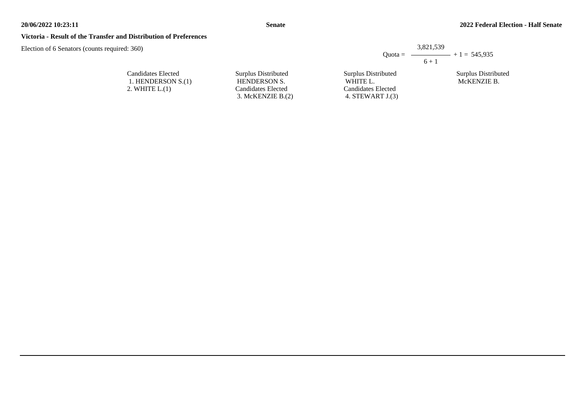3. McKENZIE B.(2)

## **Victoria - Result of the Transfer and Distribution of Preferences**

Candidates Elected 1. HENDERSON S.(1) 2. WHITE L.(1)

Election of 6 Senators (counts required: 360)

|                     |                     | 3,821,539<br>Quota = $\longrightarrow$ + 1 = 545,935 |
|---------------------|---------------------|------------------------------------------------------|
|                     |                     | $6 + 1$                                              |
| Surplus Distributed | Surplus Distributed | Surplus Distributed                                  |
| <b>HENDERSON S.</b> | WHITE L.            | McKENZIE B.                                          |
| Candidates Elected  | Candidates Elected  |                                                      |

4. STEWART J.(3)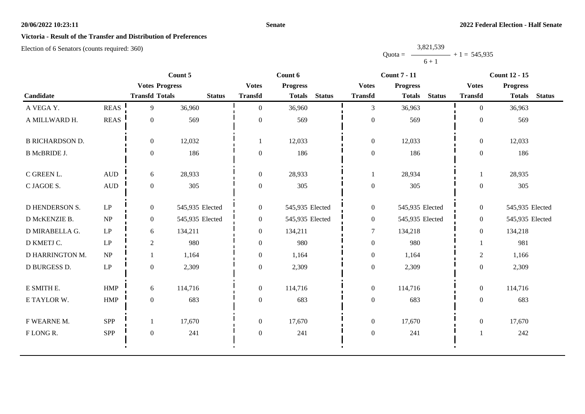## **Senate**

# **Victoria - Result of the Transfer and Distribution of Preferences**

|           | 3,821,539 |                   |
|-----------|-----------|-------------------|
| $Quota =$ |           | $-$ + 1 = 545,935 |
|           | $6 + 1$   |                   |

|                        |                        | Count 5               |                 |                  | Count 6                        |                  | <b>Count 7 - 11</b>            | <b>Count 12 - 15</b> |                                |  |
|------------------------|------------------------|-----------------------|-----------------|------------------|--------------------------------|------------------|--------------------------------|----------------------|--------------------------------|--|
|                        |                        | <b>Votes Progress</b> |                 | <b>Votes</b>     | <b>Progress</b>                | <b>Votes</b>     | <b>Progress</b>                | <b>Votes</b>         | <b>Progress</b>                |  |
| Candidate              |                        | <b>Transfd Totals</b> | <b>Status</b>   | <b>Transfd</b>   | <b>Status</b><br><b>Totals</b> | <b>Transfd</b>   | <b>Status</b><br><b>Totals</b> | <b>Transfd</b>       | <b>Status</b><br><b>Totals</b> |  |
| A VEGA Y.              | <b>REAS</b>            | 9                     | 36,960          | $\theta$         | 36,960                         | $\overline{3}$   | 36,963                         | $\Omega$             | 36,963                         |  |
| A MILLWARD H.          | $\operatorname{REAS}$  | $\overline{0}$        | 569             | $\theta$         | 569                            | $\boldsymbol{0}$ | 569                            | $\boldsymbol{0}$     | 569                            |  |
| <b>B RICHARDSON D.</b> |                        | $\overline{0}$        | 12,032          |                  | 12,033                         | $\boldsymbol{0}$ | 12,033                         | $\overline{0}$       | 12,033                         |  |
| <b>B McBRIDE J.</b>    |                        | $\mathbf{0}$          | 186             | $\boldsymbol{0}$ | 186                            | $\boldsymbol{0}$ | 186                            | $\boldsymbol{0}$     | 186                            |  |
| C GREEN L.             | $\hbox{AUD}$           | 6                     | 28,933          | $\overline{0}$   | 28,933                         | 1                | 28,934                         | $\mathbf{1}$         | 28,935                         |  |
| C JAGOE S.             | $\mbox{AUD}$           | $\overline{0}$        | 305             | $\mathbf{0}$     | 305                            | $\boldsymbol{0}$ | 305                            | $\overline{0}$       | 305                            |  |
| <b>D HENDERSON S.</b>  | $\operatorname{LP}$    | $\overline{0}$        | 545,935 Elected | $\boldsymbol{0}$ | 545,935 Elected                | $\boldsymbol{0}$ | 545,935 Elected                | $\overline{0}$       | 545,935 Elected                |  |
| D McKENZIE B.          | NP                     | $\overline{0}$        | 545,935 Elected | $\boldsymbol{0}$ | 545,935 Elected                | $\boldsymbol{0}$ | 545,935 Elected                | $\overline{0}$       | 545,935 Elected                |  |
| D MIRABELLA G.         | $\mathbf{L}\mathbf{P}$ | 6                     | 134,211         | $\overline{0}$   | 134,211                        | $\tau$           | 134,218                        | $\overline{0}$       | 134,218                        |  |
| D KMETJ C.             | LP                     | $\overline{2}$        | 980             | $\theta$         | 980                            | $\boldsymbol{0}$ | 980                            |                      | 981                            |  |
| D HARRINGTON M.        | NP                     |                       | 1,164           | $\overline{0}$   | 1,164                          | $\boldsymbol{0}$ | 1,164                          | $\overline{c}$       | 1,166                          |  |
| D BURGESS D.           | $\mathbf{L}\mathbf{P}$ | $\overline{0}$        | 2,309           | $\boldsymbol{0}$ | 2,309                          | $\boldsymbol{0}$ | 2,309                          | $\boldsymbol{0}$     | 2,309                          |  |
| E SMITH E.             | <b>HMP</b>             | 6                     | 114,716         | $\overline{0}$   | 114,716                        | $\boldsymbol{0}$ | 114,716                        | $\overline{0}$       | 114,716                        |  |
| E TAYLOR W.            | HMP                    | $\overline{0}$        | 683             | $\overline{0}$   | 683                            | $\boldsymbol{0}$ | 683                            | $\boldsymbol{0}$     | 683                            |  |
| F WEARNE M.            | <b>SPP</b>             |                       | 17,670          | $\overline{0}$   | 17,670                         | $\overline{0}$   | 17,670                         | $\overline{0}$       | 17,670                         |  |
| FLONGR.                | <b>SPP</b>             | $\overline{0}$        | 241             | $\mathbf{0}$     | 241                            | $\boldsymbol{0}$ | 241                            | $\mathbf{1}$         | 242                            |  |
|                        |                        |                       |                 |                  |                                |                  |                                |                      |                                |  |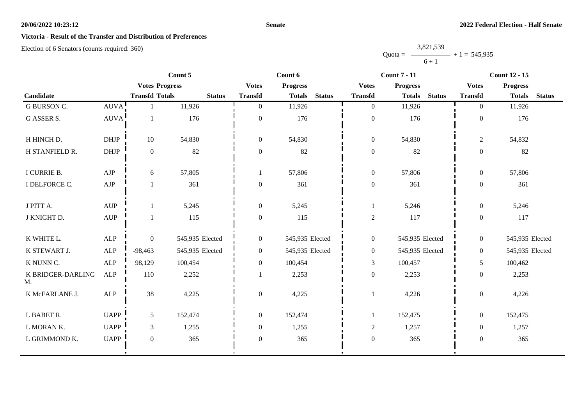## **Senate**

# **Victoria - Result of the Transfer and Distribution of Preferences**

|           | 3,821,539 |                |
|-----------|-----------|----------------|
| $Quota =$ |           | $+1 = 545,935$ |
|           | $6 + 1$   |                |

|                         |                                  | Count 5               |                 |                  | Count 6         |               | <b>Count 7 - 11</b> |                 |               | <b>Count 12 - 15</b> |                 |               |
|-------------------------|----------------------------------|-----------------------|-----------------|------------------|-----------------|---------------|---------------------|-----------------|---------------|----------------------|-----------------|---------------|
|                         |                                  | <b>Votes Progress</b> |                 | <b>Votes</b>     | <b>Progress</b> |               | <b>Votes</b>        | <b>Progress</b> |               | <b>Votes</b>         | <b>Progress</b> |               |
| Candidate               |                                  | <b>Transfd Totals</b> | <b>Status</b>   | <b>Transfd</b>   | <b>Totals</b>   | <b>Status</b> | <b>Transfd</b>      | <b>Totals</b>   | <b>Status</b> | <b>Transfd</b>       | <b>Totals</b>   | <b>Status</b> |
| <b>G BURSON C.</b>      | <b>AUVA</b>                      |                       | 11,926          | $\overline{0}$   | 11,926          |               | $\overline{0}$      | 11,926          |               | $\overline{0}$       | 11,926          |               |
| <b>G ASSER S.</b>       | <b>AUVA</b>                      | $\mathbf{1}$          | 176             | $\boldsymbol{0}$ | 176             |               | $\boldsymbol{0}$    | 176             |               | $\boldsymbol{0}$     | 176             |               |
| H HINCH D.              | <b>DHJP</b>                      | 10                    | 54,830          | $\boldsymbol{0}$ | 54,830          |               | $\boldsymbol{0}$    | 54,830          |               | $\overline{2}$       | 54,832          |               |
| H STANFIELD R.          | $DHJP$                           | $\boldsymbol{0}$      | $82\,$          | $\boldsymbol{0}$ | 82              |               | $\boldsymbol{0}$    | 82              |               | $\boldsymbol{0}$     | 82              |               |
| I CURRIE B.             | AJP                              | 6                     | 57,805          |                  | 57,806          |               | $\overline{0}$      | 57,806          |               | $\overline{0}$       | 57,806          |               |
| I DELFORCE C.           | AJP                              | $\mathbf{1}$          | 361             | $\boldsymbol{0}$ | 361             |               | $\boldsymbol{0}$    | 361             |               | $\boldsymbol{0}$     | 361             |               |
| J PITT A.               | <b>AUP</b>                       | 1                     | 5,245           | $\boldsymbol{0}$ | 5,245           |               | 1                   | 5,246           |               | $\overline{0}$       | 5,246           |               |
| J KNIGHT D.             | $\mathbf{A}\mathbf{U}\mathbf{P}$ | $\mathbf{1}$          | 115             | $\boldsymbol{0}$ | 115             |               | $\sqrt{2}$          | 117             |               | $\boldsymbol{0}$     | 117             |               |
| K WHITE L.              | ALP                              | $\boldsymbol{0}$      | 545,935 Elected | $\boldsymbol{0}$ | 545,935 Elected |               | $\boldsymbol{0}$    | 545,935 Elected |               | $\overline{0}$       | 545,935 Elected |               |
| K STEWART J.            | ALP                              | $-98,463$             | 545,935 Elected | $\overline{0}$   | 545,935 Elected |               | $\boldsymbol{0}$    | 545,935 Elected |               | $\overline{0}$       | 545,935 Elected |               |
| K NUNN C.               | ALP                              | 98,129                | 100,454         | $\overline{0}$   | 100,454         |               | $\mathfrak{Z}$      | 100,457         |               | 5                    | 100,462         |               |
| K BRIDGER-DARLING<br>M. | ALP                              | 110                   | 2,252           |                  | 2,253           |               | $\boldsymbol{0}$    | 2,253           |               | $\overline{0}$       | 2,253           |               |
| K McFARLANE J.          | <b>ALP</b>                       | 38                    | 4,225           | $\boldsymbol{0}$ | 4,225           |               | 1                   | 4,226           |               | $\boldsymbol{0}$     | 4,226           |               |
| L BABET R.              | <b>UAPP</b>                      | 5                     | 152,474         | $\overline{0}$   | 152,474         |               |                     | 152,475         |               | $\overline{0}$       | 152,475         |               |
| L MORAN K.              | <b>UAPP</b>                      | $\mathfrak{Z}$        | 1,255           | $\boldsymbol{0}$ | 1,255           |               | $\mathfrak{2}$      | 1,257           |               | $\overline{0}$       | 1,257           |               |
| L GRIMMOND K.           | <b>UAPP</b>                      | $\mathbf{0}$          | 365             | $\boldsymbol{0}$ | 365             |               | $\boldsymbol{0}$    | 365             |               | $\mathbf{0}$         | 365             |               |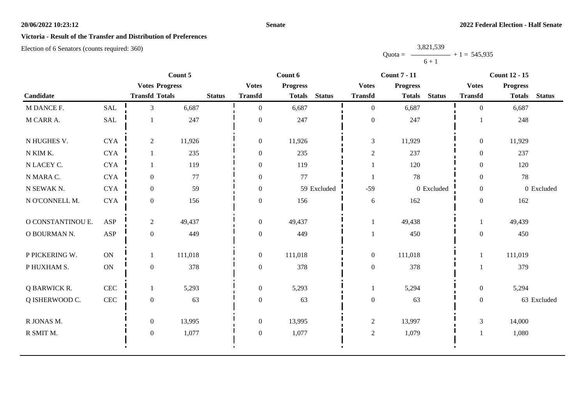## **Senate**

# **Victoria - Result of the Transfer and Distribution of Preferences**

|           | 3,821,539 |                   |
|-----------|-----------|-------------------|
| $Quota =$ |           | $-$ + 1 = 545,935 |
|           | $6 + 1$   |                   |

|                   |                       | Count 5               |         |               |                                 | Count 6       |               |                  | <b>Count 7 - 11</b> |               |                | <b>Count 12 - 15</b> |               |  |
|-------------------|-----------------------|-----------------------|---------|---------------|---------------------------------|---------------|---------------|------------------|---------------------|---------------|----------------|----------------------|---------------|--|
|                   | <b>Votes Progress</b> |                       |         |               | <b>Progress</b><br><b>Votes</b> |               |               | <b>Votes</b>     | <b>Progress</b>     |               | <b>Votes</b>   | <b>Progress</b>      |               |  |
| Candidate         |                       | <b>Transfd Totals</b> |         | <b>Status</b> | <b>Transfd</b>                  | <b>Totals</b> | <b>Status</b> | <b>Transfd</b>   | <b>Totals</b>       | <b>Status</b> | <b>Transfd</b> | <b>Totals</b>        | <b>Status</b> |  |
| M DANCE F.        | <b>SAL</b>            | 3                     | 6,687   |               | $\mathbf{0}$                    | 6,687         |               | $\overline{0}$   | 6,687               |               | $\theta$       | 6,687                |               |  |
| M CARR A.         | SAL                   |                       | 247     |               | $\mathbf{0}$                    | 247           |               | $\boldsymbol{0}$ | 247                 |               |                | 248                  |               |  |
| N HUGHES V.       | <b>CYA</b>            | $\sqrt{2}$            | 11,926  |               | $\boldsymbol{0}$                | 11,926        |               | $\mathfrak{Z}$   | 11,929              |               | $\overline{0}$ | 11,929               |               |  |
| N KIM K.          | <b>CYA</b>            |                       | 235     |               | $\boldsymbol{0}$                | 235           |               | $\sqrt{2}$       | 237                 |               | $\overline{0}$ | 237                  |               |  |
| N LACEY C.        | <b>CYA</b>            |                       | 119     |               | $\boldsymbol{0}$                | 119           |               |                  | 120                 |               | $\overline{0}$ | 120                  |               |  |
| N MARA C.         | <b>CYA</b>            | $\boldsymbol{0}$      | 77      |               | $\boldsymbol{0}$                | 77            |               |                  | 78                  |               | $\overline{0}$ | 78                   |               |  |
| N SEWAK N.        | <b>CYA</b>            | $\overline{0}$        | 59      |               | $\overline{0}$                  |               | 59 Excluded   | $-59$            |                     | 0 Excluded    | $\overline{0}$ |                      | 0 Excluded    |  |
| N O'CONNELL M.    | <b>CYA</b>            | $\overline{0}$        | 156     |               | $\boldsymbol{0}$                | 156           |               | 6                | 162                 |               | $\overline{0}$ | 162                  |               |  |
| O CONSTANTINOU E. | ASP                   | $\overline{2}$        | 49,437  |               | $\boldsymbol{0}$                | 49,437        |               | 1                | 49,438              |               | 1              | 49,439               |               |  |
| O BOURMAN N.      | ASP                   | $\mathbf{0}$          | 449     |               | $\boldsymbol{0}$                | 449           |               |                  | 450                 |               | $\mathbf{0}$   | 450                  |               |  |
| P PICKERING W.    | ON                    |                       | 111,018 |               | $\boldsymbol{0}$                | 111,018       |               | $\boldsymbol{0}$ | 111,018             |               |                | 111,019              |               |  |
| P HUXHAM S.       | <b>ON</b>             | $\boldsymbol{0}$      | 378     |               | $\boldsymbol{0}$                | 378           |               | $\boldsymbol{0}$ | 378                 |               |                | 379                  |               |  |
| Q BARWICK R.      | <b>CEC</b>            |                       | 5,293   |               | $\boldsymbol{0}$                | 5,293         |               |                  | 5,294               |               | $\overline{0}$ | 5,294                |               |  |
| Q ISHERWOOD C.    | <b>CEC</b>            | $\boldsymbol{0}$      | 63      |               | $\boldsymbol{0}$                | 63            |               | $\boldsymbol{0}$ | 63                  |               | $\mathbf{0}$   |                      | 63 Excluded   |  |
| R JONAS M.        |                       | $\boldsymbol{0}$      | 13,995  |               | $\boldsymbol{0}$                | 13,995        |               | $\mathbf{2}$     | 13,997              |               | 3              | 14,000               |               |  |
| R SMIT M.         |                       | $\overline{0}$        | 1,077   |               | $\boldsymbol{0}$                | 1,077         |               | $\sqrt{2}$       | 1,079               |               |                | 1,080                |               |  |
|                   |                       |                       |         |               |                                 |               |               |                  |                     |               |                |                      |               |  |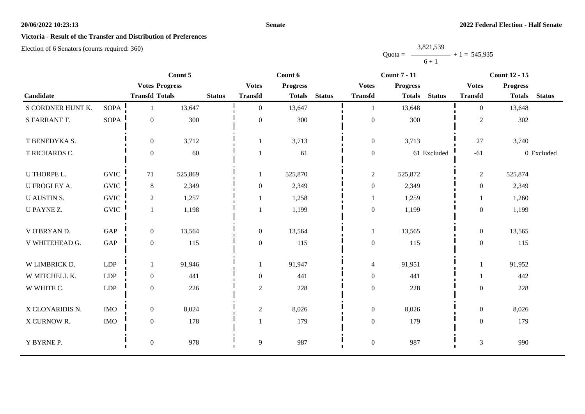## **Senate**

# **Victoria - Result of the Transfer and Distribution of Preferences**

|           | 3,821,539 |                   |
|-----------|-----------|-------------------|
| $Quota =$ |           | $-$ + 1 = 545,935 |
|           | $6 + 1$   |                   |

|                    |                      |                       | Count 5 |               |                  | Count 6         |               |                  | <b>Count 7 - 11</b> |               |                  | <b>Count 12 - 15</b> |               |
|--------------------|----------------------|-----------------------|---------|---------------|------------------|-----------------|---------------|------------------|---------------------|---------------|------------------|----------------------|---------------|
|                    |                      | <b>Votes Progress</b> |         |               | <b>Votes</b>     | <b>Progress</b> |               | <b>Votes</b>     | <b>Progress</b>     |               | <b>Votes</b>     | <b>Progress</b>      |               |
| Candidate          |                      | <b>Transfd Totals</b> |         | <b>Status</b> | <b>Transfd</b>   | <b>Totals</b>   | <b>Status</b> | <b>Transfd</b>   | <b>Totals</b>       | <b>Status</b> | <b>Transfd</b>   | <b>Totals</b>        | <b>Status</b> |
| S CORDNER HUNT K.  | <b>SOPA</b>          | 1                     | 13,647  |               | $\Omega$         | 13,647          |               | 1                | 13,648              |               | $\theta$         | 13,648               |               |
| S FARRANT T.       | <b>SOPA</b>          | $\boldsymbol{0}$      | 300     |               | $\overline{0}$   | 300             |               | $\boldsymbol{0}$ | 300                 |               | $\overline{2}$   | 302                  |               |
| T BENEDYKA S.      |                      | $\boldsymbol{0}$      | 3,712   |               |                  | 3,713           |               | $\boldsymbol{0}$ | 3,713               |               | 27               | 3,740                |               |
| T RICHARDS C.      |                      | $\boldsymbol{0}$      | 60      |               |                  | 61              |               | $\boldsymbol{0}$ |                     | 61 Excluded   | $-61$            |                      | 0 Excluded    |
| U THORPE L.        | <b>GVIC</b>          | 71                    | 525,869 |               |                  | 525,870         |               | $\overline{2}$   | 525,872             |               | $\overline{c}$   | 525,874              |               |
| U FROGLEY A.       | <b>GVIC</b>          | 8                     | 2,349   |               | $\boldsymbol{0}$ | 2,349           |               | $\boldsymbol{0}$ | 2,349               |               | $\overline{0}$   | 2,349                |               |
| <b>U AUSTIN S.</b> | <b>GVIC</b>          | 2                     | 1,257   |               |                  | 1,258           |               | 1                | 1,259               |               |                  | 1,260                |               |
| U PAYNE Z.         | <b>GVIC</b>          | $\mathbf{1}$          | 1,198   |               |                  | 1,199           |               | $\boldsymbol{0}$ | 1,199               |               | $\overline{0}$   | 1,199                |               |
| V O'BRYAN D.       | GAP                  | $\boldsymbol{0}$      | 13,564  |               | $\boldsymbol{0}$ | 13,564          |               | $\mathbf{1}$     | 13,565              |               | $\overline{0}$   | 13,565               |               |
| V WHITEHEAD G.     | $\operatorname{GAP}$ | $\boldsymbol{0}$      | 115     |               | $\overline{0}$   | 115             |               | $\boldsymbol{0}$ | 115                 |               | $\overline{0}$   | 115                  |               |
| W LIMBRICK D.      | LDP                  | 1                     | 91,946  |               |                  | 91,947          |               | $\overline{4}$   | 91,951              |               |                  | 91,952               |               |
| W MITCHELL K.      | LDP                  | $\mathbf{0}$          | 441     |               | $\overline{0}$   | 441             |               | $\boldsymbol{0}$ | 441                 |               |                  | 442                  |               |
| W WHITE C.         | LDP                  | $\mathbf{0}$          | 226     |               | $\overline{2}$   | 228             |               | $\boldsymbol{0}$ | 228                 |               | $\boldsymbol{0}$ | 228                  |               |
| X CLONARIDIS N.    | <b>IMO</b>           | $\boldsymbol{0}$      | 8,024   |               | $\sqrt{2}$       | 8,026           |               | $\boldsymbol{0}$ | 8,026               |               | $\overline{0}$   | 8,026                |               |
| X CURNOW R.        | $\rm{IMO}$           | $\boldsymbol{0}$      | 178     |               |                  | 179             |               | $\boldsymbol{0}$ | 179                 |               | $\boldsymbol{0}$ | 179                  |               |
| Y BYRNE P.         |                      | $\boldsymbol{0}$      | 978     |               | 9                | 987             |               | $\boldsymbol{0}$ | 987                 |               | $\mathfrak{Z}$   | 990                  |               |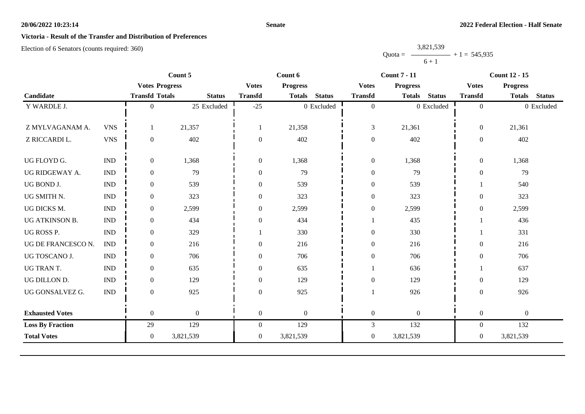## **Senate**

# **Victoria - Result of the Transfer and Distribution of Preferences**

|           | 3,821,539      |  |
|-----------|----------------|--|
| $Quota =$ | $+1 = 545,935$ |  |
|           | $6 + 1$        |  |

|                           |                  | Count 5          |                                                         |                  |                  | <b>Count 7 - 11</b> |                  |               | <b>Count 12 - 15</b> |                  |               |
|---------------------------|------------------|------------------|---------------------------------------------------------|------------------|------------------|---------------------|------------------|---------------|----------------------|------------------|---------------|
|                           |                  |                  | <b>Votes</b>                                            | <b>Progress</b>  |                  | <b>Votes</b>        | <b>Progress</b>  |               | <b>Votes</b>         | <b>Progress</b>  |               |
|                           |                  | <b>Status</b>    | <b>Transfd</b>                                          | <b>Totals</b>    | <b>Status</b>    | <b>Transfd</b>      | <b>Totals</b>    | <b>Status</b> | <b>Transfd</b>       | <b>Totals</b>    | <b>Status</b> |
|                           | $\Omega$         | 25 Excluded      | $-25$                                                   |                  |                  | $\boldsymbol{0}$    |                  |               | $\overline{0}$       |                  | 0 Excluded    |
|                           |                  |                  |                                                         |                  |                  |                     |                  |               |                      |                  |               |
| <b>VNS</b>                |                  | 21,357           |                                                         | 21,358           |                  | $\mathfrak{Z}$      | 21,361           |               | $\boldsymbol{0}$     | 21,361           |               |
| <b>VNS</b>                | $\overline{0}$   | 402              | $\mathbf{0}$                                            | 402              |                  | $\boldsymbol{0}$    | 402              |               | $\overline{0}$       | 402              |               |
|                           |                  |                  |                                                         |                  |                  |                     |                  |               |                      |                  |               |
|                           |                  |                  |                                                         |                  |                  |                     |                  |               |                      |                  |               |
| <b>IND</b>                | $\overline{0}$   | 79               | $\theta$                                                | 79               |                  | $\boldsymbol{0}$    | 79               |               | $\overline{0}$       | 79               |               |
| $\ensuremath{\text{IND}}$ | $\boldsymbol{0}$ | 539              | $\theta$                                                | 539              |                  | $\boldsymbol{0}$    | 539              |               |                      | 540              |               |
| $\ensuremath{\text{IND}}$ | $\boldsymbol{0}$ | 323              | $\boldsymbol{0}$                                        | 323              |                  | $\boldsymbol{0}$    | 323              |               | $\boldsymbol{0}$     | 323              |               |
| <b>IND</b>                | $\overline{0}$   | 2,599            | $\theta$                                                | 2,599            |                  | $\boldsymbol{0}$    | 2,599            |               | $\overline{0}$       | 2,599            |               |
| <b>IND</b>                | $\boldsymbol{0}$ | 434              | $\boldsymbol{0}$                                        | 434              |                  |                     | 435              |               |                      | 436              |               |
| $\ensuremath{\text{IND}}$ | $\overline{0}$   | 329              |                                                         | 330              |                  | $\boldsymbol{0}$    | 330              |               |                      | 331              |               |
| <b>IND</b>                | $\overline{0}$   | 216              | $\theta$                                                | 216              |                  | $\boldsymbol{0}$    | 216              |               | $\theta$             | 216              |               |
| <b>IND</b>                | $\overline{0}$   | 706              | $\theta$                                                | 706              |                  | $\boldsymbol{0}$    | 706              |               | $\theta$             | 706              |               |
| $\ensuremath{\text{IND}}$ | $\boldsymbol{0}$ | 635              | $\theta$                                                | 635              |                  |                     | 636              |               |                      | 637              |               |
| <b>IND</b>                | $\boldsymbol{0}$ | 129              | $\boldsymbol{0}$                                        | 129              |                  | $\boldsymbol{0}$    | 129              |               | $\boldsymbol{0}$     | 129              |               |
| <b>IND</b>                | $\overline{0}$   | 925              | $\theta$                                                | 925              |                  |                     | 926              |               | $\overline{0}$       | 926              |               |
|                           |                  |                  |                                                         |                  |                  |                     |                  |               |                      |                  |               |
|                           | $\overline{0}$   | $\boldsymbol{0}$ | $\boldsymbol{0}$                                        | $\mathbf{0}$     |                  | $\boldsymbol{0}$    | $\boldsymbol{0}$ |               | $\boldsymbol{0}$     | $\boldsymbol{0}$ |               |
|                           | 29               | 129              | $\boldsymbol{0}$                                        | 129              |                  | $\mathfrak{Z}$      | 132              |               | $\overline{0}$       | 132              |               |
|                           | $\overline{0}$   | 3,821,539        | $\boldsymbol{0}$                                        | 3,821,539        |                  | $\boldsymbol{0}$    | 3,821,539        |               | $\overline{0}$       | 3,821,539        |               |
|                           | <b>IND</b>       | $\overline{0}$   | <b>Votes Progress</b><br><b>Transfd Totals</b><br>1,368 | $\boldsymbol{0}$ | Count 6<br>1,368 | 0 Excluded          | $\boldsymbol{0}$ | 1,368         | 0 Excluded           | $\boldsymbol{0}$ | 1,368         |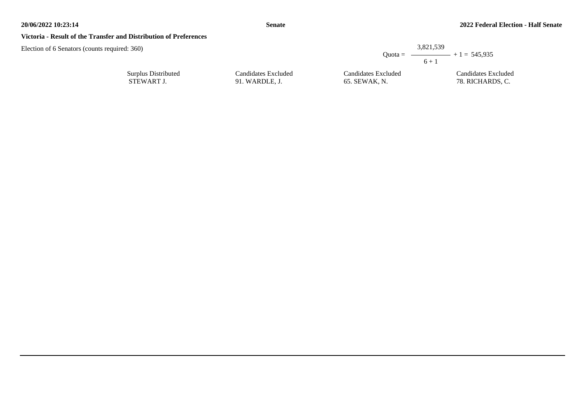## **Victoria - Result of the Transfer and Distribution of Preferences**

| :360                |                     | $6 + 1$             | 3,821,539<br>Quota = $\longrightarrow$ + 1 = 545.935 |
|---------------------|---------------------|---------------------|------------------------------------------------------|
| Surplus Distributed | Candidates Excluded | Candidates Excluded | Candidates Excluded                                  |
| STEWART J.          | 91. WARDLE, J.      | 65. SEWAK, N.       | 78. RICHARDS, C.                                     |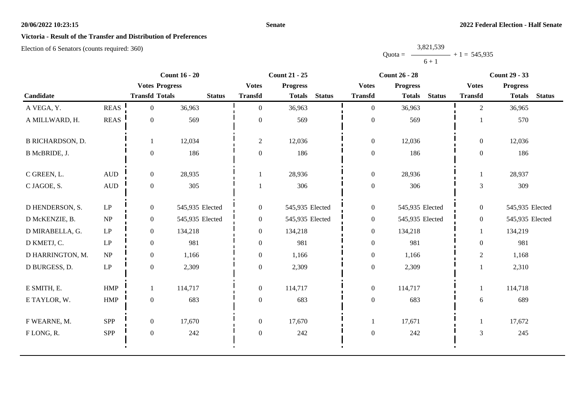## **Senate**

# **Victoria - Result of the Transfer and Distribution of Preferences**

|           | 3,821,539 |                   |
|-----------|-----------|-------------------|
| $Quota =$ |           | $-$ + 1 = 545.935 |
|           | $6 + 1$   |                   |

|                         |                                 |                       | <b>Count 16 - 20</b> |                  | <b>Count 21 - 25</b>            |               |                  | <b>Count 26 - 28</b> |               |                | <b>Count 29 - 33</b> |               |  |
|-------------------------|---------------------------------|-----------------------|----------------------|------------------|---------------------------------|---------------|------------------|----------------------|---------------|----------------|----------------------|---------------|--|
|                         | <b>Votes Progress</b>           |                       |                      |                  | <b>Progress</b><br><b>Votes</b> |               |                  | <b>Progress</b>      |               | <b>Votes</b>   | <b>Progress</b>      |               |  |
| Candidate               |                                 | <b>Transfd Totals</b> | <b>Status</b>        | <b>Transfd</b>   | <b>Totals</b>                   | <b>Status</b> | <b>Transfd</b>   | <b>Totals</b>        | <b>Status</b> | <b>Transfd</b> | <b>Totals</b>        | <b>Status</b> |  |
| A VEGA, Y.              | <b>REAS</b>                     | $\overline{0}$        | 36,963               | $\theta$         | 36,963                          |               | $\overline{0}$   | 36,963               |               | $\overline{2}$ | 36,965               |               |  |
| A MILLWARD, H.          | <b>REAS</b>                     | $\overline{0}$        | 569                  | $\overline{0}$   | 569                             |               | $\boldsymbol{0}$ | 569                  |               |                | 570                  |               |  |
| <b>B RICHARDSON, D.</b> |                                 |                       | 12,034               | 2                | 12,036                          |               | $\overline{0}$   | 12,036               |               | $\overline{0}$ | 12,036               |               |  |
| B McBRIDE, J.           |                                 | $\overline{0}$        | 186                  | $\boldsymbol{0}$ | 186                             |               | $\boldsymbol{0}$ | 186                  |               | $\overline{0}$ | 186                  |               |  |
| C GREEN, L.             | $\mbox{\rm AUD}$                | $\overline{0}$        | 28,935               |                  | 28,936                          |               | $\overline{0}$   | 28,936               |               | 1              | 28,937               |               |  |
| C JAGOE, S.             | $\mbox{\rm AUD}$                | $\overline{0}$        | 305                  |                  | 306                             |               | $\boldsymbol{0}$ | 306                  |               | 3              | 309                  |               |  |
| D HENDERSON, S.         | $\operatorname{LP}$             | $\overline{0}$        | 545,935 Elected      | $\boldsymbol{0}$ | 545,935 Elected                 |               | $\overline{0}$   | 545,935 Elected      |               | $\overline{0}$ | 545,935 Elected      |               |  |
| D McKENZIE, B.          | $\ensuremath{\text{NP}}\xspace$ | $\overline{0}$        | 545,935 Elected      | $\boldsymbol{0}$ | 545,935 Elected                 |               | $\mathbf{0}$     | 545,935 Elected      |               | $\overline{0}$ | 545,935 Elected      |               |  |
| D MIRABELLA, G.         | LP                              | $\overline{0}$        | 134,218              | $\boldsymbol{0}$ | 134,218                         |               | $\mathbf{0}$     | 134,218              |               |                | 134,219              |               |  |
| D KMETJ, C.             | $\mathbf{L}\mathbf{P}$          | $\overline{0}$        | 981                  | $\overline{0}$   | 981                             |               | $\boldsymbol{0}$ | 981                  |               | $\theta$       | 981                  |               |  |
| D HARRINGTON, M.        | NP                              | $\overline{0}$        | 1,166                | $\overline{0}$   | 1,166                           |               | $\boldsymbol{0}$ | 1,166                |               | $\mathfrak{2}$ | 1,168                |               |  |
| D BURGESS, D.           | $\operatorname{LP}$             | $\overline{0}$        | 2,309                | $\boldsymbol{0}$ | 2,309                           |               | $\boldsymbol{0}$ | 2,309                |               |                | 2,310                |               |  |
| E SMITH, E.             | HMP                             |                       | 114,717              | $\overline{0}$   | 114,717                         |               | $\overline{0}$   | 114,717              |               |                | 114,718              |               |  |
| E TAYLOR, W.            | HMP                             | $\mathbf{0}$          | 683                  | $\boldsymbol{0}$ | 683                             |               | $\boldsymbol{0}$ | 683                  |               | 6              | 689                  |               |  |
| F WEARNE, M.            | <b>SPP</b>                      | $\overline{0}$        | 17,670               | $\overline{0}$   | 17,670                          |               | $\mathbf{1}$     | 17,671               |               |                | 17,672               |               |  |
| FLONG, R.               | <b>SPP</b>                      | $\overline{0}$        | 242                  | $\boldsymbol{0}$ | 242                             |               | $\boldsymbol{0}$ | 242                  |               | $\mathfrak{Z}$ | 245                  |               |  |
|                         |                                 |                       |                      |                  |                                 |               |                  |                      |               |                |                      |               |  |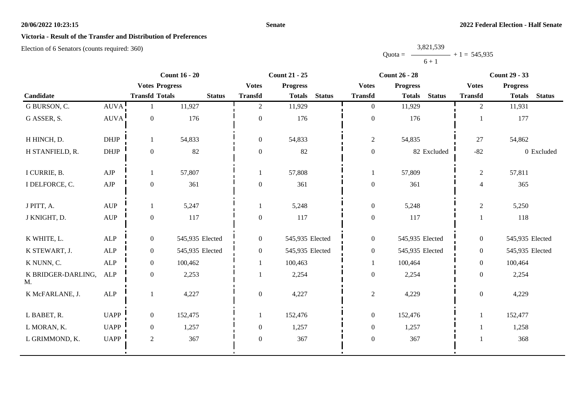## **Senate**

## **Victoria - Result of the Transfer and Distribution of Preferences**

|           | 3,821,539      |  |
|-----------|----------------|--|
| $Quota =$ | $+1 = 545,935$ |  |
|           | $6 + 1$        |  |

|                          |                                  |                       | <b>Count 16 - 20</b> |                | <b>Count 21 - 25</b> |               |                  | <b>Count 26 - 28</b>           |                | <b>Count 29 - 33</b>           |
|--------------------------|----------------------------------|-----------------------|----------------------|----------------|----------------------|---------------|------------------|--------------------------------|----------------|--------------------------------|
|                          |                                  | <b>Votes Progress</b> |                      | <b>Votes</b>   | <b>Progress</b>      |               | <b>Votes</b>     | <b>Progress</b>                | <b>Votes</b>   | <b>Progress</b>                |
| Candidate                |                                  | <b>Transfd Totals</b> | <b>Status</b>        | <b>Transfd</b> | <b>Totals</b>        | <b>Status</b> | <b>Transfd</b>   | <b>Status</b><br><b>Totals</b> | <b>Transfd</b> | <b>Status</b><br><b>Totals</b> |
| G BURSON, C.             | AUVA!                            |                       | 11,927               | $\overline{2}$ | 11,929               |               | $\overline{0}$   | 11,929                         | 2              | 11,931                         |
| G ASSER, S.              | AUVA                             | $\boldsymbol{0}$      | 176                  | 0              | 176                  |               | $\boldsymbol{0}$ | 176                            |                | 177                            |
| H HINCH, D.              | <b>DHJP</b>                      | 1                     | 54,833               | $\overline{0}$ | 54,833               |               | $\overline{c}$   | 54,835                         | 27             | 54,862                         |
| H STANFIELD, R.          | <b>DHJP</b>                      | $\boldsymbol{0}$      | 82                   | $\overline{0}$ | 82                   |               | $\boldsymbol{0}$ | 82 Excluded                    | $-82$          | 0 Excluded                     |
| I CURRIE, B.             | AJP                              | 1                     | 57,807               |                | 57,808               |               |                  | 57,809                         | $\mathfrak{2}$ | 57,811                         |
| I DELFORCE, C.           | ${\rm AJP}$                      | $\boldsymbol{0}$      | 361                  | $\overline{0}$ | 361                  |               | $\boldsymbol{0}$ | 361                            | $\overline{4}$ | 365                            |
| J PITT, A.               | <b>AUP</b>                       | 1                     | 5,247                |                | 5,248                |               | $\boldsymbol{0}$ | 5,248                          | $\overline{2}$ | 5,250                          |
| J KNIGHT, D.             | $\mathbf{A}\mathbf{U}\mathbf{P}$ | $\boldsymbol{0}$      | 117                  | $\overline{0}$ | 117                  |               | $\boldsymbol{0}$ | 117                            |                | 118                            |
| K WHITE, L.              | ALP                              | $\boldsymbol{0}$      | 545,935 Elected      | $\overline{0}$ | 545,935 Elected      |               | $\boldsymbol{0}$ | 545,935 Elected                | $\overline{0}$ | 545,935 Elected                |
| K STEWART, J.            | <b>ALP</b>                       | $\mathbf{0}$          | 545,935 Elected      | $\overline{0}$ | 545,935 Elected      |               | $\boldsymbol{0}$ | 545,935 Elected                | $\overline{0}$ | 545,935 Elected                |
| K NUNN, C.               | <b>ALP</b>                       | $\mathbf{0}$          | 100,462              |                | 100,463              |               | $\mathbf{1}$     | 100,464                        | $\overline{0}$ | 100,464                        |
| K BRIDGER-DARLING,<br>M. | <b>ALP</b>                       | $\boldsymbol{0}$      | 2,253                |                | 2,254                |               | $\boldsymbol{0}$ | 2,254                          | $\overline{0}$ | 2,254                          |
| K McFARLANE, J.          | ${\sf ALP}$                      | $\mathbf{1}$          | 4,227                | $\overline{0}$ | 4,227                |               | $\overline{c}$   | 4,229                          | $\overline{0}$ | 4,229                          |
| L BABET, R.              | <b>UAPP</b>                      | $\mathbf{0}$          | 152,475              |                | 152,476              |               | $\boldsymbol{0}$ | 152,476                        |                | 152,477                        |
| L MORAN, K.              | <b>UAPP</b>                      | $\mathbf{0}$          | 1,257                | $\overline{0}$ | 1,257                |               | $\boldsymbol{0}$ | 1,257                          |                | 1,258                          |
| L GRIMMOND, K.           | <b>UAPP</b>                      | $\sqrt{2}$            | 367                  | $\Omega$       | 367                  |               | $\boldsymbol{0}$ | 367                            |                | 368                            |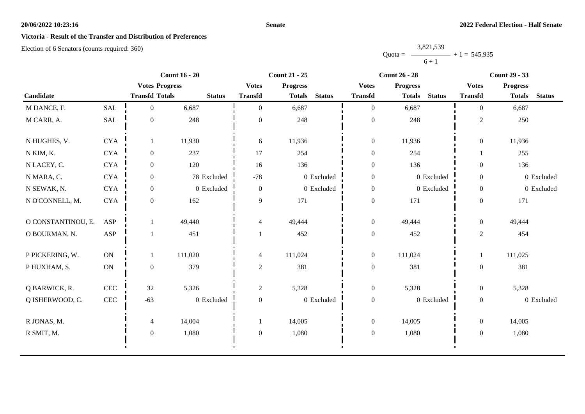## **Senate**

# **Victoria - Result of the Transfer and Distribution of Preferences**

|           | 3,821,539 |                |
|-----------|-----------|----------------|
| $Quota =$ |           | $+1 = 545,935$ |
|           | $6 + 1$   |                |

|                    |               |                       | <b>Count 16 - 20</b> | <b>Count 21 - 25</b> |                 |               |                  | <b>Count 26 - 28</b> |                | <b>Count 29 - 33</b> |                 |               |
|--------------------|---------------|-----------------------|----------------------|----------------------|-----------------|---------------|------------------|----------------------|----------------|----------------------|-----------------|---------------|
|                    |               | <b>Votes Progress</b> |                      | <b>Votes</b>         | <b>Progress</b> |               | <b>Votes</b>     | Progress             |                | <b>Votes</b>         | <b>Progress</b> |               |
| Candidate          |               | <b>Transfd Totals</b> | <b>Status</b>        | <b>Transfd</b>       | <b>Totals</b>   | <b>Status</b> | <b>Transfd</b>   | <b>Totals</b>        | <b>Status</b>  | <b>Transfd</b>       | <b>Totals</b>   | <b>Status</b> |
| M DANCE, F.        | <b>SAL</b>    | $\overline{0}$        | 6,687                | $\theta$             | 6,687           |               | $\overline{0}$   | 6,687                |                | $\overline{0}$       | 6,687           |               |
| M CARR, A.         | SAL           | $\boldsymbol{0}$      | 248                  | $\boldsymbol{0}$     | 248             |               | $\boldsymbol{0}$ | 248                  |                | $\overline{c}$       | 250             |               |
| N HUGHES, V.       | <b>CYA</b>    | 1                     | 11,930               | 6                    | 11,936          |               | $\boldsymbol{0}$ | 11,936               |                | $\overline{0}$       | 11,936          |               |
| N KIM, K.          | ${\rm CYA}$   | $\overline{0}$        | 237                  | 17                   | 254             |               | $\boldsymbol{0}$ | 254                  |                |                      | 255             |               |
| N LACEY, C.        | <b>CYA</b>    | $\overline{0}$        | 120                  | 16                   | 136             |               | $\boldsymbol{0}$ | 136                  |                | $\overline{0}$       | 136             |               |
| N MARA, C.         | ${\rm CYA}$   | $\overline{0}$        | 78 Excluded          | $-78$                |                 | 0 Excluded    | $\boldsymbol{0}$ |                      | $0\,$ Excluded | $\boldsymbol{0}$     |                 | 0 Excluded    |
| N SEWAK, N.        | <b>CYA</b>    | $\overline{0}$        | 0 Excluded           | $\mathbf{0}$         |                 | 0 Excluded    | $\boldsymbol{0}$ |                      | 0 Excluded     | $\mathbf{0}$         |                 | 0 Excluded    |
| N O'CONNELL, M.    | <b>CYA</b>    | $\overline{0}$        | 162                  | 9                    | 171             |               | $\boldsymbol{0}$ | 171                  |                | $\mathbf{0}$         | 171             |               |
| O CONSTANTINOU, E. | ASP           |                       | 49,440               | 4                    | 49,444          |               | $\boldsymbol{0}$ | 49,444               |                | $\overline{0}$       | 49,444          |               |
| O BOURMAN, N.      | ASP           |                       | 451                  |                      | 452             |               | $\boldsymbol{0}$ | 452                  |                | $\boldsymbol{2}$     | 454             |               |
| P PICKERING, W.    | ON            | 1                     | 111,020              | 4                    | 111,024         |               | $\boldsymbol{0}$ | 111,024              |                | $\mathbf{1}$         | 111,025         |               |
| P HUXHAM, S.       | $\mathbf{ON}$ | $\overline{0}$        | 379                  | $\sqrt{2}$           | 381             |               | $\boldsymbol{0}$ | 381                  |                | $\boldsymbol{0}$     | 381             |               |
| Q BARWICK, R.      | CEC           | 32                    | 5,326                | $\overline{2}$       | 5,328           |               | $\boldsymbol{0}$ | 5,328                |                | $\overline{0}$       | 5,328           |               |
| Q ISHERWOOD, C.    | $\mbox{CEC}$  | $-63$                 | 0 Excluded           | $\mathbf{0}$         |                 | 0 Excluded    | $\boldsymbol{0}$ |                      | 0 Excluded     | $\mathbf{0}$         |                 | 0 Excluded    |
| R JONAS, M.        |               | 4                     | 14,004               |                      | 14,005          |               | $\boldsymbol{0}$ | 14,005               |                | $\overline{0}$       | 14,005          |               |
| R SMIT, M.         |               | $\overline{0}$        | 1,080                | $\mathbf{0}$         | 1,080           |               | $\boldsymbol{0}$ | 1,080                |                | $\boldsymbol{0}$     | 1,080           |               |
|                    |               |                       |                      |                      |                 |               |                  |                      |                |                      |                 |               |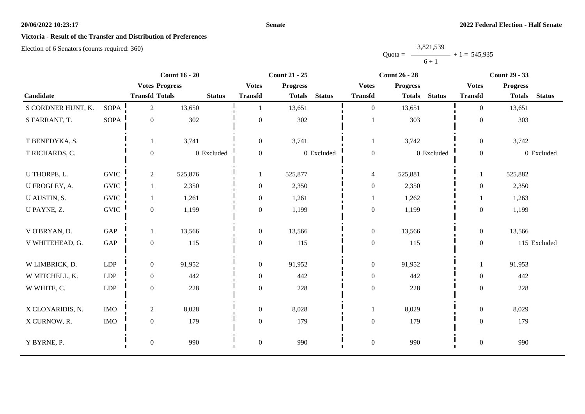**Senate**

# **Victoria - Result of the Transfer and Distribution of Preferences**

|           | 3,821,539      |  |
|-----------|----------------|--|
| $Quota =$ | $+1 = 545,935$ |  |
|           | $6 + 1$        |  |

|                    |             |                       | <b>Count 16 - 20</b> |                  | <b>Count 21 - 25</b> |               |                  | <b>Count 26 - 28</b> |               |                  | <b>Count 29 - 33</b> |               |
|--------------------|-------------|-----------------------|----------------------|------------------|----------------------|---------------|------------------|----------------------|---------------|------------------|----------------------|---------------|
|                    |             | <b>Votes Progress</b> |                      | <b>Votes</b>     | <b>Progress</b>      |               | <b>Votes</b>     | <b>Progress</b>      |               | <b>Votes</b>     | <b>Progress</b>      |               |
| Candidate          |             | <b>Transfd Totals</b> | <b>Status</b>        | <b>Transfd</b>   | <b>Totals</b>        | <b>Status</b> | <b>Transfd</b>   | <b>Totals</b>        | <b>Status</b> | <b>Transfd</b>   | <b>Totals</b>        | <b>Status</b> |
| S CORDNER HUNT, K. | <b>SOPA</b> | $\overline{2}$        | 13,650               |                  | 13,651               |               | $\mathbf{0}$     | 13,651               |               | $\Omega$         | 13,651               |               |
| S FARRANT, T.      | <b>SOPA</b> | $\boldsymbol{0}$      | 302                  | $\boldsymbol{0}$ | 302                  |               |                  | 303                  |               | $\boldsymbol{0}$ | 303                  |               |
| T BENEDYKA, S.     |             | 1                     | 3,741                | $\overline{0}$   | 3,741                |               | $\mathbf{1}$     | 3,742                |               | $\overline{0}$   | 3,742                |               |
| T RICHARDS, C.     |             | $\boldsymbol{0}$      | 0 Excluded           | $\overline{0}$   |                      | 0 Excluded    | $\boldsymbol{0}$ |                      | 0 Excluded    | $\overline{0}$   |                      | 0 Excluded    |
| U THORPE, L.       | <b>GVIC</b> | 2                     | 525,876              | 1                | 525,877              |               | $\overline{4}$   | 525,881              |               | 1                | 525,882              |               |
| U FROGLEY, A.      | <b>GVIC</b> | 1                     | 2,350                | $\overline{0}$   | 2,350                |               | $\boldsymbol{0}$ | 2,350                |               | $\overline{0}$   | 2,350                |               |
| U AUSTIN, S.       | <b>GVIC</b> |                       | 1,261                | $\overline{0}$   | 1,261                |               | $\mathbf{1}$     | 1,262                |               | 1                | 1,263                |               |
| U PAYNE, Z.        | <b>GVIC</b> | $\boldsymbol{0}$      | 1,199                | $\boldsymbol{0}$ | 1,199                |               | $\boldsymbol{0}$ | 1,199                |               | $\boldsymbol{0}$ | 1,199                |               |
| V O'BRYAN, D.      | GAP         | 1                     | 13,566               | $\overline{0}$   | 13,566               |               | $\boldsymbol{0}$ | 13,566               |               | $\overline{0}$   | 13,566               |               |
| V WHITEHEAD, G.    | GAP         | $\boldsymbol{0}$      | 115                  | $\overline{0}$   | 115                  |               | $\boldsymbol{0}$ | 115                  |               | $\overline{0}$   |                      | 115 Excluded  |
| W LIMBRICK, D.     | <b>LDP</b>  | $\boldsymbol{0}$      | 91,952               | $\overline{0}$   | 91,952               |               | $\boldsymbol{0}$ | 91,952               |               | $\mathbf{1}$     | 91,953               |               |
| W MITCHELL, K.     | <b>LDP</b>  | $\boldsymbol{0}$      | 442                  | $\boldsymbol{0}$ | 442                  |               | $\boldsymbol{0}$ | 442                  |               | $\overline{0}$   | 442                  |               |
| W WHITE, C.        | <b>LDP</b>  | $\mathbf{0}$          | 228                  | $\boldsymbol{0}$ | 228                  |               | $\boldsymbol{0}$ | 228                  |               | $\overline{0}$   | 228                  |               |
| X CLONARIDIS, N.   | <b>IMO</b>  | 2                     | 8,028                | $\boldsymbol{0}$ | 8,028                |               | $\mathbf{1}$     | 8,029                |               | $\overline{0}$   | 8,029                |               |
| X CURNOW, R.       | <b>IMO</b>  | $\boldsymbol{0}$      | 179                  | $\overline{0}$   | 179                  |               | $\boldsymbol{0}$ | 179                  |               | $\boldsymbol{0}$ | 179                  |               |
| Y BYRNE, P.        |             | $\boldsymbol{0}$      | 990                  | $\boldsymbol{0}$ | 990                  |               | $\boldsymbol{0}$ | 990                  |               | $\boldsymbol{0}$ | 990                  |               |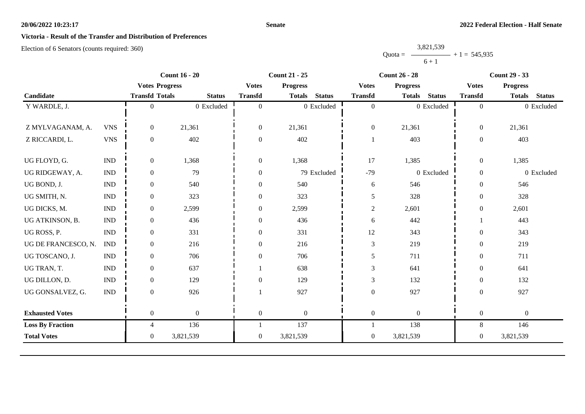## **Senate**

# **Victoria - Result of the Transfer and Distribution of Preferences**

|           | 3,821,539 |                |
|-----------|-----------|----------------|
| $Quota =$ |           | $+1 = 545,935$ |
|           | $6 + 1$   |                |

|                         |                           | <b>Count 16 - 20</b>  | <b>Count 21 - 25</b> |                  |                  | <b>Count 26 - 28</b> |                  |                 | <b>Count 29 - 33</b> |                  |                  |               |
|-------------------------|---------------------------|-----------------------|----------------------|------------------|------------------|----------------------|------------------|-----------------|----------------------|------------------|------------------|---------------|
|                         |                           | <b>Votes Progress</b> |                      | <b>Votes</b>     | <b>Progress</b>  |                      | <b>Votes</b>     | <b>Progress</b> |                      | <b>Votes</b>     | <b>Progress</b>  |               |
| Candidate               |                           | <b>Transfd Totals</b> | <b>Status</b>        | <b>Transfd</b>   | <b>Totals</b>    | <b>Status</b>        | <b>Transfd</b>   | <b>Totals</b>   | <b>Status</b>        | <b>Transfd</b>   | <b>Totals</b>    | <b>Status</b> |
| Y WARDLE, J.            |                           | $\Omega$              | 0 Excluded           | $\Omega$         |                  | 0 Excluded           | $\overline{0}$   |                 | 0 Excluded           | $\overline{0}$   |                  | 0 Excluded    |
|                         |                           |                       |                      |                  |                  |                      |                  |                 |                      |                  |                  |               |
| Z MYLVAGANAM, A.        | <b>VNS</b>                | $\mathbf{0}$          | 21,361               | $\boldsymbol{0}$ | 21,361           |                      | $\boldsymbol{0}$ | 21,361          |                      | $\boldsymbol{0}$ | 21,361           |               |
| Z RICCARDI, L.          | <b>VNS</b>                | $\overline{0}$        | 402                  | $\Omega$         | 402              |                      |                  | 403             |                      | $\overline{0}$   | 403              |               |
|                         |                           |                       |                      |                  |                  |                      |                  |                 |                      |                  |                  |               |
| UG FLOYD, G.            | <b>IND</b>                | $\mathbf{0}$          | 1,368                | $\boldsymbol{0}$ | 1,368            |                      | 17               | 1,385           |                      | $\boldsymbol{0}$ | 1,385            |               |
| UG RIDGEWAY, A.         | <b>IND</b>                | $\overline{0}$        | 79                   | $\Omega$         |                  | 79 Excluded          | $-79$            |                 | 0 Excluded           | $\overline{0}$   |                  | 0 Excluded    |
| UG BOND, J.             | <b>IND</b>                | $\boldsymbol{0}$      | 540                  | $\Omega$         | 540              |                      | 6                | 546             |                      | $\boldsymbol{0}$ | 546              |               |
| UG SMITH, N.            | <b>IND</b>                | $\boldsymbol{0}$      | 323                  | $\boldsymbol{0}$ | 323              |                      | 5                | 328             |                      | $\boldsymbol{0}$ | 328              |               |
| UG DICKS, M.            | <b>IND</b>                | $\overline{0}$        | 2,599                | $\Omega$         | 2,599            |                      | $\sqrt{2}$       | 2,601           |                      | $\overline{0}$   | 2,601            |               |
| UG ATKINSON, B.         | <b>IND</b>                | $\overline{0}$        | 436                  | $\Omega$         | 436              |                      | 6                | 442             |                      |                  | 443              |               |
| UG ROSS, P.             | <b>IND</b>                | $\overline{0}$        | 331                  | $\overline{0}$   | 331              |                      | 12               | 343             |                      | $\overline{0}$   | 343              |               |
| UG DE FRANCESCO, N.     | <b>IND</b>                | $\overline{0}$        | 216                  | $\Omega$         | 216              |                      | $\mathfrak 3$    | 219             |                      | $\overline{0}$   | 219              |               |
| UG TOSCANO, J.          | <b>IND</b>                | $\overline{0}$        | 706                  | $\Omega$         | 706              |                      | 5                | 711             |                      | $\Omega$         | 711              |               |
| UG TRAN, T.             | <b>IND</b>                | $\overline{0}$        | 637                  |                  | 638              |                      | 3                | 641             |                      | $\overline{0}$   | 641              |               |
| UG DILLON, D.           | <b>IND</b>                | $\overline{0}$        | 129                  | $\Omega$         | 129              |                      | 3                | 132             |                      | $\overline{0}$   | 132              |               |
| UG GONSALVEZ, G.        | $\ensuremath{\text{IND}}$ | $\mathbf{0}$          | 926                  |                  | 927              |                      | $\boldsymbol{0}$ | 927             |                      | $\overline{0}$   | 927              |               |
|                         |                           |                       |                      |                  |                  |                      |                  |                 |                      |                  |                  |               |
| <b>Exhausted Votes</b>  |                           | $\mathbf{0}$          | $\boldsymbol{0}$     | $\boldsymbol{0}$ | $\boldsymbol{0}$ |                      | $\boldsymbol{0}$ | $\mathbf{0}$    |                      | $\mathbf{0}$     | $\boldsymbol{0}$ |               |
| <b>Loss By Fraction</b> |                           | $\overline{4}$        | 136                  |                  | 137              |                      |                  | 138             |                      | 8                | 146              |               |
| <b>Total Votes</b>      |                           | $\overline{0}$        | 3,821,539            | $\overline{0}$   | 3,821,539        |                      | $\boldsymbol{0}$ | 3,821,539       |                      | $\overline{0}$   | 3,821,539        |               |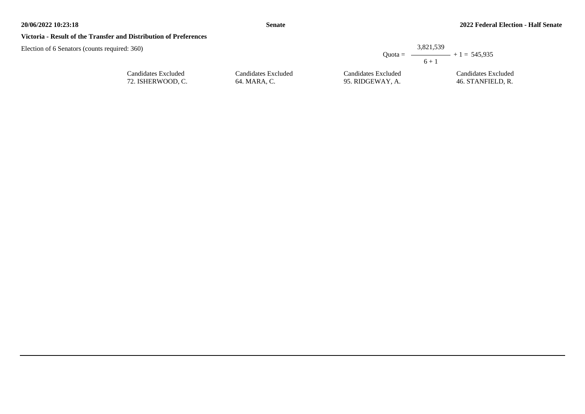## **Victoria - Result of the Transfer and Distribution of Preferences**

| d: 360)                                  |                                     |                                         | 3,821,539<br>Quota = $\longrightarrow$ + 1 = 545,935 |
|------------------------------------------|-------------------------------------|-----------------------------------------|------------------------------------------------------|
|                                          |                                     |                                         | $6 + 1$                                              |
| Candidates Excluded<br>72. ISHERWOOD, C. | Candidates Excluded<br>64. MARA, C. | Candidates Excluded<br>95. RIDGEWAY, A. | Candidates Excluded<br>46. STANFIELD, R.             |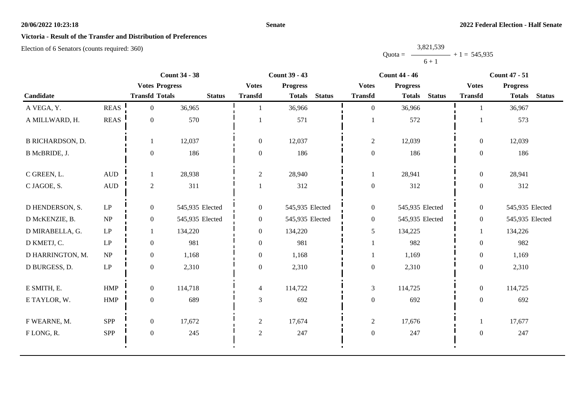## **Senate**

# **Victoria - Result of the Transfer and Distribution of Preferences**

|           | 3,821,539      |  |
|-----------|----------------|--|
| $Quota =$ | $+1 = 545,935$ |  |
|           | $6 + 1$        |  |

|                         |                                 |                       | <b>Count 34 - 38</b> |                  | <b>Count 39 - 43</b>           |                  | <b>Count 44 - 46</b>           | <b>Count 47 - 51</b> |                                |  |
|-------------------------|---------------------------------|-----------------------|----------------------|------------------|--------------------------------|------------------|--------------------------------|----------------------|--------------------------------|--|
|                         |                                 | <b>Votes Progress</b> |                      | <b>Votes</b>     | <b>Progress</b>                | <b>Votes</b>     | <b>Progress</b>                | <b>Votes</b>         | <b>Progress</b>                |  |
| Candidate               |                                 | <b>Transfd Totals</b> | <b>Status</b>        | <b>Transfd</b>   | <b>Status</b><br><b>Totals</b> | <b>Transfd</b>   | <b>Status</b><br><b>Totals</b> | <b>Transfd</b>       | <b>Status</b><br><b>Totals</b> |  |
| A VEGA, Y.              | <b>REAS</b>                     | $\overline{0}$        | 36,965               |                  | 36,966                         | $\overline{0}$   | 36,966                         |                      | 36,967                         |  |
| A MILLWARD, H.          | <b>REAS</b>                     | $\overline{0}$        | 570                  |                  | 571                            |                  | 572                            |                      | 573                            |  |
| <b>B RICHARDSON, D.</b> |                                 |                       | 12,037               | $\overline{0}$   | 12,037                         | $\mathbf{2}$     | 12,039                         | $\overline{0}$       | 12,039                         |  |
| B McBRIDE, J.           |                                 | $\overline{0}$        | 186                  | $\boldsymbol{0}$ | 186                            | $\boldsymbol{0}$ | 186                            | $\overline{0}$       | 186                            |  |
| C GREEN, L.             | $\mbox{AUD}$                    |                       | 28,938               | 2                | 28,940                         | 1                | 28,941                         | $\overline{0}$       | 28,941                         |  |
| C JAGOE, S.             | <b>AUD</b>                      | $\overline{2}$        | 311                  |                  | 312                            | $\boldsymbol{0}$ | 312                            | $\boldsymbol{0}$     | 312                            |  |
| D HENDERSON, S.         | LP                              | $\overline{0}$        | 545,935 Elected      | $\overline{0}$   | 545,935 Elected                | $\boldsymbol{0}$ | 545,935 Elected                | $\overline{0}$       | 545,935 Elected                |  |
| D McKENZIE, B.          | $\ensuremath{\text{NP}}\xspace$ | $\overline{0}$        | 545,935 Elected      | $\overline{0}$   | 545,935 Elected                | $\boldsymbol{0}$ | 545,935 Elected                | $\overline{0}$       | 545,935 Elected                |  |
| D MIRABELLA, G.         | $\operatorname{LP}$             |                       | 134,220              | $\boldsymbol{0}$ | 134,220                        | 5                | 134,225                        |                      | 134,226                        |  |
| D KMETJ, C.             | LP                              | $\overline{0}$        | 981                  | $\overline{0}$   | 981                            | $\mathbf{1}$     | 982                            | $\overline{0}$       | 982                            |  |
| D HARRINGTON, M.        | $\ensuremath{\text{NP}}\xspace$ | $\boldsymbol{0}$      | 1,168                | $\boldsymbol{0}$ | 1,168                          | $\mathbf{1}$     | 1,169                          | $\overline{0}$       | 1,169                          |  |
| D BURGESS, D.           | $\operatorname{LP}$             | $\overline{0}$        | 2,310                | $\overline{0}$   | 2,310                          | $\boldsymbol{0}$ | 2,310                          | $\boldsymbol{0}$     | 2,310                          |  |
| E SMITH, E.             | HMP                             | $\overline{0}$        | 114,718              | $\overline{4}$   | 114,722                        | $\mathfrak{Z}$   | 114,725                        | $\overline{0}$       | 114,725                        |  |
| E TAYLOR, W.            | ${\rm HMP}$                     | $\boldsymbol{0}$      | 689                  | $\mathfrak{Z}$   | 692                            | $\boldsymbol{0}$ | 692                            | $\overline{0}$       | 692                            |  |
| F WEARNE, M.            | SPP                             | $\overline{0}$        | 17,672               | $\overline{2}$   | 17,674                         | $\overline{2}$   | 17,676                         | -1                   | 17,677                         |  |
| FLONG, R.               | SPP                             | $\boldsymbol{0}$      | 245                  | $\sqrt{2}$       | 247                            | $\boldsymbol{0}$ | 247                            | $\overline{0}$       | 247                            |  |
|                         |                                 |                       |                      |                  |                                |                  |                                |                      |                                |  |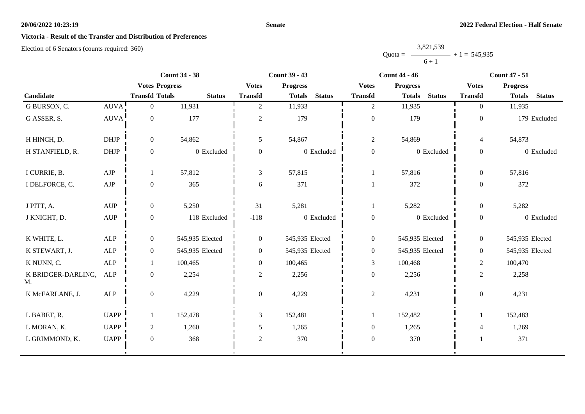## **Senate**

# **Victoria - Result of the Transfer and Distribution of Preferences**

|           | 3,821,539      |  |
|-----------|----------------|--|
| $Quota =$ | $+1 = 545,935$ |  |
|           | $6 + 1$        |  |

|                          |                                  |                       | <b>Count 34 - 38</b> |                | <b>Count 39 - 43</b> |               | <b>Count 44 - 46</b> |                                |                          | <b>Count 47 - 51</b>           |  |
|--------------------------|----------------------------------|-----------------------|----------------------|----------------|----------------------|---------------|----------------------|--------------------------------|--------------------------|--------------------------------|--|
|                          |                                  | <b>Votes Progress</b> |                      | <b>Votes</b>   | <b>Progress</b>      |               | <b>Votes</b>         | <b>Progress</b>                | <b>Votes</b>             | <b>Progress</b>                |  |
| Candidate                |                                  | <b>Transfd Totals</b> | <b>Status</b>        | <b>Transfd</b> | <b>Totals</b>        | <b>Status</b> | <b>Transfd</b>       | <b>Status</b><br><b>Totals</b> | <b>Transfd</b>           | <b>Status</b><br><b>Totals</b> |  |
| G BURSON, C.             | AUVA!                            | $\overline{0}$        | 11,931               | $\overline{2}$ | 11,933               |               | $\overline{2}$       | 11,935                         | $\Omega$                 | 11,935                         |  |
| G ASSER, S.              | <b>AUVA</b>                      | $\boldsymbol{0}$      | 177                  | $\overline{2}$ | 179                  |               | $\boldsymbol{0}$     | 179                            | $\boldsymbol{0}$         | 179 Excluded                   |  |
| H HINCH, D.              | <b>DHJP</b>                      | $\mathbf{0}$          | 54,862               | 5              | 54,867               |               | $\overline{2}$       | 54,869                         | $\overline{\mathcal{L}}$ | 54,873                         |  |
| H STANFIELD, R.          | DHJP                             | $\boldsymbol{0}$      | 0 Excluded           | $\overline{0}$ |                      | 0 Excluded    | $\boldsymbol{0}$     | 0 Excluded                     | $\boldsymbol{0}$         | 0 Excluded                     |  |
| I CURRIE, B.             | ${\rm AJP}$                      | -1                    | 57,812               | $\overline{3}$ | 57,815               |               | $\mathbf{1}$         | 57,816                         | $\Omega$                 | 57,816                         |  |
| I DELFORCE, C.           | ${\rm AJP}$                      | $\boldsymbol{0}$      | 365                  | 6              | 371                  |               | $\mathbf{1}$         | 372                            | $\boldsymbol{0}$         | 372                            |  |
| J PITT, A.               | $\mathbf{A}\mathbf{U}\mathbf{P}$ | $\overline{0}$        | 5,250                | 31             | 5,281                |               | $\mathbf{1}$         | 5,282                          | $\boldsymbol{0}$         | 5,282                          |  |
| J KNIGHT, D.             | $\mbox{AUP}$                     | $\boldsymbol{0}$      | 118 Excluded         | $-118$         |                      | 0 Excluded    | $\boldsymbol{0}$     | 0 Excluded                     | $\theta$                 | 0 Excluded                     |  |
| K WHITE, L.              | <b>ALP</b>                       | $\boldsymbol{0}$      | 545,935 Elected      | $\overline{0}$ | 545,935 Elected      |               | $\overline{0}$       | 545,935 Elected                | $\overline{0}$           | 545,935 Elected                |  |
| K STEWART, J.            | <b>ALP</b>                       | $\overline{0}$        | 545,935 Elected      | $\overline{0}$ | 545,935 Elected      |               | $\overline{0}$       | 545,935 Elected                | $\overline{0}$           | 545,935 Elected                |  |
| K NUNN, C.               | <b>ALP</b>                       | 1                     | 100,465              | $\overline{0}$ | 100,465              |               | $\mathfrak{Z}$       | 100,468                        | $\overline{2}$           | 100,470                        |  |
| K BRIDGER-DARLING,<br>M. | ALP                              | $\boldsymbol{0}$      | 2,254                | $\overline{2}$ | 2,256                |               | $\boldsymbol{0}$     | 2,256                          | $\overline{2}$           | 2,258                          |  |
| K McFARLANE, J.          | ALP                              | $\boldsymbol{0}$      | 4,229                | $\overline{0}$ | 4,229                |               | $\overline{c}$       | 4,231                          | $\theta$                 | 4,231                          |  |
| L BABET, R.              | <b>UAPP</b>                      | 1                     | 152,478              | $\overline{3}$ | 152,481              |               | $\mathbf{1}$         | 152,482                        |                          | 152,483                        |  |
| L MORAN, K.              | <b>UAPP</b>                      | $\overline{2}$        | 1,260                | 5              | 1,265                |               | $\overline{0}$       | 1,265                          | $\overline{4}$           | 1,269                          |  |
| L GRIMMOND, K.           | <b>UAPP</b>                      | $\boldsymbol{0}$      | 368                  | $\overline{2}$ | 370                  |               | $\boldsymbol{0}$     | 370                            |                          | 371                            |  |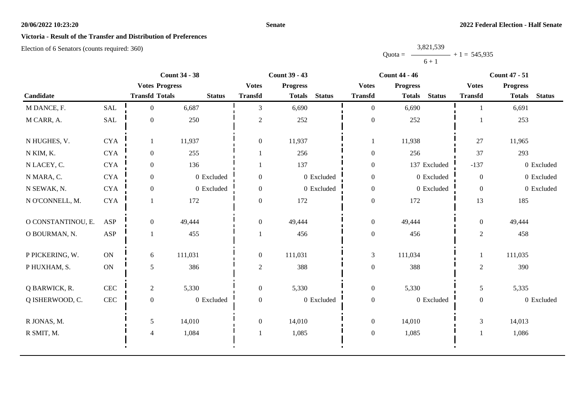## **Senate**

# **Victoria - Result of the Transfer and Distribution of Preferences**

|           | 3,821,539 |                |
|-----------|-----------|----------------|
| $Quota =$ |           | $+1 = 545,935$ |
|           | $6 + 1$   |                |

|                    |               | <b>Count 34 - 38</b>  |               | <b>Count 39 - 43</b> |                 |               | <b>Count 44 - 46</b> |                 |               | <b>Count 47 - 51</b> |                 |               |
|--------------------|---------------|-----------------------|---------------|----------------------|-----------------|---------------|----------------------|-----------------|---------------|----------------------|-----------------|---------------|
|                    |               | <b>Votes Progress</b> |               | <b>Votes</b>         | <b>Progress</b> |               | <b>Votes</b>         | <b>Progress</b> |               | <b>Votes</b>         | <b>Progress</b> |               |
| Candidate          |               | <b>Transfd Totals</b> | <b>Status</b> | <b>Transfd</b>       | <b>Totals</b>   | <b>Status</b> | <b>Transfd</b>       | <b>Totals</b>   | <b>Status</b> | <b>Transfd</b>       | <b>Totals</b>   | <b>Status</b> |
| M DANCE, F.        | <b>SAL</b>    | $\overline{0}$        | 6,687         | 3                    | 6,690           |               | $\overline{0}$       | 6,690           |               |                      | 6,691           |               |
| M CARR, A.         | SAL           | $\boldsymbol{0}$      | 250           | $\overline{c}$       | 252             |               | $\boldsymbol{0}$     | 252             |               |                      | 253             |               |
| N HUGHES, V.       | <b>CYA</b>    |                       | 11,937        | $\overline{0}$       | 11,937          |               |                      | 11,938          |               | 27                   | 11,965          |               |
| N KIM, K.          | ${\rm CYA}$   | $\overline{0}$        | 255           |                      | 256             |               | $\boldsymbol{0}$     | 256             |               | 37                   | 293             |               |
| N LACEY, C.        | <b>CYA</b>    | $\overline{0}$        | 136           |                      | 137             |               | $\boldsymbol{0}$     |                 | 137 Excluded  | $-137$               |                 | 0 Excluded    |
| N MARA, C.         | <b>CYA</b>    | $\overline{0}$        | 0 Excluded    | $\boldsymbol{0}$     |                 | 0 Excluded    | $\boldsymbol{0}$     |                 | 0 Excluded    | $\overline{0}$       |                 | 0 Excluded    |
| N SEWAK, N.        | <b>CYA</b>    | $\overline{0}$        | 0 Excluded    | $\overline{0}$       |                 | 0 Excluded    | $\boldsymbol{0}$     |                 | 0 Excluded    | $\overline{0}$       |                 | 0 Excluded    |
| N O'CONNELL, M.    | <b>CYA</b>    |                       | 172           | $\Omega$             | 172             |               | $\boldsymbol{0}$     | 172             |               | 13                   | 185             |               |
| O CONSTANTINOU, E. | <b>ASP</b>    | $\overline{0}$        | 49,444        | $\overline{0}$       | 49,444          |               | $\boldsymbol{0}$     | 49,444          |               | $\overline{0}$       | 49,444          |               |
| O BOURMAN, N.      | <b>ASP</b>    |                       | 455           |                      | 456             |               | $\boldsymbol{0}$     | 456             |               | $\overline{2}$       | 458             |               |
| P PICKERING, W.    | ON            | 6                     | 111,031       | $\boldsymbol{0}$     | 111,031         |               | $\mathfrak{Z}$       | 111,034         |               |                      | 111,035         |               |
| P HUXHAM, S.       | $\mathbf{ON}$ | 5                     | 386           | $\overline{c}$       | 388             |               | $\boldsymbol{0}$     | 388             |               | $\overline{2}$       | 390             |               |
| Q BARWICK, R.      | CEC           | $\overline{2}$        | 5,330         | $\boldsymbol{0}$     | 5,330           |               | $\boldsymbol{0}$     | 5,330           |               | 5                    | 5,335           |               |
| Q ISHERWOOD, C.    | $\mbox{CEC}$  | $\mathbf{0}$          | 0 Excluded    | $\boldsymbol{0}$     |                 | 0 Excluded    | $\boldsymbol{0}$     |                 | 0 Excluded    | $\overline{0}$       |                 | 0 Excluded    |
| R JONAS, M.        |               | 5                     | 14,010        | $\overline{0}$       | 14,010          |               | $\boldsymbol{0}$     | 14,010          |               | 3                    | 14,013          |               |
| R SMIT, M.         |               | $\overline{4}$        | 1,084         |                      | 1,085           |               | $\boldsymbol{0}$     | 1,085           |               |                      | 1,086           |               |
|                    |               |                       |               |                      |                 |               |                      |                 |               |                      |                 |               |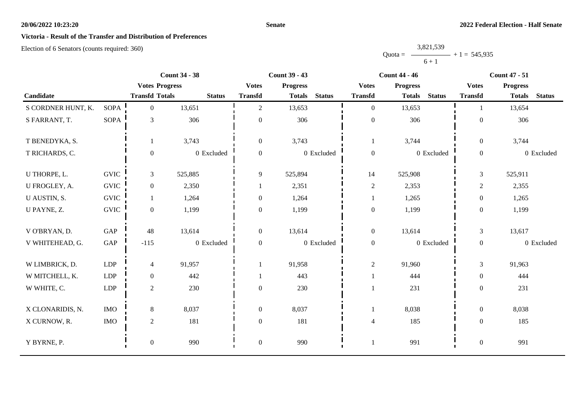## **Senate**

# **Victoria - Result of the Transfer and Distribution of Preferences**

|           | 3,821,539 |                |
|-----------|-----------|----------------|
| $Quota =$ |           | $+1 = 545,935$ |
|           | $6 + 1$   |                |

|                    |             |                       | <b>Count 34 - 38</b> | <b>Count 39 - 43</b> |                 |               | <b>Count 44 - 46</b> |                 |               |                  | <b>Count 47 - 51</b> |               |  |
|--------------------|-------------|-----------------------|----------------------|----------------------|-----------------|---------------|----------------------|-----------------|---------------|------------------|----------------------|---------------|--|
|                    |             | <b>Votes Progress</b> |                      | <b>Votes</b>         | <b>Progress</b> |               | <b>Votes</b>         | <b>Progress</b> |               | <b>Votes</b>     | <b>Progress</b>      |               |  |
| Candidate          |             | <b>Transfd Totals</b> | <b>Status</b>        | <b>Transfd</b>       | <b>Totals</b>   | <b>Status</b> | <b>Transfd</b>       | <b>Totals</b>   | <b>Status</b> | <b>Transfd</b>   | <b>Totals</b>        | <b>Status</b> |  |
| S CORDNER HUNT, K. | <b>SOPA</b> | $\overline{0}$        | 13,651               | $\overline{2}$       | 13,653          |               | $\mathbf{0}$         | 13,653          |               |                  | 13,654               |               |  |
| S FARRANT, T.      | SOPA        | $\mathfrak{Z}$        | 306                  | $\boldsymbol{0}$     | 306             |               | $\boldsymbol{0}$     | 306             |               | $\overline{0}$   | 306                  |               |  |
| T BENEDYKA, S.     |             | 1                     | 3,743                | $\boldsymbol{0}$     | 3,743           |               | 1                    | 3,744           |               | $\overline{0}$   | 3,744                |               |  |
| T RICHARDS, C.     |             | $\boldsymbol{0}$      | 0 Excluded           | $\overline{0}$       |                 | 0 Excluded    | $\boldsymbol{0}$     |                 | 0 Excluded    | $\boldsymbol{0}$ |                      | 0 Excluded    |  |
| U THORPE, L.       | <b>GVIC</b> | $\mathfrak{Z}$        | 525,885              | 9                    | 525,894         |               | 14                   | 525,908         |               | $\mathfrak{Z}$   | 525,911              |               |  |
| U FROGLEY, A.      | <b>GVIC</b> | $\overline{0}$        | 2,350                |                      | 2,351           |               | $\sqrt{2}$           | 2,353           |               | $\mathbf{2}$     | 2,355                |               |  |
| U AUSTIN, S.       | <b>GVIC</b> | 1                     | 1,264                | $\overline{0}$       | 1,264           |               | 1                    | 1,265           |               | $\boldsymbol{0}$ | 1,265                |               |  |
| U PAYNE, Z.        | <b>GVIC</b> | $\boldsymbol{0}$      | 1,199                | $\overline{0}$       | 1,199           |               | $\boldsymbol{0}$     | 1,199           |               | $\boldsymbol{0}$ | 1,199                |               |  |
| V O'BRYAN, D.      | GAP         | 48                    | 13,614               | $\mathbf{0}$         | 13,614          |               | $\boldsymbol{0}$     | 13,614          |               | $\mathfrak{Z}$   | 13,617               |               |  |
| V WHITEHEAD, G.    | GAP         | $-115$                | 0 Excluded           | $\overline{0}$       |                 | 0 Excluded    | $\boldsymbol{0}$     |                 | 0 Excluded    | $\overline{0}$   |                      | 0 Excluded    |  |
| W LIMBRICK, D.     | <b>LDP</b>  | $\overline{4}$        | 91,957               |                      | 91,958          |               | $\boldsymbol{2}$     | 91,960          |               | 3                | 91,963               |               |  |
| W MITCHELL, K.     | LDP         | $\boldsymbol{0}$      | 442                  |                      | 443             |               |                      | 444             |               | $\overline{0}$   | 444                  |               |  |
| W WHITE, C.        | <b>LDP</b>  | $\sqrt{2}$            | 230                  | $\boldsymbol{0}$     | 230             |               |                      | 231             |               | $\overline{0}$   | 231                  |               |  |
| X CLONARIDIS, N.   | <b>IMO</b>  | $8\,$                 | 8,037                | $\boldsymbol{0}$     | 8,037           |               | $\mathbf{1}$         | 8,038           |               | $\overline{0}$   | 8,038                |               |  |
| X CURNOW, R.       | $\rm{IMO}$  | $\sqrt{2}$            | 181                  | $\boldsymbol{0}$     | 181             |               | $\overline{4}$       | 185             |               | $\overline{0}$   | 185                  |               |  |
| Y BYRNE, P.        |             | $\boldsymbol{0}$      | 990                  | $\boldsymbol{0}$     | 990             |               |                      | 991             |               | $\boldsymbol{0}$ | 991                  |               |  |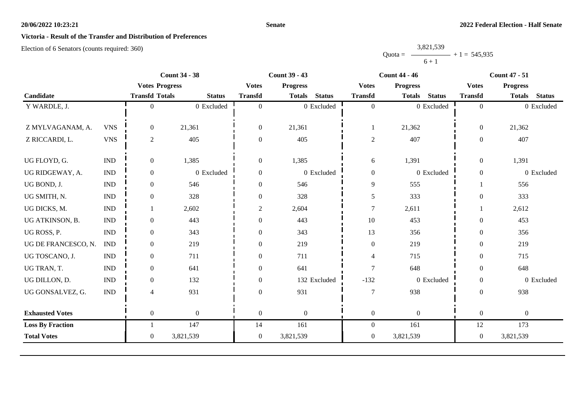## **Senate**

# **Victoria - Result of the Transfer and Distribution of Preferences**

|           | 3,821,539 |                |
|-----------|-----------|----------------|
| $Quota =$ |           | $+1 = 545,935$ |
|           | $6 + 1$   |                |

|                             |                             |               |                                                                                 | <b>Count 39 - 43</b> | <b>Count 44 - 46</b> |                                                           |                 | <b>Count 47 - 51</b> |                                        |                  |               |
|-----------------------------|-----------------------------|---------------|---------------------------------------------------------------------------------|----------------------|----------------------|-----------------------------------------------------------|-----------------|----------------------|----------------------------------------|------------------|---------------|
|                             |                             |               | <b>Votes</b>                                                                    | <b>Progress</b>      |                      | <b>Votes</b>                                              | <b>Progress</b> |                      | <b>Votes</b>                           | <b>Progress</b>  |               |
|                             |                             | <b>Status</b> | <b>Transfd</b>                                                                  |                      | <b>Status</b>        | <b>Transfd</b>                                            | <b>Totals</b>   | <b>Status</b>        | <b>Transfd</b>                         | <b>Totals</b>    | <b>Status</b> |
|                             | $\theta$                    | 0 Excluded    | $\theta$                                                                        |                      |                      | $\mathbf{0}$                                              |                 |                      | $\overline{0}$                         |                  | 0 Excluded    |
|                             |                             |               |                                                                                 |                      |                      |                                                           |                 |                      |                                        |                  |               |
| <b>VNS</b>                  | $\overline{0}$              | 21,361        | $\boldsymbol{0}$                                                                | 21,361               |                      | 1                                                         | 21,362          |                      | $\boldsymbol{0}$                       | 21,362           |               |
| <b>VNS</b>                  | $\overline{c}$              | 405           | $\overline{0}$                                                                  | 405                  |                      | $\sqrt{2}$                                                | 407             |                      | $\overline{0}$                         | 407              |               |
|                             |                             |               |                                                                                 |                      |                      |                                                           |                 |                      |                                        |                  |               |
|                             | $\boldsymbol{0}$            |               | $\overline{0}$                                                                  |                      |                      |                                                           |                 |                      | $\overline{0}$                         |                  |               |
| <b>IND</b>                  | $\boldsymbol{0}$            | 0 Excluded    | $\overline{0}$                                                                  |                      |                      | $\mathbf{0}$                                              |                 |                      | $\boldsymbol{0}$                       |                  | 0 Excluded    |
| $\ensuremath{\text{IND}}$   | $\overline{0}$              | 546           | $\overline{0}$                                                                  | 546                  |                      | $\overline{9}$                                            | 555             |                      |                                        | 556              |               |
| $\ensuremath{\text{IND}}$   | $\overline{0}$              | 328           | $\boldsymbol{0}$                                                                | 328                  |                      | $\mathfrak{S}$                                            | 333             |                      | $\boldsymbol{0}$                       | 333              |               |
| <b>IND</b>                  |                             | 2,602         | 2                                                                               | 2,604                |                      | $\overline{7}$                                            | 2,611           |                      |                                        | 2,612            |               |
| <b>IND</b>                  | $\overline{0}$              | 443           | $\theta$                                                                        | 443                  |                      | $10\,$                                                    | 453             |                      | $\theta$                               | 453              |               |
| $\mathop{\rm IND}\nolimits$ | $\overline{0}$              | 343           | $\Omega$                                                                        | 343                  |                      | 13                                                        | 356             |                      | $\overline{0}$                         | 356              |               |
| <b>IND</b>                  | $\overline{0}$              | 219           | $\theta$                                                                        | 219                  |                      | $\boldsymbol{0}$                                          | 219             |                      | $\overline{0}$                         | 219              |               |
| <b>IND</b>                  | $\overline{0}$              | 711           | $\Omega$                                                                        | 711                  |                      | $\overline{4}$                                            | 715             |                      | $\Omega$                               | 715              |               |
| <b>IND</b>                  | $\overline{0}$              | 641           | $\Omega$                                                                        | 641                  |                      | $\overline{7}$                                            | 648             |                      | $\boldsymbol{0}$                       | 648              |               |
| $\ensuremath{\text{IND}}$   | $\overline{0}$              | 132           | $\theta$                                                                        |                      |                      | $-132$                                                    |                 |                      | $\boldsymbol{0}$                       |                  | 0 Excluded    |
| $\mathop{\rm IND}\nolimits$ | 4                           | 931           | $\Omega$                                                                        | 931                  |                      | $\overline{7}$                                            | 938             |                      | $\Omega$                               | 938              |               |
|                             |                             |               |                                                                                 |                      |                      |                                                           |                 |                      |                                        |                  |               |
|                             | $\overline{0}$              | $\mathbf{0}$  | $\mathbf{0}$                                                                    | $\boldsymbol{0}$     |                      | $\boldsymbol{0}$                                          | $\mathbf{0}$    |                      | $\boldsymbol{0}$                       | $\boldsymbol{0}$ |               |
|                             |                             | 147           | 14                                                                              | 161                  |                      | $\overline{0}$                                            | 161             |                      | 12                                     | 173              |               |
|                             | $\overline{0}$              | 3,821,539     | $\overline{0}$                                                                  | 3,821,539            |                      | $\mathbf{0}$                                              | 3,821,539       |                      | $\overline{0}$                         | 3,821,539        |               |
|                             | $\mathop{\rm IND}\nolimits$ |               | <b>Count 34 - 38</b><br><b>Votes Progress</b><br><b>Transfd Totals</b><br>1,385 |                      | 1,385                | <b>Totals</b><br>0 Excluded<br>0 Excluded<br>132 Excluded | 6               | 1,391                | 0 Excluded<br>0 Excluded<br>0 Excluded |                  | 1,391         |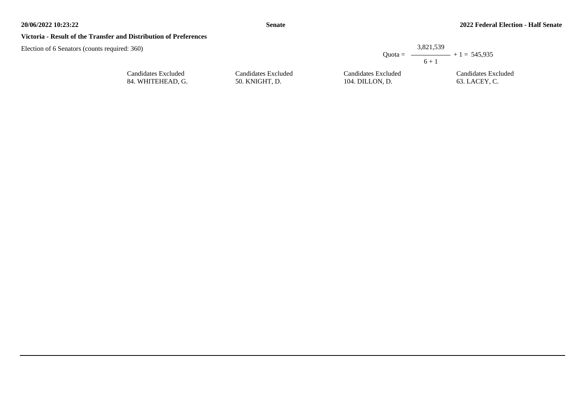## **Victoria - Result of the Transfer and Distribution of Preferences**

Candidates Excluded 84. WHITEHEAD, G.

|                     |                     | 3,821,539<br>Ouota = $\longrightarrow$ + 1 = 545.935<br>$6 + 1$ |
|---------------------|---------------------|-----------------------------------------------------------------|
| Candidates Excluded | Candidates Excluded | Candidates Excluded                                             |
| 50. KNIGHT, D.      | 104. DILLON, D.     | 63. LACEY. C.                                                   |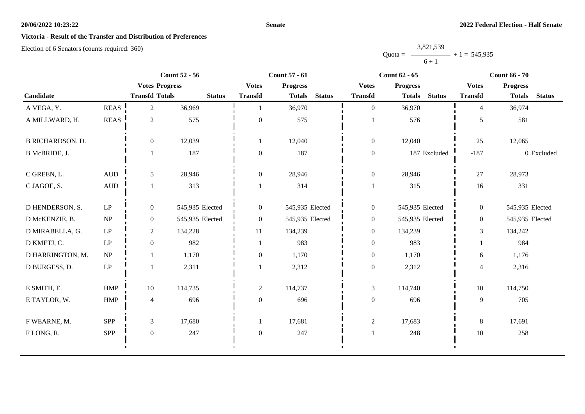## **Senate**

# **Victoria - Result of the Transfer and Distribution of Preferences**

|           | 3,821,539      |  |
|-----------|----------------|--|
| $Quota =$ | $+1 = 545,935$ |  |
|           | $6 + 1$        |  |

|                         |                        |                       | <b>Count 52 - 56</b> |                  | <b>Count 57 - 61</b>           |                  | <b>Count 62 - 65</b>           | <b>Count 66 - 70</b> |                                |  |
|-------------------------|------------------------|-----------------------|----------------------|------------------|--------------------------------|------------------|--------------------------------|----------------------|--------------------------------|--|
|                         |                        | <b>Votes Progress</b> |                      | <b>Votes</b>     | <b>Progress</b>                | <b>Votes</b>     | <b>Progress</b>                | <b>Votes</b>         | <b>Progress</b>                |  |
| Candidate               |                        | <b>Transfd Totals</b> | <b>Status</b>        | <b>Transfd</b>   | <b>Status</b><br><b>Totals</b> | <b>Transfd</b>   | <b>Status</b><br><b>Totals</b> | <b>Transfd</b>       | <b>Status</b><br><b>Totals</b> |  |
| A VEGA, Y.              | <b>REAS</b>            | $\overline{2}$        | 36,969               |                  | 36,970                         | $\overline{0}$   | 36,970                         | $\overline{4}$       | 36,974                         |  |
| A MILLWARD, H.          | <b>REAS</b>            | $\overline{2}$        | 575                  | $\mathbf{0}$     | 575                            |                  | 576                            | 5                    | 581                            |  |
| <b>B RICHARDSON, D.</b> |                        | $\overline{0}$        | 12,039               |                  | 12,040                         | $\overline{0}$   | 12,040                         | 25                   | 12,065                         |  |
| B McBRIDE, J.           |                        |                       | 187                  | $\mathbf{0}$     | 187                            | $\mathbf{0}$     | 187 Excluded                   | $-187$               | 0 Excluded                     |  |
| C GREEN, L.             | <b>AUD</b>             | 5                     | 28,946               | $\boldsymbol{0}$ | 28,946                         | $\mathbf{0}$     | 28,946                         | 27                   | 28,973                         |  |
| C JAGOE, S.             | <b>AUD</b>             |                       | 313                  |                  | 314                            |                  | 315                            | 16                   | 331                            |  |
| D HENDERSON, S.         | LP                     | $\overline{0}$        | 545,935 Elected      | $\overline{0}$   | 545,935 Elected                | $\mathbf{0}$     | 545,935 Elected                | $\overline{0}$       | 545,935 Elected                |  |
| D McKENZIE, B.          | NP                     | $\overline{0}$        | 545,935 Elected      | $\mathbf{0}$     | 545,935 Elected                | $\mathbf{0}$     | 545,935 Elected                | $\overline{0}$       | 545,935 Elected                |  |
| D MIRABELLA, G.         | $\mathrm{L}\mathrm{P}$ | $\overline{c}$        | 134,228              | 11               | 134,239                        | $\mathbf{0}$     | 134,239                        | 3                    | 134,242                        |  |
| D KMETJ, C.             | $\operatorname{LP}$    | $\overline{0}$        | 982                  |                  | 983                            | $\boldsymbol{0}$ | 983                            |                      | 984                            |  |
| D HARRINGTON, M.        | NP                     |                       | 1,170                | $\boldsymbol{0}$ | 1,170                          | $\boldsymbol{0}$ | 1,170                          | 6                    | 1,176                          |  |
| D BURGESS, D.           | $\operatorname{LP}$    |                       | 2,311                |                  | 2,312                          | $\mathbf{0}$     | 2,312                          | $\overline{4}$       | 2,316                          |  |
| E SMITH, E.             | <b>HMP</b>             | 10                    | 114,735              | $\overline{2}$   | 114,737                        | $\mathfrak{Z}$   | 114,740                        | 10                   | 114,750                        |  |
| E TAYLOR, W.            | HMP                    | $\overline{4}$        | 696                  | $\overline{0}$   | 696                            | $\boldsymbol{0}$ | 696                            | 9                    | 705                            |  |
| F WEARNE, M.            | SPP                    | 3                     | 17,680               |                  | 17,681                         | $\overline{c}$   | 17,683                         | 8                    | 17,691                         |  |
| FLONG, R.               | <b>SPP</b>             | $\overline{0}$        | 247                  | $\mathbf{0}$     | 247                            |                  | 248                            | $10\,$               | 258                            |  |
|                         |                        |                       |                      |                  |                                |                  |                                |                      |                                |  |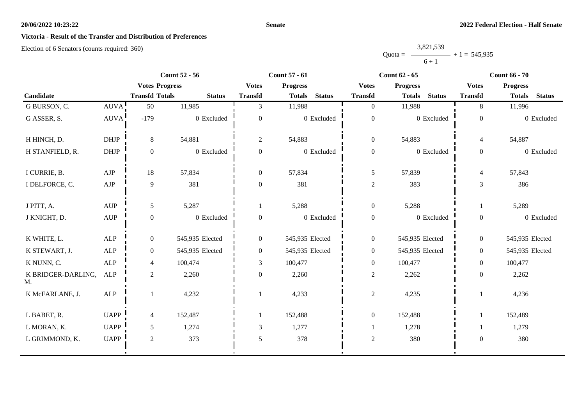## **Senate**

# **Victoria - Result of the Transfer and Distribution of Preferences**

|           | 3,821,539 |                |
|-----------|-----------|----------------|
| $Quota =$ |           | $+1 = 545,935$ |
|           | $6 + 1$   |                |

|                          |                   |                       | <b>Count 52 - 56</b> | <b>Count 57 - 61</b> |                 |               | <b>Count 62 - 65</b> |                 |               | <b>Count 66 - 70</b> |                 |               |
|--------------------------|-------------------|-----------------------|----------------------|----------------------|-----------------|---------------|----------------------|-----------------|---------------|----------------------|-----------------|---------------|
|                          |                   | <b>Votes Progress</b> |                      | <b>Votes</b>         | <b>Progress</b> |               | <b>Votes</b>         | <b>Progress</b> |               | <b>Votes</b>         | <b>Progress</b> |               |
| Candidate                |                   | <b>Transfd Totals</b> | <b>Status</b>        | <b>Transfd</b>       | <b>Totals</b>   | <b>Status</b> | <b>Transfd</b>       | <b>Totals</b>   | <b>Status</b> | <b>Transfd</b>       | <b>Totals</b>   | <b>Status</b> |
| G BURSON, C.             | AUVA <sup>1</sup> | 50                    | 11,985               | 3                    | 11,988          |               | $\overline{0}$       | 11,988          |               | 8                    | 11,996          |               |
| G ASSER, S.              | <b>AUVA</b>       | $-179$                | 0 Excluded           | $\overline{0}$       |                 | 0 Excluded    | $\boldsymbol{0}$     |                 | 0 Excluded    | $\boldsymbol{0}$     |                 | 0 Excluded    |
| H HINCH, D.              | <b>DHJP</b>       | 8                     | 54,881               | $\overline{2}$       | 54,883          |               | $\boldsymbol{0}$     | 54,883          |               | 4                    | 54,887          |               |
| H STANFIELD, R.          | <b>DHJP</b>       | $\mathbf{0}$          | 0 Excluded           | $\mathbf{0}$         |                 | 0 Excluded    | $\boldsymbol{0}$     |                 | 0 Excluded    | $\mathbf{0}$         |                 | 0 Excluded    |
| I CURRIE, B.             | AJP               | 18                    | 57,834               | $\overline{0}$       | 57,834          |               | $\mathfrak{S}$       | 57,839          |               | $\overline{4}$       | 57,843          |               |
| I DELFORCE, C.           | AJP               | 9                     | 381                  | $\overline{0}$       | 381             |               | $\sqrt{2}$           | 383             |               | $\overline{3}$       | 386             |               |
| J PITT, A.               | <b>AUP</b>        | 5                     | 5,287                |                      | 5,288           |               | $\boldsymbol{0}$     | 5,288           |               |                      | 5,289           |               |
| J KNIGHT, D.             | AUP               | $\overline{0}$        | 0 Excluded           | $\overline{0}$       |                 | 0 Excluded    | $\boldsymbol{0}$     |                 | 0 Excluded    | $\mathbf{0}$         |                 | 0 Excluded    |
| K WHITE, L.              | <b>ALP</b>        | $\overline{0}$        | 545,935 Elected      | $\overline{0}$       | 545,935 Elected |               | $\boldsymbol{0}$     | 545,935 Elected |               | $\boldsymbol{0}$     | 545,935 Elected |               |
| K STEWART, J.            | ALP               | $\overline{0}$        | 545,935 Elected      | $\overline{0}$       | 545,935 Elected |               | $\boldsymbol{0}$     | 545,935 Elected |               | $\overline{0}$       | 545,935 Elected |               |
| K NUNN, C.               | ALP               | 4                     | 100,474              | 3                    | 100,477         |               | $\boldsymbol{0}$     | 100,477         |               | $\overline{0}$       | 100,477         |               |
| K BRIDGER-DARLING,<br>M. | ALP               | $\overline{c}$        | 2,260                | $\overline{0}$       | 2,260           |               | $\mathfrak{2}$       | 2,262           |               | $\boldsymbol{0}$     | 2,262           |               |
| K McFARLANE, J.          | ALP               |                       | 4,232                |                      | 4,233           |               | $\overline{c}$       | 4,235           |               |                      | 4,236           |               |
| L BABET, R.              | <b>UAPP</b>       | 4                     | 152,487              |                      | 152,488         |               | $\boldsymbol{0}$     | 152,488         |               |                      | 152,489         |               |
| L MORAN, K.              | <b>UAPP</b>       | 5                     | 1,274                | 3                    | 1,277           |               |                      | 1,278           |               |                      | 1,279           |               |
| L GRIMMOND, K.           | <b>UAPP</b>       | $\overline{2}$        | 373                  | 5                    | 378             |               | $\sqrt{2}$           | 380             |               | $\boldsymbol{0}$     | 380             |               |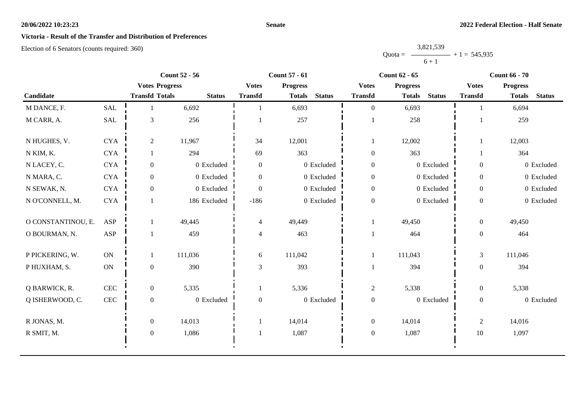## **Senate**

# **Victoria - Result of the Transfer and Distribution of Preferences**

|           | 3,821,539 |                |
|-----------|-----------|----------------|
| $Quota =$ |           | $+1 = 545,935$ |
|           | $6 + 1$   |                |

|                    |               |                       | <b>Count 52 - 56</b> |                  | <b>Count 57 - 61</b> |               |                  | <b>Count 62 - 65</b> |               |                  | <b>Count 66 - 70</b> |               |  |
|--------------------|---------------|-----------------------|----------------------|------------------|----------------------|---------------|------------------|----------------------|---------------|------------------|----------------------|---------------|--|
|                    |               | <b>Votes Progress</b> |                      | <b>Votes</b>     | <b>Progress</b>      |               | <b>Votes</b>     | <b>Progress</b>      |               | <b>Votes</b>     | <b>Progress</b>      |               |  |
| Candidate          |               | <b>Transfd Totals</b> | <b>Status</b>        | <b>Transfd</b>   | <b>Totals</b>        | <b>Status</b> | <b>Transfd</b>   | <b>Totals</b>        | <b>Status</b> | <b>Transfd</b>   | <b>Totals</b>        | <b>Status</b> |  |
| M DANCE, F.        | <b>SAL</b>    |                       | 6,692                |                  | 6,693                |               | $\overline{0}$   | 6,693                |               |                  | 6,694                |               |  |
| M CARR, A.         | SAL           | 3                     | 256                  |                  | 257                  |               |                  | 258                  |               |                  | 259                  |               |  |
| N HUGHES, V.       | <b>CYA</b>    | 2                     | 11,967               | 34               | 12,001               |               | 1                | 12,002               |               |                  | 12,003               |               |  |
| N KIM, K.          | <b>CYA</b>    |                       | 294                  | 69               | 363                  |               | $\boldsymbol{0}$ | 363                  |               |                  | 364                  |               |  |
| N LACEY, C.        | <b>CYA</b>    | $\overline{0}$        | 0 Excluded           | $\overline{0}$   |                      | 0 Excluded    | $\boldsymbol{0}$ |                      | 0 Excluded    | $\overline{0}$   |                      | 0 Excluded    |  |
| N MARA, C.         | <b>CYA</b>    | $\overline{0}$        | 0 Excluded           | $\boldsymbol{0}$ |                      | 0 Excluded    | $\boldsymbol{0}$ |                      | 0 Excluded    | $\boldsymbol{0}$ |                      | 0 Excluded    |  |
| N SEWAK, N.        | <b>CYA</b>    | $\overline{0}$        | 0 Excluded           | $\theta$         |                      | 0 Excluded    | $\boldsymbol{0}$ |                      | 0 Excluded    | $\overline{0}$   |                      | 0 Excluded    |  |
| N O'CONNELL, M.    | <b>CYA</b>    |                       | 186 Excluded         | $-186$           |                      | 0 Excluded    | $\boldsymbol{0}$ |                      | 0 Excluded    | $\overline{0}$   |                      | 0 Excluded    |  |
| O CONSTANTINOU, E. | ASP           |                       | 49,445               | $\overline{4}$   | 49,449               |               |                  | 49,450               |               | $\overline{0}$   | 49,450               |               |  |
| O BOURMAN, N.      | ASP           |                       | 459                  | $\overline{4}$   | 463                  |               |                  | 464                  |               | $\overline{0}$   | 464                  |               |  |
| P PICKERING, W.    | <b>ON</b>     |                       | 111,036              | 6                | 111,042              |               | 1                | 111,043              |               | 3                | 111,046              |               |  |
| P HUXHAM, S.       | $\mathbf{ON}$ | $\overline{0}$        | 390                  | 3                | 393                  |               |                  | 394                  |               | $\overline{0}$   | 394                  |               |  |
| Q BARWICK, R.      | CEC           | $\overline{0}$        | 5,335                |                  | 5,336                |               | $\overline{c}$   | 5,338                |               | $\overline{0}$   | 5,338                |               |  |
| Q ISHERWOOD, C.    | $\mbox{CEC}$  | $\mathbf{0}$          | 0 Excluded           | $\mathbf{0}$     |                      | 0 Excluded    | $\boldsymbol{0}$ |                      | $0$ Excluded  | $\boldsymbol{0}$ |                      | 0 Excluded    |  |
| R JONAS, M.        |               | $\overline{0}$        | 14,013               |                  | 14,014               |               | $\boldsymbol{0}$ | 14,014               |               | 2                | 14,016               |               |  |
| R SMIT, M.         |               | $\mathbf{0}$          | 1,086                |                  | 1,087                |               | $\boldsymbol{0}$ | 1,087                |               | $10\,$           | 1,097                |               |  |
|                    |               |                       |                      |                  |                      |               |                  |                      |               |                  |                      |               |  |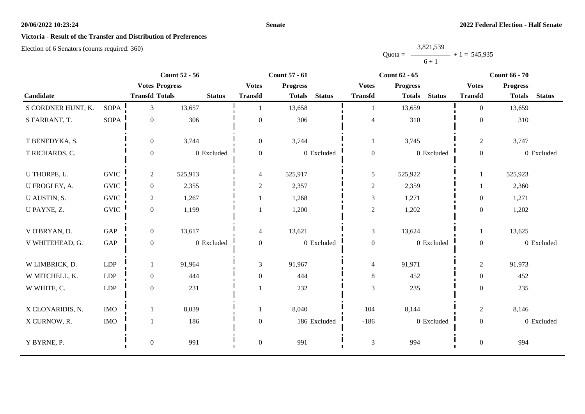## **Senate**

# **Victoria - Result of the Transfer and Distribution of Preferences**

|           | 3,821,539 |                |
|-----------|-----------|----------------|
| $Quota =$ |           | $+1 = 545,935$ |
|           | $6 + 1$   |                |

|                    |             |                       | <b>Count 52 - 56</b> | <b>Count 57 - 61</b>     |                 |               | <b>Count 62 - 65</b> |                 |               | <b>Count 66 - 70</b> |                 |               |
|--------------------|-------------|-----------------------|----------------------|--------------------------|-----------------|---------------|----------------------|-----------------|---------------|----------------------|-----------------|---------------|
|                    |             | <b>Votes Progress</b> |                      | <b>Votes</b>             | <b>Progress</b> |               | <b>Votes</b>         | <b>Progress</b> |               | <b>Votes</b>         | <b>Progress</b> |               |
| Candidate          |             | <b>Transfd Totals</b> | <b>Status</b>        | <b>Transfd</b>           | <b>Totals</b>   | <b>Status</b> | <b>Transfd</b>       | <b>Totals</b>   | <b>Status</b> | <b>Transfd</b>       | <b>Totals</b>   | <b>Status</b> |
| S CORDNER HUNT, K. | <b>SOPA</b> | 3 <sup>1</sup>        | 13,657               | $\mathbf{1}$             | 13,658          |               | $\mathbf{1}$         | 13,659          |               | $\Omega$             | 13,659          |               |
| S FARRANT, T.      | <b>SOPA</b> | $\boldsymbol{0}$      | 306                  | $\mathbf{0}$             | 306             |               | $\overline{4}$       | 310             |               | $\boldsymbol{0}$     | 310             |               |
| T BENEDYKA, S.     |             | $\overline{0}$        | 3,744                | $\overline{0}$           | 3,744           |               | 1                    | 3,745           |               | $\overline{2}$       | 3,747           |               |
| T RICHARDS, C.     |             | $\mathbf{0}$          | 0 Excluded           | $\overline{0}$           |                 | 0 Excluded    | $\boldsymbol{0}$     |                 | 0 Excluded    | $\overline{0}$       |                 | 0 Excluded    |
| U THORPE, L.       | <b>GVIC</b> | $\overline{c}$        | 525,913              | 4                        | 525,917         |               | 5                    | 525,922         |               |                      | 525,923         |               |
| U FROGLEY, A.      | <b>GVIC</b> | $\overline{0}$        | 2,355                | $\sqrt{2}$               | 2,357           |               | $\overline{c}$       | 2,359           |               |                      | 2,360           |               |
| U AUSTIN, S.       | <b>GVIC</b> | $\overline{2}$        | 1,267                | 1                        | 1,268           |               | $\mathfrak{Z}$       | 1,271           |               | $\overline{0}$       | 1,271           |               |
| U PAYNE, Z.        | <b>GVIC</b> | $\overline{0}$        | 1,199                | $\mathbf{1}$             | 1,200           |               | $\overline{c}$       | 1,202           |               | $\overline{0}$       | 1,202           |               |
| V O'BRYAN, D.      | GAP         | $\overline{0}$        | 13,617               | $\overline{\mathcal{L}}$ | 13,621          |               | $\mathfrak{Z}$       | 13,624          |               |                      | 13,625          |               |
| V WHITEHEAD, G.    | GAP         | $\overline{0}$        | 0 Excluded           | $\overline{0}$           |                 | 0 Excluded    | $\boldsymbol{0}$     |                 | 0 Excluded    | $\overline{0}$       |                 | 0 Excluded    |
| W LIMBRICK, D.     | LDP         | $\mathbf{1}$          | 91,964               | 3                        | 91,967          |               | $\overline{4}$       | 91,971          |               | $\overline{2}$       | 91,973          |               |
| W MITCHELL, K.     | LDP         | $\mathbf{0}$          | 444                  | $\boldsymbol{0}$         | 444             |               | $\,8\,$              | 452             |               | $\boldsymbol{0}$     | 452             |               |
| W WHITE, C.        | LDP         | $\mathbf{0}$          | 231                  |                          | 232             |               | $\mathfrak{Z}$       | 235             |               | $\overline{0}$       | 235             |               |
| X CLONARIDIS, N.   | <b>IMO</b>  | $\mathbf{1}$          | 8,039                | $\mathbf{1}$             | 8,040           |               | 104                  | 8,144           |               | $\overline{c}$       | 8,146           |               |
| X CURNOW, R.       | $\rm{IMO}$  | 1                     | 186                  | $\overline{0}$           |                 | 186 Excluded  | $-186$               |                 | 0 Excluded    | $\overline{0}$       |                 | 0 Excluded    |
| Y BYRNE, P.        |             | $\boldsymbol{0}$      | 991                  | $\boldsymbol{0}$         | 991             |               | $\mathfrak{Z}$       | 994             |               | $\boldsymbol{0}$     | 994             |               |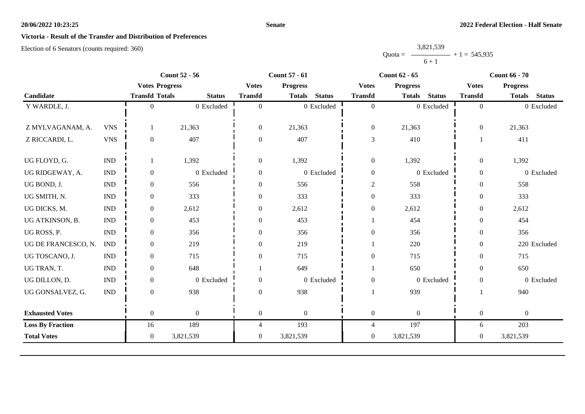## **Senate**

# **Victoria - Result of the Transfer and Distribution of Preferences**

|           | 3,821,539 |                |
|-----------|-----------|----------------|
| $Quota =$ |           | $+1 = 545,935$ |
|           | $6 + 1$   |                |

|                         | <b>Count 52 - 56</b>  |                       | <b>Count 57 - 61</b> |                  |                  | <b>Count 62 - 65</b> |                  |                 | <b>Count 66 - 70</b> |                  |                  |               |
|-------------------------|-----------------------|-----------------------|----------------------|------------------|------------------|----------------------|------------------|-----------------|----------------------|------------------|------------------|---------------|
|                         |                       | <b>Votes Progress</b> |                      | <b>Votes</b>     | <b>Progress</b>  |                      | <b>Votes</b>     | <b>Progress</b> |                      | <b>Votes</b>     | <b>Progress</b>  |               |
| Candidate               |                       | <b>Transfd Totals</b> | <b>Status</b>        | <b>Transfd</b>   | <b>Totals</b>    | <b>Status</b>        | <b>Transfd</b>   | <b>Totals</b>   | <b>Status</b>        | <b>Transfd</b>   | <b>Totals</b>    | <b>Status</b> |
| Y WARDLE, J.            |                       | $\Omega$              | 0 Excluded           | $\theta$         |                  | 0 Excluded           | $\overline{0}$   |                 | 0 Excluded           | $\overline{0}$   |                  | 0 Excluded    |
|                         |                       |                       |                      |                  |                  |                      |                  |                 |                      |                  |                  |               |
| Z MYLVAGANAM, A.        | <b>VNS</b>            |                       | 21,363               | $\boldsymbol{0}$ | 21,363           |                      | $\boldsymbol{0}$ | 21,363          |                      | $\overline{0}$   | 21,363           |               |
| Z RICCARDI, L.          | <b>VNS</b>            | $\overline{0}$        | 407                  | $\theta$         | 407              |                      | $\mathfrak 3$    | 410             |                      |                  | 411              |               |
|                         |                       |                       |                      |                  |                  |                      |                  |                 |                      |                  |                  |               |
| UG FLOYD, G.            | $\mathbf{IND}\xspace$ |                       | 1,392                | $\overline{0}$   | 1,392            |                      | $\boldsymbol{0}$ | 1,392           |                      | $\boldsymbol{0}$ | 1,392            |               |
| UG RIDGEWAY, A.         | <b>IND</b>            | $\overline{0}$        | 0 Excluded           | $\overline{0}$   |                  | 0 Excluded           | $\boldsymbol{0}$ |                 | 0 Excluded           | $\boldsymbol{0}$ |                  | 0 Excluded    |
| UG BOND, J.             | <b>IND</b>            | 0                     | 556                  | $\mathbf{0}$     | 556              |                      | $\overline{c}$   | 558             |                      | $\overline{0}$   | 558              |               |
| UG SMITH, N.            | <b>IND</b>            | $\overline{0}$        | 333                  | $\mathbf{0}$     | 333              |                      | $\boldsymbol{0}$ | 333             |                      | $\overline{0}$   | 333              |               |
| UG DICKS, M.            | <b>IND</b>            | $\overline{0}$        | 2,612                | $\Omega$         | 2,612            |                      | $\boldsymbol{0}$ | 2,612           |                      | $\overline{0}$   | 2,612            |               |
| UG ATKINSON, B.         | <b>IND</b>            | $\overline{0}$        | 453                  | $\mathbf{0}$     | 453              |                      |                  | 454             |                      | $\theta$         | 454              |               |
| UG ROSS, P.             | <b>IND</b>            | $\overline{0}$        | 356                  | $\Omega$         | 356              |                      | $\overline{0}$   | 356             |                      | $\overline{0}$   | 356              |               |
| UG DE FRANCESCO, N.     | <b>IND</b>            | $\overline{0}$        | 219                  | $\mathbf{0}$     | 219              |                      |                  | 220             |                      | $\overline{0}$   |                  | 220 Excluded  |
| UG TOSCANO, J.          | <b>IND</b>            | $\overline{0}$        | 715                  | $\Omega$         | 715              |                      | $\mathbf{0}$     | 715             |                      | $\Omega$         | 715              |               |
| UG TRAN, T.             | <b>IND</b>            | $\overline{0}$        | 648                  |                  | 649              |                      |                  | 650             |                      | $\overline{0}$   | 650              |               |
| UG DILLON, D.           | <b>IND</b>            | $\overline{0}$        | 0 Excluded           | $\theta$         |                  | 0 Excluded           | $\boldsymbol{0}$ |                 | 0 Excluded           | $\mathbf{0}$     |                  | 0 Excluded    |
| UG GONSALVEZ, G.        | <b>IND</b>            | $\overline{0}$        | 938                  | $\Omega$         | 938              |                      |                  | 939             |                      |                  | 940              |               |
| <b>Exhausted Votes</b>  |                       | $\overline{0}$        | $\boldsymbol{0}$     | $\overline{0}$   | $\boldsymbol{0}$ |                      | $\boldsymbol{0}$ | $\overline{0}$  |                      | $\overline{0}$   | $\boldsymbol{0}$ |               |
| <b>Loss By Fraction</b> |                       | 16                    | 189                  | 4                | 193              |                      | $\overline{4}$   | 197             |                      | 6                | 203              |               |
| <b>Total Votes</b>      |                       | $\overline{0}$        | 3,821,539            | $\overline{0}$   | 3,821,539        |                      | $\mathbf{0}$     | 3,821,539       |                      | $\overline{0}$   | 3,821,539        |               |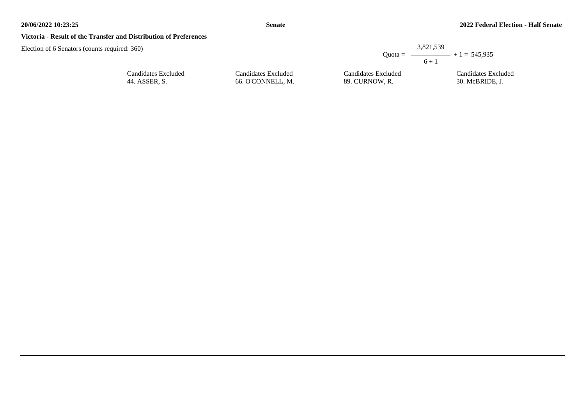## **Victoria - Result of the Transfer and Distribution of Preferences**

| d: 360)             |                     | 3.821.539<br>$6 + 1$ | Quota = $\longrightarrow$ + 1 = 545.935 |
|---------------------|---------------------|----------------------|-----------------------------------------|
| Candidates Excluded | Candidates Excluded | Candidates Excluded  | Candidates Excluded                     |
| 44. ASSER, S.       | 66. O'CONNELL. M.   | 89. CURNOW. R.       | 30. McBRIDE, J.                         |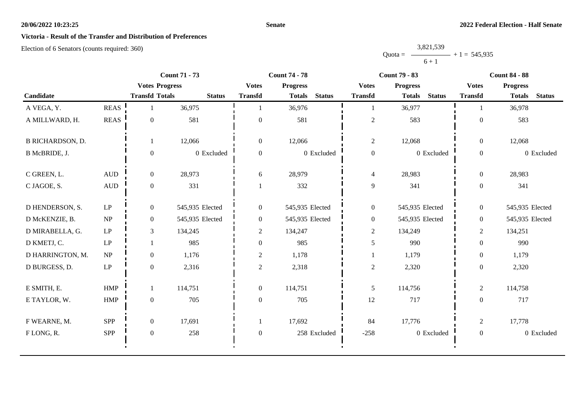## **Senate**

# **Victoria - Result of the Transfer and Distribution of Preferences**

|           | 3,821,539 |                |
|-----------|-----------|----------------|
| $Quota =$ |           | $+1 = 545,935$ |
|           | $6 + 1$   |                |

|                         |                                 | <b>Count 71 - 73</b>  |                 | <b>Count 74 - 78</b> |                                |                  | <b>Count 79 - 83</b>           | <b>Count 84 - 88</b> |                                |  |
|-------------------------|---------------------------------|-----------------------|-----------------|----------------------|--------------------------------|------------------|--------------------------------|----------------------|--------------------------------|--|
|                         |                                 | <b>Votes Progress</b> |                 | <b>Votes</b>         | <b>Progress</b>                | <b>Votes</b>     | <b>Progress</b>                | <b>Votes</b>         | <b>Progress</b>                |  |
| Candidate               |                                 | <b>Transfd Totals</b> | <b>Status</b>   | <b>Transfd</b>       | <b>Status</b><br><b>Totals</b> | <b>Transfd</b>   | <b>Totals</b><br><b>Status</b> | <b>Transfd</b>       | <b>Totals</b><br><b>Status</b> |  |
| A VEGA, Y.              | <b>REAS</b>                     |                       | 36,975          |                      | 36,976                         | 1                | 36,977                         |                      | 36,978                         |  |
| A MILLWARD, H.          | $\operatorname{REAS}$           | $\overline{0}$        | 581             | $\theta$             | 581                            | $\sqrt{2}$       | 583                            | $\Omega$             | 583                            |  |
| <b>B RICHARDSON, D.</b> |                                 |                       | 12,066          | $\overline{0}$       | 12,066                         | $\overline{c}$   | 12,068                         | $\overline{0}$       | 12,068                         |  |
| B McBRIDE, J.           |                                 | $\Omega$              | 0 Excluded      | $\mathbf{0}$         | 0 Excluded                     | $\boldsymbol{0}$ | 0 Excluded                     | $\overline{0}$       | 0 Excluded                     |  |
| C GREEN, L.             | <b>AUD</b>                      | $\overline{0}$        | 28,973          | 6                    | 28,979                         | $\overline{4}$   | 28,983                         | $\boldsymbol{0}$     | 28,983                         |  |
| C JAGOE, S.             | <b>AUD</b>                      | $\overline{0}$        | 331             |                      | 332                            | $\mathbf{9}$     | 341                            | $\overline{0}$       | 341                            |  |
| D HENDERSON, S.         | LP                              | $\overline{0}$        | 545,935 Elected | $\overline{0}$       | 545,935 Elected                | $\boldsymbol{0}$ | 545,935 Elected                | $\overline{0}$       | 545,935 Elected                |  |
| D McKENZIE, B.          | NP                              | $\overline{0}$        | 545,935 Elected | $\boldsymbol{0}$     | 545,935 Elected                | $\boldsymbol{0}$ | 545,935 Elected                | $\overline{0}$       | 545,935 Elected                |  |
| D MIRABELLA, G.         | LP                              | $\mathfrak{Z}$        | 134,245         | $\overline{c}$       | 134,247                        | $\overline{c}$   | 134,249                        | $\overline{2}$       | 134,251                        |  |
| D KMETJ, C.             | LP                              |                       | 985             | $\mathbf{0}$         | 985                            | 5                | 990                            | $\overline{0}$       | 990                            |  |
| D HARRINGTON, M.        | $\ensuremath{\text{NP}}\xspace$ | $\overline{0}$        | 1,176           | $\overline{2}$       | 1,178                          | -1               | 1,179                          | $\overline{0}$       | 1,179                          |  |
| D BURGESS, D.           | $\operatorname{LP}$             | $\overline{0}$        | 2,316           | $\overline{c}$       | 2,318                          | $\overline{c}$   | 2,320                          | $\overline{0}$       | 2,320                          |  |
| E SMITH, E.             | <b>HMP</b>                      |                       | 114,751         | $\overline{0}$       | 114,751                        | $\mathfrak{H}$   | 114,756                        | $\overline{c}$       | 114,758                        |  |
| E TAYLOR, W.            | <b>HMP</b>                      | $\overline{0}$        | 705             | $\overline{0}$       | 705                            | 12               | 717                            | $\overline{0}$       | 717                            |  |
| F WEARNE, M.            | SPP                             | $\overline{0}$        | 17,691          |                      | 17,692                         | 84               | 17,776                         | $\overline{c}$       | 17,778                         |  |
| FLONG, R.               | SPP                             | $\mathbf{0}$          | 258             | $\mathbf{0}$         | 258 Excluded                   | $-258$           | $0$ Excluded                   | $\overline{0}$       | 0 Excluded                     |  |
|                         |                                 |                       |                 |                      |                                |                  |                                |                      |                                |  |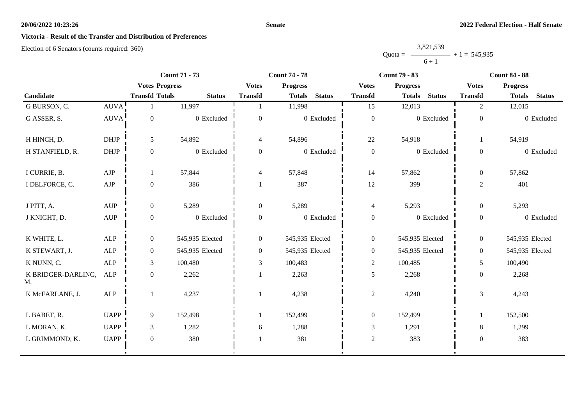## **Senate**

# **Victoria - Result of the Transfer and Distribution of Preferences**

|           | 3,821,539      |  |
|-----------|----------------|--|
| $Quota =$ | $+1 = 545,935$ |  |
|           | $6 + 1$        |  |

|                          |                                  |                       | <b>Count 71 - 73</b> | <b>Count 74 - 78</b> |                 | <b>Count 79 - 83</b> |                  | <b>Count 84 - 88</b> |               |                  |                 |               |
|--------------------------|----------------------------------|-----------------------|----------------------|----------------------|-----------------|----------------------|------------------|----------------------|---------------|------------------|-----------------|---------------|
|                          |                                  | <b>Votes Progress</b> |                      | <b>Votes</b>         | <b>Progress</b> |                      | <b>Votes</b>     | <b>Progress</b>      |               | <b>Votes</b>     | <b>Progress</b> |               |
| Candidate                |                                  | <b>Transfd Totals</b> | <b>Status</b>        | <b>Transfd</b>       | <b>Totals</b>   | <b>Status</b>        | <b>Transfd</b>   | <b>Totals</b>        | <b>Status</b> | <b>Transfd</b>   | <b>Totals</b>   | <b>Status</b> |
| G BURSON, C.             | AUVA!                            |                       | 11,997               |                      | 11,998          |                      | 15               | 12,013               |               | 2                | 12,015          |               |
| G ASSER, S.              | <b>AUVA</b>                      | $\boldsymbol{0}$      | 0 Excluded           | $\boldsymbol{0}$     |                 | 0 Excluded           | $\boldsymbol{0}$ |                      | 0 Excluded    | $\overline{0}$   |                 | 0 Excluded    |
| H HINCH, D.              | <b>DHJP</b>                      | 5                     | 54,892               | $\overline{4}$       | 54,896          |                      | 22               | 54,918               |               | $\mathbf{1}$     | 54,919          |               |
| H STANFIELD, R.          | $DHJP$                           | $\boldsymbol{0}$      | 0 Excluded           | $\boldsymbol{0}$     |                 | 0 Excluded           | $\boldsymbol{0}$ |                      | 0 Excluded    | $\boldsymbol{0}$ |                 | 0 Excluded    |
| I CURRIE, B.             | AJP                              | -1                    | 57,844               | 4                    | 57,848          |                      | 14               | 57,862               |               | $\overline{0}$   | 57,862          |               |
| I DELFORCE, C.           | ${\rm AJP}$                      | $\boldsymbol{0}$      | 386                  |                      | 387             |                      | 12               | 399                  |               | $\overline{2}$   | 401             |               |
| J PITT, A.               | <b>AUP</b>                       | $\mathbf{0}$          | 5,289                | $\overline{0}$       | 5,289           |                      | $\overline{4}$   | 5,293                |               | $\overline{0}$   | 5,293           |               |
| J KNIGHT, D.             | $\mathbf{A}\mathbf{U}\mathbf{P}$ | $\boldsymbol{0}$      | 0 Excluded           | $\boldsymbol{0}$     |                 | 0 Excluded           | $\boldsymbol{0}$ |                      | 0 Excluded    | $\overline{0}$   |                 | 0 Excluded    |
| K WHITE, L.              | ALP                              | $\boldsymbol{0}$      | 545,935 Elected      | $\overline{0}$       | 545,935 Elected |                      | $\boldsymbol{0}$ | 545,935 Elected      |               | $\overline{0}$   | 545,935 Elected |               |
| K STEWART, J.            | ALP                              | $\boldsymbol{0}$      | 545,935 Elected      | $\boldsymbol{0}$     | 545,935 Elected |                      | $\boldsymbol{0}$ | 545,935 Elected      |               | $\overline{0}$   | 545,935 Elected |               |
| K NUNN, C.               | ALP                              | $\mathfrak{Z}$        | 100,480              | 3                    | 100,483         |                      | $\mathfrak{2}$   | 100,485              |               | 5                | 100,490         |               |
| K BRIDGER-DARLING,<br>M. | <b>ALP</b>                       | $\boldsymbol{0}$      | 2,262                |                      | 2,263           |                      | $5\,$            | 2,268                |               | $\boldsymbol{0}$ | 2,268           |               |
| K McFARLANE, J.          | <b>ALP</b>                       | -1                    | 4,237                |                      | 4,238           |                      | $\overline{c}$   | 4,240                |               | 3                | 4,243           |               |
| L BABET, R.              | <b>UAPP</b>                      | 9                     | 152,498              |                      | 152,499         |                      | $\boldsymbol{0}$ | 152,499              |               | $\mathbf{1}$     | 152,500         |               |
| L MORAN, K.              | <b>UAPP</b>                      | $\mathfrak{Z}$        | 1,282                | 6                    | 1,288           |                      | $\mathfrak{Z}$   | 1,291                |               | 8                | 1,299           |               |
| L GRIMMOND, K.           | <b>UAPP</b>                      | $\mathbf{0}$          | 380                  |                      | 381             |                      | $\overline{c}$   | 383                  |               | $\overline{0}$   | 383             |               |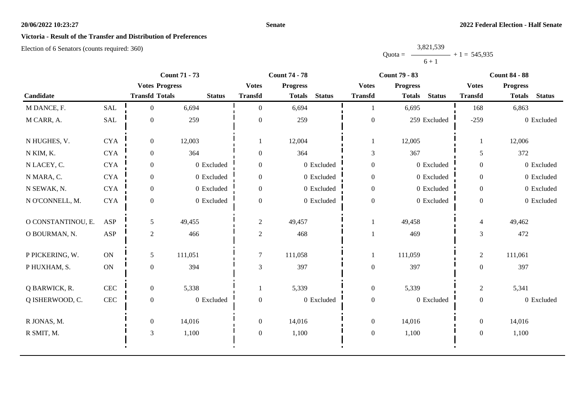## **Senate**

# **Victoria - Result of the Transfer and Distribution of Preferences**

|           | 3,821,539 |                |
|-----------|-----------|----------------|
| $Quota =$ |           | $+1 = 545,935$ |
|           | $6 + 1$   |                |

|                    |               | <b>Count 71 - 73</b>  |               |                  | <b>Count 74 - 78</b>           |                  | <b>Count 79 - 83</b>           | <b>Count 84 - 88</b> |                                |  |
|--------------------|---------------|-----------------------|---------------|------------------|--------------------------------|------------------|--------------------------------|----------------------|--------------------------------|--|
|                    |               | <b>Votes Progress</b> |               | <b>Votes</b>     | <b>Progress</b>                | <b>Votes</b>     | <b>Progress</b>                | <b>Votes</b>         | <b>Progress</b>                |  |
| Candidate          |               | <b>Transfd Totals</b> | <b>Status</b> | <b>Transfd</b>   | <b>Status</b><br><b>Totals</b> | <b>Transfd</b>   | <b>Status</b><br><b>Totals</b> | <b>Transfd</b>       | <b>Status</b><br><b>Totals</b> |  |
| M DANCE, F.        | <b>SAL</b>    | $\Omega$              | 6,694         | $\theta$         | 6,694                          | 1                | 6,695                          | 168                  | 6,863                          |  |
| M CARR, A.         | <b>SAL</b>    | $\boldsymbol{0}$      | 259           | $\overline{0}$   | 259                            | $\boldsymbol{0}$ | 259 Excluded                   | $-259$               | 0 Excluded                     |  |
| N HUGHES, V.       | <b>CYA</b>    | $\overline{0}$        | 12,003        |                  | 12,004                         | 1                | 12,005                         |                      | 12,006                         |  |
| N KIM, K.          | <b>CYA</b>    | $\overline{0}$        | 364           | $\boldsymbol{0}$ | 364                            | 3                | 367                            | 5                    | 372                            |  |
| N LACEY, C.        | <b>CYA</b>    | $\overline{0}$        | 0 Excluded    | $\boldsymbol{0}$ | 0 Excluded                     | $\boldsymbol{0}$ | 0 Excluded                     | $\overline{0}$       | 0 Excluded                     |  |
| N MARA, C.         | <b>CYA</b>    | $\overline{0}$        | 0 Excluded    | $\boldsymbol{0}$ | 0 Excluded                     | $\boldsymbol{0}$ | 0 Excluded                     | $\overline{0}$       | 0 Excluded                     |  |
| N SEWAK, N.        | <b>CYA</b>    | $\overline{0}$        | 0 Excluded    | $\Omega$         | 0 Excluded                     | $\boldsymbol{0}$ | 0 Excluded                     | $\overline{0}$       | 0 Excluded                     |  |
| N O'CONNELL, M.    | <b>CYA</b>    | $\mathbf{0}$          | 0 Excluded    | $\theta$         | 0 Excluded                     | $\boldsymbol{0}$ | 0 Excluded                     | $\overline{0}$       | 0 Excluded                     |  |
| O CONSTANTINOU, E. | ASP           | 5                     | 49,455        | $\overline{c}$   | 49,457                         | 1                | 49,458                         | $\overline{4}$       | 49,462                         |  |
| O BOURMAN, N.      | ASP           | $\sqrt{2}$            | 466           | $\overline{c}$   | 468                            |                  | 469                            | 3                    | 472                            |  |
| P PICKERING, W.    | $\mathbf{ON}$ | 5                     | 111,051       | $\overline{7}$   | 111,058                        | 1                | 111,059                        | $\overline{c}$       | 111,061                        |  |
| PHUXHAM, S.        | $\mathbf{ON}$ | $\overline{0}$        | 394           | 3                | 397                            | $\boldsymbol{0}$ | 397                            | $\overline{0}$       | 397                            |  |
| Q BARWICK, R.      | $\mbox{CEC}$  | $\overline{0}$        | 5,338         |                  | 5,339                          | $\boldsymbol{0}$ | 5,339                          | $\overline{c}$       | 5,341                          |  |
| Q ISHERWOOD, C.    | $\mbox{CEC}$  | $\mathbf{0}$          | 0 Excluded    | $\mathbf{0}$     | 0 Excluded                     | $\boldsymbol{0}$ | 0 Excluded                     | $\overline{0}$       | 0 Excluded                     |  |
| R JONAS, M.        |               | $\overline{0}$        | 14,016        | $\overline{0}$   | 14,016                         | $\boldsymbol{0}$ | 14,016                         | $\overline{0}$       | 14,016                         |  |
| R SMIT, M.         |               | 3                     | 1,100         | $\boldsymbol{0}$ | 1,100                          | $\boldsymbol{0}$ | 1,100                          | $\overline{0}$       | 1,100                          |  |
|                    |               |                       |               |                  |                                |                  |                                |                      |                                |  |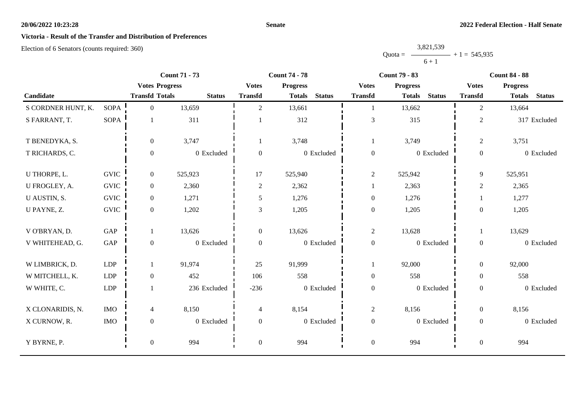## **Senate**

# **Victoria - Result of the Transfer and Distribution of Preferences**

|           | 3,821,539 |                |
|-----------|-----------|----------------|
| $Quota =$ |           | $+1 = 545,935$ |
|           | $6 + 1$   |                |

|                    |             | <b>Count 71 - 73</b>  | <b>Count 74 - 78</b> |                  |                 | <b>Count 79 - 83</b> |                  |                 |               | <b>Count 84 - 88</b> |                 |               |
|--------------------|-------------|-----------------------|----------------------|------------------|-----------------|----------------------|------------------|-----------------|---------------|----------------------|-----------------|---------------|
|                    |             | <b>Votes Progress</b> |                      | <b>Votes</b>     | <b>Progress</b> |                      | <b>Votes</b>     | <b>Progress</b> |               | <b>Votes</b>         | <b>Progress</b> |               |
| Candidate          |             | <b>Transfd Totals</b> | <b>Status</b>        | <b>Transfd</b>   | <b>Totals</b>   | <b>Status</b>        | <b>Transfd</b>   | <b>Totals</b>   | <b>Status</b> | <b>Transfd</b>       | <b>Totals</b>   | <b>Status</b> |
| S CORDNER HUNT, K. | <b>SOPA</b> | $\overline{0}$        | 13,659               | $\overline{2}$   | 13,661          |                      | -1               | 13,662          |               | $\overline{2}$       | 13,664          |               |
| S FARRANT, T.      | SOPA        |                       | 311                  |                  | 312             |                      | $\mathfrak{Z}$   | 315             |               | $\overline{2}$       |                 | 317 Excluded  |
| T BENEDYKA, S.     |             | $\overline{0}$        | 3,747                | 1                | 3,748           |                      | 1                | 3,749           |               | $\overline{c}$       | 3,751           |               |
| T RICHARDS, C.     |             | $\Omega$              | 0 Excluded           | $\Omega$         |                 | 0 Excluded           | $\boldsymbol{0}$ |                 | 0 Excluded    | $\overline{0}$       |                 | 0 Excluded    |
| U THORPE, L.       | <b>GVIC</b> | $\overline{0}$        | 525,923              | 17               | 525,940         |                      | $\overline{2}$   | 525,942         |               | 9                    | 525,951         |               |
| U FROGLEY, A.      | <b>GVIC</b> | $\overline{0}$        | 2,360                | 2                | 2,362           |                      | 1                | 2,363           |               | $\overline{2}$       | 2,365           |               |
| U AUSTIN, S.       | <b>GVIC</b> | $\overline{0}$        | 1,271                | 5                | 1,276           |                      | $\boldsymbol{0}$ | 1,276           |               |                      | 1,277           |               |
| U PAYNE, Z.        | <b>GVIC</b> | $\overline{0}$        | 1,202                | 3                | 1,205           |                      | $\boldsymbol{0}$ | 1,205           |               | $\Omega$             | 1,205           |               |
| V O'BRYAN, D.      | GAP         |                       | 13,626               | $\overline{0}$   | 13,626          |                      | $\overline{c}$   | 13,628          |               |                      | 13,629          |               |
| V WHITEHEAD, G.    | GAP         | $\overline{0}$        | 0 Excluded           | $\Omega$         |                 | 0 Excluded           | $\boldsymbol{0}$ |                 | 0 Excluded    | $\boldsymbol{0}$     |                 | 0 Excluded    |
| W LIMBRICK, D.     | LDP         |                       | 91,974               | 25               | 91,999          |                      | 1                | 92,000          |               | $\overline{0}$       | 92,000          |               |
| W MITCHELL, K.     | LDP         | $\overline{0}$        | 452                  | 106              | 558             |                      | $\boldsymbol{0}$ | 558             |               | $\overline{0}$       | 558             |               |
| W WHITE, C.        | LDP         |                       | 236 Excluded         | $-236$           |                 | 0 Excluded           | $\boldsymbol{0}$ |                 | 0 Excluded    | $\overline{0}$       |                 | 0 Excluded    |
| X CLONARIDIS, N.   | <b>IMO</b>  | $\overline{4}$        | 8,150                | $\overline{4}$   | 8,154           |                      | $\overline{c}$   | 8,156           |               | $\overline{0}$       | 8,156           |               |
| X CURNOW, R.       | <b>IMO</b>  | $\overline{0}$        | 0 Excluded           | $\mathbf{0}$     |                 | 0 Excluded           | $\boldsymbol{0}$ |                 | 0 Excluded    | $\overline{0}$       |                 | 0 Excluded    |
| Y BYRNE, P.        |             | $\boldsymbol{0}$      | 994                  | $\boldsymbol{0}$ | 994             |                      | $\boldsymbol{0}$ | 994             |               | $\boldsymbol{0}$     | 994             |               |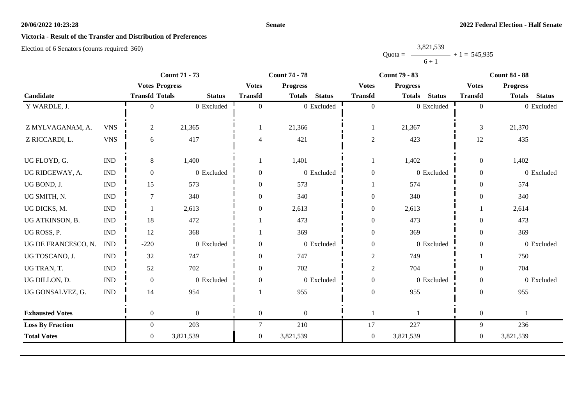## **Senate**

# **Victoria - Result of the Transfer and Distribution of Preferences**

|           | 3,821,539 |                |
|-----------|-----------|----------------|
| $Quota =$ |           | $+1 = 545,935$ |
|           | $6 + 1$   |                |

|                         |                             |                       | <b>Count 71 - 73</b> |                  | <b>Count 74 - 78</b>           |                  | <b>Count 79 - 83</b> |               |                  | <b>Count 84 - 88</b> |               |
|-------------------------|-----------------------------|-----------------------|----------------------|------------------|--------------------------------|------------------|----------------------|---------------|------------------|----------------------|---------------|
|                         |                             | <b>Votes Progress</b> |                      | <b>Votes</b>     | <b>Progress</b>                | <b>Votes</b>     | <b>Progress</b>      |               | <b>Votes</b>     | <b>Progress</b>      |               |
| Candidate               |                             | <b>Transfd Totals</b> | <b>Status</b>        | <b>Transfd</b>   | <b>Status</b><br><b>Totals</b> | <b>Transfd</b>   | <b>Totals</b>        | <b>Status</b> | <b>Transfd</b>   | <b>Totals</b>        | <b>Status</b> |
| Y WARDLE, J.            |                             | $\Omega$              | 0 Excluded           | $\theta$         | 0 Excluded                     | $\overline{0}$   |                      | 0 Excluded    | $\overline{0}$   |                      | 0 Excluded    |
| Z MYLVAGANAM, A.        | <b>VNS</b>                  | $\overline{2}$        | 21,365               |                  | 21,366                         | $\mathbf{1}$     | 21,367               |               | $\mathfrak{Z}$   | 21,370               |               |
| Z RICCARDI, L.          | <b>VNS</b>                  | 6                     | 417                  | 4                | 421                            | $\boldsymbol{2}$ | 423                  |               | 12               | 435                  |               |
| UG FLOYD, G.            | $\mathop{\rm IND}\nolimits$ | $8\,$                 | 1,400                |                  | 1,401                          | 1                | 1,402                |               | $\overline{0}$   | 1,402                |               |
| UG RIDGEWAY, A.         | <b>IND</b>                  | $\overline{0}$        | 0 Excluded           | $\overline{0}$   | 0 Excluded                     | $\boldsymbol{0}$ |                      | 0 Excluded    | $\overline{0}$   |                      | 0 Excluded    |
| UG BOND, J.             | $\ensuremath{\text{IND}}$   | 15                    | 573                  | $\mathbf{0}$     | 573                            | 1                | 574                  |               | $\overline{0}$   | 574                  |               |
| UG SMITH, N.            | $\mathop{\rm IND}\nolimits$ | $\overline{7}$        | 340                  | $\overline{0}$   | 340                            | $\boldsymbol{0}$ | 340                  |               | $\boldsymbol{0}$ | 340                  |               |
| UG DICKS, M.            | <b>IND</b>                  |                       | 2,613                | $\overline{0}$   | 2,613                          | $\boldsymbol{0}$ | 2,613                |               |                  | 2,614                |               |
| UG ATKINSON, B.         | <b>IND</b>                  | $18\,$                | 472                  |                  | 473                            | $\boldsymbol{0}$ | 473                  |               | $\Omega$         | 473                  |               |
| UG ROSS, P.             | $\ensuremath{\text{IND}}$   | 12                    | 368                  |                  | 369                            | $\boldsymbol{0}$ | 369                  |               | $\overline{0}$   | 369                  |               |
| UG DE FRANCESCO, N.     | <b>IND</b>                  | $-220$                | 0 Excluded           | $\mathbf{0}$     | 0 Excluded                     | $\boldsymbol{0}$ |                      | 0 Excluded    | $\Omega$         |                      | 0 Excluded    |
| UG TOSCANO, J.          | <b>IND</b>                  | 32                    | 747                  | $\overline{0}$   | 747                            | $\boldsymbol{2}$ | 749                  |               |                  | 750                  |               |
| UG TRAN, T.             | <b>IND</b>                  | 52                    | 702                  | $\overline{0}$   | 702                            | $\boldsymbol{2}$ | 704                  |               | $\Omega$         | 704                  |               |
| UG DILLON, D.           | <b>IND</b>                  | $\boldsymbol{0}$      | 0 Excluded           | $\boldsymbol{0}$ | 0 Excluded                     | $\boldsymbol{0}$ |                      | 0 Excluded    | $\mathbf{0}$     |                      | 0 Excluded    |
| UG GONSALVEZ, G.        | $\ensuremath{\text{IND}}$   | 14                    | 954                  |                  | 955                            | $\boldsymbol{0}$ | 955                  |               | $\overline{0}$   | 955                  |               |
| <b>Exhausted Votes</b>  |                             | $\overline{0}$        | $\boldsymbol{0}$     | $\overline{0}$   | $\theta$                       | $\mathbf{1}$     |                      |               | $\mathbf{0}$     |                      |               |
| <b>Loss By Fraction</b> |                             | $\overline{0}$        | 203                  | 7                | 210                            | 17               | 227                  |               | 9                | 236                  |               |
| <b>Total Votes</b>      |                             | $\overline{0}$        | 3,821,539            | $\overline{0}$   | 3,821,539                      | $\boldsymbol{0}$ | 3,821,539            |               | $\overline{0}$   | 3,821,539            |               |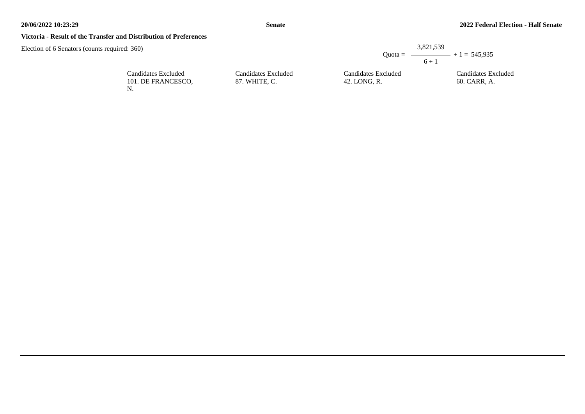## **Victoria - Result of the Transfer and Distribution of Preferences**

|                                      |                                     | 3,821,539                                          |
|--------------------------------------|-------------------------------------|----------------------------------------------------|
|                                      |                                     | Quota = $\longrightarrow$ + 1 = 545,935<br>$6 + 1$ |
| Candidates Excluded<br>87. WHITE, C. | Candidates Excluded<br>42. LONG, R. | Candidates Excluded<br>60. CARR, A.                |

| Candidates Excluded |  |
|---------------------|--|
| 101. DE FRANCESCO.  |  |
| N.                  |  |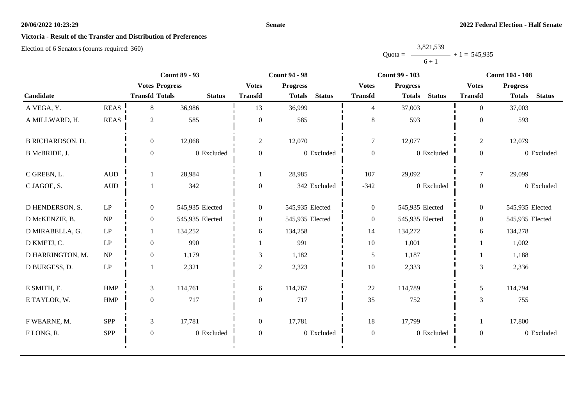#### **Senate**

# **Victoria - Result of the Transfer and Distribution of Preferences**

|           | 3,821,539 |                |
|-----------|-----------|----------------|
| $Quota =$ |           | $+1 = 545,935$ |
|           | $6 + 1$   |                |

|                         |                     | <b>Count 89 - 93</b>  |                 | <b>Count 94 - 98</b> |                                |                  | <b>Count 99 - 103</b>          | <b>Count 104 - 108</b> |                                |  |
|-------------------------|---------------------|-----------------------|-----------------|----------------------|--------------------------------|------------------|--------------------------------|------------------------|--------------------------------|--|
|                         |                     | <b>Votes Progress</b> |                 | <b>Votes</b>         | <b>Progress</b>                | <b>Votes</b>     | <b>Progress</b>                | <b>Votes</b>           | <b>Progress</b>                |  |
| Candidate               |                     | <b>Transfd Totals</b> | <b>Status</b>   | <b>Transfd</b>       | <b>Status</b><br><b>Totals</b> | <b>Transfd</b>   | <b>Status</b><br><b>Totals</b> | <b>Transfd</b>         | <b>Status</b><br><b>Totals</b> |  |
| A VEGA, Y.              | <b>REAS</b>         | 8                     | 36,986          | 13                   | 36,999                         | $\overline{4}$   | 37,003                         | $\theta$               | 37,003                         |  |
| A MILLWARD, H.          | <b>REAS</b>         | $\overline{2}$        | 585             | $\overline{0}$       | 585                            | 8                | 593                            | $\Omega$               | 593                            |  |
| <b>B RICHARDSON, D.</b> |                     | $\overline{0}$        | 12,068          | $\sqrt{2}$           | 12,070                         | $\tau$           | 12,077                         | $\mathbf{2}$           | 12,079                         |  |
| B McBRIDE, J.           |                     | $\theta$              | 0 Excluded      | $\mathbf{0}$         | 0 Excluded                     | $\boldsymbol{0}$ | 0 Excluded                     | $\overline{0}$         | 0 Excluded                     |  |
| C GREEN, L.             | <b>AUD</b>          |                       | 28,984          |                      | 28,985                         | 107              | 29,092                         | $\tau$                 | 29,099                         |  |
| C JAGOE, S.             | <b>AUD</b>          |                       | 342             | $\overline{0}$       | 342 Excluded                   | $-342$           | 0 Excluded                     | $\overline{0}$         | 0 Excluded                     |  |
| D HENDERSON, S.         | LP                  | $\overline{0}$        | 545,935 Elected | $\overline{0}$       | 545,935 Elected                | $\overline{0}$   | 545,935 Elected                | $\overline{0}$         | 545,935 Elected                |  |
| D McKENZIE, B.          | NP                  | $\overline{0}$        | 545,935 Elected | $\overline{0}$       | 545,935 Elected                | $\boldsymbol{0}$ | 545,935 Elected                | $\overline{0}$         | 545,935 Elected                |  |
| D MIRABELLA, G.         | LP                  |                       | 134,252         | 6                    | 134,258                        | 14               | 134,272                        | 6                      | 134,278                        |  |
| D KMETJ, C.             | LP                  | $\Omega$              | 990             |                      | 991                            | $10\,$           | 1,001                          |                        | 1,002                          |  |
| D HARRINGTON, M.        | NP                  | $\overline{0}$        | 1,179           | 3                    | 1,182                          | 5                | 1,187                          |                        | 1,188                          |  |
| D BURGESS, D.           | $\operatorname{LP}$ |                       | 2,321           | $\sqrt{2}$           | 2,323                          | $10\,$           | 2,333                          | 3                      | 2,336                          |  |
| E SMITH, E.             | <b>HMP</b>          | $\mathfrak{Z}$        | 114,761         | 6                    | 114,767                        | 22               | 114,789                        | 5                      | 114,794                        |  |
| E TAYLOR, W.            | <b>HMP</b>          | $\boldsymbol{0}$      | 717             | $\overline{0}$       | 717                            | 35               | 752                            | 3                      | 755                            |  |
| F WEARNE, M.            | <b>SPP</b>          | 3                     | 17,781          | $\overline{0}$       | 17,781                         | 18               | 17,799                         |                        | 17,800                         |  |
| FLONG, R.               | SPP                 | $\mathbf{0}$          | 0 Excluded      | $\overline{0}$       | 0 Excluded                     | $\boldsymbol{0}$ | 0 Excluded                     | $\overline{0}$         | 0 Excluded                     |  |
|                         |                     |                       |                 |                      |                                |                  |                                |                        |                                |  |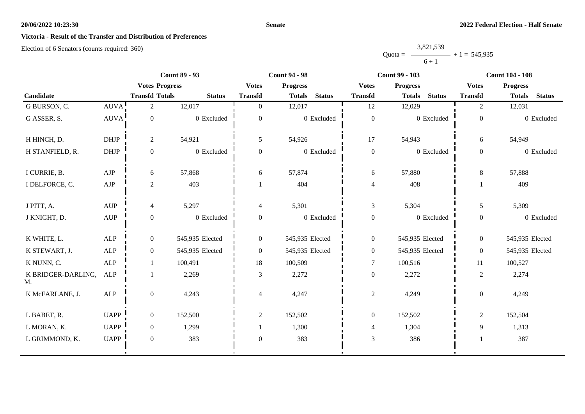#### **Senate**

# **Victoria - Result of the Transfer and Distribution of Preferences**

|           | 3,821,539 |                |
|-----------|-----------|----------------|
| $Quota =$ |           | $+1 = 545,935$ |
|           | $6 + 1$   |                |

|                          |             | <b>Count 89 - 93</b>  |                 | <b>Count 94 - 98</b> |                 | <b>Count 99 - 103</b> |                  |                 | <b>Count 104 - 108</b> |                  |                 |               |
|--------------------------|-------------|-----------------------|-----------------|----------------------|-----------------|-----------------------|------------------|-----------------|------------------------|------------------|-----------------|---------------|
|                          |             | <b>Votes Progress</b> |                 | <b>Votes</b>         | <b>Progress</b> |                       | <b>Votes</b>     | <b>Progress</b> |                        | <b>Votes</b>     | <b>Progress</b> |               |
| Candidate                |             | <b>Transfd Totals</b> | <b>Status</b>   | <b>Transfd</b>       | <b>Totals</b>   | <b>Status</b>         | <b>Transfd</b>   | <b>Totals</b>   | <b>Status</b>          | <b>Transfd</b>   | <b>Totals</b>   | <b>Status</b> |
| G BURSON, C.             | <b>AUVA</b> | $\overline{2}$        | 12,017          | $\overline{0}$       | 12,017          |                       | 12               | 12,029          |                        | $\overline{c}$   | 12,031          |               |
| G ASSER, S.              | <b>AUVA</b> | $\boldsymbol{0}$      | 0 Excluded      | $\overline{0}$       |                 | 0 Excluded            | $\boldsymbol{0}$ |                 | 0 Excluded             | $\boldsymbol{0}$ |                 | 0 Excluded    |
| H HINCH, D.              | <b>DHJP</b> | $\overline{2}$        | 54,921          | 5                    | 54,926          |                       | 17               | 54,943          |                        | 6                | 54,949          |               |
| H STANFIELD, R.          | DHJP        | $\mathbf{0}$          | 0 Excluded      | $\mathbf{0}$         |                 | 0 Excluded            | $\boldsymbol{0}$ |                 | 0 Excluded             | $\mathbf{0}$     |                 | 0 Excluded    |
| I CURRIE, B.             | ${\rm AJP}$ | 6                     | 57,868          | 6                    | 57,874          |                       | 6                | 57,880          |                        | 8                | 57,888          |               |
| I DELFORCE, C.           | ${\rm AJP}$ | $\overline{2}$        | 403             |                      | 404             |                       | $\overline{4}$   | 408             |                        |                  | 409             |               |
| J PITT, A.               | <b>AUP</b>  | 4                     | 5,297           | 4                    | 5,301           |                       | $\mathfrak{Z}$   | 5,304           |                        | 5                | 5,309           |               |
| J KNIGHT, D.             | <b>AUP</b>  | $\boldsymbol{0}$      | 0 Excluded      | $\overline{0}$       |                 | 0 Excluded            | $\boldsymbol{0}$ |                 | 0 Excluded             | $\boldsymbol{0}$ |                 | 0 Excluded    |
| K WHITE, L.              | <b>ALP</b>  | $\overline{0}$        | 545,935 Elected | $\overline{0}$       | 545,935 Elected |                       | $\boldsymbol{0}$ | 545,935 Elected |                        | $\boldsymbol{0}$ | 545,935 Elected |               |
| K STEWART, J.            | <b>ALP</b>  | $\theta$              | 545,935 Elected | $\theta$             | 545,935 Elected |                       | $\boldsymbol{0}$ | 545,935 Elected |                        | $\theta$         | 545,935 Elected |               |
| K NUNN, C.               | <b>ALP</b>  |                       | 100,491         | 18                   | 100,509         |                       | 7                | 100,516         |                        | 11               | 100,527         |               |
| K BRIDGER-DARLING,<br>M. | <b>ALP</b>  |                       | 2,269           | 3                    | 2,272           |                       | $\boldsymbol{0}$ | 2,272           |                        | $\overline{c}$   | 2,274           |               |
| K McFARLANE, J.          | ALP         | $\boldsymbol{0}$      | 4,243           | 4                    | 4,247           |                       | $\sqrt{2}$       | 4,249           |                        | $\boldsymbol{0}$ | 4,249           |               |
| L BABET, R.              | <b>UAPP</b> | $\overline{0}$        | 152,500         | $\overline{c}$       | 152,502         |                       | $\boldsymbol{0}$ | 152,502         |                        | $\sqrt{2}$       | 152,504         |               |
| L MORAN, K.              | <b>UAPP</b> | $\overline{0}$        | 1,299           |                      | 1,300           |                       | $\overline{4}$   | 1,304           |                        | 9                | 1,313           |               |
| L GRIMMOND, K.           | <b>UAPP</b> | $\overline{0}$        | 383             | $\overline{0}$       | 383             |                       | $\mathfrak{Z}$   | 386             |                        |                  | 387             |               |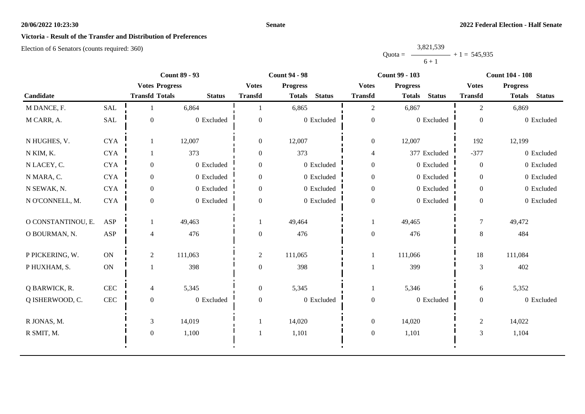#### **Senate**

# **Victoria - Result of the Transfer and Distribution of Preferences**

|           | 3,821,539 |                |
|-----------|-----------|----------------|
| Ouota $=$ |           | $+1 = 545,935$ |
|           | $6 + 1$   |                |

|                    |               | <b>Count 89 - 93</b>  |               |                  | <b>Count 94 - 98</b>           |                  | <b>Count 99 - 103</b>          | <b>Count 104 - 108</b> |                                |  |
|--------------------|---------------|-----------------------|---------------|------------------|--------------------------------|------------------|--------------------------------|------------------------|--------------------------------|--|
|                    |               | <b>Votes Progress</b> |               | <b>Votes</b>     | <b>Progress</b>                | <b>Votes</b>     | <b>Progress</b>                | <b>Votes</b>           | <b>Progress</b>                |  |
| Candidate          |               | <b>Transfd Totals</b> | <b>Status</b> | <b>Transfd</b>   | <b>Status</b><br><b>Totals</b> | <b>Transfd</b>   | <b>Status</b><br><b>Totals</b> | <b>Transfd</b>         | <b>Status</b><br><b>Totals</b> |  |
| M DANCE, F.        | <b>SAL</b>    |                       | 6,864         |                  | 6,865                          | $\overline{c}$   | 6,867                          | 2                      | 6,869                          |  |
| M CARR, A.         | SAL           | $\boldsymbol{0}$      | 0 Excluded    | $\mathbf{0}$     | 0 Excluded                     | $\boldsymbol{0}$ | 0 Excluded                     | $\mathbf{0}$           | 0 Excluded                     |  |
| N HUGHES, V.       | <b>CYA</b>    |                       | 12,007        | $\overline{0}$   | 12,007                         | $\overline{0}$   | 12,007                         | 192                    | 12,199                         |  |
| N KIM, K.          | <b>CYA</b>    |                       | 373           | $\boldsymbol{0}$ | 373                            | $\overline{4}$   | 377 Excluded                   | $-377$                 | 0 Excluded                     |  |
| N LACEY, C.        | <b>CYA</b>    | $\overline{0}$        | 0 Excluded    | $\boldsymbol{0}$ | $0$ Excluded                   | $\boldsymbol{0}$ | 0 Excluded                     | $\overline{0}$         | 0 Excluded                     |  |
| N MARA, C.         | <b>CYA</b>    | $\overline{0}$        | 0 Excluded    | $\boldsymbol{0}$ | 0 Excluded                     | $\boldsymbol{0}$ | 0 Excluded                     | $\overline{0}$         | 0 Excluded                     |  |
| N SEWAK, N.        | <b>CYA</b>    | $\overline{0}$        | 0 Excluded    | $\overline{0}$   | 0 Excluded                     | $\boldsymbol{0}$ | 0 Excluded                     | $\overline{0}$         | 0 Excluded                     |  |
| N O'CONNELL, M.    | <b>CYA</b>    | $\theta$              | 0 Excluded    | $\Omega$         | 0 Excluded                     | $\boldsymbol{0}$ | 0 Excluded                     |                        | 0 Excluded                     |  |
| O CONSTANTINOU, E. | <b>ASP</b>    |                       | 49,463        |                  | 49,464                         |                  | 49,465                         | $\boldsymbol{7}$       | 49,472                         |  |
| O BOURMAN, N.      | <b>ASP</b>    | 4                     | 476           | $\overline{0}$   | 476                            | $\boldsymbol{0}$ | 476                            | $8\,$                  | 484                            |  |
| P PICKERING, W.    | ON            | $\overline{2}$        | 111,063       | $\overline{2}$   | 111,065                        |                  | 111,066                        | 18                     | 111,084                        |  |
| P HUXHAM, S.       | $\mathbf{ON}$ |                       | 398           | $\boldsymbol{0}$ | 398                            |                  | 399                            | 3                      | 402                            |  |
| Q BARWICK, R.      | CEC           | 4                     | 5,345         | $\boldsymbol{0}$ | 5,345                          | 1                | 5,346                          | 6                      | 5,352                          |  |
| Q ISHERWOOD, C.    | $\mbox{CEC}$  | $\mathbf{0}$          | $0$ Excluded  | $\boldsymbol{0}$ | 0 Excluded                     | $\boldsymbol{0}$ | 0 Excluded                     |                        | 0 Excluded                     |  |
| R JONAS, M.        |               | 3                     | 14,019        |                  | 14,020                         | $\boldsymbol{0}$ | 14,020                         | $\overline{2}$         | 14,022                         |  |
| R SMIT, M.         |               | $\mathbf{0}$          | 1,100         |                  | 1,101                          | $\boldsymbol{0}$ | 1,101                          | 3                      | 1,104                          |  |
|                    |               |                       |               |                  |                                |                  |                                |                        |                                |  |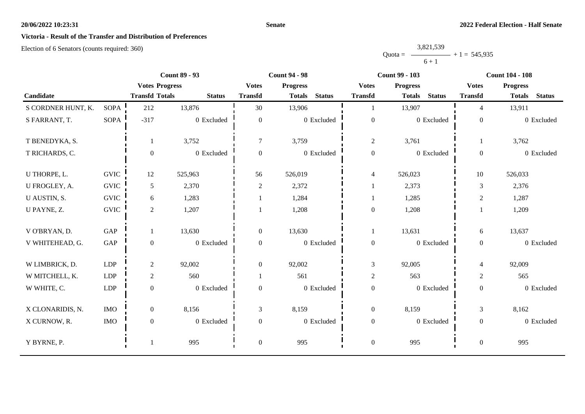#### **Senate**

# **Victoria - Result of the Transfer and Distribution of Preferences**

|           | 3,821,539 |                |
|-----------|-----------|----------------|
| $Quota =$ |           | $+1 = 545,935$ |
|           | $6 + 1$   |                |

|                    |             | <b>Count 89 - 93</b>  |               |                  | <b>Count 94 - 98</b>           |                  | <b>Count 99 - 103</b>          | <b>Count 104 - 108</b> |                                |  |
|--------------------|-------------|-----------------------|---------------|------------------|--------------------------------|------------------|--------------------------------|------------------------|--------------------------------|--|
|                    |             | <b>Votes Progress</b> |               | <b>Votes</b>     | <b>Progress</b>                | <b>Votes</b>     | <b>Progress</b>                | <b>Votes</b>           | <b>Progress</b>                |  |
| Candidate          |             | <b>Transfd Totals</b> | <b>Status</b> | <b>Transfd</b>   | <b>Status</b><br><b>Totals</b> | <b>Transfd</b>   | <b>Status</b><br><b>Totals</b> | <b>Transfd</b>         | <b>Status</b><br><b>Totals</b> |  |
| S CORDNER HUNT, K. | SOPA        | 212                   | 13,876        | 30               | 13,906                         |                  | 13,907                         | $\overline{4}$         | 13,911                         |  |
| S FARRANT, T.      | <b>SOPA</b> | $-317$                | 0 Excluded    | $\overline{0}$   | 0 Excluded                     | $\boldsymbol{0}$ | 0 Excluded                     | $\boldsymbol{0}$       | 0 Excluded                     |  |
| T BENEDYKA, S.     |             |                       | 3,752         | $\tau$           | 3,759                          | $\mathfrak{2}$   | 3,761                          |                        | 3,762                          |  |
| T RICHARDS, C.     |             | $\mathbf{0}$          | 0 Excluded    | $\overline{0}$   | 0 Excluded                     | $\boldsymbol{0}$ | 0 Excluded                     | $\overline{0}$         | 0 Excluded                     |  |
| U THORPE, L.       | <b>GVIC</b> | 12                    | 525,963       | 56               | 526,019                        | $\overline{4}$   | 526,023                        | 10                     | 526,033                        |  |
| U FROGLEY, A.      | <b>GVIC</b> | 5                     | 2,370         | $\boldsymbol{2}$ | 2,372                          |                  | 2,373                          | 3                      | 2,376                          |  |
| U AUSTIN, S.       | <b>GVIC</b> | 6                     | 1,283         |                  | 1,284                          |                  | 1,285                          | $\overline{c}$         | 1,287                          |  |
| U PAYNE, Z.        | <b>GVIC</b> | $\overline{2}$        | 1,207         |                  | 1,208                          | $\boldsymbol{0}$ | 1,208                          |                        | 1,209                          |  |
| V O'BRYAN, D.      | GAP         | 1                     | 13,630        | $\overline{0}$   | 13,630                         | $\mathbf{1}$     | 13,631                         | 6                      | 13,637                         |  |
| V WHITEHEAD, G.    | GAP         | $\boldsymbol{0}$      | 0 Excluded    | $\overline{0}$   | 0 Excluded                     | $\boldsymbol{0}$ | 0 Excluded                     | $\overline{0}$         | 0 Excluded                     |  |
| W LIMBRICK, D.     | LDP         | $\overline{2}$        | 92,002        | $\mathbf{0}$     | 92,002                         | $\mathfrak{Z}$   | 92,005                         | $\overline{4}$         | 92,009                         |  |
| W MITCHELL, K.     | <b>LDP</b>  | $\overline{2}$        | 560           |                  | 561                            | $\sqrt{2}$       | 563                            | $\overline{c}$         | 565                            |  |
| W WHITE, C.        | <b>LDP</b>  | $\mathbf{0}$          | 0 Excluded    | $\Omega$         | 0 Excluded                     | $\boldsymbol{0}$ | 0 Excluded                     | $\boldsymbol{0}$       | 0 Excluded                     |  |
| X CLONARIDIS, N.   | <b>IMO</b>  | $\mathbf{0}$          | 8,156         | 3                | 8,159                          | $\boldsymbol{0}$ | 8,159                          | 3                      | 8,162                          |  |
| X CURNOW, R.       | <b>IMO</b>  | $\mathbf{0}$          | 0 Excluded    | $\mathbf{0}$     | 0 Excluded                     | $\boldsymbol{0}$ | 0 Excluded                     | $\boldsymbol{0}$       | 0 Excluded                     |  |
| Y BYRNE, P.        |             |                       | 995           | $\overline{0}$   | 995                            | $\boldsymbol{0}$ | 995                            | $\boldsymbol{0}$       | 995                            |  |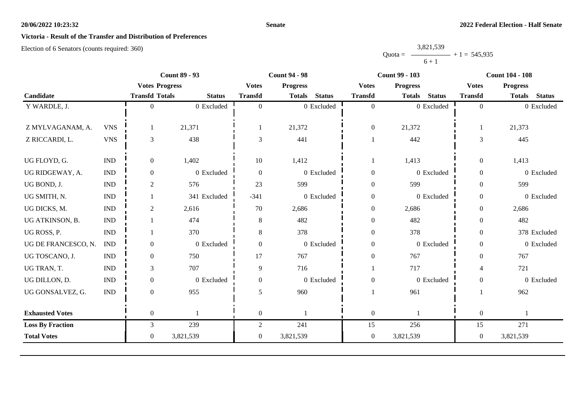#### **Senate**

# **Victoria - Result of the Transfer and Distribution of Preferences**

|           | 3,821,539      |  |
|-----------|----------------|--|
| $Quota =$ | $+1 = 545,935$ |  |
|           | $6 + 1$        |  |

|            |                       |                |                                                                                 | <b>Count 94 - 98</b> |               | <b>Count 99 - 103</b>                                              |                 |               | <b>Count 104 - 108</b>                                             |                 |                        |
|------------|-----------------------|----------------|---------------------------------------------------------------------------------|----------------------|---------------|--------------------------------------------------------------------|-----------------|---------------|--------------------------------------------------------------------|-----------------|------------------------|
|            |                       |                | <b>Votes</b>                                                                    | <b>Progress</b>      |               | <b>Votes</b>                                                       | <b>Progress</b> |               | <b>Votes</b>                                                       | <b>Progress</b> |                        |
|            |                       | <b>Status</b>  | <b>Transfd</b>                                                                  | <b>Totals</b>        | <b>Status</b> | <b>Transfd</b>                                                     | <b>Totals</b>   | <b>Status</b> | <b>Transfd</b>                                                     |                 | <b>Status</b>          |
|            | $\Omega$              | 0 Excluded     | $\Omega$                                                                        |                      |               | $\overline{0}$                                                     |                 |               | $\Omega$                                                           |                 | 0 Excluded             |
|            |                       |                |                                                                                 |                      |               |                                                                    |                 |               |                                                                    |                 |                        |
| <b>VNS</b> |                       | 21,371         |                                                                                 | 21,372               |               | $\boldsymbol{0}$                                                   | 21,372          |               |                                                                    | 21,373          |                        |
| <b>VNS</b> | 3                     | 438            | 3                                                                               | 441                  |               |                                                                    | 442             |               | 3                                                                  | 445             |                        |
|            |                       |                |                                                                                 |                      |               |                                                                    |                 |               |                                                                    |                 |                        |
|            |                       |                |                                                                                 |                      |               | 1                                                                  |                 |               |                                                                    |                 |                        |
| <b>IND</b> | $\overline{0}$        | 0 Excluded     | $\Omega$                                                                        |                      |               | $\boldsymbol{0}$                                                   |                 |               | $\boldsymbol{0}$                                                   |                 | 0 Excluded             |
| <b>IND</b> | $\overline{c}$        | 576            | 23                                                                              | 599                  |               | $\boldsymbol{0}$                                                   | 599             |               | $\mathbf{0}$                                                       | 599             |                        |
| <b>IND</b> |                       | 341 Excluded   | $-341$                                                                          |                      |               | $\boldsymbol{0}$                                                   |                 |               | $\boldsymbol{0}$                                                   |                 | 0 Excluded             |
| <b>IND</b> | $\overline{2}$        | 2,616          | 70                                                                              | 2,686                |               | $\boldsymbol{0}$                                                   | 2,686           |               | $\overline{0}$                                                     | 2,686           |                        |
| <b>IND</b> |                       | 474            | 8                                                                               | 482                  |               | $\mathbf{0}$                                                       | 482             |               | $\theta$                                                           | 482             |                        |
| <b>IND</b> |                       | 370            | 8                                                                               | 378                  |               | $\boldsymbol{0}$                                                   | 378             |               | $\overline{0}$                                                     |                 | 378 Excluded           |
| <b>IND</b> | $\overline{0}$        | 0 Excluded     | $\theta$                                                                        |                      |               | $\boldsymbol{0}$                                                   |                 |               | $\mathbf{0}$                                                       |                 | 0 Excluded             |
| <b>IND</b> | $\overline{0}$        | 750            | 17                                                                              | 767                  |               | $\boldsymbol{0}$                                                   | 767             |               | $\Omega$                                                           | 767             |                        |
| <b>IND</b> | 3                     | 707            | 9                                                                               | 716                  |               |                                                                    | 717             |               | $\overline{4}$                                                     | 721             |                        |
| <b>IND</b> | $\boldsymbol{0}$      | 0 Excluded     | $\boldsymbol{0}$                                                                |                      |               | $\boldsymbol{0}$                                                   |                 |               | $\overline{0}$                                                     |                 | 0 Excluded             |
| <b>IND</b> | $\overline{0}$        | 955            | 5                                                                               | 960                  |               |                                                                    | 961             |               |                                                                    | 962             |                        |
|            | $\overline{0}$        |                | $\overline{0}$                                                                  |                      |               | $\boldsymbol{0}$                                                   |                 |               | $\overline{0}$                                                     |                 |                        |
|            | 3                     | 239            | $\overline{2}$                                                                  | 241                  |               | 15                                                                 | 256             |               | 15                                                                 | 271             |                        |
|            | $\overline{0}$        | 3,821,539      | $\overline{0}$                                                                  | 3,821,539            |               | $\boldsymbol{0}$                                                   | 3,821,539       |               | $\overline{0}$                                                     | 3,821,539       |                        |
|            | $\mathbf{IND}\xspace$ | $\overline{0}$ | <b>Count 89 - 93</b><br><b>Votes Progress</b><br><b>Transfd Totals</b><br>1,402 | 10                   | 1,412         | 0 Excluded<br>0 Excluded<br>0 Excluded<br>0 Excluded<br>0 Excluded |                 | 1,413         | 0 Excluded<br>0 Excluded<br>0 Excluded<br>0 Excluded<br>0 Excluded | $\mathbf{0}$    | <b>Totals</b><br>1,413 |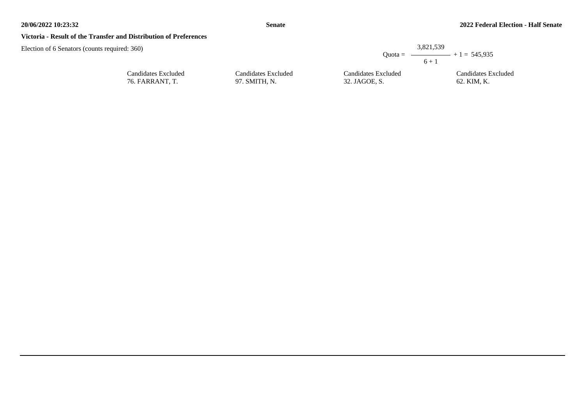### **Victoria - Result of the Transfer and Distribution of Preferences**

| d: 360)                                |                                      | $Quota =$                            | 3,821,539<br>$ +1 = 545.935$       |
|----------------------------------------|--------------------------------------|--------------------------------------|------------------------------------|
|                                        |                                      |                                      | $6 + 1$                            |
| Candidates Excluded<br>76. FARRANT, T. | Candidates Excluded<br>97. SMITH, N. | Candidates Excluded<br>32. JAGOE, S. | Candidates Excluded<br>62. KIM, K. |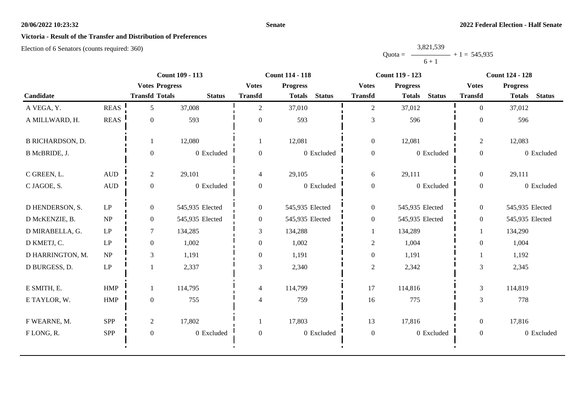### **Victoria - Result of the Transfer and Distribution of Preferences**

Election of 6 Senators (counts required: 360)

#### Quota = 3,821,539  $6 + 1$  $+ 1 = 545,935$

|                         |                                 | <b>Count 109 - 113</b> |                 |                  | <b>Count 114 - 118</b>         |                  | <b>Count 119 - 123</b>         | <b>Count 124 - 128</b> |                                |  |
|-------------------------|---------------------------------|------------------------|-----------------|------------------|--------------------------------|------------------|--------------------------------|------------------------|--------------------------------|--|
|                         |                                 | <b>Votes Progress</b>  |                 | <b>Votes</b>     | <b>Progress</b>                | <b>Votes</b>     | <b>Progress</b>                | <b>Votes</b>           | <b>Progress</b>                |  |
| Candidate               |                                 | <b>Transfd Totals</b>  | <b>Status</b>   | <b>Transfd</b>   | <b>Status</b><br><b>Totals</b> | <b>Transfd</b>   | <b>Status</b><br><b>Totals</b> | <b>Transfd</b>         | <b>Status</b><br><b>Totals</b> |  |
| A VEGA, Y.              | <b>REAS</b>                     | 5                      | 37,008          | 2                | 37,010                         | $\overline{2}$   | 37,012                         | $\theta$               | 37,012                         |  |
| A MILLWARD, H.          | <b>REAS</b>                     | $\Omega$               | 593             | $\overline{0}$   | 593                            | $\mathfrak{Z}$   | 596                            | $\overline{0}$         | 596                            |  |
| <b>B RICHARDSON, D.</b> |                                 |                        | 12,080          | -1               | 12,081                         | $\mathbf{0}$     | 12,081                         | $\sqrt{2}$             | 12,083                         |  |
| B McBRIDE, J.           |                                 | $\boldsymbol{0}$       | 0 Excluded      | $\boldsymbol{0}$ | 0 Excluded                     | $\boldsymbol{0}$ | 0 Excluded                     | $\overline{0}$         | 0 Excluded                     |  |
| C GREEN, L.             | $\mbox{\rm AUD}$                | $\overline{c}$         | 29,101          | $\overline{4}$   | 29,105                         | 6                | 29,111                         | $\overline{0}$         | 29,111                         |  |
| C JAGOE, S.             | $\mbox{\rm AUD}$                | $\boldsymbol{0}$       | 0 Excluded      | $\boldsymbol{0}$ | 0 Excluded                     | $\boldsymbol{0}$ | 0 Excluded                     | $\boldsymbol{0}$       | 0 Excluded                     |  |
| D HENDERSON, S.         | $\mathrm{L}\mathrm{P}$          | $\boldsymbol{0}$       | 545,935 Elected | $\boldsymbol{0}$ | 545,935 Elected                | $\boldsymbol{0}$ | 545,935 Elected                | $\boldsymbol{0}$       | 545,935 Elected                |  |
| D McKENZIE, B.          | NP                              | $\overline{0}$         | 545,935 Elected | $\boldsymbol{0}$ | 545,935 Elected                | $\boldsymbol{0}$ | 545,935 Elected                | $\overline{0}$         | 545,935 Elected                |  |
| D MIRABELLA, G.         | LP                              | $\tau$                 | 134,285         | 3                | 134,288                        | 1                | 134,289                        |                        | 134,290                        |  |
| D KMETJ, C.             | $\mathbf{L}\mathbf{P}$          | $\overline{0}$         | 1,002           | $\mathbf{0}$     | 1,002                          | $\sqrt{2}$       | 1,004                          | $\overline{0}$         | 1,004                          |  |
| D HARRINGTON, M.        | $\ensuremath{\text{NP}}\xspace$ | 3                      | 1,191           | $\boldsymbol{0}$ | 1,191                          | $\mathbf{0}$     | 1,191                          |                        | 1,192                          |  |
| D BURGESS, D.           | $\ensuremath{\mathrm{LP}}$      |                        | 2,337           | $\mathfrak{Z}$   | 2,340                          | $\sqrt{2}$       | 2,342                          | 3                      | 2,345                          |  |
| E SMITH, E.             | HMP                             |                        | 114,795         | $\overline{4}$   | 114,799                        | 17               | 114,816                        | 3                      | 114,819                        |  |
| E TAYLOR, W.            | HMP                             | $\boldsymbol{0}$       | 755             | $\overline{4}$   | 759                            | 16               | 775                            | 3                      | 778                            |  |
| F WEARNE, M.            | <b>SPP</b>                      | $\overline{c}$         | 17,802          |                  | 17,803                         | 13               | 17,816                         | $\overline{0}$         | 17,816                         |  |
| FLONG, R.               | SPP                             | $\boldsymbol{0}$       | 0 Excluded      | $\boldsymbol{0}$ | 0 Excluded                     | $\boldsymbol{0}$ | 0 Excluded                     | $\boldsymbol{0}$       | 0 Excluded                     |  |
|                         |                                 |                        |                 |                  |                                |                  |                                |                        |                                |  |

**Senate**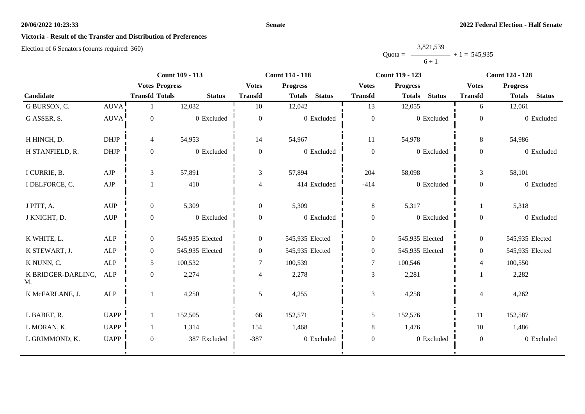#### **Senate**

# **Victoria - Result of the Transfer and Distribution of Preferences**

|           | 3,821,539 |                |
|-----------|-----------|----------------|
| $Quota =$ |           | $+1 = 545,935$ |
|           | $6 + 1$   |                |

|                          |                |                       | <b>Count 109 - 113</b> |                  | <b>Count 114 - 118</b>         |                  | <b>Count 119 - 123</b>         |                  | <b>Count 124 - 128</b>         |
|--------------------------|----------------|-----------------------|------------------------|------------------|--------------------------------|------------------|--------------------------------|------------------|--------------------------------|
|                          |                | <b>Votes Progress</b> |                        | <b>Votes</b>     | <b>Progress</b>                | <b>Votes</b>     | <b>Progress</b>                | <b>Votes</b>     | <b>Progress</b>                |
| Candidate                |                | <b>Transfd Totals</b> | <b>Status</b>          | <b>Transfd</b>   | <b>Status</b><br><b>Totals</b> | <b>Transfd</b>   | <b>Status</b><br><b>Totals</b> | <b>Transfd</b>   | <b>Status</b><br><b>Totals</b> |
| G BURSON, C.             | AUVA!          |                       | 12,032                 | 10               | 12,042                         | 13               | 12,055                         | 6                | 12,061                         |
| G ASSER, S.              | <b>AUVA</b>    | $\boldsymbol{0}$      | 0 Excluded             | $\boldsymbol{0}$ | 0 Excluded                     | $\boldsymbol{0}$ | 0 Excluded                     | $\overline{0}$   | 0 Excluded                     |
| H HINCH, D.              | <b>DHJP</b>    | $\overline{4}$        | 54,953                 | 14               | 54,967                         | 11               | 54,978                         | 8                | 54,986                         |
| H STANFIELD, R.          | $DHJP$         | $\mathbf{0}$          | 0 Excluded             | $\boldsymbol{0}$ | 0 Excluded                     | $\boldsymbol{0}$ | 0 Excluded                     | $\boldsymbol{0}$ | 0 Excluded                     |
| I CURRIE, B.             | AJP            | $\mathfrak{Z}$        | 57,891                 | 3                | 57,894                         | 204              | 58,098                         | 3                | 58,101                         |
| I DELFORCE, C.           | AJP            |                       | 410                    | 4                | 414 Excluded                   | $-414$           | 0 Excluded                     | $\boldsymbol{0}$ | 0 Excluded                     |
| J PITT, A.               | <b>AUP</b>     | $\mathbf{0}$          | 5,309                  | $\overline{0}$   | 5,309                          | 8                | 5,317                          | $\mathbf{1}$     | 5,318                          |
| J KNIGHT, D.             | $\mathbf{AUP}$ | $\boldsymbol{0}$      | 0 Excluded             | $\boldsymbol{0}$ | 0 Excluded                     | $\boldsymbol{0}$ | 0 Excluded                     | $\overline{0}$   | 0 Excluded                     |
| K WHITE, L.              | <b>ALP</b>     | $\overline{0}$        | 545,935 Elected        | $\overline{0}$   | 545,935 Elected                | $\boldsymbol{0}$ | 545,935 Elected                | $\overline{0}$   | 545,935 Elected                |
| K STEWART, J.            | ALP            | $\boldsymbol{0}$      | 545,935 Elected        | $\boldsymbol{0}$ | 545,935 Elected                | $\boldsymbol{0}$ | 545,935 Elected                | $\overline{0}$   | 545,935 Elected                |
| K NUNN, C.               | <b>ALP</b>     | 5                     | 100,532                | $\overline{7}$   | 100,539                        | $\tau$           | 100,546                        | 4                | 100,550                        |
| K BRIDGER-DARLING,<br>M. | <b>ALP</b>     | $\boldsymbol{0}$      | 2,274                  | 4                | 2,278                          | $\mathfrak{Z}$   | 2,281                          |                  | 2,282                          |
| K McFARLANE, J.          | <b>ALP</b>     | -1                    | 4,250                  | 5                | 4,255                          | $\mathfrak{Z}$   | 4,258                          | $\overline{4}$   | 4,262                          |
| L BABET, R.              | <b>UAPP</b>    | 1                     | 152,505                | 66               | 152,571                        | 5                | 152,576                        | 11               | 152,587                        |
| L MORAN, K.              | <b>UAPP</b>    | 1                     | 1,314                  | 154              | 1,468                          | $8\,$            | 1,476                          | 10               | 1,486                          |
| L GRIMMOND, K.           | <b>UAPP</b>    | $\boldsymbol{0}$      | 387 Excluded           | $-387$           | 0 Excluded                     | $\boldsymbol{0}$ | 0 Excluded                     | $\overline{0}$   | 0 Excluded                     |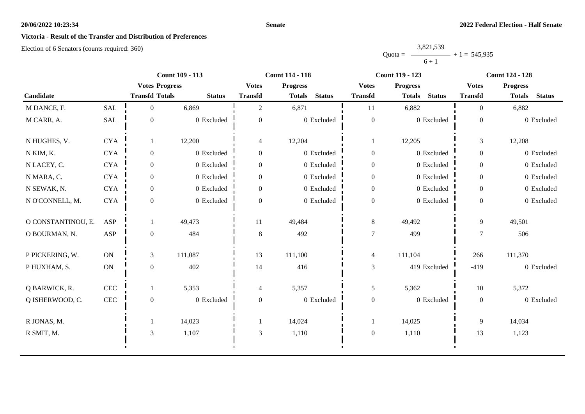#### **Senate**

# **Victoria - Result of the Transfer and Distribution of Preferences**

|           | 3,821,539 |                |
|-----------|-----------|----------------|
| $Quota =$ |           | $+1 = 545,935$ |
|           | $6 + 1$   |                |

|                    |              |                       | <b>Count 109 - 113</b> |                  | <b>Count 114 - 118</b>         |                  | <b>Count 119 - 123</b>         |                | <b>Count 124 - 128</b>         |
|--------------------|--------------|-----------------------|------------------------|------------------|--------------------------------|------------------|--------------------------------|----------------|--------------------------------|
|                    |              | <b>Votes Progress</b> |                        | <b>Votes</b>     | <b>Progress</b>                | <b>Votes</b>     | <b>Progress</b>                | <b>Votes</b>   | <b>Progress</b>                |
| Candidate          |              | <b>Transfd Totals</b> | <b>Status</b>          | <b>Transfd</b>   | <b>Status</b><br><b>Totals</b> | <b>Transfd</b>   | <b>Status</b><br><b>Totals</b> | <b>Transfd</b> | <b>Status</b><br><b>Totals</b> |
| M DANCE, F.        | <b>SAL</b>   | $\Omega$              | 6,869                  | $\overline{2}$   | 6,871                          | 11               | 6,882                          | $\Omega$       | 6,882                          |
| M CARR, A.         | SAL          | $\boldsymbol{0}$      | 0 Excluded             | $\overline{0}$   | 0 Excluded                     | $\boldsymbol{0}$ | 0 Excluded                     | $\overline{0}$ | 0 Excluded                     |
| N HUGHES, V.       | <b>CYA</b>   | 1                     | 12,200                 | $\overline{4}$   | 12,204                         | -1               | 12,205                         | 3              | 12,208                         |
| N KIM, K.          | $\rm CYA$    | $\boldsymbol{0}$      | 0 Excluded             | $\boldsymbol{0}$ | 0 Excluded                     | $\mathbf{0}$     | 0 Excluded                     | $\overline{0}$ | 0 Excluded                     |
| N LACEY, C.        | <b>CYA</b>   | $\overline{0}$        | 0 Excluded             | $\overline{0}$   | 0 Excluded                     | $\overline{0}$   | 0 Excluded                     | $\overline{0}$ | 0 Excluded                     |
| N MARA, C.         | $\rm CYA$    | $\overline{0}$        | $0$ Excluded           | $\boldsymbol{0}$ | 0 Excluded                     | $\boldsymbol{0}$ | 0 Excluded                     | $\overline{0}$ | 0 Excluded                     |
| N SEWAK, N.        | <b>CYA</b>   | $\overline{0}$        | 0 Excluded             | $\overline{0}$   | 0 Excluded                     | $\boldsymbol{0}$ | 0 Excluded                     | $\overline{0}$ | 0 Excluded                     |
| N O'CONNELL, M.    | <b>CYA</b>   | $\Omega$              | 0 Excluded             | $\Omega$         | 0 Excluded                     | $\boldsymbol{0}$ | 0 Excluded                     | $\theta$       | 0 Excluded                     |
| O CONSTANTINOU, E. | ASP          |                       | 49,473                 | 11               | 49,484                         | $8\,$            | 49,492                         | 9              | 49,501                         |
| O BOURMAN, N.      | <b>ASP</b>   | $\overline{0}$        | 484                    | 8                | 492                            | $\overline{7}$   | 499                            |                | 506                            |
| P PICKERING, W.    | <b>ON</b>    | 3                     | 111,087                | 13               | 111,100                        | $\overline{4}$   | 111,104                        | 266            | 111,370                        |
| P HUXHAM, S.       | ON           | $\overline{0}$        | 402                    | 14               | 416                            | $\mathfrak{Z}$   | 419 Excluded                   | $-419$         | 0 Excluded                     |
| Q BARWICK, R.      | CEC          | 1                     | 5,353                  | 4                | 5,357                          | 5                | 5,362                          | 10             | 5,372                          |
| Q ISHERWOOD, C.    | $\mbox{CEC}$ | $\boldsymbol{0}$      | 0 Excluded             | $\boldsymbol{0}$ | 0 Excluded                     | $\boldsymbol{0}$ | 0 Excluded                     | $\mathbf{0}$   | 0 Excluded                     |
| R JONAS, M.        |              |                       | 14,023                 |                  | 14,024                         | 1                | 14,025                         | 9              | 14,034                         |
| R SMIT, M.         |              | 3                     | 1,107                  | $\mathfrak{Z}$   | 1,110                          | $\boldsymbol{0}$ | 1,110                          | 13             | 1,123                          |
|                    |              |                       |                        |                  |                                |                  |                                |                |                                |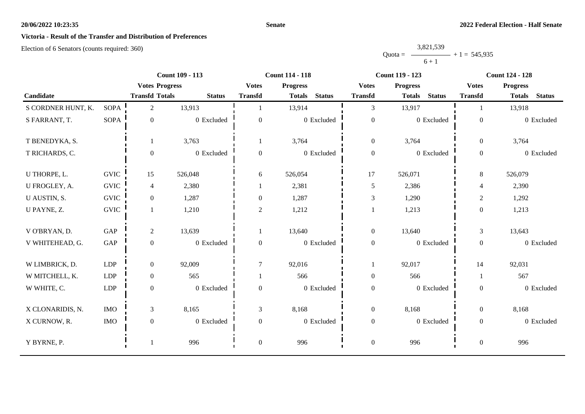#### **Senate**

# **Victoria - Result of the Transfer and Distribution of Preferences**

|           | 3,821,539 |                |
|-----------|-----------|----------------|
| $Quota =$ | __        | $+1 = 545.935$ |
|           | $6 + 1$   |                |

|                    |             |                       | Count 109 - 113 |                  | <b>Count 114 - 118</b>         |                  | <b>Count 119 - 123</b>         |                  | <b>Count 124 - 128</b>         |
|--------------------|-------------|-----------------------|-----------------|------------------|--------------------------------|------------------|--------------------------------|------------------|--------------------------------|
|                    |             | <b>Votes Progress</b> |                 | <b>Votes</b>     | <b>Progress</b>                | <b>Votes</b>     | <b>Progress</b>                | <b>Votes</b>     | <b>Progress</b>                |
| Candidate          |             | <b>Transfd Totals</b> | <b>Status</b>   | <b>Transfd</b>   | <b>Status</b><br><b>Totals</b> | <b>Transfd</b>   | <b>Status</b><br><b>Totals</b> | <b>Transfd</b>   | <b>Status</b><br><b>Totals</b> |
| S CORDNER HUNT, K. | SOPA        | $\overline{c}$        | 13,913          |                  | 13,914                         | 3                | 13,917                         |                  | 13,918                         |
| S FARRANT, T.      | <b>SOPA</b> | $\boldsymbol{0}$      | $0$ Excluded    | $\overline{0}$   | 0 Excluded                     | $\boldsymbol{0}$ | 0 Excluded                     | $\mathbf{0}$     | 0 Excluded                     |
| T BENEDYKA, S.     |             |                       | 3,763           |                  | 3,764                          | $\boldsymbol{0}$ | 3,764                          | $\overline{0}$   | 3,764                          |
| T RICHARDS, C.     |             | $\Omega$              | 0 Excluded      | $\theta$         | 0 Excluded                     | $\boldsymbol{0}$ | 0 Excluded                     | $\overline{0}$   | 0 Excluded                     |
| U THORPE, L.       | <b>GVIC</b> | 15                    | 526,048         | 6                | 526,054                        | 17               | 526,071                        | $\,8\,$          | 526,079                        |
| U FROGLEY, A.      | <b>GVIC</b> | 4                     | 2,380           |                  | 2,381                          | $\mathfrak{H}$   | 2,386                          | $\overline{4}$   | 2,390                          |
| U AUSTIN, S.       | <b>GVIC</b> | $\overline{0}$        | 1,287           | $\Omega$         | 1,287                          | $\mathfrak{Z}$   | 1,290                          | $\boldsymbol{2}$ | 1,292                          |
| U PAYNE, Z.        | <b>GVIC</b> | $\mathbf{1}$          | 1,210           | $\overline{2}$   | 1,212                          |                  | 1,213                          | $\mathbf{0}$     | 1,213                          |
| V O'BRYAN, D.      | <b>GAP</b>  | $\overline{2}$        | 13,639          |                  | 13,640                         | $\boldsymbol{0}$ | 13,640                         | $\mathfrak{Z}$   | 13,643                         |
| V WHITEHEAD, G.    | GAP         | $\mathbf{0}$          | 0 Excluded      | $\theta$         | 0 Excluded                     | $\boldsymbol{0}$ | 0 Excluded                     | $\overline{0}$   | 0 Excluded                     |
| W LIMBRICK, D.     | <b>LDP</b>  | $\overline{0}$        | 92,009          | 7                | 92,016                         | $\mathbf{1}$     | 92,017                         | 14               | 92,031                         |
| W MITCHELL, K.     | LDP         | $\overline{0}$        | 565             |                  | 566                            | $\boldsymbol{0}$ | 566                            |                  | 567                            |
| W WHITE, C.        | ${\rm LDP}$ | $\overline{0}$        | 0 Excluded      | $\theta$         | 0 Excluded                     | $\boldsymbol{0}$ | 0 Excluded                     | $\overline{0}$   | 0 Excluded                     |
| X CLONARIDIS, N.   | <b>IMO</b>  | $\overline{3}$        | 8,165           | 3                | 8,168                          | $\boldsymbol{0}$ | 8,168                          | $\overline{0}$   | 8,168                          |
| X CURNOW, R.       | <b>IMO</b>  | $\mathbf{0}$          | 0 Excluded      | $\overline{0}$   | 0 Excluded                     | $\boldsymbol{0}$ | 0 Excluded                     | $\overline{0}$   | 0 Excluded                     |
| Y BYRNE, P.        |             |                       | 996             | $\boldsymbol{0}$ | 996                            | $\boldsymbol{0}$ | 996                            | $\boldsymbol{0}$ | 996                            |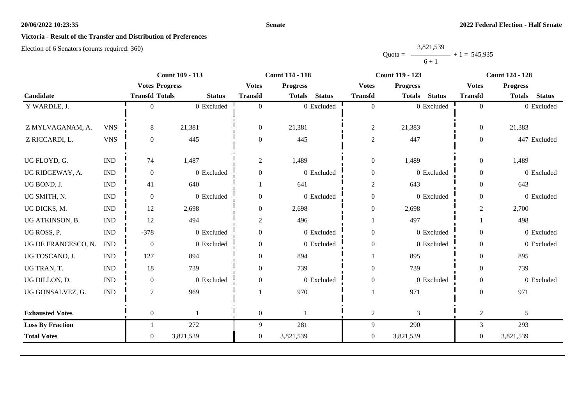#### **Senate**

# **Victoria - Result of the Transfer and Distribution of Preferences**

|           | 3,821,539      |  |
|-----------|----------------|--|
| $Quota =$ | $+1 = 545,935$ |  |
|           | $6 + 1$        |  |

|                         |                             |                       | <b>Count 109 - 113</b> |                  | <b>Count 114 - 118</b>         |                  | <b>Count 119 - 123</b>         |                  | <b>Count 124 - 128</b>         |
|-------------------------|-----------------------------|-----------------------|------------------------|------------------|--------------------------------|------------------|--------------------------------|------------------|--------------------------------|
|                         |                             | <b>Votes Progress</b> |                        | <b>Votes</b>     | <b>Progress</b>                | <b>Votes</b>     | <b>Progress</b>                | <b>Votes</b>     | <b>Progress</b>                |
| Candidate               |                             | <b>Transfd Totals</b> | <b>Status</b>          | <b>Transfd</b>   | <b>Status</b><br><b>Totals</b> | <b>Transfd</b>   | <b>Status</b><br><b>Totals</b> | <b>Transfd</b>   | <b>Status</b><br><b>Totals</b> |
| Y WARDLE, J.            |                             | $\Omega$              | 0 Excluded             | $\theta$         | 0 Excluded                     | $\overline{0}$   | 0 Excluded                     | $\overline{0}$   | 0 Excluded                     |
|                         |                             |                       |                        |                  |                                |                  |                                |                  |                                |
| Z MYLVAGANAM, A.        | <b>VNS</b>                  | 8                     | 21,381                 | $\boldsymbol{0}$ | 21,381                         | $\overline{c}$   | 21,383                         | $\boldsymbol{0}$ | 21,383                         |
| Z RICCARDI, L.          | <b>VNS</b>                  | $\mathbf{0}$          | 445                    | $\theta$         | 445                            | $\mathbf{2}$     | 447                            | $\overline{0}$   | 447 Excluded                   |
|                         |                             |                       |                        |                  |                                |                  |                                |                  |                                |
| UG FLOYD, G.            | $\mathop{\rm IND}\nolimits$ | 74                    | 1,487                  | $\overline{c}$   | 1,489                          | $\boldsymbol{0}$ | 1,489                          | $\mathbf{0}$     | 1,489                          |
| UG RIDGEWAY, A.         | <b>IND</b>                  | $\mathbf{0}$          | 0 Excluded             | $\overline{0}$   | 0 Excluded                     | $\boldsymbol{0}$ | 0 Excluded                     | $\overline{0}$   | 0 Excluded                     |
| UG BOND, J.             | $\mathop{\rm IND}\nolimits$ | 41                    | 640                    |                  | 641                            | $\overline{c}$   | 643                            | $\mathbf{0}$     | 643                            |
| UG SMITH, N.            | $\ensuremath{\text{IND}}$   | $\boldsymbol{0}$      | 0 Excluded             | $\overline{0}$   | 0 Excluded                     | $\boldsymbol{0}$ | 0 Excluded                     | $\boldsymbol{0}$ | 0 Excluded                     |
| UG DICKS, M.            | <b>IND</b>                  | 12                    | 2,698                  | $\theta$         | 2,698                          | $\boldsymbol{0}$ | 2,698                          | $\overline{2}$   | 2,700                          |
| UG ATKINSON, B.         | <b>IND</b>                  | 12                    | 494                    | $\overline{2}$   | 496                            |                  | 497                            |                  | 498                            |
| UG ROSS, P.             | $\ensuremath{\text{IND}}$   | $-378$                | 0 Excluded             | $\overline{0}$   | $0$ Excluded                   | $\boldsymbol{0}$ | 0 Excluded                     | $\mathbf{0}$     | 0 Excluded                     |
| UG DE FRANCESCO, N.     | <b>IND</b>                  | $\boldsymbol{0}$      | 0 Excluded             | $\boldsymbol{0}$ | 0 Excluded                     | $\boldsymbol{0}$ | 0 Excluded                     | $\overline{0}$   | 0 Excluded                     |
| UG TOSCANO, J.          | <b>IND</b>                  | 127                   | 894                    | $\Omega$         | 894                            |                  | 895                            | $\Omega$         | 895                            |
| UG TRAN, T.             | <b>IND</b>                  | 18                    | 739                    | $\Omega$         | 739                            | $\boldsymbol{0}$ | 739                            | $\overline{0}$   | 739                            |
| UG DILLON, D.           | <b>IND</b>                  | $\boldsymbol{0}$      | 0 Excluded             | $\overline{0}$   | 0 Excluded                     | $\boldsymbol{0}$ | 0 Excluded                     | $\boldsymbol{0}$ | 0 Excluded                     |
| UG GONSALVEZ, G.        | $\mathop{\rm IND}\nolimits$ | $\tau$                | 969                    |                  | 970                            |                  | 971                            | $\overline{0}$   | 971                            |
| <b>Exhausted Votes</b>  |                             | $\overline{0}$        |                        | $\boldsymbol{0}$ |                                | $\overline{c}$   | 3                              | $\overline{c}$   | 5                              |
| <b>Loss By Fraction</b> |                             |                       | 272                    | 9                | 281                            | 9                | 290                            | 3                | 293                            |
| <b>Total Votes</b>      |                             | $\overline{0}$        | 3,821,539              | $\boldsymbol{0}$ | 3,821,539                      | $\boldsymbol{0}$ | 3,821,539                      | $\boldsymbol{0}$ | 3,821,539                      |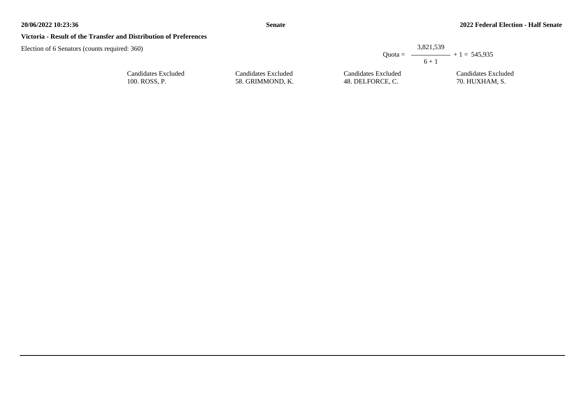#### **Victoria - Result of the Transfer and Distribution of Preferences**

| uired: 360)                          |                                         |                                         | 3,821,539                                          |
|--------------------------------------|-----------------------------------------|-----------------------------------------|----------------------------------------------------|
|                                      |                                         |                                         | Quota = $\longrightarrow$ + 1 = 545,935<br>$6 + 1$ |
| Candidates Excluded<br>100. ROSS, P. | Candidates Excluded<br>58. GRIMMOND. K. | Candidates Excluded<br>48. DELFORCE, C. | Candidates Excluded<br>70. HUXHAM, S.              |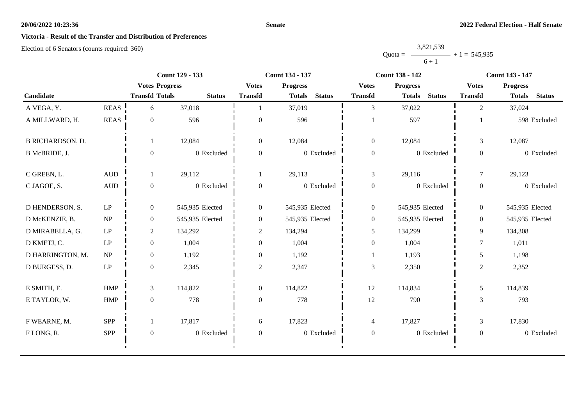#### **Senate**

# **Victoria - Result of the Transfer and Distribution of Preferences**

|           | 3,821,539 |                |
|-----------|-----------|----------------|
| $Quota =$ |           | $+1 = 545,935$ |
|           | $6 + 1$   |                |

|                         |                     | <b>Count 129 - 133</b> |                 | <b>Count 134 - 137</b> |                                | <b>Count 138 - 142</b> |                                | <b>Count 143 - 147</b> |                                |
|-------------------------|---------------------|------------------------|-----------------|------------------------|--------------------------------|------------------------|--------------------------------|------------------------|--------------------------------|
|                         |                     | <b>Votes Progress</b>  |                 | <b>Votes</b>           | <b>Progress</b>                | <b>Votes</b>           | <b>Progress</b>                | <b>Votes</b>           | <b>Progress</b>                |
| Candidate               |                     | <b>Transfd Totals</b>  | <b>Status</b>   | <b>Transfd</b>         | <b>Status</b><br><b>Totals</b> | <b>Transfd</b>         | <b>Status</b><br><b>Totals</b> | <b>Transfd</b>         | <b>Status</b><br><b>Totals</b> |
| A VEGA, Y.              | <b>REAS</b>         | 6                      | 37,018          |                        | 37,019                         | $\mathfrak{Z}$         | 37,022                         | 2                      | 37,024                         |
| A MILLWARD, H.          | <b>REAS</b>         | $\overline{0}$         | 596             | $\boldsymbol{0}$       | 596                            |                        | 597                            |                        | 598 Excluded                   |
| <b>B RICHARDSON, D.</b> |                     |                        | 12,084          | $\mathbf{0}$           | 12,084                         | $\boldsymbol{0}$       | 12,084                         | $\mathfrak{Z}$         | 12,087                         |
| B McBRIDE, J.           |                     | $\theta$               | 0 Excluded      | $\overline{0}$         | 0 Excluded                     | $\boldsymbol{0}$       | 0 Excluded                     | $\overline{0}$         | 0 Excluded                     |
| C GREEN, L.             | <b>AUD</b>          |                        | 29,112          |                        | 29,113                         | $\mathfrak{Z}$         | 29,116                         | $\tau$                 | 29,123                         |
| C JAGOE, S.             | $\mbox{AUD}$        | $\overline{0}$         | 0 Excluded      | $\boldsymbol{0}$       | 0 Excluded                     | $\boldsymbol{0}$       | 0 Excluded                     | $\overline{0}$         | 0 Excluded                     |
| D HENDERSON, S.         | LP                  | $\overline{0}$         | 545,935 Elected | $\boldsymbol{0}$       | 545,935 Elected                | $\overline{0}$         | 545,935 Elected                | $\overline{0}$         | 545,935 Elected                |
| D McKENZIE, B.          | NP                  | $\overline{0}$         | 545,935 Elected | $\overline{0}$         | 545,935 Elected                | $\overline{0}$         | 545,935 Elected                | $\overline{0}$         | 545,935 Elected                |
| D MIRABELLA, G.         | LP                  | $\overline{c}$         | 134,292         | $\overline{c}$         | 134,294                        | $\mathfrak{S}$         | 134,299                        | 9                      | 134,308                        |
| D KMETJ, C.             | LP                  | $\overline{0}$         | 1,004           | $\boldsymbol{0}$       | 1,004                          | $\boldsymbol{0}$       | 1,004                          | $\tau$                 | 1,011                          |
| D HARRINGTON, M.        | NP                  | $\overline{0}$         | 1,192           | $\overline{0}$         | 1,192                          |                        | 1,193                          | 5                      | 1,198                          |
| D BURGESS, D.           | $\operatorname{LP}$ | $\overline{0}$         | 2,345           | $\mathbf{2}$           | 2,347                          | $\mathfrak{Z}$         | 2,350                          | $\mathbf{2}$           | 2,352                          |
| E SMITH, E.             | <b>HMP</b>          | 3                      | 114,822         | $\overline{0}$         | 114,822                        | 12                     | 114,834                        | 5                      | 114,839                        |
| E TAYLOR, W.            | <b>HMP</b>          | $\overline{0}$         | 778             | $\boldsymbol{0}$       | 778                            | 12                     | 790                            | 3                      | 793                            |
| F WEARNE, M.            | SPP                 |                        | 17,817          | 6                      | 17,823                         | $\overline{4}$         | 17,827                         | $\mathfrak{Z}$         | 17,830                         |
| FLONG, R.               | <b>SPP</b>          | $\mathbf{0}$           | 0 Excluded      | $\overline{0}$         | 0 Excluded                     | $\boldsymbol{0}$       | 0 Excluded                     | $\overline{0}$         | 0 Excluded                     |
|                         |                     |                        |                 |                        |                                |                        |                                |                        |                                |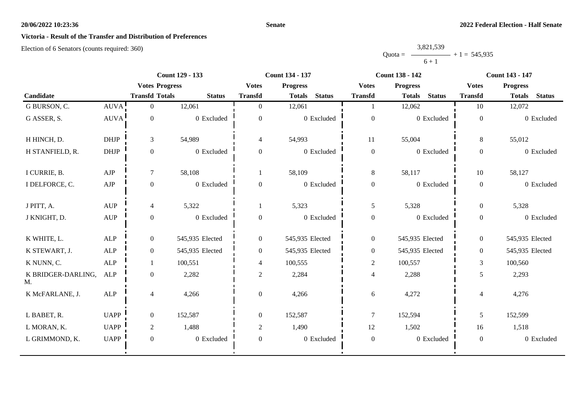#### **Senate**

# **Victoria - Result of the Transfer and Distribution of Preferences**

|           | 3,821,539 |                |
|-----------|-----------|----------------|
| $Quota =$ |           | $+1 = 545,935$ |
|           | $6 + 1$   |                |

|                          |                | <b>Count 129 - 133</b> |                       | <b>Count 134 - 137</b> |                                |                  | <b>Count 138 - 142</b>         | <b>Count 143 - 147</b> |                                |
|--------------------------|----------------|------------------------|-----------------------|------------------------|--------------------------------|------------------|--------------------------------|------------------------|--------------------------------|
|                          |                |                        | <b>Votes Progress</b> | <b>Votes</b>           | <b>Progress</b>                | <b>Votes</b>     | <b>Progress</b>                | <b>Votes</b>           | <b>Progress</b>                |
| Candidate                |                | <b>Transfd Totals</b>  | <b>Status</b>         | <b>Transfd</b>         | <b>Status</b><br><b>Totals</b> | <b>Transfd</b>   | <b>Status</b><br><b>Totals</b> | <b>Transfd</b>         | <b>Status</b><br><b>Totals</b> |
| G BURSON, C.             | AUVA!          | $\overline{0}$         | 12,061                | $\Omega$               | 12,061                         |                  | 12,062                         | 10                     | 12,072                         |
| G ASSER, S.              | <b>AUVA</b>    | $\boldsymbol{0}$       | 0 Excluded            | $\boldsymbol{0}$       | $0$ Excluded                   | $\boldsymbol{0}$ | 0 Excluded                     | $\overline{0}$         | 0 Excluded                     |
| H HINCH, D.              | <b>DHJP</b>    | $\mathfrak{Z}$         | 54,989                | 4                      | 54,993                         | 11               | 55,004                         | 8                      | 55,012                         |
| H STANFIELD, R.          | $DHJP$         | $\boldsymbol{0}$       | 0 Excluded            | $\boldsymbol{0}$       | 0 Excluded                     | $\boldsymbol{0}$ | 0 Excluded                     | $\overline{0}$         | 0 Excluded                     |
| I CURRIE, B.             | AJP            | $\tau$                 | 58,108                |                        | 58,109                         | $\,8\,$          | 58,117                         | 10                     | 58,127                         |
| I DELFORCE, C.           | AJP            | $\boldsymbol{0}$       | 0 Excluded            | $\boldsymbol{0}$       | 0 Excluded                     | $\boldsymbol{0}$ | 0 Excluded                     | $\boldsymbol{0}$       | 0 Excluded                     |
| J PITT, A.               | <b>AUP</b>     | $\overline{4}$         | 5,322                 |                        | 5,323                          | 5                | 5,328                          | $\overline{0}$         | 5,328                          |
| J KNIGHT, D.             | $\mathbf{AUP}$ | $\boldsymbol{0}$       | 0 Excluded            | $\boldsymbol{0}$       | 0 Excluded                     | $\boldsymbol{0}$ | 0 Excluded                     | $\overline{0}$         | 0 Excluded                     |
| K WHITE, L.              | <b>ALP</b>     | $\overline{0}$         | 545,935 Elected       | $\overline{0}$         | 545,935 Elected                | $\boldsymbol{0}$ | 545,935 Elected                | $\overline{0}$         | 545,935 Elected                |
| K STEWART, J.            | ALP            | $\overline{0}$         | 545,935 Elected       | $\overline{0}$         | 545,935 Elected                | $\boldsymbol{0}$ | 545,935 Elected                | $\overline{0}$         | 545,935 Elected                |
| K NUNN, C.               | <b>ALP</b>     | 1                      | 100,551               | 4                      | 100,555                        | $\overline{2}$   | 100,557                        | 3                      | 100,560                        |
| K BRIDGER-DARLING,<br>M. | <b>ALP</b>     | $\boldsymbol{0}$       | 2,282                 | $\overline{c}$         | 2,284                          | $\overline{4}$   | 2,288                          | 5                      | 2,293                          |
| K McFARLANE, J.          | <b>ALP</b>     | $\overline{4}$         | 4,266                 | $\boldsymbol{0}$       | 4,266                          | 6                | 4,272                          | $\overline{4}$         | 4,276                          |
| L BABET, R.              | <b>UAPP</b>    | $\mathbf{0}$           | 152,587               | $\boldsymbol{0}$       | 152,587                        | $\tau$           | 152,594                        | 5                      | 152,599                        |
| L MORAN, K.              | <b>UAPP</b>    | $\overline{2}$         | 1,488                 | $\overline{2}$         | 1,490                          | 12               | 1,502                          | 16                     | 1,518                          |
| L GRIMMOND, K.           | <b>UAPP</b>    | $\boldsymbol{0}$       | 0 Excluded            | $\boldsymbol{0}$       | 0 Excluded                     | $\boldsymbol{0}$ | 0 Excluded                     | $\overline{0}$         | 0 Excluded                     |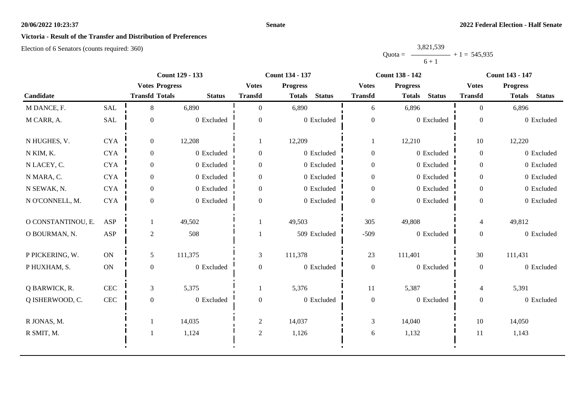#### **Senate**

# **Victoria - Result of the Transfer and Distribution of Preferences**

|           | 3,821,539 |                |
|-----------|-----------|----------------|
| $Quota =$ |           | $+1 = 545,935$ |
|           | $6 + 1$   |                |

|                    |               | <b>Count 129 - 133</b> |               |                  | <b>Count 134 - 137</b>         |                  | <b>Count 138 - 142</b>         | <b>Count 143 - 147</b> |                                |
|--------------------|---------------|------------------------|---------------|------------------|--------------------------------|------------------|--------------------------------|------------------------|--------------------------------|
|                    |               | <b>Votes Progress</b>  |               | <b>Votes</b>     | <b>Progress</b>                | <b>Votes</b>     | <b>Progress</b>                | <b>Votes</b>           | <b>Progress</b>                |
| Candidate          |               | <b>Transfd Totals</b>  | <b>Status</b> | <b>Transfd</b>   | <b>Status</b><br><b>Totals</b> | <b>Transfd</b>   | <b>Status</b><br><b>Totals</b> | <b>Transfd</b>         | <b>Status</b><br><b>Totals</b> |
| M DANCE, F.        | <b>SAL</b>    | 8                      | 6,890         | $\Omega$         | 6,890                          | 6                | 6,896                          | $\theta$               | 6,896                          |
| M CARR, A.         | SAL           | $\boldsymbol{0}$       | 0 Excluded    | $\boldsymbol{0}$ | 0 Excluded                     | $\boldsymbol{0}$ | 0 Excluded                     | $\boldsymbol{0}$       | 0 Excluded                     |
| N HUGHES, V.       | <b>CYA</b>    | $\overline{0}$         | 12,208        |                  | 12,209                         |                  | 12,210                         | 10                     | 12,220                         |
| N KIM, K.          | <b>CYA</b>    | $\overline{0}$         | 0 Excluded    | $\boldsymbol{0}$ | $0$ Excluded                   | $\mathbf{0}$     | 0 Excluded                     | $\overline{0}$         | 0 Excluded                     |
| N LACEY, C.        | <b>CYA</b>    | $\overline{0}$         | $0$ Excluded  | $\boldsymbol{0}$ | 0 Excluded                     | $\boldsymbol{0}$ | 0 Excluded                     | $\overline{0}$         | 0 Excluded                     |
| N MARA, C.         | <b>CYA</b>    | $\overline{0}$         | 0 Excluded    | $\boldsymbol{0}$ | 0 Excluded                     | $\boldsymbol{0}$ | 0 Excluded                     | $\overline{0}$         | 0 Excluded                     |
| N SEWAK, N.        | <b>CYA</b>    | $\overline{0}$         | 0 Excluded    | $\Omega$         | 0 Excluded                     | $\mathbf{0}$     | 0 Excluded                     | $\overline{0}$         | 0 Excluded                     |
| N O'CONNELL, M.    | <b>CYA</b>    | $\overline{0}$         | 0 Excluded    | $\Omega$         | 0 Excluded                     | $\boldsymbol{0}$ | 0 Excluded                     | $\mathbf{0}$           | 0 Excluded                     |
| O CONSTANTINOU, E. | <b>ASP</b>    |                        | 49,502        |                  | 49,503                         | 305              | 49,808                         | $\overline{4}$         | 49,812                         |
| O BOURMAN, N.      | <b>ASP</b>    | $\overline{c}$         | 508           |                  | 509 Excluded                   | $-509$           | 0 Excluded                     | $\overline{0}$         | 0 Excluded                     |
| P PICKERING, W.    | $\mathbf{ON}$ | 5                      | 111,375       | 3                | 111,378                        | 23               | 111,401                        | 30                     | 111,431                        |
| PHUXHAM, S.        | $\mathbf{ON}$ | $\overline{0}$         | 0 Excluded    | $\overline{0}$   | 0 Excluded                     | $\boldsymbol{0}$ | 0 Excluded                     | $\overline{0}$         | 0 Excluded                     |
| Q BARWICK, R.      | <b>CEC</b>    | 3                      | 5,375         |                  | 5,376                          | 11               | 5,387                          | $\overline{4}$         | 5,391                          |
| Q ISHERWOOD, C.    | $\mbox{CEC}$  | $\mathbf{0}$           | $0$ Excluded  | $\boldsymbol{0}$ | 0 Excluded                     | $\boldsymbol{0}$ | 0 Excluded                     | $\overline{0}$         | 0 Excluded                     |
| R JONAS, M.        |               |                        | 14,035        | $\sqrt{2}$       | 14,037                         | 3                | 14,040                         | 10                     | 14,050                         |
| R SMIT, M.         |               | $\overline{1}$         | 1,124         | $\overline{c}$   | 1,126                          | 6                | 1,132                          | 11                     | 1,143                          |
|                    |               |                        |               |                  |                                |                  |                                |                        |                                |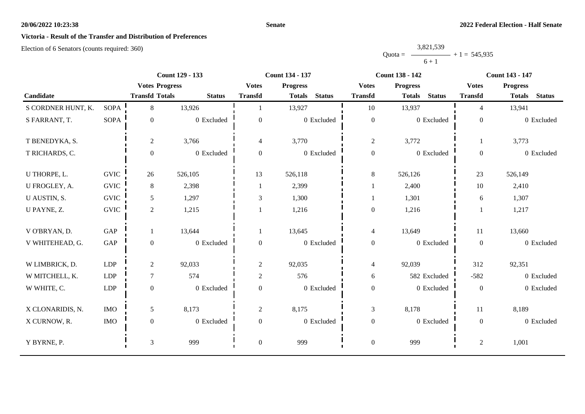#### **Senate**

# **Victoria - Result of the Transfer and Distribution of Preferences**

|           | 3,821,539 |                |
|-----------|-----------|----------------|
| $Quota =$ |           | $+1 = 545,935$ |
|           | $6 + 1$   |                |

|                    |             | Count 129 - 133       |               |                  | Count 134 - 137                |                  | <b>Count 138 - 142</b>         | <b>Count 143 - 147</b> |                                |
|--------------------|-------------|-----------------------|---------------|------------------|--------------------------------|------------------|--------------------------------|------------------------|--------------------------------|
|                    |             | <b>Votes Progress</b> |               | <b>Votes</b>     | <b>Progress</b>                | <b>Votes</b>     | <b>Progress</b>                | <b>Votes</b>           | <b>Progress</b>                |
| Candidate          |             | <b>Transfd Totals</b> | <b>Status</b> | <b>Transfd</b>   | <b>Status</b><br><b>Totals</b> | <b>Transfd</b>   | <b>Status</b><br><b>Totals</b> | <b>Transfd</b>         | <b>Status</b><br><b>Totals</b> |
| S CORDNER HUNT, K. | <b>SOPA</b> | 8                     | 13,926        |                  | 13,927                         | 10               | 13,937                         | $\overline{4}$         | 13,941                         |
| S FARRANT, T.      | <b>SOPA</b> | $\mathbf{0}$          | $0$ Excluded  | $\overline{0}$   | 0 Excluded                     | $\boldsymbol{0}$ | 0 Excluded                     | $\mathbf{0}$           | 0 Excluded                     |
| T BENEDYKA, S.     |             | $\overline{c}$        | 3,766         | 4                | 3,770                          | $\overline{c}$   | 3,772                          | 1                      | 3,773                          |
| T RICHARDS, C.     |             | $\mathbf{0}$          | 0 Excluded    | $\overline{0}$   | 0 Excluded                     | $\boldsymbol{0}$ | 0 Excluded                     | $\overline{0}$         | 0 Excluded                     |
| U THORPE, L.       | <b>GVIC</b> | 26                    | 526,105       | 13               | 526,118                        | $8\,$            | 526,126                        | 23                     | 526,149                        |
| U FROGLEY, A.      | <b>GVIC</b> | 8                     | 2,398         |                  | 2,399                          | 1                | 2,400                          | 10                     | 2,410                          |
| U AUSTIN, S.       | <b>GVIC</b> | 5                     | 1,297         | 3                | 1,300                          |                  | 1,301                          | 6                      | 1,307                          |
| U PAYNE, Z.        | <b>GVIC</b> | $\overline{2}$        | 1,215         |                  | 1,216                          | $\boldsymbol{0}$ | 1,216                          |                        | 1,217                          |
| V O'BRYAN, D.      | GAP         | 1                     | 13,644        |                  | 13,645                         | $\overline{4}$   | 13,649                         | 11                     | 13,660                         |
| V WHITEHEAD, G.    | GAP         | $\overline{0}$        | 0 Excluded    | $\overline{0}$   | 0 Excluded                     | $\boldsymbol{0}$ | 0 Excluded                     | $\overline{0}$         | 0 Excluded                     |
| W LIMBRICK, D.     | LDP         | $\overline{2}$        | 92,033        | $\overline{2}$   | 92,035                         | $\overline{4}$   | 92,039                         | 312                    | 92,351                         |
| W MITCHELL, K.     | <b>LDP</b>  | $\tau$                | 574           | $\overline{2}$   | 576                            | 6                | 582 Excluded                   | $-582$                 | 0 Excluded                     |
| W WHITE, C.        | <b>LDP</b>  | $\overline{0}$        | 0 Excluded    | $\overline{0}$   | 0 Excluded                     | $\boldsymbol{0}$ | 0 Excluded                     | $\overline{0}$         | 0 Excluded                     |
| X CLONARIDIS, N.   | <b>IMO</b>  | 5                     | 8,173         | $\overline{2}$   | 8,175                          | $\mathfrak{Z}$   | 8,178                          | $11\,$                 | 8,189                          |
| X CURNOW, R.       | <b>IMO</b>  | $\mathbf{0}$          | 0 Excluded    | $\boldsymbol{0}$ | 0 Excluded                     | $\boldsymbol{0}$ | 0 Excluded                     | $\mathbf{0}$           | 0 Excluded                     |
| Y BYRNE, P.        |             | 3                     | 999           | $\overline{0}$   | 999                            | $\boldsymbol{0}$ | 999                            | $\sqrt{2}$             | 1,001                          |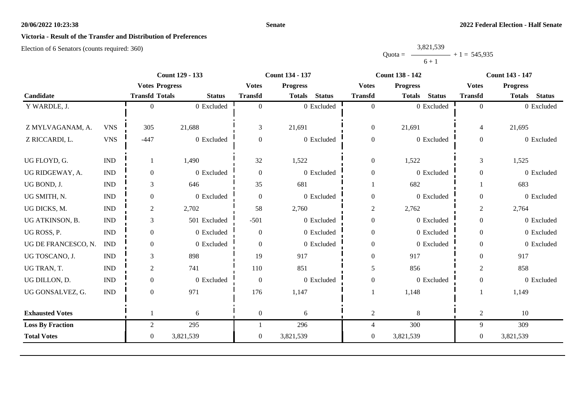#### **Senate**

# **Victoria - Result of the Transfer and Distribution of Preferences**

|           | 3,821,539 |                |
|-----------|-----------|----------------|
| $Quota =$ |           | $+1 = 545,935$ |
|           | $6 + 1$   |                |

|                         |                             | <b>Count 129 - 133</b> |               | <b>Count 134 - 137</b>          |                                |                  | <b>Count 138 - 142</b>         | <b>Count 143 - 147</b> |                                |
|-------------------------|-----------------------------|------------------------|---------------|---------------------------------|--------------------------------|------------------|--------------------------------|------------------------|--------------------------------|
|                         |                             | <b>Votes Progress</b>  |               | <b>Votes</b><br><b>Progress</b> |                                | <b>Votes</b>     | <b>Progress</b>                |                        | <b>Progress</b>                |
| Candidate               |                             | <b>Transfd Totals</b>  | <b>Status</b> | <b>Transfd</b>                  | <b>Status</b><br><b>Totals</b> | <b>Transfd</b>   | <b>Status</b><br><b>Totals</b> | <b>Transfd</b>         | <b>Status</b><br><b>Totals</b> |
| Y WARDLE, J.            |                             | $\Omega$               | 0 Excluded    | $\Omega$                        | $0$ Excluded                   | $\overline{0}$   | 0 Excluded                     | $\Omega$               | 0 Excluded                     |
|                         |                             |                        |               |                                 |                                |                  |                                |                        |                                |
| Z MYLVAGANAM, A.        | <b>VNS</b>                  | 305                    | 21,688        | 3                               | 21,691                         | $\boldsymbol{0}$ | 21,691                         | $\overline{4}$         | 21,695                         |
| Z RICCARDI, L.          | <b>VNS</b>                  | $-447$                 | 0 Excluded    | $\Omega$                        | 0 Excluded                     | $\boldsymbol{0}$ | 0 Excluded                     | $\overline{0}$         | 0 Excluded                     |
|                         |                             |                        |               |                                 |                                |                  |                                |                        |                                |
| UG FLOYD, G.            | $\mathop{\rm IND}\nolimits$ |                        | 1,490         | 32                              | 1,522                          | $\boldsymbol{0}$ | 1,522                          | $\mathfrak{Z}$         | 1,525                          |
| UG RIDGEWAY, A.         | <b>IND</b>                  | $\overline{0}$         | 0 Excluded    | $\Omega$                        | 0 Excluded                     | $\boldsymbol{0}$ | 0 Excluded                     | $\overline{0}$         | 0 Excluded                     |
| UG BOND, J.             | <b>IND</b>                  | 3                      | 646           | 35                              | 681                            |                  | 682                            |                        | 683                            |
| UG SMITH, N.            | <b>IND</b>                  | $\mathbf{0}$           | 0 Excluded    | $\overline{0}$                  | 0 Excluded                     | $\boldsymbol{0}$ | 0 Excluded                     | $\overline{0}$         | 0 Excluded                     |
| UG DICKS, M.            | <b>IND</b>                  | $\overline{2}$         | 2,702         | 58                              | 2,760                          | $\mathfrak{2}$   | 2,762                          | 2                      | 2,764                          |
| UG ATKINSON, B.         | <b>IND</b>                  | 3                      | 501 Excluded  | $-501$                          | 0 Excluded                     | $\boldsymbol{0}$ | 0 Excluded                     | $\overline{0}$         | 0 Excluded                     |
| UG ROSS, P.             | <b>IND</b>                  | $\overline{0}$         | 0 Excluded    | $\theta$                        | 0 Excluded                     | $\boldsymbol{0}$ | 0 Excluded                     | $\Omega$               | 0 Excluded                     |
| UG DE FRANCESCO, N.     | <b>IND</b>                  | $\overline{0}$         | 0 Excluded    | $\Omega$                        | 0 Excluded                     | $\boldsymbol{0}$ | 0 Excluded                     | $\overline{0}$         | 0 Excluded                     |
| UG TOSCANO, J.          | <b>IND</b>                  | 3                      | 898           | 19                              | 917                            | $\boldsymbol{0}$ | 917                            | $\Omega$               | 917                            |
| UG TRAN, T.             | <b>IND</b>                  | $\overline{2}$         | 741           | 110                             | 851                            | 5                | 856                            | $\overline{2}$         | 858                            |
| UG DILLON, D.           | <b>IND</b>                  | $\overline{0}$         | 0 Excluded    | $\overline{0}$                  | 0 Excluded                     | $\boldsymbol{0}$ | 0 Excluded                     | $\boldsymbol{0}$       | 0 Excluded                     |
| UG GONSALVEZ, G.        | <b>IND</b>                  | $\overline{0}$         | 971           | 176                             | 1,147                          |                  | 1,148                          |                        | 1,149                          |
|                         |                             |                        |               |                                 |                                |                  |                                |                        |                                |
| <b>Exhausted Votes</b>  |                             |                        | 6             | $\overline{0}$                  | 6                              | $\overline{c}$   | 8                              | $\overline{c}$         | 10                             |
| <b>Loss By Fraction</b> |                             | $\overline{2}$         | 295           |                                 | 296                            | $\overline{4}$   | 300                            | 9                      | 309                            |
| <b>Total Votes</b>      |                             | $\overline{0}$         | 3,821,539     | $\overline{0}$                  | 3,821,539                      | $\overline{0}$   | 3,821,539                      | $\overline{0}$         | 3,821,539                      |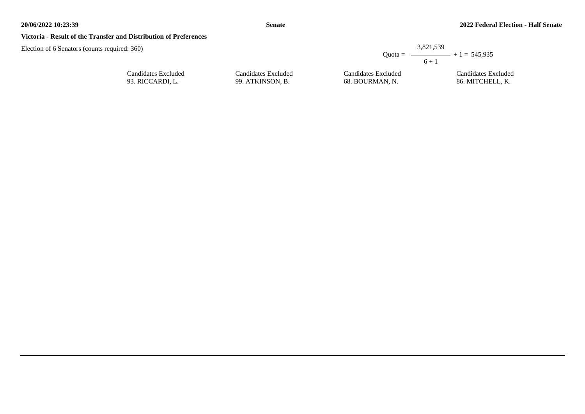#### **Victoria - Result of the Transfer and Distribution of Preferences**

| ired: 360)                              |                                         |                                        | 3.821.539<br>Quota = $\longrightarrow$ + 1 = 545,935 |
|-----------------------------------------|-----------------------------------------|----------------------------------------|------------------------------------------------------|
| Candidates Excluded<br>93. RICCARDI, L. | Candidates Excluded<br>99. ATKINSON, B. | Candidates Excluded<br>68. BOURMAN, N. | $6 + 1$<br>Candidates Excluded<br>86. MITCHELL, K.   |
|                                         |                                         |                                        |                                                      |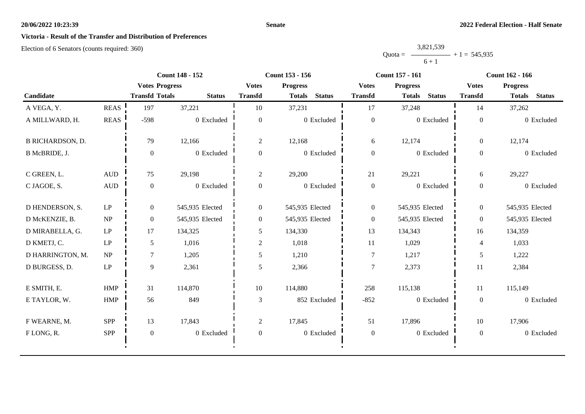#### **Senate**

# **Victoria - Result of the Transfer and Distribution of Preferences**

|           | 3,821,539 |                |
|-----------|-----------|----------------|
| $Quota =$ |           | $+1 = 545,935$ |
|           | $6 + 1$   |                |

|                         |                                 | <b>Count 148 - 152</b> |                 |                  | <b>Count 153 - 156</b>          |                  | Count 157 - 161                 | <b>Count 162 - 166</b> |                                |
|-------------------------|---------------------------------|------------------------|-----------------|------------------|---------------------------------|------------------|---------------------------------|------------------------|--------------------------------|
|                         |                                 | <b>Votes Progress</b>  |                 |                  | <b>Votes</b><br><b>Progress</b> |                  | <b>Progress</b><br><b>Votes</b> |                        | <b>Progress</b>                |
| Candidate               |                                 | <b>Transfd Totals</b>  | <b>Status</b>   | <b>Transfd</b>   | <b>Status</b><br><b>Totals</b>  | <b>Transfd</b>   | <b>Status</b><br><b>Totals</b>  | <b>Transfd</b>         | <b>Status</b><br><b>Totals</b> |
| A VEGA, Y.              | <b>REAS</b>                     | 197                    | 37,221          | 10               | 37,231                          | 17               | 37,248                          | 14                     | 37,262                         |
| A MILLWARD, H.          | <b>REAS</b>                     | $-598$                 | 0 Excluded      | $\overline{0}$   | 0 Excluded                      | $\boldsymbol{0}$ | 0 Excluded                      | $\mathbf{0}$           | 0 Excluded                     |
| <b>B RICHARDSON, D.</b> |                                 | 79                     | 12,166          | $\overline{2}$   | 12,168                          | 6                | 12,174                          | $\overline{0}$         | 12,174                         |
| B McBRIDE, J.           |                                 | $\mathbf{0}$           | 0 Excluded      | $\mathbf{0}$     | 0 Excluded                      | $\boldsymbol{0}$ | 0 Excluded                      | $\boldsymbol{0}$       | 0 Excluded                     |
| C GREEN, L.             | $\mbox{\rm AUD}$                | 75                     | 29,198          | $\overline{2}$   | 29,200                          | 21               | 29,221                          | 6                      | 29,227                         |
| C JAGOE, S.             | <b>AUD</b>                      | $\overline{0}$         | 0 Excluded      | $\overline{0}$   | 0 Excluded                      | $\boldsymbol{0}$ | 0 Excluded                      | $\overline{0}$         | 0 Excluded                     |
| D HENDERSON, S.         | $\operatorname{LP}$             | $\overline{0}$         | 545,935 Elected | $\overline{0}$   | 545,935 Elected                 | $\boldsymbol{0}$ | 545,935 Elected                 | $\overline{0}$         | 545,935 Elected                |
| D McKENZIE, B.          | $\ensuremath{\text{NP}}\xspace$ | $\overline{0}$         | 545,935 Elected | $\boldsymbol{0}$ | 545,935 Elected                 | $\overline{0}$   | 545,935 Elected                 | $\overline{0}$         | 545,935 Elected                |
| D MIRABELLA, G.         | LP                              | 17                     | 134,325         | 5                | 134,330                         | 13               | 134,343                         | 16                     | 134,359                        |
| D KMETJ, C.             | LP                              | 5                      | 1,016           | $\overline{2}$   | 1,018                           | 11               | 1,029                           | 4                      | 1,033                          |
| D HARRINGTON, M.        | $\ensuremath{\text{NP}}\xspace$ | $\tau$                 | 1,205           | 5                | 1,210                           | $\boldsymbol{7}$ | 1,217                           | 5                      | 1,222                          |
| D BURGESS, D.           | $\mathrm{L}\mathrm{P}$          | 9                      | 2,361           | 5                | 2,366                           | 7                | 2,373                           | 11                     | 2,384                          |
| E SMITH, E.             | <b>HMP</b>                      | 31                     | 114,870         | 10               | 114,880                         | 258              | 115,138                         | 11                     | 115,149                        |
| E TAYLOR, W.            | HMP                             | 56                     | 849             | 3                | 852 Excluded                    | $-852$           | 0 Excluded                      | $\overline{0}$         | 0 Excluded                     |
| F WEARNE, M.            | <b>SPP</b>                      | 13                     | 17,843          | 2                | 17,845                          | 51               | 17,896                          | 10                     | 17,906                         |
| FLONG, R.               | SPP                             | $\boldsymbol{0}$       | 0 Excluded      | $\overline{0}$   | 0 Excluded                      | $\boldsymbol{0}$ | 0 Excluded                      | $\overline{0}$         | 0 Excluded                     |
|                         |                                 |                        |                 |                  |                                 |                  |                                 |                        |                                |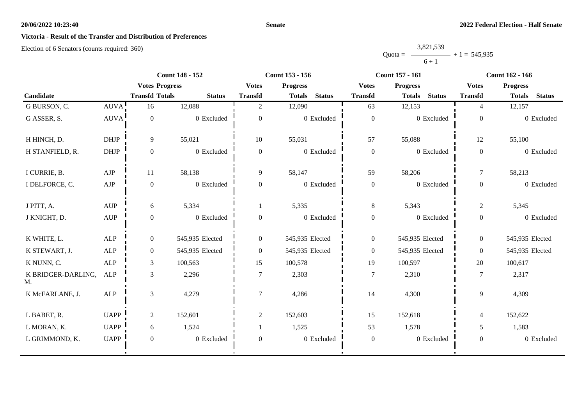#### **Senate**

# **Victoria - Result of the Transfer and Distribution of Preferences**

|           | 3,821,539 |                |
|-----------|-----------|----------------|
| $Quota =$ |           | $+1 = 545,935$ |
|           | $6 + 1$   |                |

|                          |                       | <b>Count 148 - 152</b> |                 | <b>Count 153 - 156</b> |                                |                  | <b>Count 157 - 161</b>         | <b>Count 162 - 166</b> |                                |
|--------------------------|-----------------------|------------------------|-----------------|------------------------|--------------------------------|------------------|--------------------------------|------------------------|--------------------------------|
|                          | <b>Votes Progress</b> |                        |                 | <b>Votes</b>           | <b>Progress</b>                | <b>Votes</b>     | <b>Progress</b>                | <b>Votes</b>           | <b>Progress</b>                |
| Candidate                |                       | <b>Transfd Totals</b>  | <b>Status</b>   | <b>Transfd</b>         | <b>Status</b><br><b>Totals</b> | <b>Transfd</b>   | <b>Status</b><br><b>Totals</b> | <b>Transfd</b>         | <b>Status</b><br><b>Totals</b> |
| G BURSON, C.             | AUVA!                 | 16                     | 12,088          | $\overline{2}$         | 12,090                         | 63               | 12,153                         | 4                      | 12,157                         |
| G ASSER, S.              | <b>AUVA</b>           | $\boldsymbol{0}$       | 0 Excluded      | $\boldsymbol{0}$       | 0 Excluded                     | $\boldsymbol{0}$ | 0 Excluded                     | $\overline{0}$         | 0 Excluded                     |
| H HINCH, D.              | <b>DHJP</b>           | 9                      | 55,021          | 10                     | 55,031                         | 57               | 55,088                         | 12                     | 55,100                         |
| H STANFIELD, R.          | $DHJP$                | $\boldsymbol{0}$       | 0 Excluded      | $\boldsymbol{0}$       | 0 Excluded                     | $\boldsymbol{0}$ | 0 Excluded                     | $\boldsymbol{0}$       | 0 Excluded                     |
| I CURRIE, B.             | AJP                   | 11                     | 58,138          | 9                      | 58,147                         | 59               | 58,206                         | $\tau$                 | 58,213                         |
| I DELFORCE, C.           | AJP                   | $\boldsymbol{0}$       | 0 Excluded      | $\boldsymbol{0}$       | 0 Excluded                     | $\boldsymbol{0}$ | 0 Excluded                     | $\overline{0}$         | 0 Excluded                     |
| J PITT, A.               | <b>AUP</b>            | 6                      | 5,334           |                        | 5,335                          | 8                | 5,343                          | $\overline{2}$         | 5,345                          |
| J KNIGHT, D.             | $\mathbf{AUP}$        | $\boldsymbol{0}$       | 0 Excluded      | $\boldsymbol{0}$       | 0 Excluded                     | $\boldsymbol{0}$ | 0 Excluded                     | $\boldsymbol{0}$       | 0 Excluded                     |
| K WHITE, L.              | <b>ALP</b>            | $\overline{0}$         | 545,935 Elected | $\overline{0}$         | 545,935 Elected                | $\boldsymbol{0}$ | 545,935 Elected                | $\overline{0}$         | 545,935 Elected                |
| K STEWART, J.            | ALP                   | $\boldsymbol{0}$       | 545,935 Elected | $\boldsymbol{0}$       | 545,935 Elected                | $\boldsymbol{0}$ | 545,935 Elected                | $\overline{0}$         | 545,935 Elected                |
| K NUNN, C.               | ALP                   | $\mathfrak{Z}$         | 100,563         | 15                     | 100,578                        | 19               | 100,597                        | 20                     | 100,617                        |
| K BRIDGER-DARLING,<br>M. | <b>ALP</b>            | $\mathfrak{Z}$         | 2,296           | $\overline{7}$         | 2,303                          | $\overline{7}$   | 2,310                          | $\tau$                 | 2,317                          |
| K McFARLANE, J.          | <b>ALP</b>            | $\mathfrak{Z}$         | 4,279           | $\overline{7}$         | 4,286                          | 14               | 4,300                          | 9                      | 4,309                          |
| L BABET, R.              | <b>UAPP</b>           | $\overline{2}$         | 152,601         | $\overline{2}$         | 152,603                        | 15               | 152,618                        | $\overline{4}$         | 152,622                        |
| L MORAN, K.              | <b>UAPP</b>           | 6                      | 1,524           |                        | 1,525                          | 53               | 1,578                          | 5                      | 1,583                          |
| L GRIMMOND, K.           | <b>UAPP</b>           | $\boldsymbol{0}$       | 0 Excluded      | $\boldsymbol{0}$       | 0 Excluded                     | $\boldsymbol{0}$ | 0 Excluded                     | $\overline{0}$         | 0 Excluded                     |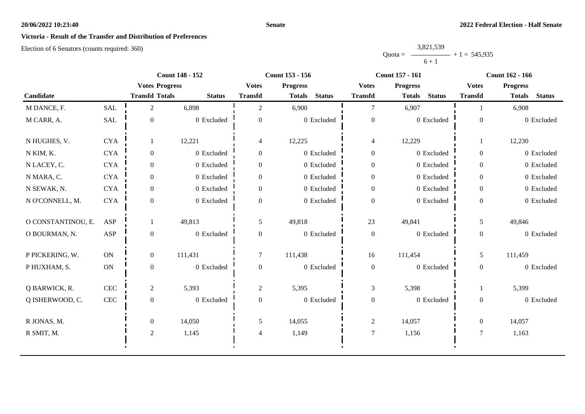### **Senate**

# **Victoria - Result of the Transfer and Distribution of Preferences**

|           | 3,821,539 |                |
|-----------|-----------|----------------|
| $Quota =$ |           | $+1 = 545,935$ |
|           | $6 + 1$   |                |

|                    | <b>Count 148 - 152</b><br><b>Count 153 - 156</b> |                       |               |                | <b>Count 157 - 161</b>         | <b>Count 162 - 166</b> |                                |                |                                |
|--------------------|--------------------------------------------------|-----------------------|---------------|----------------|--------------------------------|------------------------|--------------------------------|----------------|--------------------------------|
|                    |                                                  | <b>Votes Progress</b> |               | <b>Votes</b>   | <b>Progress</b>                | <b>Votes</b>           | <b>Progress</b>                | <b>Votes</b>   | <b>Progress</b>                |
| Candidate          |                                                  | <b>Transfd Totals</b> | <b>Status</b> | <b>Transfd</b> | <b>Status</b><br><b>Totals</b> | <b>Transfd</b>         | <b>Status</b><br><b>Totals</b> | <b>Transfd</b> | <b>Totals</b><br><b>Status</b> |
| M DANCE, F.        | <b>SAL</b>                                       | $\overline{2}$        | 6,898         | 2              | 6,900                          | 7                      | 6,907                          |                | 6,908                          |
| M CARR, A.         | SAL                                              | $\boldsymbol{0}$      | 0 Excluded    | $\overline{0}$ | 0 Excluded                     | $\boldsymbol{0}$       | 0 Excluded                     | $\mathbf{0}$   | 0 Excluded                     |
| N HUGHES, V.       | <b>CYA</b>                                       |                       | 12,221        | $\overline{4}$ | 12,225                         | $\overline{4}$         | 12,229                         |                | 12,230                         |
| N KIM, K.          | <b>CYA</b>                                       | $\overline{0}$        | 0 Excluded    | $\overline{0}$ | 0 Excluded                     | $\boldsymbol{0}$       | 0 Excluded                     | $\overline{0}$ | 0 Excluded                     |
| N LACEY, C.        | <b>CYA</b>                                       | $\overline{0}$        | 0 Excluded    | $\overline{0}$ | 0 Excluded                     | $\overline{0}$         | 0 Excluded                     | $\overline{0}$ | 0 Excluded                     |
| N MARA, C.         | <b>CYA</b>                                       | $\overline{0}$        | 0 Excluded    | $\mathbf{0}$   | 0 Excluded                     | $\boldsymbol{0}$       | 0 Excluded                     | $\overline{0}$ | 0 Excluded                     |
| N SEWAK, N.        | <b>CYA</b>                                       | $\overline{0}$        | 0 Excluded    | $\theta$       | 0 Excluded                     | $\boldsymbol{0}$       | 0 Excluded                     | $\overline{0}$ | 0 Excluded                     |
| N O'CONNELL, M.    | <b>CYA</b>                                       | $\Omega$              | 0 Excluded    | $\Omega$       | 0 Excluded                     | $\boldsymbol{0}$       | 0 Excluded                     | $\Omega$       | 0 Excluded                     |
| O CONSTANTINOU, E. | ASP                                              |                       | 49,813        | 5              | 49,818                         | 23                     | 49,841                         | 5              | 49,846                         |
| O BOURMAN, N.      | ASP                                              | $\Omega$              | 0 Excluded    | $\theta$       | 0 Excluded                     | $\boldsymbol{0}$       | 0 Excluded                     | $\overline{0}$ | 0 Excluded                     |
| P PICKERING, W.    | ON                                               | $\overline{0}$        | 111,431       | $\overline{7}$ | 111,438                        | 16                     | 111,454                        | 5              | 111,459                        |
| P HUXHAM, S.       | $\mathbf{ON}$                                    | $\overline{0}$        | 0 Excluded    | $\overline{0}$ | 0 Excluded                     | $\boldsymbol{0}$       | 0 Excluded                     | $\overline{0}$ | 0 Excluded                     |
| Q BARWICK, R.      | $\mbox{CEC}$                                     | $\overline{2}$        | 5,393         | $\overline{2}$ | 5,395                          | 3                      | 5,398                          |                | 5,399                          |
| Q ISHERWOOD, C.    | $\mbox{CEC}$                                     | $\mathbf{0}$          | 0 Excluded    | $\mathbf{0}$   | 0 Excluded                     | $\boldsymbol{0}$       | 0 Excluded                     | $\overline{0}$ | 0 Excluded                     |
| R JONAS, M.        |                                                  | $\overline{0}$        | 14,050        | 5              | 14,055                         | $\overline{c}$         | 14,057                         | $\overline{0}$ | 14,057                         |
| R SMIT, M.         |                                                  | $\overline{2}$        | 1,145         | $\overline{4}$ | 1,149                          | $\boldsymbol{7}$       | 1,156                          | $\overline{7}$ | 1,163                          |
|                    |                                                  |                       |               |                |                                |                        |                                |                |                                |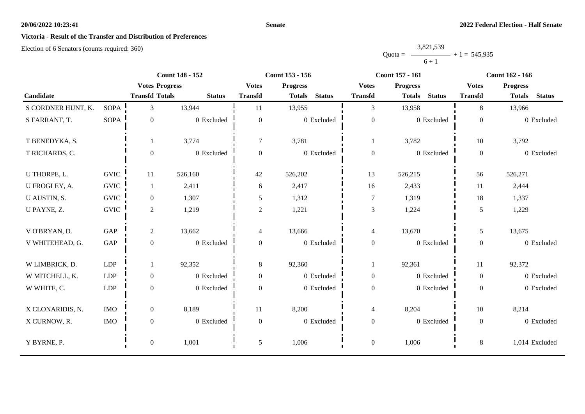#### **Senate**

# **Victoria - Result of the Transfer and Distribution of Preferences**

|           | 3,821,539 |                |
|-----------|-----------|----------------|
| Ouota $=$ |           | $+1 = 545,935$ |
|           | $6 + 1$   |                |

|                    |             |                       | <b>Count 148 - 152</b> |                  | Count 153 - 156 |               |                  | <b>Count 157 - 161</b> |               |                | <b>Count 162 - 166</b> |                |
|--------------------|-------------|-----------------------|------------------------|------------------|-----------------|---------------|------------------|------------------------|---------------|----------------|------------------------|----------------|
|                    |             | <b>Votes Progress</b> |                        | <b>Votes</b>     | <b>Progress</b> |               | <b>Votes</b>     | <b>Progress</b>        |               | <b>Votes</b>   | <b>Progress</b>        |                |
| Candidate          |             | <b>Transfd Totals</b> | <b>Status</b>          | <b>Transfd</b>   | <b>Totals</b>   | <b>Status</b> | <b>Transfd</b>   | <b>Totals</b>          | <b>Status</b> | <b>Transfd</b> | <b>Totals</b>          | <b>Status</b>  |
| S CORDNER HUNT, K. | <b>SOPA</b> | 3                     | 13,944                 | 11               | 13,955          |               | $\overline{3}$   | 13,958                 |               | 8              | 13,966                 |                |
| S FARRANT, T.      | <b>SOPA</b> | $\overline{0}$        | 0 Excluded             | $\theta$         |                 | 0 Excluded    | $\boldsymbol{0}$ |                        | 0 Excluded    | $\overline{0}$ |                        | 0 Excluded     |
| T BENEDYKA, S.     |             |                       | 3,774                  | $\tau$           | 3,781           |               |                  | 3,782                  |               | 10             | 3,792                  |                |
| T RICHARDS, C.     |             | $\Omega$              | 0 Excluded             | $\overline{0}$   |                 | 0 Excluded    | $\overline{0}$   |                        | 0 Excluded    | $\mathbf{0}$   |                        | 0 Excluded     |
| U THORPE, L.       | <b>GVIC</b> | $11\,$                | 526,160                | $42\,$           | 526,202         |               | 13               | 526,215                |               | 56             | 526,271                |                |
| U FROGLEY, A.      | <b>GVIC</b> | 1                     | 2,411                  | 6                | 2,417           |               | 16               | 2,433                  |               | 11             | 2,444                  |                |
| U AUSTIN, S.       | <b>GVIC</b> | $\overline{0}$        | 1,307                  | 5                | 1,312           |               | $\overline{7}$   | 1,319                  |               | 18             | 1,337                  |                |
| U PAYNE, Z.        | <b>GVIC</b> | $\overline{2}$        | 1,219                  | $\sqrt{2}$       | 1,221           |               | $\mathfrak{Z}$   | 1,224                  |               | 5              | 1,229                  |                |
| V O'BRYAN, D.      | GAP         | $\overline{2}$        | 13,662                 | $\overline{4}$   | 13,666          |               | $\overline{4}$   | 13,670                 |               | 5              | 13,675                 |                |
| V WHITEHEAD, G.    | GAP         | $\overline{0}$        | 0 Excluded             | $\overline{0}$   |                 | 0 Excluded    | $\boldsymbol{0}$ |                        | 0 Excluded    | $\mathbf{0}$   |                        | 0 Excluded     |
| W LIMBRICK, D.     | <b>LDP</b>  | $\mathbf{1}$          | 92,352                 | $8\,$            | 92,360          |               | $\mathbf{1}$     | 92,361                 |               | 11             | 92,372                 |                |
| W MITCHELL, K.     | LDP         | $\overline{0}$        | 0 Excluded             | $\boldsymbol{0}$ |                 | 0 Excluded    | $\boldsymbol{0}$ |                        | 0 Excluded    | $\overline{0}$ |                        | 0 Excluded     |
| W WHITE, C.        | LDP         | $\boldsymbol{0}$      | 0 Excluded             | $\Omega$         |                 | 0 Excluded    | $\boldsymbol{0}$ |                        | 0 Excluded    | $\overline{0}$ |                        | 0 Excluded     |
| X CLONARIDIS, N.   | <b>IMO</b>  | $\overline{0}$        | 8,189                  | 11               | 8,200           |               | $\overline{4}$   | 8,204                  |               | 10             | 8,214                  |                |
| X CURNOW, R.       | <b>IMO</b>  | $\overline{0}$        | 0 Excluded             | $\theta$         |                 | 0 Excluded    | $\overline{0}$   |                        | 0 Excluded    | $\overline{0}$ |                        | 0 Excluded     |
| Y BYRNE, P.        |             | $\boldsymbol{0}$      | 1,001                  | 5                | 1,006           |               | $\boldsymbol{0}$ | 1,006                  |               | $\,8\,$        |                        | 1,014 Excluded |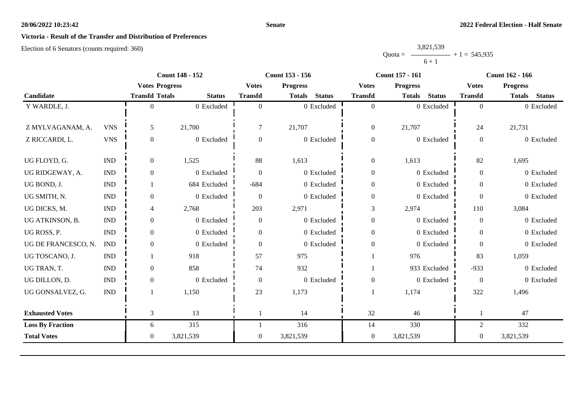#### **Senate**

# **Victoria - Result of the Transfer and Distribution of Preferences**

|           | 3,821,539 |                |
|-----------|-----------|----------------|
| $Quota =$ |           | $+1 = 545,935$ |
|           | $6 + 1$   |                |

|                         | <b>Count 148 - 152</b>      |                       | <b>Count 153 - 156</b> |                |                                | <b>Count 157 - 161</b> | <b>Count 162 - 166</b>         |                  |                                |
|-------------------------|-----------------------------|-----------------------|------------------------|----------------|--------------------------------|------------------------|--------------------------------|------------------|--------------------------------|
|                         |                             | <b>Votes Progress</b> |                        | <b>Votes</b>   | <b>Progress</b>                | <b>Votes</b>           | <b>Progress</b>                | <b>Votes</b>     | <b>Progress</b>                |
| Candidate               |                             | <b>Transfd Totals</b> | <b>Status</b>          | <b>Transfd</b> | <b>Status</b><br><b>Totals</b> | <b>Transfd</b>         | <b>Status</b><br><b>Totals</b> | <b>Transfd</b>   | <b>Status</b><br><b>Totals</b> |
| Y WARDLE, J.            |                             | $\Omega$              | 0 Excluded             | $\theta$       | 0 Excluded                     | $\overline{0}$         | 0 Excluded                     | $\overline{0}$   | 0 Excluded                     |
|                         |                             |                       |                        |                |                                |                        |                                |                  |                                |
| Z MYLVAGANAM, A.        | <b>VNS</b>                  | 5                     | 21,700                 | $\tau$         | 21,707                         | $\boldsymbol{0}$       | 21,707                         | 24               | 21,731                         |
| Z RICCARDI, L.          | <b>VNS</b>                  | $\mathbf{0}$          | 0 Excluded             | $\overline{0}$ | 0 Excluded                     | $\boldsymbol{0}$       | 0 Excluded                     | $\boldsymbol{0}$ | 0 Excluded                     |
|                         |                             |                       |                        |                |                                |                        |                                |                  |                                |
| UG FLOYD, G.            | $\mathop{\rm IND}\nolimits$ | $\overline{0}$        | 1,525                  | 88             | 1,613                          | $\boldsymbol{0}$       | 1,613                          | 82               | 1,695                          |
| UG RIDGEWAY, A.         | <b>IND</b>                  | $\overline{0}$        | 0 Excluded             | $\Omega$       | 0 Excluded                     | $\boldsymbol{0}$       | 0 Excluded                     | $\overline{0}$   | 0 Excluded                     |
| UG BOND, J.             | <b>IND</b>                  |                       | 684 Excluded           | $-684$         | 0 Excluded                     | $\boldsymbol{0}$       | 0 Excluded                     | $\overline{0}$   | 0 Excluded                     |
| UG SMITH, N.            | <b>IND</b>                  | $\overline{0}$        | 0 Excluded             | $\theta$       | 0 Excluded                     | $\boldsymbol{0}$       | 0 Excluded                     | $\Omega$         | 0 Excluded                     |
| UG DICKS, M.            | <b>IND</b>                  | $\overline{4}$        | 2,768                  | 203            | 2,971                          | $\mathfrak{Z}$         | 2,974                          | 110              | 3,084                          |
| UG ATKINSON, B.         | <b>IND</b>                  | $\overline{0}$        | 0 Excluded             | $\Omega$       | 0 Excluded                     | $\boldsymbol{0}$       | 0 Excluded                     | $\theta$         | 0 Excluded                     |
| UG ROSS, P.             | <b>IND</b>                  | $\overline{0}$        | 0 Excluded             | $\overline{0}$ | $0\,$ Excluded                 | $\boldsymbol{0}$       | 0 Excluded                     | $\overline{0}$   | 0 Excluded                     |
| UG DE FRANCESCO, N.     | <b>IND</b>                  | $\overline{0}$        | 0 Excluded             | $\overline{0}$ | 0 Excluded                     | $\boldsymbol{0}$       | 0 Excluded                     | $\mathbf{0}$     | 0 Excluded                     |
| UG TOSCANO, J.          | <b>IND</b>                  |                       | 918                    | 57             | 975                            |                        | 976                            | 83               | 1,059                          |
| UG TRAN, T.             | <b>IND</b>                  | $\overline{0}$        | 858                    | 74             | 932                            |                        | 933 Excluded                   | $-933$           | 0 Excluded                     |
| UG DILLON, D.           | <b>IND</b>                  | $\overline{0}$        | 0 Excluded             | $\overline{0}$ | 0 Excluded                     | $\boldsymbol{0}$       | 0 Excluded                     | $\boldsymbol{0}$ | 0 Excluded                     |
| UG GONSALVEZ, G.        | $\mathop{\rm IND}\nolimits$ |                       | 1,150                  | 23             | 1,173                          |                        | 1,174                          | 322              | 1,496                          |
| <b>Exhausted Votes</b>  |                             | 3                     | 13                     |                | 14                             | 32                     | 46                             | 1                | 47                             |
|                         |                             |                       |                        |                |                                |                        |                                |                  |                                |
| <b>Loss By Fraction</b> |                             | 6                     | 315                    |                | 316                            | 14                     | 330                            | $\overline{c}$   | 332                            |
| <b>Total Votes</b>      |                             | $\overline{0}$        | 3,821,539              | $\overline{0}$ | 3,821,539                      | $\boldsymbol{0}$       | 3,821,539                      | $\boldsymbol{0}$ | 3,821,539                      |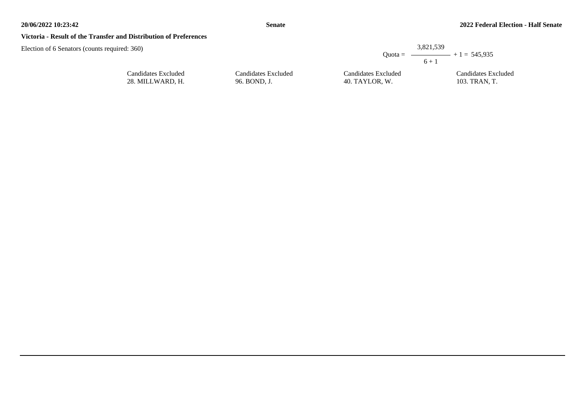#### **Victoria - Result of the Transfer and Distribution of Preferences**

| d: 360)                                 |                                     | 3.821.539                             |                                         |
|-----------------------------------------|-------------------------------------|---------------------------------------|-----------------------------------------|
|                                         |                                     | $6 + 1$                               | Quota = $\longrightarrow$ + 1 = 545,935 |
| Candidates Excluded<br>28. MILLWARD. H. | Candidates Excluded<br>96. BOND, J. | Candidates Excluded<br>40. TAYLOR, W. | Candidates Excluded<br>103. TRAN. T.    |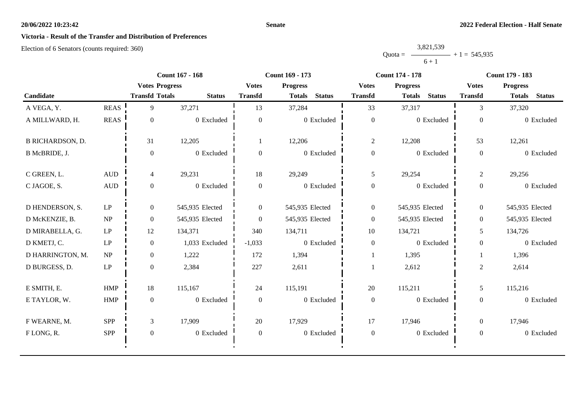#### **Senate**

# **Victoria - Result of the Transfer and Distribution of Preferences**

|           | 3,821,539 |                |
|-----------|-----------|----------------|
| $Quota =$ |           | $+1 = 545,935$ |
|           | $6 + 1$   |                |

|                         |                                 |                       | <b>Count 167 - 168</b> | Count 169 - 173  |                                |                  | <b>Count 174 - 178</b>         | <b>Count 179 - 183</b> |                                |
|-------------------------|---------------------------------|-----------------------|------------------------|------------------|--------------------------------|------------------|--------------------------------|------------------------|--------------------------------|
|                         |                                 | <b>Votes Progress</b> |                        | <b>Votes</b>     | <b>Progress</b>                | <b>Votes</b>     | <b>Progress</b>                | <b>Votes</b>           | <b>Progress</b>                |
| Candidate               |                                 | <b>Transfd Totals</b> | <b>Status</b>          | <b>Transfd</b>   | <b>Status</b><br><b>Totals</b> | <b>Transfd</b>   | <b>Totals</b><br><b>Status</b> | <b>Transfd</b>         | <b>Status</b><br><b>Totals</b> |
| A VEGA, Y.              | <b>REAS</b>                     | 9                     | 37,271                 | 13               | 37,284                         | 33               | 37,317                         | 3                      | 37,320                         |
| A MILLWARD, H.          | $\operatorname{REAS}$           | $\mathbf{0}$          | 0 Excluded             | $\overline{0}$   | 0 Excluded                     | $\boldsymbol{0}$ | 0 Excluded                     | $\mathbf{0}$           | 0 Excluded                     |
| <b>B RICHARDSON, D.</b> |                                 | 31                    | 12,205                 |                  | 12,206                         | $\overline{c}$   | 12,208                         | 53                     | 12,261                         |
| B McBRIDE, J.           |                                 | $\mathbf{0}$          | 0 Excluded             | $\mathbf{0}$     | 0 Excluded                     | $\boldsymbol{0}$ | 0 Excluded                     | $\overline{0}$         | 0 Excluded                     |
| C GREEN, L.             | $\mbox{\rm AUD}$                | 4                     | 29,231                 | 18               | 29,249                         | $\mathfrak{H}$   | 29,254                         | $\overline{2}$         | 29,256                         |
| C JAGOE, S.             | <b>AUD</b>                      | $\overline{0}$        | 0 Excluded             | $\overline{0}$   | 0 Excluded                     | $\boldsymbol{0}$ | 0 Excluded                     | $\overline{0}$         | 0 Excluded                     |
| D HENDERSON, S.         | LP                              | $\overline{0}$        | 545,935 Elected        | $\overline{0}$   | 545,935 Elected                | $\overline{0}$   | 545,935 Elected                | $\overline{0}$         | 545,935 Elected                |
| D McKENZIE, B.          | $\ensuremath{\text{NP}}\xspace$ | $\overline{0}$        | 545,935 Elected        | $\Omega$         | 545,935 Elected                | $\boldsymbol{0}$ | 545,935 Elected                | $\overline{0}$         | 545,935 Elected                |
| D MIRABELLA, G.         | LP                              | 12                    | 134,371                | 340              | 134,711                        | 10               | 134,721                        | 5                      | 134,726                        |
| D KMETJ, C.             | LP                              | $\overline{0}$        | 1,033 Excluded         | $-1,033$         | 0 Excluded                     | $\boldsymbol{0}$ | 0 Excluded                     | $\boldsymbol{0}$       | 0 Excluded                     |
| D HARRINGTON, M.        | $\ensuremath{\text{NP}}\xspace$ | $\overline{0}$        | 1,222                  | 172              | 1,394                          |                  | 1,395                          |                        | 1,396                          |
| D BURGESS, D.           | LP                              | $\overline{0}$        | 2,384                  | 227              | 2,611                          |                  | 2,612                          | 2                      | 2,614                          |
| E SMITH, E.             | <b>HMP</b>                      | 18                    | 115,167                | 24               | 115,191                        | 20               | 115,211                        | 5                      | 115,216                        |
| E TAYLOR, W.            | <b>HMP</b>                      | $\mathbf{0}$          | 0 Excluded             | $\theta$         | 0 Excluded                     | $\boldsymbol{0}$ | 0 Excluded                     | $\overline{0}$         | 0 Excluded                     |
| F WEARNE, M.            | <b>SPP</b>                      | 3                     | 17,909                 | 20               | 17,929                         | 17               | 17,946                         | $\overline{0}$         | 17,946                         |
| FLONG, R.               | SPP                             | $\mathbf{0}$          | 0 Excluded             | $\boldsymbol{0}$ | 0 Excluded                     | $\boldsymbol{0}$ | 0 Excluded                     | $\overline{0}$         | 0 Excluded                     |
|                         |                                 |                       |                        |                  |                                |                  |                                |                        |                                |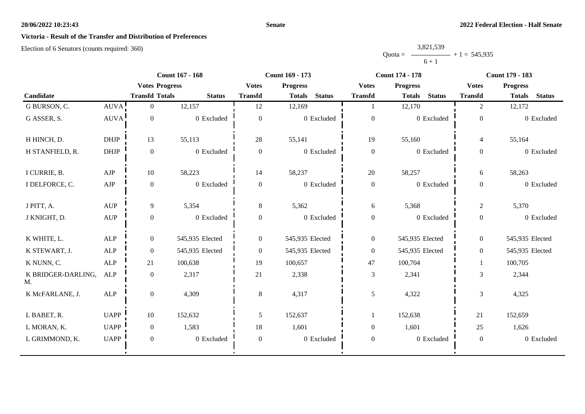#### **Senate**

# **Victoria - Result of the Transfer and Distribution of Preferences**

|           | 3,821,539 |                |
|-----------|-----------|----------------|
| $Quota =$ |           | $+1 = 545,935$ |
|           | $6 + 1$   |                |

|                          |                                  | <b>Count 167 - 168</b> |                 | Count 169 - 173  |                                |                  | <b>Count 174 - 178</b>         | Count 179 - 183  |                                |
|--------------------------|----------------------------------|------------------------|-----------------|------------------|--------------------------------|------------------|--------------------------------|------------------|--------------------------------|
|                          |                                  | <b>Votes Progress</b>  |                 | <b>Votes</b>     | <b>Progress</b>                | <b>Votes</b>     | <b>Progress</b>                | <b>Votes</b>     | <b>Progress</b>                |
| Candidate                |                                  | <b>Transfd Totals</b>  | <b>Status</b>   | <b>Transfd</b>   | <b>Status</b><br><b>Totals</b> | <b>Transfd</b>   | <b>Status</b><br><b>Totals</b> | <b>Transfd</b>   | <b>Status</b><br><b>Totals</b> |
| G BURSON, C.             | AUVA!                            | $\overline{0}$         | 12,157          | 12               | 12,169                         |                  | 12,170                         | 2                | 12,172                         |
| G ASSER, S.              | <b>AUVA</b>                      | $\boldsymbol{0}$       | 0 Excluded      | $\overline{0}$   | 0 Excluded                     | $\boldsymbol{0}$ | 0 Excluded                     | $\overline{0}$   | 0 Excluded                     |
| H HINCH, D.              | <b>DHJP</b>                      | 13                     | 55,113          | 28               | 55,141                         | 19               | 55,160                         | $\overline{4}$   | 55,164                         |
| H STANFIELD, R.          | $DHJP$                           | $\boldsymbol{0}$       | 0 Excluded      | $\boldsymbol{0}$ | 0 Excluded                     | $\boldsymbol{0}$ | 0 Excluded                     | $\overline{0}$   | 0 Excluded                     |
| I CURRIE, B.             | AJP                              | 10                     | 58,223          | 14               | 58,237                         | $20\,$           | 58,257                         | 6                | 58,263                         |
| I DELFORCE, C.           | AJP                              | $\boldsymbol{0}$       | 0 Excluded      | $\boldsymbol{0}$ | 0 Excluded                     | $\boldsymbol{0}$ | 0 Excluded                     | $\overline{0}$   | 0 Excluded                     |
| J PITT, A.               | <b>AUP</b>                       | 9                      | 5,354           | 8                | 5,362                          | 6                | 5,368                          | $\overline{2}$   | 5,370                          |
| J KNIGHT, D.             | $\mathbf{A}\mathbf{U}\mathbf{P}$ | $\boldsymbol{0}$       | 0 Excluded      | $\boldsymbol{0}$ | 0 Excluded                     | $\boldsymbol{0}$ | 0 Excluded                     | $\boldsymbol{0}$ | 0 Excluded                     |
| K WHITE, L.              | ALP                              | $\overline{0}$         | 545,935 Elected | $\overline{0}$   | 545,935 Elected                | $\boldsymbol{0}$ | 545,935 Elected                | $\overline{0}$   | 545,935 Elected                |
| K STEWART, J.            | ALP                              | $\boldsymbol{0}$       | 545,935 Elected | $\boldsymbol{0}$ | 545,935 Elected                | $\boldsymbol{0}$ | 545,935 Elected                | $\overline{0}$   | 545,935 Elected                |
| K NUNN, C.               | <b>ALP</b>                       | 21                     | 100,638         | 19               | 100,657                        | 47               | 100,704                        | 1                | 100,705                        |
| K BRIDGER-DARLING,<br>M. | <b>ALP</b>                       | $\boldsymbol{0}$       | 2,317           | 21               | 2,338                          | $\mathfrak{Z}$   | 2,341                          | 3                | 2,344                          |
| K McFARLANE, J.          | <b>ALP</b>                       | $\boldsymbol{0}$       | 4,309           | 8                | 4,317                          | $\overline{5}$   | 4,322                          | 3                | 4,325                          |
| L BABET, R.              | <b>UAPP</b>                      | 10                     | 152,632         | 5                | 152,637                        | $\mathbf{1}$     | 152,638                        | 21               | 152,659                        |
| L MORAN, K.              | <b>UAPP</b>                      | $\boldsymbol{0}$       | 1,583           | 18               | 1,601                          | $\boldsymbol{0}$ | 1,601                          | 25               | 1,626                          |
| L GRIMMOND, K.           | <b>UAPP</b>                      | $\mathbf{0}$           | 0 Excluded      | $\boldsymbol{0}$ | 0 Excluded                     | $\boldsymbol{0}$ | 0 Excluded                     | $\overline{0}$   | 0 Excluded                     |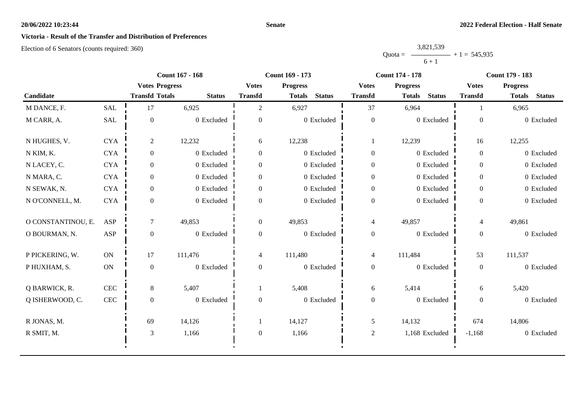#### **Senate**

# **Victoria - Result of the Transfer and Distribution of Preferences**

|           | 3,821,539 |                |
|-----------|-----------|----------------|
| $Quota =$ |           | $+1 = 545,935$ |
|           | $6 + 1$   |                |

|                    |              | <b>Count 167 - 168</b> |               | Count 169 - 173                 |                                |                                 | <b>Count 174 - 178</b>         | <b>Count 179 - 183</b> |                                |
|--------------------|--------------|------------------------|---------------|---------------------------------|--------------------------------|---------------------------------|--------------------------------|------------------------|--------------------------------|
|                    |              | <b>Votes Progress</b>  |               | <b>Votes</b><br><b>Progress</b> |                                | <b>Progress</b><br><b>Votes</b> |                                | <b>Votes</b>           | <b>Progress</b>                |
| Candidate          |              | <b>Transfd Totals</b>  | <b>Status</b> | <b>Transfd</b>                  | <b>Status</b><br><b>Totals</b> | <b>Transfd</b>                  | <b>Status</b><br><b>Totals</b> | <b>Transfd</b>         | <b>Status</b><br><b>Totals</b> |
| M DANCE, F.        | <b>SAL</b>   | 17                     | 6,925         | $\overline{2}$                  | 6,927                          | 37                              | 6,964                          |                        | 6,965                          |
| M CARR, A.         | SAL          | $\boldsymbol{0}$       | 0 Excluded    | $\overline{0}$                  | 0 Excluded                     | $\boldsymbol{0}$                | 0 Excluded                     | $\overline{0}$         | 0 Excluded                     |
| N HUGHES, V.       | <b>CYA</b>   | $\overline{2}$         | 12,232        | 6                               | 12,238                         | -1                              | 12,239                         | 16                     | 12,255                         |
| N KIM, K.          | $\rm CYA$    | $\overline{0}$         | 0 Excluded    | $\overline{0}$                  | 0 Excluded                     | $\mathbf{0}$                    | 0 Excluded                     | $\overline{0}$         | 0 Excluded                     |
| N LACEY, C.        | <b>CYA</b>   | $\overline{0}$         | 0 Excluded    | $\overline{0}$                  | 0 Excluded                     | $\overline{0}$                  | 0 Excluded                     | $\overline{0}$         | 0 Excluded                     |
| N MARA, C.         | $\rm CYA$    | $\overline{0}$         | 0 Excluded    | $\boldsymbol{0}$                | 0 Excluded                     | $\boldsymbol{0}$                | 0 Excluded                     | $\overline{0}$         | 0 Excluded                     |
| N SEWAK, N.        | <b>CYA</b>   | $\overline{0}$         | 0 Excluded    | $\overline{0}$                  | 0 Excluded                     | $\boldsymbol{0}$                | 0 Excluded                     | $\overline{0}$         | 0 Excluded                     |
| N O'CONNELL, M.    | <b>CYA</b>   | $\Omega$               | 0 Excluded    | $\Omega$                        | 0 Excluded                     | $\boldsymbol{0}$                | 0 Excluded                     | $\theta$               | 0 Excluded                     |
| O CONSTANTINOU, E. | ASP          | $\tau$                 | 49,853        | $\mathbf{0}$                    | 49,853                         | $\overline{4}$                  | 49,857                         | 4                      | 49,861                         |
| O BOURMAN, N.      | <b>ASP</b>   | $\overline{0}$         | 0 Excluded    | $\overline{0}$                  | 0 Excluded                     | $\boldsymbol{0}$                | 0 Excluded                     | $\overline{0}$         | 0 Excluded                     |
| P PICKERING, W.    | <b>ON</b>    | 17                     | 111,476       | 4                               | 111,480                        | $\overline{4}$                  | 111,484                        | 53                     | 111,537                        |
| P HUXHAM, S.       | ON           | $\boldsymbol{0}$       | 0 Excluded    | $\overline{0}$                  | 0 Excluded                     | $\boldsymbol{0}$                | 0 Excluded                     | $\mathbf{0}$           | 0 Excluded                     |
| Q BARWICK, R.      | $\mbox{CEC}$ | 8                      | 5,407         | 1                               | 5,408                          | 6                               | 5,414                          | 6                      | 5,420                          |
| Q ISHERWOOD, C.    | $\mbox{CEC}$ | $\boldsymbol{0}$       | 0 Excluded    | $\boldsymbol{0}$                | 0 Excluded                     | $\boldsymbol{0}$                | 0 Excluded                     | $\overline{0}$         | 0 Excluded                     |
| R JONAS, M.        |              | 69                     | 14,126        |                                 | 14,127                         | 5                               | 14,132                         | 674                    | 14,806                         |
| R SMIT, M.         |              | 3                      | 1,166         | $\boldsymbol{0}$                | 1,166                          | $\sqrt{2}$                      | 1,168 Excluded                 | $-1,168$               | 0 Excluded                     |
|                    |              |                        |               |                                 |                                |                                 |                                |                        |                                |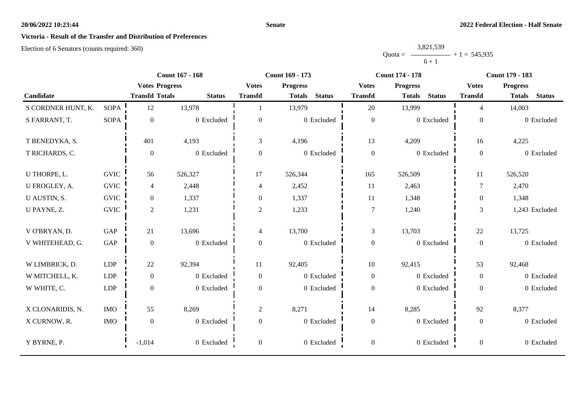#### **Senate**

# **Victoria - Result of the Transfer and Distribution of Preferences**

|           | 3,821,539 |                |
|-----------|-----------|----------------|
| $Quota =$ |           | $+1 = 545,935$ |
|           | $6 + 1$   |                |

|                    | <b>Count 167 - 168</b><br>Count 169 - 173 |                       |                       | <b>Count 174 - 178</b>   | <b>Count 179 - 183</b>          |                  |                                |                  |                                |
|--------------------|-------------------------------------------|-----------------------|-----------------------|--------------------------|---------------------------------|------------------|--------------------------------|------------------|--------------------------------|
|                    |                                           |                       | <b>Votes Progress</b> |                          | <b>Votes</b><br><b>Progress</b> |                  | <b>Progress</b>                | <b>Votes</b>     | <b>Progress</b>                |
| Candidate          |                                           | <b>Transfd Totals</b> | <b>Status</b>         | <b>Transfd</b>           | <b>Status</b><br><b>Totals</b>  | <b>Transfd</b>   | <b>Status</b><br><b>Totals</b> | <b>Transfd</b>   | <b>Status</b><br><b>Totals</b> |
| S CORDNER HUNT, K. | <b>SOPA</b>                               | 12                    | 13,978                |                          | 13,979                          | 20               | 13,999                         | $\overline{4}$   | 14,003                         |
| S FARRANT, T.      | <b>SOPA</b>                               | $\boldsymbol{0}$      | 0 Excluded            | $\overline{0}$           | 0 Excluded                      | $\boldsymbol{0}$ | 0 Excluded                     | $\boldsymbol{0}$ | 0 Excluded                     |
| T BENEDYKA, S.     |                                           | 401                   | 4,193                 | 3                        | 4,196                           | 13               | 4,209                          | 16               | 4,225                          |
| T RICHARDS, C.     |                                           | $\boldsymbol{0}$      | 0 Excluded            | $\overline{0}$           | 0 Excluded                      | $\boldsymbol{0}$ | 0 Excluded                     | $\overline{0}$   | 0 Excluded                     |
| U THORPE, L.       | <b>GVIC</b>                               | 56                    | 526,327               | 17                       | 526,344                         | 165              | 526,509                        | 11               | 526,520                        |
| U FROGLEY, A.      | <b>GVIC</b>                               | $\overline{4}$        | 2,448                 | 4                        | 2,452                           | 11               | 2,463                          | $\tau$           | 2,470                          |
| U AUSTIN, S.       | <b>GVIC</b>                               | $\boldsymbol{0}$      | 1,337                 | $\overline{0}$           | 1,337                           | 11               | 1,348                          | $\overline{0}$   | 1,348                          |
| U PAYNE, Z.        | <b>GVIC</b>                               | $\overline{2}$        | 1,231                 | $\overline{2}$           | 1,233                           | $\tau$           | 1,240                          | 3                | 1,243 Excluded                 |
| V O'BRYAN, D.      | GAP                                       | 21                    | 13,696                | $\overline{\mathcal{L}}$ | 13,700                          | 3                | 13,703                         | 22               | 13,725                         |
| V WHITEHEAD, G.    | GAP                                       | $\boldsymbol{0}$      | 0 Excluded            | $\boldsymbol{0}$         | 0 Excluded                      | $\boldsymbol{0}$ | 0 Excluded                     | $\overline{0}$   | 0 Excluded                     |
| W LIMBRICK, D.     | LDP                                       | $22\,$                | 92,394                | 11                       | 92,405                          | $10\,$           | 92,415                         | 53               | 92,468                         |
| W MITCHELL, K.     | <b>LDP</b>                                | $\boldsymbol{0}$      | 0 Excluded            | $\overline{0}$           | 0 Excluded                      | $\boldsymbol{0}$ | 0 Excluded                     | $\overline{0}$   | 0 Excluded                     |
| W WHITE, C.        | LDP                                       | $\boldsymbol{0}$      | 0 Excluded            | $\overline{0}$           | 0 Excluded                      | $\boldsymbol{0}$ | 0 Excluded                     | $\overline{0}$   | 0 Excluded                     |
| X CLONARIDIS, N.   | <b>IMO</b>                                | 55                    | 8,269                 | $\overline{c}$           | 8,271                           | 14               | 8,285                          | 92               | 8,377                          |
| X CURNOW, R.       | <b>IMO</b>                                | $\boldsymbol{0}$      | 0 Excluded            | $\boldsymbol{0}$         | 0 Excluded                      | $\boldsymbol{0}$ | 0 Excluded                     | $\overline{0}$   | 0 Excluded                     |
| Y BYRNE, P.        |                                           | $-1,014$              | 0 Excluded            | $\overline{0}$           | 0 Excluded                      | $\boldsymbol{0}$ | 0 Excluded                     | $\overline{0}$   | 0 Excluded                     |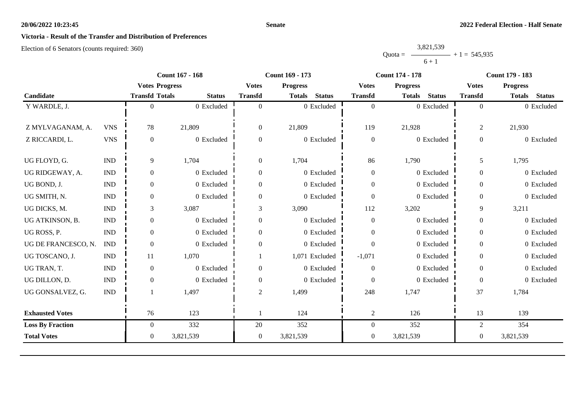#### **Senate**

# **Victoria - Result of the Transfer and Distribution of Preferences**

|           | 3,821,539 |                |
|-----------|-----------|----------------|
| $Quota =$ |           | $+1 = 545,935$ |
|           | $6 + 1$   |                |

|                         |                             | <b>Count 167 - 168</b> |               | Count 169 - 173 |                                |                  | <b>Count 174 - 178</b>         | Count 179 - 183  |                                |
|-------------------------|-----------------------------|------------------------|---------------|-----------------|--------------------------------|------------------|--------------------------------|------------------|--------------------------------|
|                         |                             | <b>Votes Progress</b>  |               | <b>Votes</b>    | <b>Progress</b>                | <b>Votes</b>     | <b>Progress</b>                | <b>Votes</b>     | <b>Progress</b>                |
| Candidate               |                             | <b>Transfd Totals</b>  | <b>Status</b> | <b>Transfd</b>  | <b>Status</b><br><b>Totals</b> | <b>Transfd</b>   | <b>Status</b><br><b>Totals</b> | <b>Transfd</b>   | <b>Status</b><br><b>Totals</b> |
| Y WARDLE, J.            |                             | $\Omega$               | 0 Excluded    | $\Omega$        | 0 Excluded                     | $\overline{0}$   | 0 Excluded                     | $\overline{0}$   | 0 Excluded                     |
|                         |                             |                        |               |                 |                                |                  |                                |                  |                                |
| Z MYLVAGANAM, A.        | <b>VNS</b>                  | 78                     | 21,809        | $\overline{0}$  | 21,809                         | 119              | 21,928                         | $\boldsymbol{2}$ | 21,930                         |
| Z RICCARDI, L.          | <b>VNS</b>                  | $\overline{0}$         | 0 Excluded    | $\mathbf{0}$    | 0 Excluded                     | $\boldsymbol{0}$ | 0 Excluded                     | $\boldsymbol{0}$ | 0 Excluded                     |
|                         |                             |                        |               |                 |                                |                  |                                |                  |                                |
| UG FLOYD, G.            | $\mathop{\rm IND}\nolimits$ | 9                      | 1,704         | $\overline{0}$  | 1,704                          | 86               | 1,790                          | 5                | 1,795                          |
| UG RIDGEWAY, A.         | <b>IND</b>                  | $\theta$               | 0 Excluded    | $\Omega$        | 0 Excluded                     | $\boldsymbol{0}$ | 0 Excluded                     | $\overline{0}$   | 0 Excluded                     |
| UG BOND, J.             | $\ensuremath{\text{IND}}$   | $\overline{0}$         | 0 Excluded    | $\Omega$        | 0 Excluded                     | $\boldsymbol{0}$ | 0 Excluded                     | $\overline{0}$   | 0 Excluded                     |
| UG SMITH, N.            | $\mathop{\rm IND}\nolimits$ | $\overline{0}$         | 0 Excluded    | $\mathbf{0}$    | 0 Excluded                     | $\boldsymbol{0}$ | 0 Excluded                     | $\overline{0}$   | 0 Excluded                     |
| UG DICKS, M.            | <b>IND</b>                  | 3                      | 3,087         | 3               | 3,090                          | 112              | 3,202                          | 9                | 3,211                          |
| UG ATKINSON, B.         | <b>IND</b>                  | $\overline{0}$         | 0 Excluded    | $\Omega$        | 0 Excluded                     | $\boldsymbol{0}$ | 0 Excluded                     | $\boldsymbol{0}$ | 0 Excluded                     |
| UG ROSS, P.             | $\ensuremath{\text{IND}}$   | $\overline{0}$         | 0 Excluded    | $\Omega$        | 0 Excluded                     | $\overline{0}$   | 0 Excluded                     | $\boldsymbol{0}$ | 0 Excluded                     |
| UG DE FRANCESCO, N.     | <b>IND</b>                  | $\boldsymbol{0}$       | 0 Excluded    | $\mathbf{0}$    | 0 Excluded                     | $\boldsymbol{0}$ | 0 Excluded                     | $\overline{0}$   | 0 Excluded                     |
| UG TOSCANO, J.          | <b>IND</b>                  | 11                     | 1,070         |                 | 1,071 Excluded                 | $-1,071$         | 0 Excluded                     | $\overline{0}$   | 0 Excluded                     |
| UG TRAN, T.             | <b>IND</b>                  | $\overline{0}$         | 0 Excluded    | $\Omega$        | 0 Excluded                     | $\boldsymbol{0}$ | 0 Excluded                     | $\overline{0}$   | 0 Excluded                     |
| UG DILLON, D.           | <b>IND</b>                  | $\overline{0}$         | 0 Excluded    | $\overline{0}$  | 0 Excluded                     | $\overline{0}$   | 0 Excluded                     | $\boldsymbol{0}$ | 0 Excluded                     |
| UG GONSALVEZ, G.        | $\mathop{\rm IND}\nolimits$ |                        | 1,497         | 2               | 1,499                          | 248              | 1,747                          | 37               | 1,784                          |
|                         |                             |                        |               |                 |                                |                  |                                |                  |                                |
| <b>Exhausted Votes</b>  |                             | 76                     | 123           |                 | 124                            | $\overline{c}$   | 126                            | 13               | 139                            |
| <b>Loss By Fraction</b> |                             | $\overline{0}$         | 332           | 20              | 352                            | $\boldsymbol{0}$ | 352                            | $\overline{2}$   | 354                            |
| <b>Total Votes</b>      |                             | $\overline{0}$         | 3,821,539     | $\mathbf{0}$    | 3,821,539                      | $\boldsymbol{0}$ | 3,821,539                      | $\boldsymbol{0}$ | 3,821,539                      |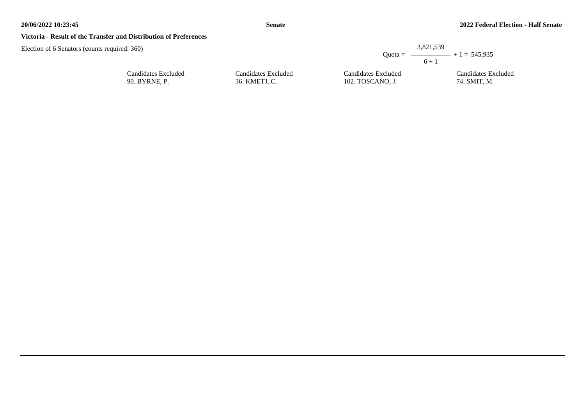#### **Victoria - Result of the Transfer and Distribution of Preferences**

| quired: $360$ )                      |                                      | $Quota =$                               | 3,821,539<br>$ +1 = 545.935$        |
|--------------------------------------|--------------------------------------|-----------------------------------------|-------------------------------------|
|                                      |                                      |                                         | $6 + 1$                             |
| Candidates Excluded<br>90. BYRNE, P. | Candidates Excluded<br>36. KMETJ. C. | Candidates Excluded<br>102. TOSCANO. J. | Candidates Excluded<br>74. SMIT. M. |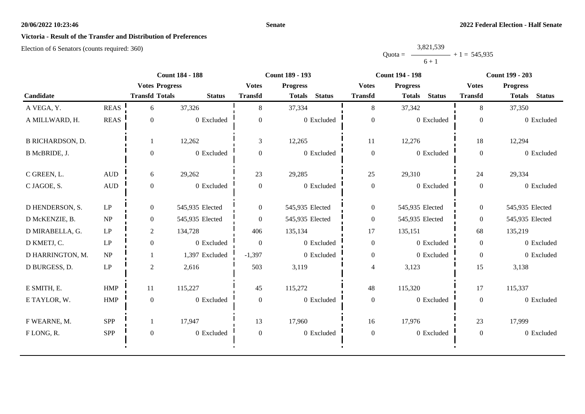#### **Senate**

# **Victoria - Result of the Transfer and Distribution of Preferences**

|           | 3,821,539 |                |
|-----------|-----------|----------------|
| $Quota =$ |           | $+1 = 545,935$ |
|           | $6 + 1$   |                |

|                         |                     | <b>Count 184 - 188</b> |                 | <b>Count 189 - 193</b> |                                 |                  | <b>Count 194 - 198</b>          | <b>Count 199 - 203</b> |                                |
|-------------------------|---------------------|------------------------|-----------------|------------------------|---------------------------------|------------------|---------------------------------|------------------------|--------------------------------|
|                         |                     | <b>Votes Progress</b>  |                 |                        | <b>Votes</b><br><b>Progress</b> |                  | <b>Progress</b><br><b>Votes</b> |                        | <b>Progress</b>                |
| Candidate               |                     | <b>Transfd Totals</b>  | <b>Status</b>   | <b>Transfd</b>         | <b>Status</b><br><b>Totals</b>  | <b>Transfd</b>   | <b>Status</b><br><b>Totals</b>  | <b>Transfd</b>         | <b>Status</b><br><b>Totals</b> |
| A VEGA, Y.              | <b>REAS</b>         | 6                      | 37,326          | 8                      | 37,334                          | 8                | 37,342                          | 8                      | 37,350                         |
| A MILLWARD, H.          | <b>REAS</b>         | $\Omega$               | 0 Excluded      | $\theta$               | 0 Excluded                      | $\boldsymbol{0}$ | 0 Excluded                      | $\boldsymbol{0}$       | 0 Excluded                     |
| <b>B RICHARDSON, D.</b> |                     |                        | 12,262          | 3                      | 12,265                          | 11               | 12,276                          | 18                     | 12,294                         |
| B McBRIDE, J.           |                     | $\Omega$               | 0 Excluded      | $\boldsymbol{0}$       | 0 Excluded                      | $\boldsymbol{0}$ | 0 Excluded                      | $\overline{0}$         | 0 Excluded                     |
| C GREEN, L.             | $\mbox{AUD}$        | 6                      | 29,262          | 23                     | 29,285                          | 25               | 29,310                          | 24                     | 29,334                         |
| C JAGOE, S.             | <b>AUD</b>          | $\overline{0}$         | 0 Excluded      | $\boldsymbol{0}$       | 0 Excluded                      | $\boldsymbol{0}$ | 0 Excluded                      | $\overline{0}$         | 0 Excluded                     |
| D HENDERSON, S.         | LP                  | $\theta$               | 545,935 Elected | $\overline{0}$         | 545,935 Elected                 | $\boldsymbol{0}$ | 545,935 Elected                 | $\overline{0}$         | 545,935 Elected                |
| D McKENZIE, B.          | NP                  | $\theta$               | 545,935 Elected | $\theta$               | 545,935 Elected                 | $\boldsymbol{0}$ | 545,935 Elected                 | $\overline{0}$         | 545,935 Elected                |
| D MIRABELLA, G.         | LP                  | $\boldsymbol{2}$       | 134,728         | 406                    | 135,134                         | $17\,$           | 135,151                         | 68                     | 135,219                        |
| D KMETJ, C.             | LP                  | $\overline{0}$         | 0 Excluded      | $\Omega$               | 0 Excluded                      | $\boldsymbol{0}$ | 0 Excluded                      | $\theta$               | 0 Excluded                     |
| D HARRINGTON, M.        | NP                  |                        | 1,397 Excluded  | $-1,397$               | 0 Excluded                      | $\boldsymbol{0}$ | 0 Excluded                      | $\overline{0}$         | 0 Excluded                     |
| D BURGESS, D.           | $\operatorname{LP}$ | $\overline{2}$         | 2,616           | 503                    | 3,119                           | 4                | 3,123                           | 15                     | 3,138                          |
| E SMITH, E.             | <b>HMP</b>          | 11                     | 115,227         | 45                     | 115,272                         | 48               | 115,320                         | 17                     | 115,337                        |
| E TAYLOR, W.            | HMP                 | $\mathbf{0}$           | 0 Excluded      | $\boldsymbol{0}$       | 0 Excluded                      | $\boldsymbol{0}$ | 0 Excluded                      | $\mathbf{0}$           | 0 Excluded                     |
| F WEARNE, M.            | <b>SPP</b>          |                        | 17,947          | 13                     | 17,960                          | 16               | 17,976                          | 23                     | 17,999                         |
| FLONG, R.               | SPP                 | $\theta$               | 0 Excluded      | $\boldsymbol{0}$       | 0 Excluded                      | $\boldsymbol{0}$ | 0 Excluded                      | $\boldsymbol{0}$       | 0 Excluded                     |
|                         |                     |                        |                 |                        |                                 |                  |                                 |                        |                                |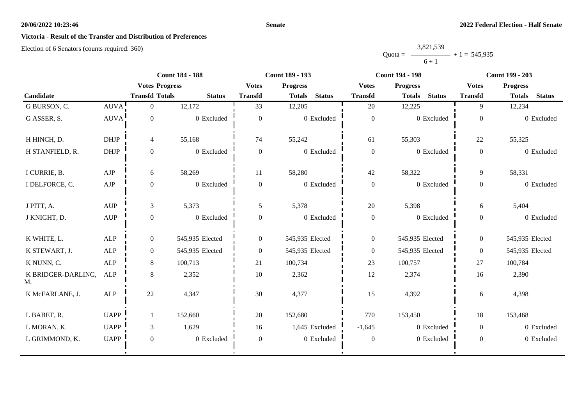#### **Senate**

# **Victoria - Result of the Transfer and Distribution of Preferences**

|           | 3,821,539 |                |
|-----------|-----------|----------------|
| $Quota =$ |           | $+1 = 545,935$ |
|           | $6 + 1$   |                |

|                          |                                  | <b>Count 184 - 188</b> |                 | <b>Count 189 - 193</b> |                                |                  | <b>Count 194 - 198</b>         | <b>Count 199 - 203</b> |                                |
|--------------------------|----------------------------------|------------------------|-----------------|------------------------|--------------------------------|------------------|--------------------------------|------------------------|--------------------------------|
|                          | <b>Votes Progress</b>            |                        | <b>Votes</b>    | <b>Progress</b>        | <b>Votes</b>                   | <b>Progress</b>  | <b>Votes</b>                   | <b>Progress</b>        |                                |
| Candidate                |                                  | <b>Transfd Totals</b>  | <b>Status</b>   | <b>Transfd</b>         | <b>Status</b><br><b>Totals</b> | <b>Transfd</b>   | <b>Status</b><br><b>Totals</b> | <b>Transfd</b>         | <b>Status</b><br><b>Totals</b> |
| G BURSON, C.             | AUVA!                            | $\overline{0}$         | 12,172          | 33                     | 12,205                         | 20               | 12,225                         | 9                      | 12,234                         |
| G ASSER, S.              | <b>AUVA</b>                      | $\boldsymbol{0}$       | 0 Excluded      | $\mathbf{0}$           | 0 Excluded                     | $\boldsymbol{0}$ | 0 Excluded                     | $\boldsymbol{0}$       | 0 Excluded                     |
| H HINCH, D.              | <b>DHJP</b>                      | $\overline{4}$         | 55,168          | 74                     | 55,242                         | 61               | 55,303                         | 22                     | 55,325                         |
| H STANFIELD, R.          | <b>DHJP</b>                      | $\boldsymbol{0}$       | 0 Excluded      | $\overline{0}$         | 0 Excluded                     | $\boldsymbol{0}$ | 0 Excluded                     | $\boldsymbol{0}$       | 0 Excluded                     |
| I CURRIE, B.             | AJP                              | 6                      | 58,269          | 11                     | 58,280                         | 42               | 58,322                         | 9                      | 58,331                         |
| I DELFORCE, C.           | ${\rm AJP}$                      | $\boldsymbol{0}$       | 0 Excluded      | $\overline{0}$         | 0 Excluded                     | $\boldsymbol{0}$ | $0$ Excluded                   | $\overline{0}$         | 0 Excluded                     |
| J PITT, A.               | <b>AUP</b>                       | 3                      | 5,373           | 5                      | 5,378                          | 20               | 5,398                          | 6                      | 5,404                          |
| J KNIGHT, D.             | $\mathbf{A}\mathbf{U}\mathbf{P}$ | $\boldsymbol{0}$       | 0 Excluded      | $\overline{0}$         | 0 Excluded                     | $\boldsymbol{0}$ | 0 Excluded                     | $\overline{0}$         | 0 Excluded                     |
| K WHITE, L.              | ${\sf ALP}$                      | $\overline{0}$         | 545,935 Elected | $\overline{0}$         | 545,935 Elected                | $\boldsymbol{0}$ | 545,935 Elected                | $\overline{0}$         | 545,935 Elected                |
| K STEWART, J.            | <b>ALP</b>                       | $\overline{0}$         | 545,935 Elected | $\overline{0}$         | 545,935 Elected                | $\overline{0}$   | 545,935 Elected                | $\overline{0}$         | 545,935 Elected                |
| K NUNN, C.               | <b>ALP</b>                       | 8                      | 100,713         | 21                     | 100,734                        | 23               | 100,757                        | 27                     | 100,784                        |
| K BRIDGER-DARLING,<br>M. | ALP                              | 8                      | 2,352           | 10                     | 2,362                          | 12               | 2,374                          | 16                     | 2,390                          |
| K McFARLANE, J.          | ALP                              | 22                     | 4,347           | 30                     | 4,377                          | 15               | 4,392                          | 6                      | 4,398                          |
| L BABET, R.              | <b>UAPP</b>                      | 1                      | 152,660         | 20                     | 152,680                        | 770              | 153,450                        | 18                     | 153,468                        |
| L MORAN, K.              | <b>UAPP</b>                      | $\mathfrak{Z}$         | 1,629           | 16                     | 1,645 Excluded                 | $-1,645$         | 0 Excluded                     | $\Omega$               | 0 Excluded                     |
| L GRIMMOND, K.           | <b>UAPP</b>                      | $\boldsymbol{0}$       | 0 Excluded      | $\theta$               | 0 Excluded                     | $\boldsymbol{0}$ | 0 Excluded                     | $\mathbf{0}$           | 0 Excluded                     |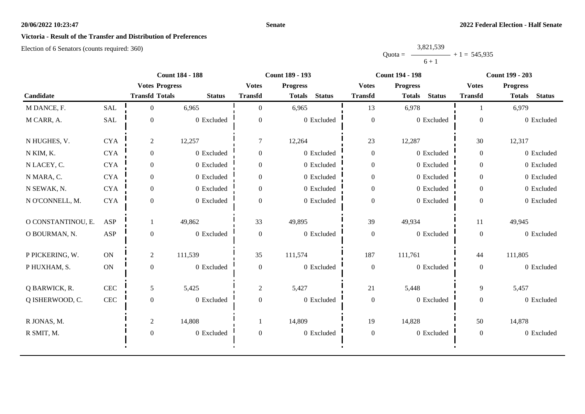#### **Senate**

# **Victoria - Result of the Transfer and Distribution of Preferences**

|           | 3,821,539 |                |
|-----------|-----------|----------------|
| $Quota =$ |           | $+1 = 545,935$ |
|           | $6 + 1$   |                |

|                    |              | <b>Count 184 - 188</b> |               | Count 189 - 193                 |                                |                  | <b>Count 194 - 198</b>         | <b>Count 199 - 203</b> |                                |
|--------------------|--------------|------------------------|---------------|---------------------------------|--------------------------------|------------------|--------------------------------|------------------------|--------------------------------|
|                    |              | <b>Votes Progress</b>  |               | <b>Votes</b><br><b>Progress</b> |                                | <b>Votes</b>     | <b>Progress</b>                |                        | <b>Progress</b>                |
| Candidate          |              | <b>Transfd Totals</b>  | <b>Status</b> | <b>Transfd</b>                  | <b>Status</b><br><b>Totals</b> | <b>Transfd</b>   | <b>Status</b><br><b>Totals</b> | <b>Transfd</b>         | <b>Status</b><br><b>Totals</b> |
| M DANCE, F.        | <b>SAL</b>   | $\Omega$               | 6,965         | $\theta$                        | 6,965                          | 13               | 6,978                          |                        | 6,979                          |
| M CARR, A.         | SAL          | $\overline{0}$         | 0 Excluded    | $\Omega$                        | 0 Excluded                     | $\boldsymbol{0}$ | 0 Excluded                     | $\overline{0}$         | 0 Excluded                     |
| N HUGHES, V.       | <b>CYA</b>   | 2                      | 12,257        | $\overline{7}$                  | 12,264                         | 23               | 12,287                         | 30                     | 12,317                         |
| N KIM, K.          | <b>CYA</b>   | $\overline{0}$         | 0 Excluded    | $\overline{0}$                  | 0 Excluded                     | $\boldsymbol{0}$ | 0 Excluded                     | $\overline{0}$         | 0 Excluded                     |
| N LACEY, C.        | <b>CYA</b>   | $\overline{0}$         | 0 Excluded    | $\Omega$                        | 0 Excluded                     | $\boldsymbol{0}$ | 0 Excluded                     | $\overline{0}$         | 0 Excluded                     |
| N MARA, C.         | <b>CYA</b>   | $\overline{0}$         | 0 Excluded    | $\overline{0}$                  | 0 Excluded                     | $\boldsymbol{0}$ | 0 Excluded                     | $\overline{0}$         | 0 Excluded                     |
| N SEWAK, N.        | <b>CYA</b>   | $\overline{0}$         | 0 Excluded    | $\overline{0}$                  | 0 Excluded                     | $\overline{0}$   | 0 Excluded                     | $\overline{0}$         | 0 Excluded                     |
| N O'CONNELL, M.    | <b>CYA</b>   | $\Omega$               | 0 Excluded    | $\Omega$                        | 0 Excluded                     | $\boldsymbol{0}$ | 0 Excluded                     | $\mathbf{0}$           | 0 Excluded                     |
| O CONSTANTINOU, E. | ASP          |                        | 49,862        | 33                              | 49,895                         | 39               | 49,934                         | 11                     | 49,945                         |
| O BOURMAN, N.      | ASP          | $\overline{0}$         | 0 Excluded    | $\overline{0}$                  | 0 Excluded                     | $\boldsymbol{0}$ | 0 Excluded                     | $\mathbf{0}$           | 0 Excluded                     |
| P PICKERING, W.    | <b>ON</b>    | $\overline{2}$         | 111,539       | 35                              | 111,574                        | 187              | 111,761                        | 44                     | 111,805                        |
| P HUXHAM, S.       | ON           | $\mathbf{0}$           | 0 Excluded    | $\boldsymbol{0}$                | 0 Excluded                     | $\boldsymbol{0}$ | 0 Excluded                     | $\overline{0}$         | 0 Excluded                     |
| Q BARWICK, R.      | $\mbox{CEC}$ | 5                      | 5,425         | $\overline{2}$                  | 5,427                          | 21               | 5,448                          | 9                      | 5,457                          |
| Q ISHERWOOD, C.    | $\mbox{CEC}$ | $\overline{0}$         | 0 Excluded    | $\mathbf{0}$                    | 0 Excluded                     | $\boldsymbol{0}$ | 0 Excluded                     | $\overline{0}$         | 0 Excluded                     |
| R JONAS, M.        |              | $\overline{2}$         | 14,808        |                                 | 14,809                         | 19               | 14,828                         | 50                     | 14,878                         |
| R SMIT, M.         |              | $\mathbf{0}$           | 0 Excluded    | $\boldsymbol{0}$                | $0\,$ Excluded                 | $\boldsymbol{0}$ | 0 Excluded                     | $\overline{0}$         | 0 Excluded                     |
|                    |              |                        |               |                                 |                                |                  |                                |                        |                                |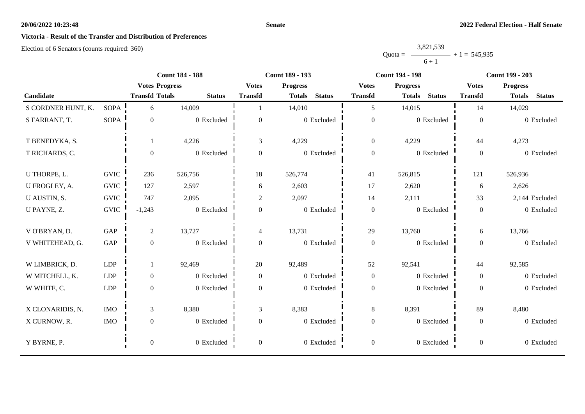#### **Senate**

# **Victoria - Result of the Transfer and Distribution of Preferences**

|           | 3,821,539 |                |
|-----------|-----------|----------------|
| $Quota =$ |           | $+1 = 545,935$ |
|           | $6 + 1$   |                |

|                    |              | <b>Count 184 - 188</b> |               | <b>Count 189 - 193</b>   |                                | <b>Count 194 - 198</b> |                                | <b>Count 199 - 203</b> |                                |
|--------------------|--------------|------------------------|---------------|--------------------------|--------------------------------|------------------------|--------------------------------|------------------------|--------------------------------|
|                    |              | <b>Votes Progress</b>  |               | <b>Votes</b>             | <b>Progress</b>                | <b>Votes</b>           | <b>Progress</b>                | <b>Votes</b>           | <b>Progress</b>                |
| Candidate          |              | <b>Transfd Totals</b>  | <b>Status</b> | <b>Transfd</b>           | <b>Status</b><br><b>Totals</b> | <b>Transfd</b>         | <b>Status</b><br><b>Totals</b> | <b>Transfd</b>         | <b>Status</b><br><b>Totals</b> |
| S CORDNER HUNT, K. | <b>SOPA</b>  | 6                      | 14,009        |                          | 14,010                         | 5                      | 14,015                         | 14                     | 14,029                         |
| S FARRANT, T.      | <b>SOPA</b>  | $\boldsymbol{0}$       | 0 Excluded    | $\boldsymbol{0}$         | 0 Excluded                     | $\boldsymbol{0}$       | 0 Excluded                     | $\boldsymbol{0}$       | 0 Excluded                     |
| T BENEDYKA, S.     |              | 1                      | 4,226         | 3                        | 4,229                          | $\boldsymbol{0}$       | 4,229                          | 44                     | 4,273                          |
| T RICHARDS, C.     |              | $\boldsymbol{0}$       | 0 Excluded    | $\Omega$                 | 0 Excluded                     | $\boldsymbol{0}$       | 0 Excluded                     | $\overline{0}$         | 0 Excluded                     |
| U THORPE, L.       | <b>GVIC</b>  | 236                    | 526,756       | 18                       | 526,774                        | 41                     | 526,815                        | 121                    | 526,936                        |
| U FROGLEY, A.      | <b>GVIC</b>  | 127                    | 2,597         | 6                        | 2,603                          | 17                     | 2,620                          | 6                      | 2,626                          |
| U AUSTIN, S.       | <b>GVIC</b>  | 747                    | 2,095         | $\overline{c}$           | 2,097                          | 14                     | 2,111                          | 33                     | 2,144 Excluded                 |
| U PAYNE, Z.        | ${\rm GNIC}$ | $-1,243$               | 0 Excluded    | $\boldsymbol{0}$         | 0 Excluded                     | $\boldsymbol{0}$       | 0 Excluded                     | $\overline{0}$         | 0 Excluded                     |
| V O'BRYAN, D.      | GAP          | $\overline{2}$         | 13,727        | $\overline{\mathcal{L}}$ | 13,731                         | 29                     | 13,760                         | 6                      | 13,766                         |
| V WHITEHEAD, G.    | GAP          | $\mathbf{0}$           | 0 Excluded    | $\boldsymbol{0}$         | 0 Excluded                     | $\boldsymbol{0}$       | 0 Excluded                     | $\overline{0}$         | 0 Excluded                     |
| W LIMBRICK, D.     | LDP          | 1                      | 92,469        | 20                       | 92,489                         | 52                     | 92,541                         | 44                     | 92,585                         |
| W MITCHELL, K.     | <b>LDP</b>   | $\mathbf{0}$           | 0 Excluded    | $\overline{0}$           | 0 Excluded                     | $\boldsymbol{0}$       | 0 Excluded                     | $\overline{0}$         | 0 Excluded                     |
| W WHITE, C.        | <b>LDP</b>   | $\boldsymbol{0}$       | 0 Excluded    | $\boldsymbol{0}$         | 0 Excluded                     | $\boldsymbol{0}$       | 0 Excluded                     | $\overline{0}$         | 0 Excluded                     |
| X CLONARIDIS, N.   | <b>IMO</b>   | $\mathfrak{Z}$         | 8,380         | 3                        | 8,383                          | $\,8\,$                | 8,391                          | 89                     | 8,480                          |
| X CURNOW, R.       | <b>IMO</b>   | $\boldsymbol{0}$       | 0 Excluded    | $\boldsymbol{0}$         | 0 Excluded                     | $\boldsymbol{0}$       | 0 Excluded                     | $\boldsymbol{0}$       | 0 Excluded                     |
| Y BYRNE, P.        |              | $\boldsymbol{0}$       | 0 Excluded    | $\overline{0}$           | 0 Excluded                     | $\boldsymbol{0}$       | 0 Excluded                     | $\overline{0}$         | 0 Excluded                     |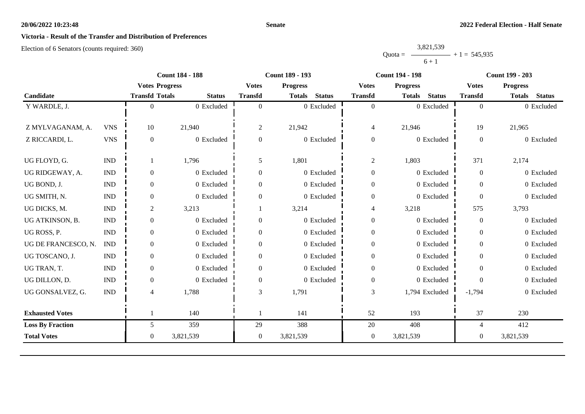#### **Senate**

# **Victoria - Result of the Transfer and Distribution of Preferences**

|           | 3,821,539 |                |
|-----------|-----------|----------------|
| $Quota =$ |           | $+1 = 545,935$ |
|           | $6 + 1$   |                |

|                         |                             | <b>Count 184 - 188</b> |               | <b>Count 189 - 193</b> |                                | <b>Count 194 - 198</b> |                                | <b>Count 199 - 203</b> |                                |
|-------------------------|-----------------------------|------------------------|---------------|------------------------|--------------------------------|------------------------|--------------------------------|------------------------|--------------------------------|
|                         |                             | <b>Votes Progress</b>  |               | <b>Votes</b>           | <b>Progress</b>                | <b>Votes</b>           | <b>Progress</b>                | <b>Votes</b>           | <b>Progress</b>                |
| Candidate               |                             | <b>Transfd Totals</b>  | <b>Status</b> | <b>Transfd</b>         | <b>Status</b><br><b>Totals</b> | <b>Transfd</b>         | <b>Status</b><br><b>Totals</b> | <b>Transfd</b>         | <b>Status</b><br><b>Totals</b> |
| Y WARDLE, J.            |                             | 0                      | 0 Excluded    | $\Omega$               | 0 Excluded                     | $\overline{0}$         | 0 Excluded                     | $\overline{0}$         | 0 Excluded                     |
|                         |                             |                        |               |                        |                                |                        |                                |                        |                                |
| Z MYLVAGANAM, A.        | <b>VNS</b>                  | 10                     | 21,940        | 2                      | 21,942                         | $\overline{4}$         | 21,946                         | 19                     | 21,965                         |
| Z RICCARDI, L.          | <b>VNS</b>                  | $\overline{0}$         | 0 Excluded    | $\mathbf{0}$           | 0 Excluded                     | $\boldsymbol{0}$       | 0 Excluded                     | $\boldsymbol{0}$       | 0 Excluded                     |
|                         |                             |                        |               |                        |                                |                        |                                |                        |                                |
| UG FLOYD, G.            | $\mathop{\rm IND}\nolimits$ |                        | 1,796         | 5                      | 1,801                          | $\overline{c}$         | 1,803                          | 371                    | 2,174                          |
| UG RIDGEWAY, A.         | <b>IND</b>                  | $\Omega$               | 0 Excluded    | $\Omega$               | 0 Excluded                     | $\boldsymbol{0}$       | 0 Excluded                     | $\theta$               | 0 Excluded                     |
| UG BOND, J.             | $\mathop{\rm IND}\nolimits$ | $\overline{0}$         | 0 Excluded    | $\Omega$               | 0 Excluded                     | $\boldsymbol{0}$       | 0 Excluded                     | $\theta$               | 0 Excluded                     |
| UG SMITH, N.            | <b>IND</b>                  | $\boldsymbol{0}$       | 0 Excluded    | $\mathbf{0}$           | 0 Excluded                     | $\boldsymbol{0}$       | 0 Excluded                     | $\boldsymbol{0}$       | 0 Excluded                     |
| UG DICKS, M.            | <b>IND</b>                  | 2                      | 3,213         |                        | 3,214                          | 4                      | 3,218                          | 575                    | 3,793                          |
| UG ATKINSON, B.         | <b>IND</b>                  | $\overline{0}$         | 0 Excluded    | $\Omega$               | 0 Excluded                     | $\boldsymbol{0}$       | 0 Excluded                     | $\theta$               | 0 Excluded                     |
| UG ROSS, P.             | <b>IND</b>                  | $\overline{0}$         | 0 Excluded    | $\mathbf{0}$           | 0 Excluded                     | $\boldsymbol{0}$       | 0 Excluded                     | $\boldsymbol{0}$       | 0 Excluded                     |
| UG DE FRANCESCO, N.     | <b>IND</b>                  | $\overline{0}$         | 0 Excluded    | $\Omega$               | 0 Excluded                     | $\boldsymbol{0}$       | 0 Excluded                     | $\boldsymbol{0}$       | 0 Excluded                     |
| UG TOSCANO, J.          | <b>IND</b>                  | $\Omega$               | 0 Excluded    | $\Omega$               | 0 Excluded                     | $\boldsymbol{0}$       | 0 Excluded                     | $\theta$               | 0 Excluded                     |
| UG TRAN, T.             | <b>IND</b>                  | $\overline{0}$         | 0 Excluded    | $\overline{0}$         | 0 Excluded                     | $\boldsymbol{0}$       | 0 Excluded                     | $\overline{0}$         | 0 Excluded                     |
| UG DILLON, D.           | <b>IND</b>                  | $\mathbf{0}$           | 0 Excluded    | $\mathbf{0}$           | 0 Excluded                     | $\boldsymbol{0}$       | 0 Excluded                     | $\theta$               | 0 Excluded                     |
| UG GONSALVEZ, G.        | <b>IND</b>                  | 4                      | 1,788         | 3                      | 1,791                          | 3                      | 1,794 Excluded                 | $-1,794$               | 0 Excluded                     |
|                         |                             |                        |               |                        |                                |                        |                                |                        |                                |
| <b>Exhausted Votes</b>  |                             |                        | 140           |                        | 141                            | 52                     | 193                            | 37                     | 230                            |
| <b>Loss By Fraction</b> |                             | 5                      | 359           | 29                     | 388                            | 20                     | 408                            | 4                      | 412                            |
| <b>Total Votes</b>      |                             | $\overline{0}$         | 3,821,539     | $\overline{0}$         | 3,821,539                      | $\boldsymbol{0}$       | 3,821,539                      | $\boldsymbol{0}$       | 3,821,539                      |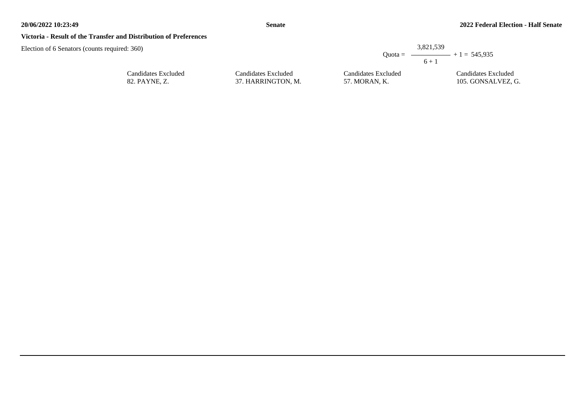#### **Victoria - Result of the Transfer and Distribution of Preferences**

Election of 6 Senators (counts required: 360)

|      |                     | 3.821.539                                          |
|------|---------------------|----------------------------------------------------|
|      |                     | Ouota = $\longrightarrow$ + 1 = 545.935<br>$6 + 1$ |
| uded | Candidates Excluded | Candidates Exclude                                 |

Candidates Excluded 82. PAYNE, Z.

Candidates Exclu 37. HARRINGTON, M.

Candidates Excluded 57. MORAN, K.

Candidates Excluded 105. GONSALVEZ, G.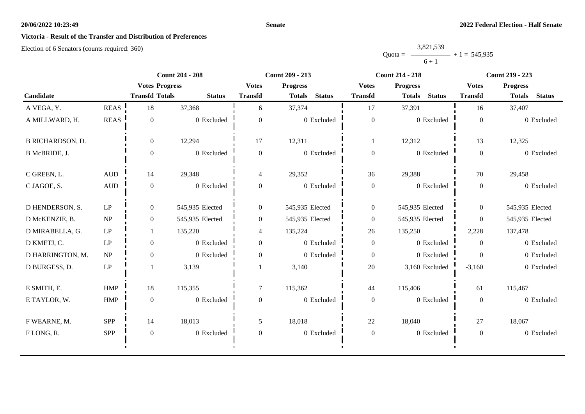#### **Senate**

## **Victoria - Result of the Transfer and Distribution of Preferences**

|           | 3,821,539 |                |
|-----------|-----------|----------------|
| $Quota =$ |           | $+1 = 545,935$ |
|           | $6 + 1$   |                |

|                         | <b>Count 204 - 208</b> |                       | <b>Count 209 - 213</b> |                  |                                | <b>Count 214 - 218</b> | <b>Count 219 - 223</b>         |                |                                |
|-------------------------|------------------------|-----------------------|------------------------|------------------|--------------------------------|------------------------|--------------------------------|----------------|--------------------------------|
|                         |                        | <b>Votes Progress</b> |                        | <b>Votes</b>     | <b>Progress</b>                | <b>Votes</b>           | <b>Progress</b>                | <b>Votes</b>   | <b>Progress</b>                |
| Candidate               |                        | <b>Transfd Totals</b> | <b>Status</b>          | <b>Transfd</b>   | <b>Status</b><br><b>Totals</b> | <b>Transfd</b>         | <b>Status</b><br><b>Totals</b> | <b>Transfd</b> | <b>Status</b><br><b>Totals</b> |
| A VEGA, Y.              | <b>REAS</b>            | 18                    | 37,368                 | 6                | 37,374                         | 17                     | 37,391                         | 16             | 37,407                         |
| A MILLWARD, H.          | <b>REAS</b>            | $\Omega$              | 0 Excluded             | $\overline{0}$   | 0 Excluded                     | $\boldsymbol{0}$       | 0 Excluded                     | $\mathbf{0}$   | 0 Excluded                     |
| <b>B RICHARDSON, D.</b> |                        | $\overline{0}$        | 12,294                 | 17               | 12,311                         | 1                      | 12,312                         | 13             | 12,325                         |
| B McBRIDE, J.           |                        | $\Omega$              | 0 Excluded             | $\overline{0}$   | 0 Excluded                     | $\boldsymbol{0}$       | 0 Excluded                     | $\overline{0}$ | 0 Excluded                     |
| C GREEN, L.             | $\mbox{\rm AUD}$       | 14                    | 29,348                 | $\overline{4}$   | 29,352                         | 36                     | 29,388                         | 70             | 29,458                         |
| C JAGOE, S.             | <b>AUD</b>             | $\theta$              | 0 Excluded             | $\overline{0}$   | 0 Excluded                     | $\boldsymbol{0}$       | 0 Excluded                     | $\overline{0}$ | 0 Excluded                     |
| D HENDERSON, S.         | $\operatorname{LP}$    | $\overline{0}$        | 545,935 Elected        | $\boldsymbol{0}$ | 545,935 Elected                | $\boldsymbol{0}$       | 545,935 Elected                | $\overline{0}$ | 545,935 Elected                |
| D McKENZIE, B.          | NP                     | $\overline{0}$        | 545,935 Elected        | $\overline{0}$   | 545,935 Elected                | $\overline{0}$         | 545,935 Elected                | $\overline{0}$ | 545,935 Elected                |
| D MIRABELLA, G.         | LP                     |                       | 135,220                | $\overline{4}$   | 135,224                        | 26                     | 135,250                        | 2,228          | 137,478                        |
| D KMETJ, C.             | LP                     | $\theta$              | 0 Excluded             | $\mathbf{0}$     | 0 Excluded                     | $\overline{0}$         | 0 Excluded                     | $\overline{0}$ | 0 Excluded                     |
| D HARRINGTON, M.        | NP                     | $\overline{0}$        | 0 Excluded             | $\overline{0}$   | 0 Excluded                     | $\overline{0}$         | 0 Excluded                     | $\Omega$       | 0 Excluded                     |
| D BURGESS, D.           | $\operatorname{LP}$    |                       | 3,139                  |                  | 3,140                          | $20\,$                 | 3,160 Excluded                 | $-3,160$       | 0 Excluded                     |
| E SMITH, E.             | <b>HMP</b>             | 18                    | 115,355                | 7                | 115,362                        | 44                     | 115,406                        | 61             | 115,467                        |
| E TAYLOR, W.            | ${\rm HMP}$            | $\mathbf{0}$          | 0 Excluded             | $\boldsymbol{0}$ | 0 Excluded                     | $\boldsymbol{0}$       | $0$ Excluded                   | $\overline{0}$ | 0 Excluded                     |
| F WEARNE, M.            | <b>SPP</b>             | 14                    | 18,013                 | 5                | 18,018                         | 22                     | 18,040                         | 27             | 18,067                         |
| FLONG, R.               | <b>SPP</b>             | $\boldsymbol{0}$      | 0 Excluded             | $\boldsymbol{0}$ | 0 Excluded                     | $\boldsymbol{0}$       | 0 Excluded                     | $\overline{0}$ | 0 Excluded                     |
|                         |                        |                       |                        |                  |                                |                        |                                |                |                                |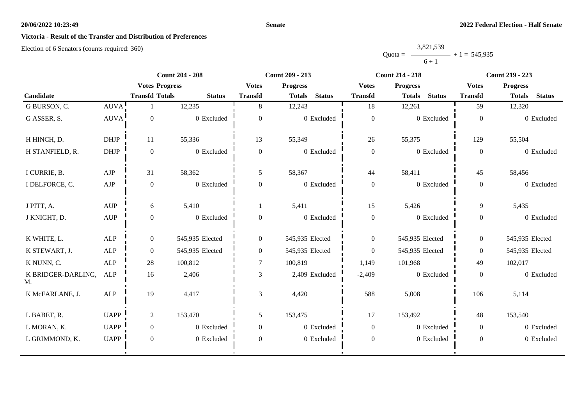#### **Senate**

## **Victoria - Result of the Transfer and Distribution of Preferences**

|           | 3,821,539 |                |
|-----------|-----------|----------------|
| $Quota =$ |           | $+1 = 545,935$ |
|           | $6 + 1$   |                |

|                          |                                  |                       | <b>Count 204 - 208</b> |                | <b>Count 209 - 213</b> |                |                  | <b>Count 214 - 218</b> |               |                  | <b>Count 219 - 223</b> |               |
|--------------------------|----------------------------------|-----------------------|------------------------|----------------|------------------------|----------------|------------------|------------------------|---------------|------------------|------------------------|---------------|
|                          |                                  | <b>Votes Progress</b> |                        | <b>Votes</b>   | <b>Progress</b>        |                | <b>Votes</b>     | <b>Progress</b>        |               | <b>Votes</b>     | <b>Progress</b>        |               |
| Candidate                |                                  | <b>Transfd Totals</b> | <b>Status</b>          | <b>Transfd</b> | <b>Totals</b>          | <b>Status</b>  | <b>Transfd</b>   | <b>Totals</b>          | <b>Status</b> | <b>Transfd</b>   | <b>Totals</b>          | <b>Status</b> |
| G BURSON, C.             | AUVA!                            |                       | 12,235                 | 8              | 12,243                 |                | 18               | 12,261                 |               | 59               | 12,320                 |               |
| G ASSER, S.              | <b>AUVA</b>                      | $\boldsymbol{0}$      | 0 Excluded             | $\mathbf{0}$   |                        | 0 Excluded     | $\boldsymbol{0}$ |                        | 0 Excluded    | $\overline{0}$   |                        | 0 Excluded    |
| H HINCH, D.              | <b>DHJP</b>                      | 11                    | 55,336                 | 13             | 55,349                 |                | 26               | 55,375                 |               | 129              | 55,504                 |               |
| H STANFIELD, R.          | <b>DHJP</b>                      | $\boldsymbol{0}$      | 0 Excluded             | $\overline{0}$ |                        | 0 Excluded     | $\boldsymbol{0}$ |                        | 0 Excluded    | $\boldsymbol{0}$ |                        | 0 Excluded    |
| I CURRIE, B.             | ${\rm AJP}$                      | 31                    | 58,362                 | 5              | 58,367                 |                | 44               | 58,411                 |               | 45               | 58,456                 |               |
| I DELFORCE, C.           | ${\rm AJP}$                      | $\boldsymbol{0}$      | 0 Excluded             | $\overline{0}$ |                        | 0 Excluded     | $\boldsymbol{0}$ |                        | 0 Excluded    | $\overline{0}$   |                        | 0 Excluded    |
| J PITT, A.               | <b>AUP</b>                       | 6                     | 5,410                  |                | 5,411                  |                | 15               | 5,426                  |               | 9                | 5,435                  |               |
| J KNIGHT, D.             | $\mathbf{A}\mathbf{U}\mathbf{P}$ | $\boldsymbol{0}$      | 0 Excluded             | $\mathbf{0}$   |                        | 0 Excluded     | $\boldsymbol{0}$ |                        | 0 Excluded    | $\boldsymbol{0}$ |                        | 0 Excluded    |
| K WHITE, L.              | ${\sf ALP}$                      | $\overline{0}$        | 545,935 Elected        | $\overline{0}$ | 545,935 Elected        |                | $\overline{0}$   | 545,935 Elected        |               | $\overline{0}$   | 545,935 Elected        |               |
| K STEWART, J.            | ALP                              | $\overline{0}$        | 545,935 Elected        | $\overline{0}$ | 545,935 Elected        |                | $\boldsymbol{0}$ | 545,935 Elected        |               | $\mathbf{0}$     | 545,935 Elected        |               |
| K NUNN, C.               | <b>ALP</b>                       | 28                    | 100,812                | $\tau$         | 100,819                |                | 1,149            | 101,968                |               | 49               | 102,017                |               |
| K BRIDGER-DARLING,<br>M. | ALP                              | 16                    | 2,406                  | 3              |                        | 2,409 Excluded | $-2,409$         |                        | 0 Excluded    | $\Omega$         |                        | 0 Excluded    |
| K McFARLANE, J.          | ALP                              | 19                    | 4,417                  | 3              | 4,420                  |                | 588              | 5,008                  |               | 106              | 5,114                  |               |
| L BABET, R.              | <b>UAPP</b>                      | $\overline{2}$        | 153,470                | 5              | 153,475                |                | 17               | 153,492                |               | 48               | 153,540                |               |
| L MORAN, K.              | <b>UAPP</b>                      | $\overline{0}$        | 0 Excluded             | $\Omega$       |                        | 0 Excluded     | $\overline{0}$   |                        | 0 Excluded    | $\Omega$         |                        | 0 Excluded    |
| L GRIMMOND, K.           | <b>UAPP</b>                      | $\overline{0}$        | 0 Excluded             | $\theta$       |                        | 0 Excluded     | $\boldsymbol{0}$ |                        | 0 Excluded    | $\overline{0}$   |                        | 0 Excluded    |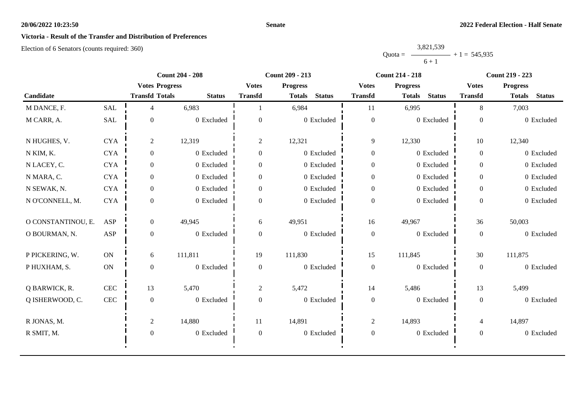#### **Senate**

## **Victoria - Result of the Transfer and Distribution of Preferences**

|           | 3,821,539 |                |
|-----------|-----------|----------------|
| $Quota =$ |           | $+1 = 545,935$ |
|           | $6 + 1$   |                |

|                    | <b>Count 204 - 208</b> |                       | <b>Count 209 - 213</b> |                  |                                | <b>Count 214 - 218</b> | <b>Count 219 - 223</b>         |                  |                                |
|--------------------|------------------------|-----------------------|------------------------|------------------|--------------------------------|------------------------|--------------------------------|------------------|--------------------------------|
|                    |                        | <b>Votes Progress</b> |                        | <b>Votes</b>     | <b>Progress</b>                | <b>Votes</b>           | <b>Progress</b>                | <b>Votes</b>     | <b>Progress</b>                |
| Candidate          |                        | <b>Transfd Totals</b> | <b>Status</b>          | <b>Transfd</b>   | <b>Status</b><br><b>Totals</b> | <b>Transfd</b>         | <b>Status</b><br><b>Totals</b> | <b>Transfd</b>   | <b>Status</b><br><b>Totals</b> |
| M DANCE, F.        | <b>SAL</b>             | 4                     | 6,983                  |                  | 6,984                          | 11                     | 6,995                          | 8                | 7,003                          |
| M CARR, A.         | SAL                    | $\overline{0}$        | 0 Excluded             | $\theta$         | 0 Excluded                     | $\boldsymbol{0}$       | 0 Excluded                     | $\overline{0}$   | 0 Excluded                     |
| N HUGHES, V.       | <b>CYA</b>             | 2                     | 12,319                 | $\overline{c}$   | 12,321                         | 9                      | 12,330                         | 10               | 12,340                         |
| N KIM, K.          | <b>CYA</b>             | $\overline{0}$        | 0 Excluded             | $\boldsymbol{0}$ | 0 Excluded                     | $\overline{0}$         | 0 Excluded                     | $\overline{0}$   | 0 Excluded                     |
| N LACEY, C.        | <b>CYA</b>             | $\overline{0}$        | 0 Excluded             | $\theta$         | 0 Excluded                     | $\boldsymbol{0}$       | 0 Excluded                     | $\overline{0}$   | 0 Excluded                     |
| N MARA, C.         | <b>CYA</b>             | $\overline{0}$        | 0 Excluded             | $\overline{0}$   | 0 Excluded                     | $\boldsymbol{0}$       | 0 Excluded                     | $\overline{0}$   | 0 Excluded                     |
| N SEWAK, N.        | <b>CYA</b>             | $\overline{0}$        | 0 Excluded             | $\overline{0}$   | 0 Excluded                     | $\overline{0}$         | 0 Excluded                     | $\overline{0}$   | 0 Excluded                     |
| N O'CONNELL, M.    | <b>CYA</b>             | $\Omega$              | 0 Excluded             | $\Omega$         | 0 Excluded                     | $\boldsymbol{0}$       | 0 Excluded                     | $\mathbf{0}$     | 0 Excluded                     |
| O CONSTANTINOU, E. | ASP                    | $\overline{0}$        | 49,945                 | 6                | 49,951                         | 16                     | 49,967                         | 36               | 50,003                         |
| O BOURMAN, N.      | <b>ASP</b>             | $\overline{0}$        | 0 Excluded             | $\overline{0}$   | 0 Excluded                     | $\boldsymbol{0}$       | 0 Excluded                     | $\overline{0}$   | 0 Excluded                     |
| P PICKERING, W.    | ON                     | 6                     | 111,811                | 19               | 111,830                        | 15                     | 111,845                        | 30               | 111,875                        |
| P HUXHAM, S.       | $\mbox{ON}$            | $\mathbf{0}$          | 0 Excluded             | $\boldsymbol{0}$ | 0 Excluded                     | $\boldsymbol{0}$       | 0 Excluded                     | $\boldsymbol{0}$ | 0 Excluded                     |
| Q BARWICK, R.      | $\mbox{CEC}$           | 13                    | 5,470                  | $\overline{2}$   | 5,472                          | 14                     | 5,486                          | 13               | 5,499                          |
| Q ISHERWOOD, C.    | $\rm CEC$              | $\mathbf{0}$          | 0 Excluded             | $\mathbf{0}$     | 0 Excluded                     | $\boldsymbol{0}$       | 0 Excluded                     | $\mathbf{0}$     | 0 Excluded                     |
| R JONAS, M.        |                        | $\overline{2}$        | 14,880                 | 11               | 14,891                         | $\overline{c}$         | 14,893                         | 4                | 14,897                         |
| R SMIT, M.         |                        | $\mathbf{0}$          | 0 Excluded             | $\boldsymbol{0}$ | 0 Excluded                     | $\boldsymbol{0}$       | 0 Excluded                     | $\overline{0}$   | 0 Excluded                     |
|                    |                        |                       |                        |                  |                                |                        |                                |                  |                                |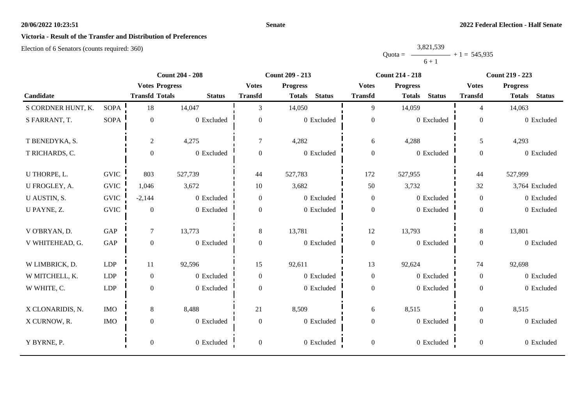#### **Senate**

## **Victoria - Result of the Transfer and Distribution of Preferences**

|           | 3,821,539 |                |
|-----------|-----------|----------------|
| $Quota =$ |           | $+1 = 545,935$ |
|           | $6 + 1$   |                |

|                    |             |                       | <b>Count 204 - 208</b> | <b>Count 209 - 213</b> |                                |                  | <b>Count 214 - 218</b>         |                  | <b>Count 219 - 223</b>         |
|--------------------|-------------|-----------------------|------------------------|------------------------|--------------------------------|------------------|--------------------------------|------------------|--------------------------------|
|                    |             | <b>Votes Progress</b> |                        | <b>Votes</b>           | <b>Progress</b>                | <b>Votes</b>     | <b>Progress</b>                | <b>Votes</b>     | <b>Progress</b>                |
| Candidate          |             | <b>Transfd Totals</b> | <b>Status</b>          | <b>Transfd</b>         | <b>Status</b><br><b>Totals</b> | <b>Transfd</b>   | <b>Status</b><br><b>Totals</b> | <b>Transfd</b>   | <b>Status</b><br><b>Totals</b> |
| S CORDNER HUNT, K. | <b>SOPA</b> | 18                    | 14,047                 | 3                      | 14,050                         | 9                | 14,059                         | $\overline{4}$   | 14,063                         |
| S FARRANT, T.      | <b>SOPA</b> | $\boldsymbol{0}$      | 0 Excluded             | $\overline{0}$         | 0 Excluded                     | $\boldsymbol{0}$ | 0 Excluded                     | $\boldsymbol{0}$ | 0 Excluded                     |
| T BENEDYKA, S.     |             | $\sqrt{2}$            | 4,275                  | $\overline{7}$         | 4,282                          | 6                | 4,288                          | 5                | 4,293                          |
| T RICHARDS, C.     |             | $\boldsymbol{0}$      | 0 Excluded             | $\boldsymbol{0}$       | 0 Excluded                     | $\boldsymbol{0}$ | 0 Excluded                     | $\overline{0}$   | 0 Excluded                     |
| U THORPE, L.       | <b>GVIC</b> | 803                   | 527,739                | 44                     | 527,783                        | 172              | 527,955                        | 44               | 527,999                        |
| U FROGLEY, A.      | <b>GVIC</b> | 1,046                 | 3,672                  | 10                     | 3,682                          | 50               | 3,732                          | 32               | 3,764 Excluded                 |
| U AUSTIN, S.       | <b>GVIC</b> | $-2,144$              | 0 Excluded             | $\overline{0}$         | 0 Excluded                     | $\boldsymbol{0}$ | 0 Excluded                     | $\overline{0}$   | 0 Excluded                     |
| U PAYNE, Z.        | <b>GVIC</b> | $\boldsymbol{0}$      | 0 Excluded             | $\boldsymbol{0}$       | 0 Excluded                     | $\boldsymbol{0}$ | 0 Excluded                     | $\overline{0}$   | 0 Excluded                     |
| V O'BRYAN, D.      | GAP         | $\tau$                | 13,773                 | 8                      | 13,781                         | 12               | 13,793                         | 8                | 13,801                         |
| V WHITEHEAD, G.    | GAP         | $\mathbf{0}$          | 0 Excluded             | $\boldsymbol{0}$       | 0 Excluded                     | $\boldsymbol{0}$ | 0 Excluded                     | $\overline{0}$   | 0 Excluded                     |
| W LIMBRICK, D.     | <b>LDP</b>  | 11                    | 92,596                 | 15                     | 92,611                         | 13               | 92,624                         | 74               | 92,698                         |
| W MITCHELL, K.     | <b>LDP</b>  | $\boldsymbol{0}$      | 0 Excluded             | $\overline{0}$         | 0 Excluded                     | $\boldsymbol{0}$ | 0 Excluded                     | $\overline{0}$   | 0 Excluded                     |
| W WHITE, C.        | <b>LDP</b>  | $\boldsymbol{0}$      | 0 Excluded             | $\overline{0}$         | 0 Excluded                     | $\boldsymbol{0}$ | 0 Excluded                     | $\overline{0}$   | 0 Excluded                     |
| X CLONARIDIS, N.   | <b>IMO</b>  | $\,8\,$               | 8,488                  | 21                     | 8,509                          | 6                | 8,515                          | $\overline{0}$   | 8,515                          |
| X CURNOW, R.       | <b>IMO</b>  | $\boldsymbol{0}$      | 0 Excluded             | $\boldsymbol{0}$       | 0 Excluded                     | $\boldsymbol{0}$ | 0 Excluded                     | $\overline{0}$   | 0 Excluded                     |
| Y BYRNE, P.        |             | $\boldsymbol{0}$      | 0 Excluded             | $\overline{0}$         | 0 Excluded                     | $\boldsymbol{0}$ | 0 Excluded                     | $\overline{0}$   | 0 Excluded                     |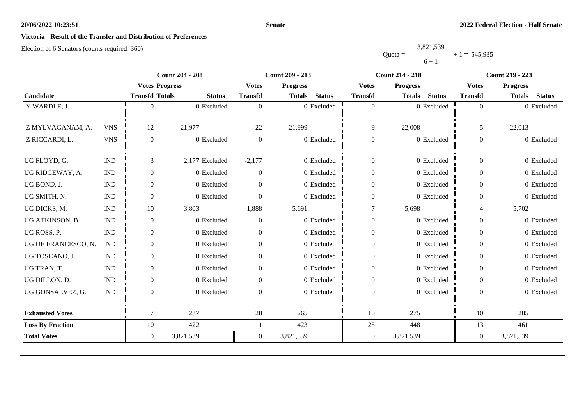#### **Senate**

## **Victoria - Result of the Transfer and Distribution of Preferences**

|           | 3,821,539 |                |
|-----------|-----------|----------------|
| $Quota =$ |           | $+1 = 545,935$ |
|           | $6 + 1$   |                |

|                         |                             |                       | <b>Count 204 - 208</b> |                | <b>Count 209 - 213</b>         |                  | <b>Count 214 - 218</b>         |                | <b>Count 219 - 223</b>         |
|-------------------------|-----------------------------|-----------------------|------------------------|----------------|--------------------------------|------------------|--------------------------------|----------------|--------------------------------|
|                         |                             | <b>Votes Progress</b> |                        | <b>Votes</b>   | <b>Progress</b>                | <b>Votes</b>     | <b>Progress</b>                | <b>Votes</b>   | <b>Progress</b>                |
| Candidate               |                             | <b>Transfd Totals</b> | <b>Status</b>          | <b>Transfd</b> | <b>Status</b><br><b>Totals</b> | <b>Transfd</b>   | <b>Status</b><br><b>Totals</b> | <b>Transfd</b> | <b>Status</b><br><b>Totals</b> |
| Y WARDLE, J.            |                             | 0                     | 0 Excluded             | $\theta$       | 0 Excluded                     | $\boldsymbol{0}$ | 0 Excluded                     | $\Omega$       | 0 Excluded                     |
|                         |                             |                       |                        |                |                                |                  |                                |                |                                |
| Z MYLVAGANAM, A.        | <b>VNS</b>                  | 12                    | 21,977                 | 22             | 21,999                         | 9                | 22,008                         | 5              | 22,013                         |
| Z RICCARDI, L.          | <b>VNS</b>                  | $\overline{0}$        | 0 Excluded             | $\theta$       | 0 Excluded                     | $\boldsymbol{0}$ | 0 Excluded                     | $\theta$       | 0 Excluded                     |
|                         |                             |                       |                        |                |                                |                  |                                |                |                                |
| UG FLOYD, G.            | <b>IND</b>                  | 3                     | 2,177 Excluded         | $-2,177$       | 0 Excluded                     | $\boldsymbol{0}$ | 0 Excluded                     | $\overline{0}$ | 0 Excluded                     |
| UG RIDGEWAY, A.         | <b>IND</b>                  | $\overline{0}$        | 0 Excluded             | $\Omega$       | 0 Excluded                     | $\boldsymbol{0}$ | 0 Excluded                     | $\mathbf{0}$   | 0 Excluded                     |
| UG BOND, J.             | $\ensuremath{\text{IND}}$   | $\overline{0}$        | 0 Excluded             | $\Omega$       | 0 Excluded                     | $\boldsymbol{0}$ | 0 Excluded                     | $\mathbf{0}$   | 0 Excluded                     |
| UG SMITH, N.            | <b>IND</b>                  | $\overline{0}$        | 0 Excluded             | $\Omega$       | $0\,$ Excluded                 | $\boldsymbol{0}$ | 0 Excluded                     | $\theta$       | 0 Excluded                     |
| UG DICKS, M.            | <b>IND</b>                  | 10                    | 3,803                  | 1,888          | 5,691                          |                  | 5,698                          | 4              | 5,702                          |
| UG ATKINSON, B.         | <b>IND</b>                  | $\mathbf{0}$          | 0 Excluded             | $\theta$       | 0 Excluded                     | $\boldsymbol{0}$ | $0$ Excluded                   | $\overline{0}$ | 0 Excluded                     |
| UG ROSS, P.             | $\mathop{\rm IND}\nolimits$ | $\overline{0}$        | 0 Excluded             | $\Omega$       | 0 Excluded                     | $\boldsymbol{0}$ | 0 Excluded                     | $\overline{0}$ | 0 Excluded                     |
| UG DE FRANCESCO, N.     | <b>IND</b>                  | $\overline{0}$        | 0 Excluded             | $\Omega$       | 0 Excluded                     | $\boldsymbol{0}$ | 0 Excluded                     | $\mathbf{0}$   | 0 Excluded                     |
| UG TOSCANO, J.          | <b>IND</b>                  | $\theta$              | 0 Excluded             | $\Omega$       | 0 Excluded                     | $\boldsymbol{0}$ | 0 Excluded                     | $\overline{0}$ | 0 Excluded                     |
| UG TRAN, T.             | <b>IND</b>                  | $\overline{0}$        | 0 Excluded             | $\Omega$       | 0 Excluded                     | $\overline{0}$   | 0 Excluded                     | $\overline{0}$ | 0 Excluded                     |
| UG DILLON, D.           | <b>IND</b>                  | $\overline{0}$        | 0 Excluded             | $\Omega$       | 0 Excluded                     | $\boldsymbol{0}$ | 0 Excluded                     | $\overline{0}$ | 0 Excluded                     |
| UG GONSALVEZ, G.        | $\ensuremath{\text{IND}}$   | $\Omega$              | 0 Excluded             | $\Omega$       | 0 Excluded                     | $\boldsymbol{0}$ | 0 Excluded                     | $\theta$       | 0 Excluded                     |
|                         |                             |                       |                        |                |                                |                  |                                |                |                                |
| <b>Exhausted Votes</b>  |                             | 7                     | 237                    | 28             | 265                            | 10               | 275                            | 10             | 285                            |
| <b>Loss By Fraction</b> |                             | 10                    | 422                    |                | 423                            | 25               | 448                            | 13             | 461                            |
| <b>Total Votes</b>      |                             | $\overline{0}$        | 3,821,539              | $\overline{0}$ | 3,821,539                      | $\overline{0}$   | 3,821,539                      | $\theta$       | 3,821,539                      |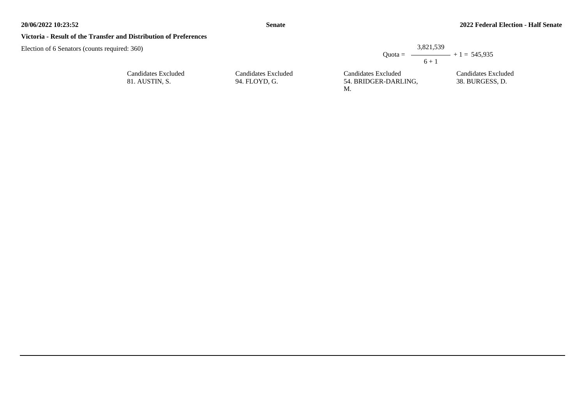38. BURGESS, D.

#### **Victoria - Result of the Transfer and Distribution of Preferences**

Election of 6 Senators (counts required: 360)

| $Quota =$           | 3,821,539 | $ +1 = 545.935$     |
|---------------------|-----------|---------------------|
|                     | $6 + 1$   |                     |
| Candidates Excluded |           | Candidates Excluded |

Candidates Excluded 81. AUSTIN, S.

Candidates Excluded 94. FLOYD, G.

Candidates Excluded 54. BRIDGER-DARLING, M.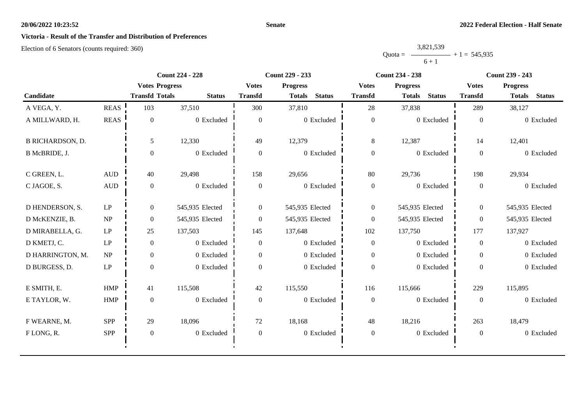#### **Senate**

## **Victoria - Result of the Transfer and Distribution of Preferences**

|           | 3,821,539 |                |
|-----------|-----------|----------------|
| $Quota =$ |           | $+1 = 545,935$ |
|           | $6 + 1$   |                |

|                         |                        | <b>Count 224 - 228</b> |                 |                                 | <b>Count 229 - 233</b>         |                                 | <b>Count 234 - 238</b>         | Count 239 - 243 |                                |
|-------------------------|------------------------|------------------------|-----------------|---------------------------------|--------------------------------|---------------------------------|--------------------------------|-----------------|--------------------------------|
|                         |                        | <b>Votes Progress</b>  |                 | <b>Progress</b><br><b>Votes</b> |                                | <b>Progress</b><br><b>Votes</b> |                                | <b>Votes</b>    | <b>Progress</b>                |
| Candidate               |                        | <b>Transfd Totals</b>  | <b>Status</b>   | <b>Transfd</b>                  | <b>Status</b><br><b>Totals</b> | <b>Transfd</b>                  | <b>Status</b><br><b>Totals</b> | <b>Transfd</b>  | <b>Status</b><br><b>Totals</b> |
| A VEGA, Y.              | <b>REAS</b>            | 103                    | 37,510          | 300                             | 37,810                         | 28                              | 37,838                         | 289             | 38,127                         |
| A MILLWARD, H.          | <b>REAS</b>            | $\theta$               | 0 Excluded      | $\overline{0}$                  | 0 Excluded                     | $\boldsymbol{0}$                | 0 Excluded                     | $\mathbf{0}$    | 0 Excluded                     |
| <b>B RICHARDSON, D.</b> |                        | 5                      | 12,330          | 49                              | 12,379                         | 8                               | 12,387                         | 14              | 12,401                         |
| B McBRIDE, J.           |                        | $\mathbf{0}$           | 0 Excluded      | $\mathbf{0}$                    | 0 Excluded                     | $\boldsymbol{0}$                | 0 Excluded                     | $\overline{0}$  | 0 Excluded                     |
| C GREEN, L.             | $\mbox{AUD}$           | 40                     | 29,498          | 158                             | 29,656                         | 80                              | 29,736                         | 198             | 29,934                         |
| C JAGOE, S.             | <b>AUD</b>             | $\theta$               | 0 Excluded      | $\overline{0}$                  | 0 Excluded                     | $\boldsymbol{0}$                | 0 Excluded                     | $\overline{0}$  | 0 Excluded                     |
| D HENDERSON, S.         | $\operatorname{LP}$    | $\overline{0}$         | 545,935 Elected | $\overline{0}$                  | 545,935 Elected                | $\boldsymbol{0}$                | 545,935 Elected                | $\overline{0}$  | 545,935 Elected                |
| D McKENZIE, B.          | NP                     | $\theta$               | 545,935 Elected | $\overline{0}$                  | 545,935 Elected                | $\boldsymbol{0}$                | 545,935 Elected                | $\overline{0}$  | 545,935 Elected                |
| D MIRABELLA, G.         | $\operatorname{LP}$    | 25                     | 137,503         | 145                             | 137,648                        | 102                             | 137,750                        | 177             | 137,927                        |
| D KMETJ, C.             | LP                     | $\theta$               | 0 Excluded      | $\overline{0}$                  | 0 Excluded                     | $\overline{0}$                  | 0 Excluded                     | $\overline{0}$  | 0 Excluded                     |
| D HARRINGTON, M.        | NP                     | $\overline{0}$         | 0 Excluded      | $\overline{0}$                  | 0 Excluded                     | $\boldsymbol{0}$                | 0 Excluded                     | $\overline{0}$  | 0 Excluded                     |
| D BURGESS, D.           | $\mathrm{L}\mathrm{P}$ | $\theta$               | 0 Excluded      | $\theta$                        | 0 Excluded                     | $\boldsymbol{0}$                | 0 Excluded                     | $\Omega$        | 0 Excluded                     |
| E SMITH, E.             | <b>HMP</b>             | 41                     | 115,508         | 42                              | 115,550                        | 116                             | 115,666                        | 229             | 115,895                        |
| E TAYLOR, W.            | <b>HMP</b>             | $\theta$               | 0 Excluded      | $\overline{0}$                  | 0 Excluded                     | $\boldsymbol{0}$                | 0 Excluded                     | $\mathbf{0}$    | 0 Excluded                     |
| F WEARNE, M.            | <b>SPP</b>             | 29                     | 18,096          | 72                              | 18,168                         | 48                              | 18,216                         | 263             | 18,479                         |
| FLONG, R.               | <b>SPP</b>             | $\mathbf{0}$           | 0 Excluded      | $\boldsymbol{0}$                | 0 Excluded                     | $\boldsymbol{0}$                | 0 Excluded                     | $\mathbf{0}$    | 0 Excluded                     |
|                         |                        |                        |                 |                                 |                                |                                 |                                |                 |                                |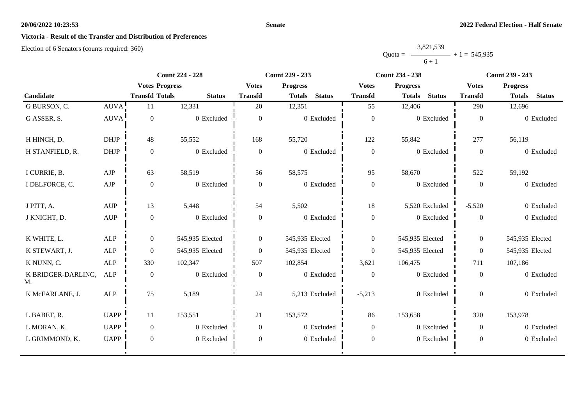#### **Senate**

## **Victoria - Result of the Transfer and Distribution of Preferences**

|           | 3,821,539 |                |
|-----------|-----------|----------------|
| $Quota =$ |           | $+1 = 545,935$ |
|           | $6 + 1$   |                |

|                          |                                  | <b>Count 224 - 228</b> |                 | <b>Count 229 - 233</b> |                                |                  | <b>Count 234 - 238</b>         | <b>Count 239 - 243</b> |                                |
|--------------------------|----------------------------------|------------------------|-----------------|------------------------|--------------------------------|------------------|--------------------------------|------------------------|--------------------------------|
|                          | <b>Votes Progress</b>            |                        | <b>Votes</b>    | <b>Progress</b>        | <b>Votes</b>                   | <b>Progress</b>  | <b>Votes</b>                   | <b>Progress</b>        |                                |
| Candidate                |                                  | <b>Transfd Totals</b>  | <b>Status</b>   | <b>Transfd</b>         | <b>Status</b><br><b>Totals</b> | <b>Transfd</b>   | <b>Status</b><br><b>Totals</b> | <b>Transfd</b>         | <b>Status</b><br><b>Totals</b> |
| G BURSON, C.             | AUVA!                            | 11                     | 12,331          | 20                     | 12,351                         | 55               | 12,406                         | 290                    | 12,696                         |
| G ASSER, S.              | <b>AUVA</b>                      | $\overline{0}$         | 0 Excluded      | $\mathbf{0}$           | 0 Excluded                     | $\boldsymbol{0}$ | 0 Excluded                     | $\theta$               | 0 Excluded                     |
| H HINCH, D.              | <b>DHJP</b>                      | 48                     | 55,552          | 168                    | 55,720                         | 122              | 55,842                         | 277                    | 56,119                         |
| H STANFIELD, R.          | <b>DHJP</b>                      | $\mathbf{0}$           | 0 Excluded      | $\mathbf{0}$           | 0 Excluded                     | $\mathbf{0}$     | 0 Excluded                     | $\theta$               | 0 Excluded                     |
| I CURRIE, B.             | AJP                              | 63                     | 58,519          | 56                     | 58,575                         | 95               | 58,670                         | 522                    | 59,192                         |
| I DELFORCE, C.           | AJP                              | $\boldsymbol{0}$       | 0 Excluded      | $\mathbf{0}$           | 0 Excluded                     | $\boldsymbol{0}$ | 0 Excluded                     | $\theta$               | 0 Excluded                     |
| J PITT, A.               | <b>AUP</b>                       | 13                     | 5,448           | 54                     | 5,502                          | 18               | 5,520 Excluded                 | $-5,520$               | 0 Excluded                     |
| J KNIGHT, D.             | $\mathbf{A}\mathbf{U}\mathbf{P}$ | $\boldsymbol{0}$       | 0 Excluded      | $\mathbf{0}$           | 0 Excluded                     | $\boldsymbol{0}$ | 0 Excluded                     | $\overline{0}$         | 0 Excluded                     |
| K WHITE, L.              | ALP                              | $\boldsymbol{0}$       | 545,935 Elected | $\overline{0}$         | 545,935 Elected                | $\overline{0}$   | 545,935 Elected                | $\overline{0}$         | 545,935 Elected                |
| K STEWART, J.            | ALP                              | $\overline{0}$         | 545,935 Elected | $\mathbf{0}$           | 545,935 Elected                | $\boldsymbol{0}$ | 545,935 Elected                | $\mathbf{0}$           | 545,935 Elected                |
| K NUNN, C.               | ALP                              | 330                    | 102,347         | 507                    | 102,854                        | 3,621            | 106,475                        | 711                    | 107,186                        |
| K BRIDGER-DARLING,<br>M. | ALP                              | $\boldsymbol{0}$       | 0 Excluded      | $\mathbf{0}$           | 0 Excluded                     | $\mathbf{0}$     | 0 Excluded                     | $\theta$               | 0 Excluded                     |
| K McFARLANE, J.          | ALP                              | 75                     | 5,189           | 24                     | 5,213 Excluded                 | $-5,213$         | 0 Excluded                     | $\Omega$               | 0 Excluded                     |
| L BABET, R.              | <b>UAPP</b>                      | 11                     | 153,551         | 21                     | 153,572                        | 86               | 153,658                        | 320                    | 153,978                        |
| L MORAN, K.              | <b>UAPP</b>                      | $\mathbf{0}$           | 0 Excluded      | $\Omega$               | 0 Excluded                     | $\boldsymbol{0}$ | 0 Excluded                     | $\overline{0}$         | 0 Excluded                     |
| L GRIMMOND, K.           | <b>UAPP</b>                      | $\overline{0}$         | 0 Excluded      | $\mathbf{0}$           | 0 Excluded                     | $\boldsymbol{0}$ | 0 Excluded                     | $\overline{0}$         | 0 Excluded                     |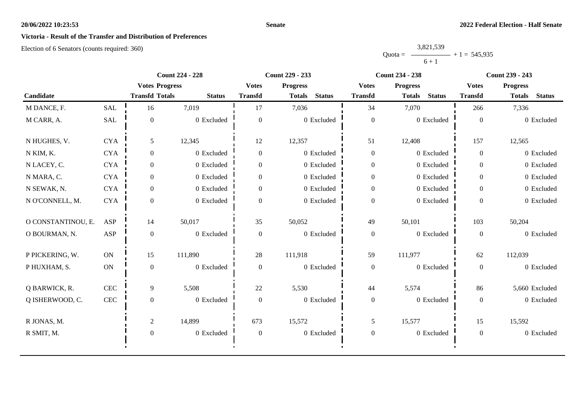#### **Senate**

## **Victoria - Result of the Transfer and Distribution of Preferences**

|           | 3,821,539 |                |
|-----------|-----------|----------------|
| $Quota =$ |           | $+1 = 545,935$ |
|           | $6 + 1$   |                |

|                    |               | <b>Count 224 - 228</b> |               | <b>Count 229 - 233</b> |                                |                  | <b>Count 234 - 238</b>         | <b>Count 239 - 243</b> |                                |
|--------------------|---------------|------------------------|---------------|------------------------|--------------------------------|------------------|--------------------------------|------------------------|--------------------------------|
|                    |               | <b>Votes Progress</b>  |               | <b>Votes</b>           | <b>Progress</b>                | <b>Votes</b>     | <b>Progress</b>                | <b>Votes</b>           | <b>Progress</b>                |
| Candidate          |               | <b>Transfd Totals</b>  | <b>Status</b> | <b>Transfd</b>         | <b>Status</b><br><b>Totals</b> | <b>Transfd</b>   | <b>Status</b><br><b>Totals</b> | <b>Transfd</b>         | <b>Status</b><br><b>Totals</b> |
| M DANCE, F.        | SAL           | 16                     | 7,019         | 17                     | 7,036                          | 34               | 7,070                          | 266                    | 7,336                          |
| M CARR, A.         | SAL           | $\overline{0}$         | 0 Excluded    | $\overline{0}$         | 0 Excluded                     | $\boldsymbol{0}$ | 0 Excluded                     | $\overline{0}$         | 0 Excluded                     |
| N HUGHES, V.       | <b>CYA</b>    | 5                      | 12,345        | 12                     | 12,357                         | 51               | 12,408                         | 157                    | 12,565                         |
| N KIM, K.          | <b>CYA</b>    | $\overline{0}$         | 0 Excluded    | $\overline{0}$         | 0 Excluded                     | $\boldsymbol{0}$ | 0 Excluded                     | $\overline{0}$         | 0 Excluded                     |
| N LACEY, C.        | <b>CYA</b>    | $\overline{0}$         | 0 Excluded    | $\Omega$               | 0 Excluded                     | $\boldsymbol{0}$ | 0 Excluded                     | $\overline{0}$         | 0 Excluded                     |
| N MARA, C.         | <b>CYA</b>    | $\overline{0}$         | 0 Excluded    | $\overline{0}$         | 0 Excluded                     | $\boldsymbol{0}$ | 0 Excluded                     | $\overline{0}$         | 0 Excluded                     |
| N SEWAK, N.        | <b>CYA</b>    | $\overline{0}$         | 0 Excluded    | $\overline{0}$         | 0 Excluded                     | $\overline{0}$   | 0 Excluded                     | $\overline{0}$         | 0 Excluded                     |
| N O'CONNELL, M.    | <b>CYA</b>    | $\Omega$               | 0 Excluded    | $\Omega$               | 0 Excluded                     | $\boldsymbol{0}$ | 0 Excluded                     | $\Omega$               | 0 Excluded                     |
| O CONSTANTINOU, E. | ASP           | 14                     | 50,017        | 35                     | 50,052                         | 49               | 50,101                         | 103                    | 50,204                         |
| O BOURMAN, N.      | <b>ASP</b>    | $\mathbf{0}$           | 0 Excluded    | $\overline{0}$         | 0 Excluded                     | $\boldsymbol{0}$ | 0 Excluded                     | $\overline{0}$         | 0 Excluded                     |
| P PICKERING, W.    | ON            | 15                     | 111,890       | 28                     | 111,918                        | 59               | 111,977                        | 62                     | 112,039                        |
| P HUXHAM, S.       | $\mathbf{ON}$ | $\mathbf{0}$           | 0 Excluded    | $\boldsymbol{0}$       | 0 Excluded                     | $\boldsymbol{0}$ | 0 Excluded                     | $\boldsymbol{0}$       | 0 Excluded                     |
| Q BARWICK, R.      | CEC           | 9                      | 5,508         | 22                     | 5,530                          | 44               | 5,574                          | 86                     | 5,660 Excluded                 |
| Q ISHERWOOD, C.    | $\mbox{CEC}$  | $\overline{0}$         | 0 Excluded    | $\overline{0}$         | 0 Excluded                     | $\boldsymbol{0}$ | $0$ Excluded                   | $\overline{0}$         | 0 Excluded                     |
| R JONAS, M.        |               | $\overline{2}$         | 14,899        | 673                    | 15,572                         | 5                | 15,577                         | 15                     | 15,592                         |
| R SMIT, M.         |               | $\mathbf{0}$           | 0 Excluded    | $\mathbf{0}$           | 0 Excluded                     | $\boldsymbol{0}$ | 0 Excluded                     | $\overline{0}$         | 0 Excluded                     |
|                    |               |                        |               |                        |                                |                  |                                |                        |                                |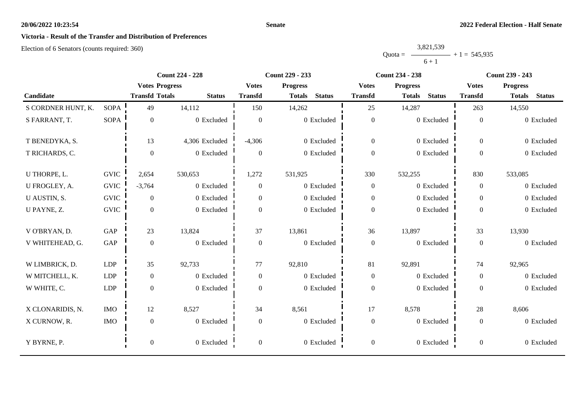#### **Senate**

## **Victoria - Result of the Transfer and Distribution of Preferences**

|           | 3,821,539 |                |
|-----------|-----------|----------------|
| $Quota =$ |           | $+1 = 545,935$ |
|           | $6 + 1$   |                |

|                    |             | <b>Count 224 - 228</b> |                | <b>Count 229 - 233</b> |                                |                  | <b>Count 234 - 238</b>         | <b>Count 239 - 243</b> |                                |
|--------------------|-------------|------------------------|----------------|------------------------|--------------------------------|------------------|--------------------------------|------------------------|--------------------------------|
|                    |             | <b>Votes Progress</b>  |                | <b>Votes</b>           | <b>Progress</b>                | <b>Votes</b>     | <b>Progress</b>                | <b>Votes</b>           | <b>Progress</b>                |
| Candidate          |             | <b>Transfd Totals</b>  | <b>Status</b>  | <b>Transfd</b>         | <b>Status</b><br><b>Totals</b> | <b>Transfd</b>   | <b>Status</b><br><b>Totals</b> | <b>Transfd</b>         | <b>Status</b><br><b>Totals</b> |
| S CORDNER HUNT, K. | <b>SOPA</b> | 49                     | 14,112         | 150                    | 14,262                         | 25               | 14,287                         | 263                    | 14,550                         |
| S FARRANT, T.      | SOPA        | $\boldsymbol{0}$       | 0 Excluded     | $\overline{0}$         | 0 Excluded                     | $\boldsymbol{0}$ | 0 Excluded                     | $\overline{0}$         | 0 Excluded                     |
| T BENEDYKA, S.     |             | 13                     | 4,306 Excluded | $-4,306$               | 0 Excluded                     | $\boldsymbol{0}$ | 0 Excluded                     | $\overline{0}$         | 0 Excluded                     |
| T RICHARDS, C.     |             | $\mathbf{0}$           | 0 Excluded     | $\boldsymbol{0}$       | 0 Excluded                     | $\boldsymbol{0}$ | 0 Excluded                     | $\Omega$               | 0 Excluded                     |
| U THORPE, L.       | <b>GVIC</b> | 2,654                  | 530,653        | 1,272                  | 531,925                        | 330              | 532,255                        | 830                    | 533,085                        |
| U FROGLEY, A.      | <b>GVIC</b> | $-3,764$               | 0 Excluded     | $\overline{0}$         | 0 Excluded                     | $\boldsymbol{0}$ | 0 Excluded                     | $\theta$               | 0 Excluded                     |
| U AUSTIN, S.       | <b>GVIC</b> | $\overline{0}$         | 0 Excluded     | $\overline{0}$         | 0 Excluded                     | $\boldsymbol{0}$ | 0 Excluded                     | $\overline{0}$         | 0 Excluded                     |
| U PAYNE, Z.        | <b>GVIC</b> | $\mathbf{0}$           | 0 Excluded     | $\boldsymbol{0}$       | 0 Excluded                     | $\boldsymbol{0}$ | 0 Excluded                     | $\overline{0}$         | 0 Excluded                     |
| V O'BRYAN, D.      | GAP         | 23                     | 13,824         | 37                     | 13,861                         | 36               | 13,897                         | 33                     | 13,930                         |
| V WHITEHEAD, G.    | GAP         | $\mathbf{0}$           | 0 Excluded     | $\boldsymbol{0}$       | 0 Excluded                     | $\mathbf{0}$     | 0 Excluded                     | $\overline{0}$         | 0 Excluded                     |
| W LIMBRICK, D.     | <b>LDP</b>  | 35                     | 92,733         | 77                     | 92,810                         | 81               | 92,891                         | 74                     | 92,965                         |
| W MITCHELL, K.     | <b>LDP</b>  | $\mathbf{0}$           | 0 Excluded     | $\overline{0}$         | 0 Excluded                     | $\boldsymbol{0}$ | 0 Excluded                     | $\Omega$               | 0 Excluded                     |
| W WHITE, C.        | <b>LDP</b>  | $\mathbf{0}$           | 0 Excluded     | $\overline{0}$         | 0 Excluded                     | $\boldsymbol{0}$ | 0 Excluded                     | $\overline{0}$         | 0 Excluded                     |
| X CLONARIDIS, N.   | <b>IMO</b>  | 12                     | 8,527          | 34                     | 8,561                          | $17\,$           | 8,578                          | 28                     | 8,606                          |
| X CURNOW, R.       | <b>IMO</b>  | $\mathbf{0}$           | 0 Excluded     | $\boldsymbol{0}$       | 0 Excluded                     | $\boldsymbol{0}$ | 0 Excluded                     | $\overline{0}$         | 0 Excluded                     |
| Y BYRNE, P.        |             | $\boldsymbol{0}$       | 0 Excluded     | $\overline{0}$         | 0 Excluded                     | $\boldsymbol{0}$ | 0 Excluded                     | $\boldsymbol{0}$       | 0 Excluded                     |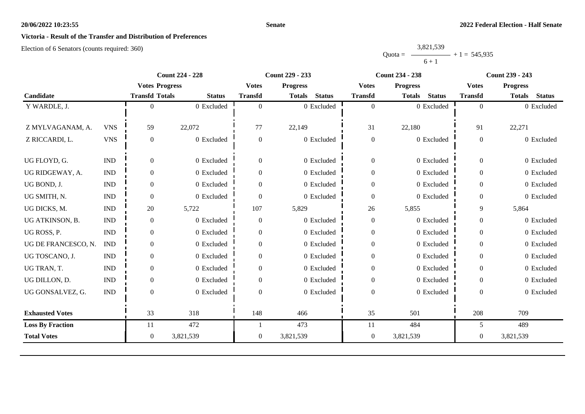#### **Senate**

## **Victoria - Result of the Transfer and Distribution of Preferences**

|           | 3,821,539 |                |
|-----------|-----------|----------------|
| $Quota =$ |           | $+1 = 545,935$ |
|           | $6 + 1$   |                |

|                         |                             | <b>Count 224 - 228</b> |               | <b>Count 229 - 233</b> |                                |                  | <b>Count 234 - 238</b>         | <b>Count 239 - 243</b> |                                |
|-------------------------|-----------------------------|------------------------|---------------|------------------------|--------------------------------|------------------|--------------------------------|------------------------|--------------------------------|
|                         |                             | <b>Votes Progress</b>  |               | <b>Votes</b>           | <b>Progress</b>                | <b>Votes</b>     | <b>Progress</b>                | <b>Votes</b>           | <b>Progress</b>                |
| Candidate               |                             | <b>Transfd Totals</b>  | <b>Status</b> | <b>Transfd</b>         | <b>Status</b><br><b>Totals</b> | <b>Transfd</b>   | <b>Status</b><br><b>Totals</b> | <b>Transfd</b>         | <b>Status</b><br><b>Totals</b> |
| Y WARDLE, J.            |                             | 0                      | 0 Excluded    | $\theta$               | 0 Excluded                     | $\overline{0}$   | $0$ Excluded                   | $\overline{0}$         | 0 Excluded                     |
|                         |                             |                        |               |                        |                                |                  |                                |                        |                                |
| Z MYLVAGANAM, A.        | <b>VNS</b>                  | 59                     | 22,072        | 77                     | 22,149                         | 31               | 22,180                         | 91                     | 22,271                         |
| Z RICCARDI, L.          | <b>VNS</b>                  | $\overline{0}$         | 0 Excluded    | $\mathbf{0}$           | 0 Excluded                     | $\boldsymbol{0}$ | 0 Excluded                     | $\boldsymbol{0}$       | 0 Excluded                     |
|                         |                             |                        |               |                        |                                |                  |                                |                        |                                |
| UG FLOYD, G.            | $\mathop{\rm IND}\nolimits$ | $\overline{0}$         | 0 Excluded    | $\mathbf{0}$           | 0 Excluded                     | $\boldsymbol{0}$ | 0 Excluded                     | $\mathbf{0}$           | 0 Excluded                     |
| UG RIDGEWAY, A.         | <b>IND</b>                  | $\theta$               | 0 Excluded    | $\Omega$               | 0 Excluded                     | $\boldsymbol{0}$ | 0 Excluded                     | $\overline{0}$         | 0 Excluded                     |
| UG BOND, J.             | <b>IND</b>                  | $\overline{0}$         | 0 Excluded    | $\Omega$               | 0 Excluded                     | $\boldsymbol{0}$ | 0 Excluded                     | $\overline{0}$         | 0 Excluded                     |
| UG SMITH, N.            | $\mathbf{IND}\xspace$       | $\overline{0}$         | 0 Excluded    | $\mathbf{0}$           | $0\,$ Excluded                 | $\boldsymbol{0}$ | 0 Excluded                     | $\mathbf{0}$           | 0 Excluded                     |
| UG DICKS, M.            | <b>IND</b>                  | 20                     | 5,722         | 107                    | 5,829                          | 26               | 5,855                          | 9                      | 5,864                          |
| UG ATKINSON, B.         | $\mathop{\rm IND}\nolimits$ | $\overline{0}$         | 0 Excluded    | $\mathbf{0}$           | 0 Excluded                     | $\boldsymbol{0}$ | 0 Excluded                     | $\overline{0}$         | 0 Excluded                     |
| UG ROSS, P.             | $\mathbf{IND}\xspace$       | $\overline{0}$         | 0 Excluded    | $\overline{0}$         | 0 Excluded                     | $\boldsymbol{0}$ | 0 Excluded                     | $\mathbf{0}$           | 0 Excluded                     |
| UG DE FRANCESCO, N.     | <b>IND</b>                  | $\overline{0}$         | 0 Excluded    | $\Omega$               | 0 Excluded                     | $\boldsymbol{0}$ | 0 Excluded                     | $\mathbf{0}$           | 0 Excluded                     |
| UG TOSCANO, J.          | <b>IND</b>                  | $\theta$               | 0 Excluded    | 0                      | 0 Excluded                     | $\boldsymbol{0}$ | 0 Excluded                     | $\overline{0}$         | 0 Excluded                     |
| UG TRAN, T.             | $\mathop{\rm IND}\nolimits$ | $\overline{0}$         | 0 Excluded    | $\overline{0}$         | 0 Excluded                     | $\boldsymbol{0}$ | 0 Excluded                     | $\overline{0}$         | 0 Excluded                     |
| UG DILLON, D.           | <b>IND</b>                  | $\boldsymbol{0}$       | 0 Excluded    | $\Omega$               | 0 Excluded                     | $\boldsymbol{0}$ | 0 Excluded                     | $\overline{0}$         | 0 Excluded                     |
| UG GONSALVEZ, G.        | <b>IND</b>                  | $\Omega$               | 0 Excluded    | $\Omega$               | 0 Excluded                     | $\boldsymbol{0}$ | 0 Excluded                     | $\Omega$               | 0 Excluded                     |
|                         |                             |                        |               |                        |                                |                  |                                |                        |                                |
| <b>Exhausted Votes</b>  |                             | 33                     | 318           | 148                    | 466                            | 35               | 501                            | 208                    | 709                            |
| <b>Loss By Fraction</b> |                             | 11                     | 472           |                        | 473                            | 11               | 484                            | 5                      | 489                            |
| <b>Total Votes</b>      |                             | $\overline{0}$         | 3,821,539     | $\mathbf{0}$           | 3,821,539                      | $\boldsymbol{0}$ | 3,821,539                      | $\boldsymbol{0}$       | 3,821,539                      |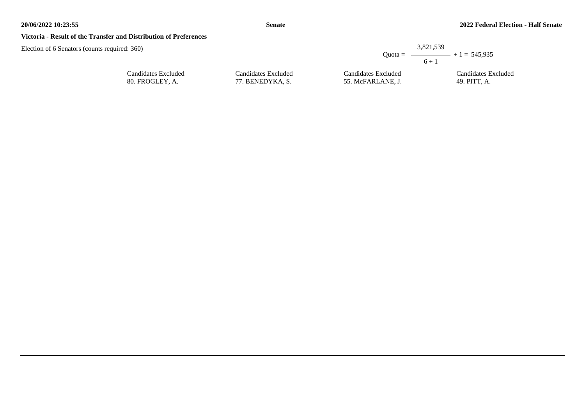#### **Victoria - Result of the Transfer and Distribution of Preferences**

| equired: 360)       |                     | $6 + 1$             | 3,821,539<br>Quota = $\longrightarrow$ + 1 = 545,935 |
|---------------------|---------------------|---------------------|------------------------------------------------------|
| Candidates Excluded | Candidates Excluded | Candidates Excluded | Candidates Excluded                                  |
| 80. FROGLEY, A.     | 77. BENEDYKA, S.    | 55. McFARLANE. J.   | 49. PITT, A.                                         |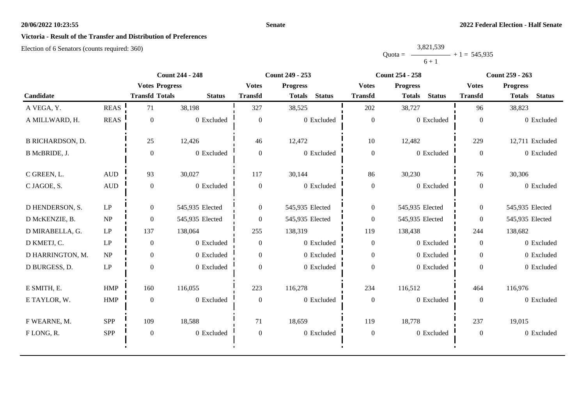#### **Senate**

## **Victoria - Result of the Transfer and Distribution of Preferences**

|           | 3,821,539 |                |
|-----------|-----------|----------------|
| $Quota =$ |           | $+1 = 545,935$ |
|           | $6 + 1$   |                |

|                         |                        | <b>Count 244 - 248</b> |                 | Count 249 - 253  |                                |                  | <b>Count 254 - 258</b>         | Count 259 - 263  |                                |
|-------------------------|------------------------|------------------------|-----------------|------------------|--------------------------------|------------------|--------------------------------|------------------|--------------------------------|
|                         |                        | <b>Votes Progress</b>  |                 | <b>Votes</b>     | <b>Progress</b>                | <b>Votes</b>     | <b>Progress</b>                | <b>Votes</b>     | <b>Progress</b>                |
| Candidate               |                        | <b>Transfd Totals</b>  | <b>Status</b>   | <b>Transfd</b>   | <b>Status</b><br><b>Totals</b> | <b>Transfd</b>   | <b>Status</b><br><b>Totals</b> | <b>Transfd</b>   | <b>Status</b><br><b>Totals</b> |
| A VEGA, Y.              | <b>REAS</b>            | 71                     | 38,198          | 327              | 38,525                         | 202              | 38,727                         | 96               | 38,823                         |
| A MILLWARD, H.          | <b>REAS</b>            | $\theta$               | 0 Excluded      | $\overline{0}$   | 0 Excluded                     | $\boldsymbol{0}$ | 0 Excluded                     | $\mathbf{0}$     | 0 Excluded                     |
| <b>B RICHARDSON, D.</b> |                        | 25                     | 12,426          | 46               | 12,472                         | 10               | 12,482                         | 229              | 12,711 Excluded                |
| B McBRIDE, J.           |                        | $\theta$               | 0 Excluded      | $\overline{0}$   | 0 Excluded                     | $\boldsymbol{0}$ | 0 Excluded                     | $\boldsymbol{0}$ | 0 Excluded                     |
| C GREEN, L.             | <b>AUD</b>             | 93                     | 30,027          | 117              | 30,144                         | 86               | 30,230                         | 76               | 30,306                         |
| C JAGOE, S.             | <b>AUD</b>             | $\mathbf{0}$           | 0 Excluded      | $\overline{0}$   | 0 Excluded                     | $\boldsymbol{0}$ | 0 Excluded                     | $\overline{0}$   | 0 Excluded                     |
| D HENDERSON, S.         | $\mathrm{L}\mathrm{P}$ | $\overline{0}$         | 545,935 Elected | $\boldsymbol{0}$ | 545,935 Elected                | $\overline{0}$   | 545,935 Elected                | $\overline{0}$   | 545,935 Elected                |
| D McKENZIE, B.          | NP                     | $\overline{0}$         | 545,935 Elected | $\overline{0}$   | 545,935 Elected                | $\boldsymbol{0}$ | 545,935 Elected                | $\overline{0}$   | 545,935 Elected                |
| D MIRABELLA, G.         | LP                     | 137                    | 138,064         | 255              | 138,319                        | 119              | 138,438                        | 244              | 138,682                        |
| D KMETJ, C.             | LP                     | $\theta$               | 0 Excluded      | $\boldsymbol{0}$ | 0 Excluded                     | $\boldsymbol{0}$ | 0 Excluded                     | $\overline{0}$   | 0 Excluded                     |
| D HARRINGTON, M.        | NP                     | $\overline{0}$         | 0 Excluded      | $\overline{0}$   | 0 Excluded                     | $\overline{0}$   | 0 Excluded                     | $\overline{0}$   | 0 Excluded                     |
| D BURGESS, D.           | $\mathrm{L}\mathrm{P}$ | $\theta$               | 0 Excluded      | $\theta$         | 0 Excluded                     | $\boldsymbol{0}$ | 0 Excluded                     | $\overline{0}$   | 0 Excluded                     |
| E SMITH, E.             | HMP                    | 160                    | 116,055         | 223              | 116,278                        | 234              | 116,512                        | 464              | 116,976                        |
| E TAYLOR, W.            | <b>HMP</b>             | $\theta$               | 0 Excluded      | $\boldsymbol{0}$ | 0 Excluded                     | $\boldsymbol{0}$ | 0 Excluded                     | $\mathbf{0}$     | 0 Excluded                     |
| F WEARNE, M.            | <b>SPP</b>             | 109                    | 18,588          | 71               | 18,659                         | 119              | 18,778                         | 237              | 19,015                         |
| FLONG, R.               | SPP                    | $\boldsymbol{0}$       | 0 Excluded      | $\boldsymbol{0}$ | 0 Excluded                     | $\boldsymbol{0}$ | 0 Excluded                     | $\boldsymbol{0}$ | 0 Excluded                     |
|                         |                        |                        |                 |                  |                                |                  |                                |                  |                                |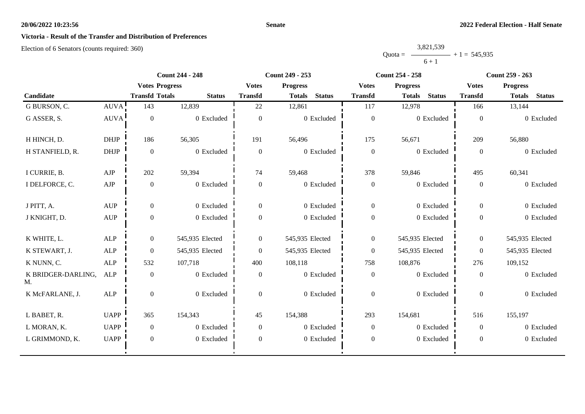#### **Senate**

## **Victoria - Result of the Transfer and Distribution of Preferences**

|           | 3,821,539 |                |
|-----------|-----------|----------------|
| $Quota =$ |           | $+1 = 545,935$ |
|           | $6 + 1$   |                |

|                          |                                  |                       | <b>Count 244 - 248</b> |                  | Count 249 - 253                |                  | <b>Count 254 - 258</b>         | <b>Count 259 - 263</b> |                                |  |
|--------------------------|----------------------------------|-----------------------|------------------------|------------------|--------------------------------|------------------|--------------------------------|------------------------|--------------------------------|--|
|                          |                                  | <b>Votes Progress</b> |                        | <b>Votes</b>     | <b>Progress</b>                | <b>Votes</b>     | <b>Progress</b>                | <b>Votes</b>           | <b>Progress</b>                |  |
| Candidate                |                                  | <b>Transfd Totals</b> | <b>Status</b>          | <b>Transfd</b>   | <b>Status</b><br><b>Totals</b> | <b>Transfd</b>   | <b>Status</b><br><b>Totals</b> | <b>Transfd</b>         | <b>Status</b><br><b>Totals</b> |  |
| G BURSON, C.             | AUVA!                            | 143                   | 12,839                 | 22               | 12,861                         | 117              | 12,978                         | 166                    | 13,144                         |  |
| G ASSER, S.              | <b>AUVA</b>                      | $\mathbf{0}$          | 0 Excluded             | $\theta$         | 0 Excluded                     | $\boldsymbol{0}$ | 0 Excluded                     | $\theta$               | 0 Excluded                     |  |
| H HINCH, D.              | <b>DHJP</b>                      | 186                   | 56,305                 | 191              | 56,496                         | 175              | 56,671                         | 209                    | 56,880                         |  |
| H STANFIELD, R.          | <b>DHJP</b>                      | $\mathbf{0}$          | 0 Excluded             | $\boldsymbol{0}$ | 0 Excluded                     | $\mathbf{0}$     | 0 Excluded                     | $\theta$               | 0 Excluded                     |  |
| I CURRIE, B.             | ${\rm AJP}$                      | 202                   | 59,394                 | 74               | 59,468                         | 378              | 59,846                         | 495                    | 60,341                         |  |
| I DELFORCE, C.           | ${\rm AJP}$                      | $\boldsymbol{0}$      | 0 Excluded             | $\boldsymbol{0}$ | 0 Excluded                     | $\boldsymbol{0}$ | 0 Excluded                     | $\mathbf{0}$           | 0 Excluded                     |  |
| J PITT, A.               | <b>AUP</b>                       | $\boldsymbol{0}$      | 0 Excluded             | $\overline{0}$   | 0 Excluded                     | $\boldsymbol{0}$ | 0 Excluded                     | $\overline{0}$         | 0 Excluded                     |  |
| J KNIGHT, D.             | $\mathbf{A}\mathbf{U}\mathbf{P}$ | $\boldsymbol{0}$      | 0 Excluded             | $\overline{0}$   | 0 Excluded                     | $\boldsymbol{0}$ | 0 Excluded                     | $\overline{0}$         | 0 Excluded                     |  |
| K WHITE, L.              | <b>ALP</b>                       | $\overline{0}$        | 545,935 Elected        | $\overline{0}$   | 545,935 Elected                | $\boldsymbol{0}$ | 545,935 Elected                | $\theta$               | 545,935 Elected                |  |
| K STEWART, J.            | ALP                              | $\boldsymbol{0}$      | 545,935 Elected        | $\theta$         | 545,935 Elected                | $\overline{0}$   | 545,935 Elected                | $\mathbf{0}$           | 545,935 Elected                |  |
| K NUNN, C.               | ALP                              | 532                   | 107,718                | 400              | 108,118                        | 758              | 108,876                        | 276                    | 109,152                        |  |
| K BRIDGER-DARLING,<br>M. | <b>ALP</b>                       | $\boldsymbol{0}$      | 0 Excluded             | $\theta$         | 0 Excluded                     | $\boldsymbol{0}$ | 0 Excluded                     | $\theta$               | 0 Excluded                     |  |
| K McFARLANE, J.          | ALP                              | $\overline{0}$        | 0 Excluded             | $\theta$         | 0 Excluded                     | $\overline{0}$   | $0$ Excluded                   | $\theta$               | 0 Excluded                     |  |
| L BABET, R.              | <b>UAPP</b>                      | 365                   | 154,343                | 45               | 154,388                        | 293              | 154,681                        | 516                    | 155,197                        |  |
| L MORAN, K.              | <b>UAPP</b>                      | $\boldsymbol{0}$      | 0 Excluded             | $\overline{0}$   | $0$ Excluded                   | $\mathbf{0}$     | 0 Excluded                     | $\theta$               | 0 Excluded                     |  |
| L GRIMMOND, K.           | <b>UAPP</b>                      | $\boldsymbol{0}$      | 0 Excluded             | $\overline{0}$   | 0 Excluded                     | $\boldsymbol{0}$ | 0 Excluded                     | $\mathbf{0}$           | 0 Excluded                     |  |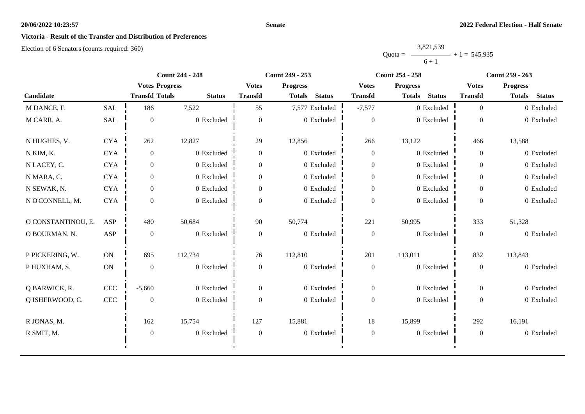# **Victoria - Result of the Transfer and Distribution of Preferences**

Election of 6 Senators (counts required: 360)

|           | 3,821,539 |                |
|-----------|-----------|----------------|
| $Quota =$ |           | $+1 = 545,935$ |
|           | $6 + 1$   |                |

|                    |               | <b>Count 244 - 248</b> |               |                  | Count 249 - 253                |                  | <b>Count 254 - 258</b>         | <b>Count 259 - 263</b> |                                |
|--------------------|---------------|------------------------|---------------|------------------|--------------------------------|------------------|--------------------------------|------------------------|--------------------------------|
|                    |               | <b>Votes Progress</b>  |               | <b>Votes</b>     | <b>Progress</b>                | <b>Votes</b>     | <b>Progress</b>                | <b>Votes</b>           | <b>Progress</b>                |
| Candidate          |               | <b>Transfd Totals</b>  | <b>Status</b> | <b>Transfd</b>   | <b>Status</b><br><b>Totals</b> | <b>Transfd</b>   | <b>Status</b><br><b>Totals</b> | <b>Transfd</b>         | <b>Totals</b><br><b>Status</b> |
| M DANCE, F.        | SAL           | 186                    | 7,522         | 55               | 7,577 Excluded                 | $-7,577$         | 0 Excluded                     | $\overline{0}$         | 0 Excluded                     |
| M CARR, A.         | <b>SAL</b>    | $\boldsymbol{0}$       | 0 Excluded    | $\theta$         | $0\,$ Excluded                 | $\overline{0}$   | 0 Excluded                     | $\Omega$               | 0 Excluded                     |
| N HUGHES, V.       | <b>CYA</b>    | 262                    | 12,827        | 29               | 12,856                         | 266              | 13,122                         | 466                    | 13,588                         |
| N KIM, K.          | <b>CYA</b>    | $\boldsymbol{0}$       | 0 Excluded    | $\boldsymbol{0}$ | 0 Excluded                     | $\mathbf{0}$     | 0 Excluded                     | $\overline{0}$         | 0 Excluded                     |
| N LACEY, C.        | <b>CYA</b>    | $\overline{0}$         | 0 Excluded    | $\overline{0}$   | 0 Excluded                     | $\boldsymbol{0}$ | 0 Excluded                     | $\overline{0}$         | 0 Excluded                     |
| N MARA, C.         | <b>CYA</b>    | $\overline{0}$         | 0 Excluded    | $\boldsymbol{0}$ | 0 Excluded                     | $\boldsymbol{0}$ | 0 Excluded                     | $\overline{0}$         | 0 Excluded                     |
| N SEWAK, N.        | <b>CYA</b>    | $\overline{0}$         | 0 Excluded    | $\overline{0}$   | 0 Excluded                     | $\overline{0}$   | 0 Excluded                     | $\overline{0}$         | 0 Excluded                     |
| N O'CONNELL, M.    | <b>CYA</b>    | $\Omega$               | 0 Excluded    | $\Omega$         | 0 Excluded                     | $\boldsymbol{0}$ | 0 Excluded                     | $\Omega$               | 0 Excluded                     |
| O CONSTANTINOU, E. | <b>ASP</b>    | 480                    | 50,684        | 90               | 50,774                         | 221              | 50,995                         | 333                    | 51,328                         |
| O BOURMAN, N.      | ASP           | $\overline{0}$         | 0 Excluded    | $\overline{0}$   | 0 Excluded                     | $\boldsymbol{0}$ | 0 Excluded                     | $\mathbf{0}$           | 0 Excluded                     |
| P PICKERING, W.    | $\mathbf{ON}$ | 695                    | 112,734       | 76               | 112,810                        | 201              | 113,011                        | 832<br>113,843         |                                |
| P HUXHAM, S.       | $\mathbf{ON}$ | $\boldsymbol{0}$       | 0 Excluded    | $\boldsymbol{0}$ | 0 Excluded                     | $\boldsymbol{0}$ | 0 Excluded                     | $\overline{0}$         | 0 Excluded                     |
| Q BARWICK, R.      | $\mbox{CEC}$  | $-5,660$               | 0 Excluded    | $\overline{0}$   | 0 Excluded                     | $\overline{0}$   | 0 Excluded                     | $\overline{0}$         | 0 Excluded                     |
| Q ISHERWOOD, C.    | $\mbox{CEC}$  | $\mathbf{0}$           | 0 Excluded    | $\Omega$         | 0 Excluded                     | $\boldsymbol{0}$ | 0 Excluded                     | $\Omega$               | 0 Excluded                     |
| R JONAS, M.        |               | 162                    | 15,754        | 127              | 15,881                         | 18               | 15,899                         | 292                    | 16,191                         |
| R SMIT, M.         |               | $\boldsymbol{0}$       | 0 Excluded    | $\mathbf{0}$     | $0\,$ Excluded                 | $\boldsymbol{0}$ | 0 Excluded                     | $\overline{0}$         | 0 Excluded                     |
|                    |               |                        |               |                  |                                |                  |                                |                        |                                |

**Senate**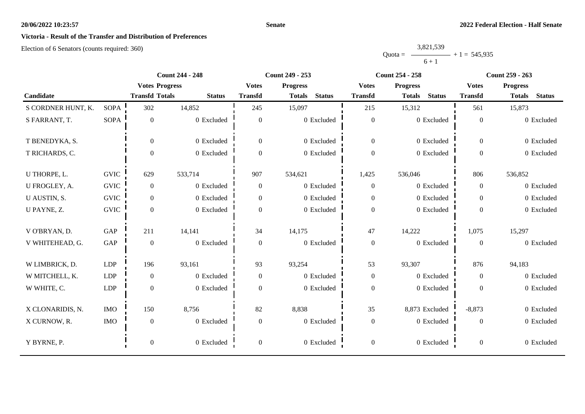### **Victoria - Result of the Transfer and Distribution of Preferences**

Election of 6 Senators (counts required: 360)

#### Quota = 3,821,539  $6 + 1$  $+ 1 = 545,935$

|                    |             | <b>Count 244 - 248</b> |               | Count 249 - 253  |                                |                  | <b>Count 254 - 258</b>         | <b>Count 259 - 263</b> |                                |
|--------------------|-------------|------------------------|---------------|------------------|--------------------------------|------------------|--------------------------------|------------------------|--------------------------------|
|                    |             | <b>Votes Progress</b>  |               | <b>Votes</b>     | <b>Progress</b>                | <b>Votes</b>     | <b>Progress</b>                | <b>Votes</b>           | <b>Progress</b>                |
| Candidate          |             | <b>Transfd Totals</b>  | <b>Status</b> | <b>Transfd</b>   | <b>Status</b><br><b>Totals</b> | <b>Transfd</b>   | <b>Status</b><br><b>Totals</b> | <b>Transfd</b>         | <b>Status</b><br><b>Totals</b> |
| S CORDNER HUNT, K. | <b>SOPA</b> | 302                    | 14,852        | 245              | 15,097                         | 215              | 15,312                         | 561                    | 15,873                         |
| S FARRANT, T.      | <b>SOPA</b> | $\boldsymbol{0}$       | 0 Excluded    | $\overline{0}$   | 0 Excluded                     | $\boldsymbol{0}$ | 0 Excluded                     | $\mathbf{0}$           | 0 Excluded                     |
| T BENEDYKA, S.     |             | $\overline{0}$         | 0 Excluded    | $\boldsymbol{0}$ | 0 Excluded                     | $\overline{0}$   | 0 Excluded                     | $\boldsymbol{0}$       | 0 Excluded                     |
| T RICHARDS, C.     |             | $\Omega$               | 0 Excluded    | $\theta$         | 0 Excluded                     | $\boldsymbol{0}$ | 0 Excluded                     | $\Omega$               | 0 Excluded                     |
| U THORPE, L.       | <b>GVIC</b> | 629                    | 533,714       | 907              | 534,621                        | 1,425            | 536,046                        | 806                    | 536,852                        |
| U FROGLEY, A.      | <b>GVIC</b> | $\overline{0}$         | 0 Excluded    | $\boldsymbol{0}$ | 0 Excluded                     | $\boldsymbol{0}$ | 0 Excluded                     | $\overline{0}$         | 0 Excluded                     |
| U AUSTIN, S.       | <b>GVIC</b> | $\overline{0}$         | 0 Excluded    | $\theta$         | 0 Excluded                     | $\boldsymbol{0}$ | 0 Excluded                     | $\overline{0}$         | 0 Excluded                     |
| U PAYNE, Z.        | <b>GVIC</b> | $\theta$               | 0 Excluded    | $\theta$         | 0 Excluded                     | $\boldsymbol{0}$ | 0 Excluded                     | $\Omega$               | 0 Excluded                     |
| V O'BRYAN, D.      | GAP         | 211                    | 14,141        | 34               | 14,175                         | 47               | 14,222                         | 1,075                  | 15,297                         |
| V WHITEHEAD, G.    | GAP         | $\theta$               | 0 Excluded    | $\overline{0}$   | 0 Excluded                     | $\boldsymbol{0}$ | 0 Excluded                     | $\Omega$               | 0 Excluded                     |
| W LIMBRICK, D.     | <b>LDP</b>  | 196                    | 93,161        | 93               | 93,254                         | 53               | 93,307                         | 876                    | 94,183                         |
| W MITCHELL, K.     | <b>LDP</b>  | $\boldsymbol{0}$       | 0 Excluded    | $\boldsymbol{0}$ | 0 Excluded                     | $\boldsymbol{0}$ | 0 Excluded                     | $\boldsymbol{0}$       | 0 Excluded                     |
| W WHITE, C.        | <b>LDP</b>  | $\theta$               | 0 Excluded    | $\overline{0}$   | 0 Excluded                     | $\boldsymbol{0}$ | 0 Excluded                     | $\Omega$               | 0 Excluded                     |
| X CLONARIDIS, N.   | <b>IMO</b>  | 150                    | 8,756         | 82               | 8,838                          | 35               | 8,873 Excluded                 | $-8,873$               | 0 Excluded                     |
| X CURNOW, R.       | <b>IMO</b>  | $\theta$               | 0 Excluded    | $\overline{0}$   | 0 Excluded                     | $\boldsymbol{0}$ | 0 Excluded                     | $\overline{0}$         | 0 Excluded                     |
| Y BYRNE, P.        |             | $\boldsymbol{0}$       | 0 Excluded    | $\boldsymbol{0}$ | 0 Excluded                     | $\boldsymbol{0}$ | 0 Excluded                     | $\boldsymbol{0}$       | 0 Excluded                     |

**Senate**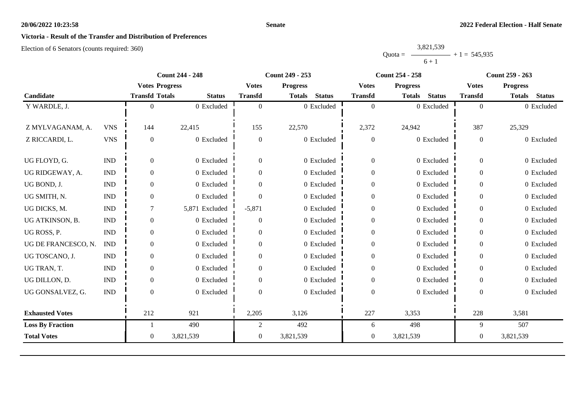#### **Senate**

## **Victoria - Result of the Transfer and Distribution of Preferences**

|           | 3,821,539 |                |
|-----------|-----------|----------------|
| $Quota =$ |           | $+1 = 545,935$ |
|           | $6 + 1$   |                |

| <b>Count 244 - 248</b>  |                             |                       | <b>Count 249 - 253</b> |                  | <b>Count 254 - 258</b>  | <b>Count 259 - 263</b> |                                |                  |                                |
|-------------------------|-----------------------------|-----------------------|------------------------|------------------|-------------------------|------------------------|--------------------------------|------------------|--------------------------------|
|                         |                             | <b>Votes Progress</b> |                        | <b>Votes</b>     | <b>Progress</b>         | <b>Votes</b>           | <b>Progress</b>                | <b>Votes</b>     | <b>Progress</b>                |
| Candidate               |                             | <b>Transfd Totals</b> | <b>Status</b>          | <b>Transfd</b>   | <b>Status</b><br>Totals | <b>Transfd</b>         | <b>Status</b><br><b>Totals</b> | <b>Transfd</b>   | <b>Status</b><br><b>Totals</b> |
| Y WARDLE, J.            |                             |                       | 0 Excluded             | $\Omega$         | 0 Excluded              | $\overline{0}$         | 0 Excluded                     | $\overline{0}$   | 0 Excluded                     |
|                         |                             |                       |                        |                  |                         |                        |                                |                  |                                |
| Z MYLVAGANAM, A.        | <b>VNS</b>                  | 144                   | 22,415                 | 155              | 22,570                  | 2,372                  | 24,942                         | 387              | 25,329                         |
| Z RICCARDI, L.          | <b>VNS</b>                  | $\theta$              | 0 Excluded             | $\overline{0}$   | 0 Excluded              | $\boldsymbol{0}$       | 0 Excluded                     | $\overline{0}$   | 0 Excluded                     |
|                         |                             |                       |                        |                  |                         |                        |                                |                  |                                |
| UG FLOYD, G.            | $\mathop{\rm IND}\nolimits$ | $\mathbf{0}$          | 0 Excluded             | $\overline{0}$   | 0 Excluded              | $\boldsymbol{0}$       | 0 Excluded                     | $\theta$         | 0 Excluded                     |
| UG RIDGEWAY, A.         | <b>IND</b>                  | $\Omega$              | 0 Excluded             | $\Omega$         | 0 Excluded              | $\boldsymbol{0}$       | 0 Excluded                     | $\overline{0}$   | 0 Excluded                     |
| UG BOND, J.             | <b>IND</b>                  | $\mathbf{0}$          | 0 Excluded             | $\overline{0}$   | 0 Excluded              | $\boldsymbol{0}$       | 0 Excluded                     | $\overline{0}$   | 0 Excluded                     |
| UG SMITH, N.            | <b>IND</b>                  | $\Omega$              | 0 Excluded             | $\Omega$         | 0 Excluded              | $\boldsymbol{0}$       | 0 Excluded                     | $\overline{0}$   | 0 Excluded                     |
| UG DICKS, M.            | <b>IND</b>                  |                       | 5,871 Excluded         | $-5,871$         | 0 Excluded              | $\boldsymbol{0}$       | 0 Excluded                     | $\Omega$         | 0 Excluded                     |
| UG ATKINSON, B.         | <b>IND</b>                  | $\Omega$              | 0 Excluded             | $\overline{0}$   | 0 Excluded              | $\boldsymbol{0}$       | 0 Excluded                     | $\overline{0}$   | 0 Excluded                     |
| UG ROSS, P.             | <b>IND</b>                  | $\overline{0}$        | 0 Excluded             | $\mathbf{0}$     | 0 Excluded              | $\boldsymbol{0}$       | 0 Excluded                     | $\overline{0}$   | 0 Excluded                     |
| UG DE FRANCESCO, N.     | <b>IND</b>                  | $\Omega$              | 0 Excluded             | $\Omega$         | 0 Excluded              | $\boldsymbol{0}$       | 0 Excluded                     | $\Omega$         | 0 Excluded                     |
| UG TOSCANO, J.          | <b>IND</b>                  | $\theta$              | 0 Excluded             | $\overline{0}$   | 0 Excluded              | $\boldsymbol{0}$       | 0 Excluded                     | $\theta$         | 0 Excluded                     |
| UG TRAN, T.             | $\mathop{\rm IND}\nolimits$ | $\overline{0}$        | 0 Excluded             | $\boldsymbol{0}$ | 0 Excluded              | $\boldsymbol{0}$       | 0 Excluded                     | $\boldsymbol{0}$ | 0 Excluded                     |
| UG DILLON, D.           | <b>IND</b>                  | $\mathbf{0}$          | 0 Excluded             | 0                | 0 Excluded              | $\boldsymbol{0}$       | 0 Excluded                     | $\Omega$         | 0 Excluded                     |
| UG GONSALVEZ, G.        | <b>IND</b>                  | $\Omega$              | 0 Excluded             | $\Omega$         | 0 Excluded              | $\overline{0}$         | 0 Excluded                     | $\Omega$         | 0 Excluded                     |
|                         |                             |                       |                        |                  |                         |                        |                                |                  |                                |
| <b>Exhausted Votes</b>  |                             | 212                   | 921                    | 2,205            | 3,126                   | 227                    | 3,353                          | 228              | 3,581                          |
| <b>Loss By Fraction</b> |                             |                       | 490                    | $\overline{2}$   | 492                     | 6                      | 498                            | 9                | 507                            |
| <b>Total Votes</b>      |                             | $\overline{0}$        | 3,821,539              | $\overline{0}$   | 3,821,539               | $\boldsymbol{0}$       | 3,821,539                      | $\theta$         | 3,821,539                      |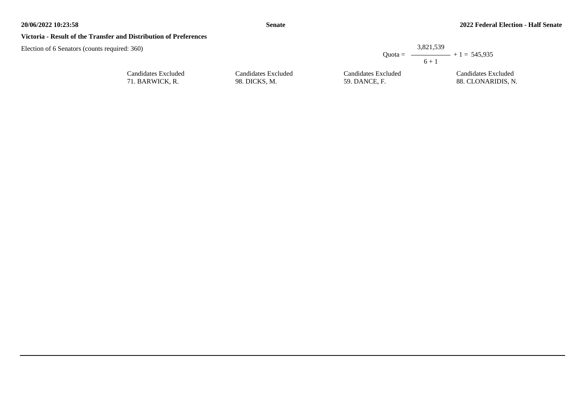#### **Senate**

#### **Victoria - Result of the Transfer and Distribution of Preferences**

Candidates Excluded 71. BARWICK, R.

|                     |                     | 3,821,539<br>Quota = $\longrightarrow$ + 1 = 545,935<br>$6 + 1$ |
|---------------------|---------------------|-----------------------------------------------------------------|
| Candidates Excluded | Candidates Excluded | Candidates Excluded                                             |
| 98. DICKS, M.       | 59. DANCE, F.       | 88. CLONARIDIS, N.                                              |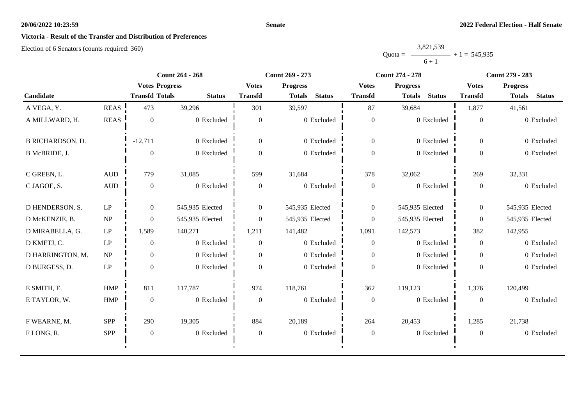#### **Senate**

## **Victoria - Result of the Transfer and Distribution of Preferences**

|           | 3,821,539 |                |
|-----------|-----------|----------------|
| $Quota =$ |           | $+1 = 545,935$ |
|           | $6 + 1$   |                |

|                         |                            |                       | <b>Count 264 - 268</b> |                  | Count 269 - 273                |                  | <b>Count 274 - 278</b>         | <b>Count 279 - 283</b> |                                |
|-------------------------|----------------------------|-----------------------|------------------------|------------------|--------------------------------|------------------|--------------------------------|------------------------|--------------------------------|
|                         |                            | <b>Votes Progress</b> |                        | <b>Votes</b>     | <b>Progress</b>                | <b>Votes</b>     | <b>Progress</b>                | <b>Votes</b>           | <b>Progress</b>                |
| Candidate               |                            | <b>Transfd Totals</b> | <b>Status</b>          | <b>Transfd</b>   | <b>Status</b><br><b>Totals</b> | <b>Transfd</b>   | <b>Status</b><br><b>Totals</b> | <b>Transfd</b>         | <b>Status</b><br><b>Totals</b> |
| A VEGA, Y.              | <b>REAS</b>                | 473                   | 39,296                 | 301              | 39,597                         | 87               | 39,684                         | 1,877                  | 41,561                         |
| A MILLWARD, H.          | <b>REAS</b>                | $\mathbf{0}$          | 0 Excluded             | $\overline{0}$   | 0 Excluded                     | $\boldsymbol{0}$ | 0 Excluded                     | $\overline{0}$         | 0 Excluded                     |
| <b>B RICHARDSON, D.</b> |                            | $-12,711$             | 0 Excluded             | $\Omega$         | 0 Excluded                     | $\overline{0}$   | 0 Excluded                     | $\Omega$               | 0 Excluded                     |
| B McBRIDE, J.           |                            | $\Omega$              | 0 Excluded             | $\Omega$         | 0 Excluded                     | $\boldsymbol{0}$ | 0 Excluded                     | $\overline{0}$         | 0 Excluded                     |
| C GREEN, L.             | $\mbox{AUD}$               | 779                   | 31,085                 | 599              | 31,684                         | 378              | 32,062                         | 269                    | 32,331                         |
| C JAGOE, S.             | <b>AUD</b>                 | $\mathbf{0}$          | 0 Excluded             | $\boldsymbol{0}$ | 0 Excluded                     | $\boldsymbol{0}$ | 0 Excluded                     | $\mathbf{0}$           | 0 Excluded                     |
| D HENDERSON, S.         | LP                         | $\overline{0}$        | 545,935 Elected        | $\overline{0}$   | 545,935 Elected                | $\overline{0}$   | 545,935 Elected                | $\overline{0}$         | 545,935 Elected                |
| D McKENZIE, B.          | NP                         | $\Omega$              | 545,935 Elected        | $\overline{0}$   | 545,935 Elected                | $\boldsymbol{0}$ | 545,935 Elected                | $\overline{0}$         | 545,935 Elected                |
| D MIRABELLA, G.         | $\mathbf{L}\mathbf{P}$     | 1,589                 | 140,271                | 1,211            | 141,482                        | 1,091            | 142,573                        | 382                    | 142,955                        |
| D KMETJ, C.             | $\ensuremath{\mathrm{LP}}$ | $\mathbf{0}$          | 0 Excluded             | $\overline{0}$   | 0 Excluded                     | $\overline{0}$   | 0 Excluded                     | $\overline{0}$         | 0 Excluded                     |
| D HARRINGTON, M.        | NP                         | $\boldsymbol{0}$      | 0 Excluded             | $\overline{0}$   | 0 Excluded                     | $\overline{0}$   | 0 Excluded                     | $\overline{0}$         | 0 Excluded                     |
| D BURGESS, D.           | $\mathbf{L}\mathbf{P}$     | $\overline{0}$        | 0 Excluded             | $\Omega$         | 0 Excluded                     | $\boldsymbol{0}$ | 0 Excluded                     | $\Omega$               | 0 Excluded                     |
| E SMITH, E.             | HMP                        | 811                   | 117,787                | 974              | 118,761                        | 362              | 119,123                        | 1,376                  | 120,499                        |
| E TAYLOR, W.            | <b>HMP</b>                 | $\mathbf{0}$          | 0 Excluded             | $\mathbf{0}$     | 0 Excluded                     | $\boldsymbol{0}$ | 0 Excluded                     | $\overline{0}$         | 0 Excluded                     |
| F WEARNE, M.            | <b>SPP</b>                 | 290                   | 19,305                 | 884              | 20,189                         | 264              | 20,453                         | 1,285                  | 21,738                         |
| FLONG, R.               | SPP                        | $\boldsymbol{0}$      | 0 Excluded             | $\mathbf{0}$     | 0 Excluded                     | $\boldsymbol{0}$ | 0 Excluded                     | $\overline{0}$         | 0 Excluded                     |
|                         |                            |                       |                        |                  |                                |                  |                                |                        |                                |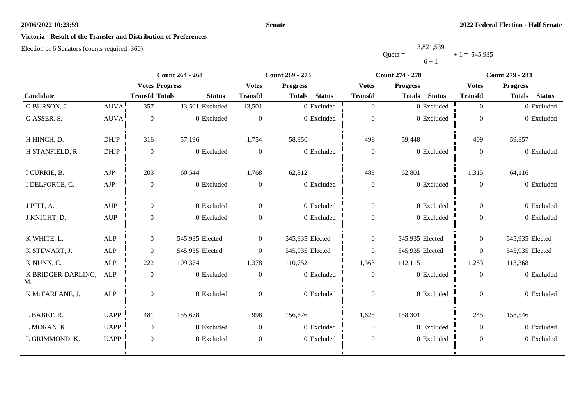#### **Senate**

## **Victoria - Result of the Transfer and Distribution of Preferences**

|           | 3,821,539 |                |
|-----------|-----------|----------------|
| $Quota =$ |           | $+1 = 545,935$ |
|           | $6 + 1$   |                |

|                          |                                  |                       | <b>Count 264 - 268</b> |                  | Count 269 - 273 |               |                  | <b>Count 274 - 278</b> |               |                  | <b>Count 279 - 283</b> |               |  |
|--------------------------|----------------------------------|-----------------------|------------------------|------------------|-----------------|---------------|------------------|------------------------|---------------|------------------|------------------------|---------------|--|
|                          |                                  | <b>Votes Progress</b> |                        | <b>Votes</b>     | <b>Progress</b> |               | <b>Votes</b>     | <b>Progress</b>        |               | <b>Votes</b>     | <b>Progress</b>        |               |  |
| Candidate                |                                  | <b>Transfd Totals</b> | <b>Status</b>          | <b>Transfd</b>   | <b>Totals</b>   | <b>Status</b> | <b>Transfd</b>   | <b>Totals</b>          | <b>Status</b> | <b>Transfd</b>   | <b>Totals</b>          | <b>Status</b> |  |
| G BURSON, C.             | AUVA!                            | 357                   | 13,501 Excluded        | $-13,501$        |                 | 0 Excluded    | $\overline{0}$   |                        | 0 Excluded    | $\overline{0}$   |                        | 0 Excluded    |  |
| G ASSER, S.              | <b>AUVA</b>                      | $\overline{0}$        | 0 Excluded             | $\overline{0}$   |                 | 0 Excluded    | $\boldsymbol{0}$ |                        | 0 Excluded    | $\theta$         |                        | 0 Excluded    |  |
| H HINCH, D.              | <b>DHJP</b>                      | 316                   | 57,196                 | 1,754            | 58,950          |               | 498              | 59,448                 |               | 409              | 59,857                 |               |  |
| H STANFIELD, R.          | DHJP                             | $\mathbf{0}$          | $0\,$ Excluded         | $\overline{0}$   |                 | 0 Excluded    | $\boldsymbol{0}$ |                        | 0 Excluded    | $\mathbf{0}$     |                        | 0 Excluded    |  |
| I CURRIE, B.             | AJP                              | 203                   | 60,544                 | 1,768            | 62,312          |               | 489              | 62,801                 |               | 1,315            | 64,116                 |               |  |
| I DELFORCE, C.           | ${\rm AJP}$                      | $\overline{0}$        | 0 Excluded             | $\overline{0}$   |                 | 0 Excluded    | $\boldsymbol{0}$ |                        | 0 Excluded    | $\mathbf{0}$     |                        | 0 Excluded    |  |
| J PITT, A.               | <b>AUP</b>                       | $\Omega$              | 0 Excluded             | $\Omega$         |                 | 0 Excluded    | $\overline{0}$   |                        | 0 Excluded    | $\theta$         |                        | 0 Excluded    |  |
| J KNIGHT, D.             | $\mathbf{A}\mathbf{U}\mathbf{P}$ | $\theta$              | $0$ Excluded           | $\overline{0}$   |                 | 0 Excluded    | $\boldsymbol{0}$ |                        | 0 Excluded    | $\theta$         |                        | 0 Excluded    |  |
| K WHITE, L.              | <b>ALP</b>                       | $\mathbf{0}$          | 545,935 Elected        | $\overline{0}$   | 545,935 Elected |               | $\overline{0}$   | 545,935 Elected        |               | $\overline{0}$   | 545,935 Elected        |               |  |
| K STEWART, J.            | <b>ALP</b>                       | $\overline{0}$        | 545,935 Elected        | $\overline{0}$   | 545,935 Elected |               | $\boldsymbol{0}$ | 545,935 Elected        |               | $\overline{0}$   | 545,935 Elected        |               |  |
| K NUNN, C.               | <b>ALP</b>                       | 222                   | 109,374                | 1,378            | 110,752         |               | 1,363            | 112,115                |               | 1,253            | 113,368                |               |  |
| K BRIDGER-DARLING,<br>M. | <b>ALP</b>                       | $\boldsymbol{0}$      | 0 Excluded             | $\mathbf{0}$     |                 | 0 Excluded    | $\boldsymbol{0}$ |                        | 0 Excluded    | $\boldsymbol{0}$ |                        | 0 Excluded    |  |
| K McFARLANE, J.          | <b>ALP</b>                       | $\overline{0}$        | $0$ Excluded           | $\overline{0}$   |                 | 0 Excluded    | $\boldsymbol{0}$ |                        | 0 Excluded    | $\theta$         |                        | 0 Excluded    |  |
| L BABET, R.              | <b>UAPP</b>                      | 481                   | 155,678                | 998              | 156,676         |               | 1,625            | 158,301                |               | 245              | 158,546                |               |  |
| L MORAN, K.              | <b>UAPP</b>                      | $\overline{0}$        | 0 Excluded             | $\overline{0}$   |                 | 0 Excluded    | $\overline{0}$   |                        | 0 Excluded    | $\overline{0}$   |                        | 0 Excluded    |  |
| L GRIMMOND, K.           | <b>UAPP</b>                      | $\overline{0}$        | 0 Excluded             | $\boldsymbol{0}$ |                 | 0 Excluded    | $\boldsymbol{0}$ |                        | 0 Excluded    | $\overline{0}$   |                        | 0 Excluded    |  |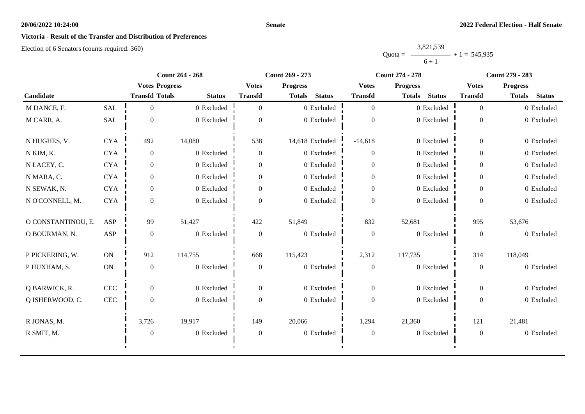#### **Senate**

## **Victoria - Result of the Transfer and Distribution of Preferences**

|           | 3,821,539 |                |
|-----------|-----------|----------------|
| $Quota =$ |           | $+1 = 545,935$ |
|           | $6 + 1$   |                |

|                    |               |                       | <b>Count 264 - 268</b> |                  | Count 269 - 273                | <b>Count 274 - 278</b> |                                | <b>Count 279 - 283</b> |                                |
|--------------------|---------------|-----------------------|------------------------|------------------|--------------------------------|------------------------|--------------------------------|------------------------|--------------------------------|
|                    |               | <b>Votes Progress</b> |                        | <b>Votes</b>     | <b>Progress</b>                | <b>Votes</b>           | <b>Progress</b>                | <b>Votes</b>           | <b>Progress</b>                |
| Candidate          |               | <b>Transfd Totals</b> | <b>Status</b>          | <b>Transfd</b>   | <b>Status</b><br><b>Totals</b> | <b>Transfd</b>         | <b>Status</b><br><b>Totals</b> | <b>Transfd</b>         | <b>Status</b><br><b>Totals</b> |
| M DANCE, F.        | <b>SAL</b>    | $\overline{0}$        | 0 Excluded             | $\overline{0}$   | 0 Excluded                     | $\overline{0}$         | 0 Excluded                     | $\overline{0}$         | 0 Excluded                     |
| M CARR, A.         | SAL           | $\mathbf{0}$          | 0 Excluded             | $\Omega$         | 0 Excluded                     | $\boldsymbol{0}$       | 0 Excluded                     | $\mathbf{0}$           | 0 Excluded                     |
| N HUGHES, V.       | <b>CYA</b>    | 492                   | 14,080                 | 538              | 14,618 Excluded                | $-14,618$              | 0 Excluded                     | $\overline{0}$         | 0 Excluded                     |
| N KIM, K.          | <b>CYA</b>    | $\overline{0}$        | 0 Excluded             | $\overline{0}$   | 0 Excluded                     | $\overline{0}$         | 0 Excluded                     | $\overline{0}$         | 0 Excluded                     |
| N LACEY, C.        | <b>CYA</b>    | $\overline{0}$        | 0 Excluded             | $\overline{0}$   | 0 Excluded                     | $\boldsymbol{0}$       | 0 Excluded                     | $\overline{0}$         | 0 Excluded                     |
| N MARA, C.         | <b>CYA</b>    | $\overline{0}$        | 0 Excluded             | $\overline{0}$   | 0 Excluded                     | $\boldsymbol{0}$       | 0 Excluded                     | $\overline{0}$         | 0 Excluded                     |
| N SEWAK, N.        | <b>CYA</b>    | $\overline{0}$        | 0 Excluded             | $\Omega$         | 0 Excluded                     | $\boldsymbol{0}$       | 0 Excluded                     | $\Omega$               | 0 Excluded                     |
| N O'CONNELL, M.    | <b>CYA</b>    | $\overline{0}$        | 0 Excluded             | $\Omega$         | 0 Excluded                     | $\boldsymbol{0}$       | 0 Excluded                     | $\Omega$               | 0 Excluded                     |
| O CONSTANTINOU, E. | <b>ASP</b>    | 99                    | 51,427                 | 422              | 51,849                         | 832                    | 52,681                         | 995                    | 53,676                         |
| O BOURMAN, N.      | <b>ASP</b>    | $\boldsymbol{0}$      | 0 Excluded             | $\mathbf{0}$     | 0 Excluded                     | $\boldsymbol{0}$       | 0 Excluded                     | $\mathbf{0}$           | 0 Excluded                     |
| P PICKERING, W.    | ON            | 912                   | 114,755                | 668              | 115,423                        | 2,312                  | 117,735                        | 314                    | 118,049                        |
| P HUXHAM, S.       | $\mathbf{ON}$ | $\mathbf{0}$          | 0 Excluded             | $\boldsymbol{0}$ | 0 Excluded                     | $\boldsymbol{0}$       | 0 Excluded                     | $\mathbf{0}$           | 0 Excluded                     |
| Q BARWICK, R.      | CEC           | $\overline{0}$        | 0 Excluded             | $\overline{0}$   | 0 Excluded                     | $\overline{0}$         | 0 Excluded                     | $\overline{0}$         | 0 Excluded                     |
| Q ISHERWOOD, C.    | $\mbox{CEC}$  | $\mathbf{0}$          | 0 Excluded             | $\overline{0}$   | 0 Excluded                     | $\boldsymbol{0}$       | 0 Excluded                     | $\mathbf{0}$           | 0 Excluded                     |
| R JONAS, M.        |               | 3,726                 | 19,917                 | 149              | 20,066                         | 1,294                  | 21,360                         | 121                    | 21,481                         |
| R SMIT, M.         |               | $\boldsymbol{0}$      | 0 Excluded             | $\boldsymbol{0}$ | 0 Excluded                     | $\boldsymbol{0}$       | 0 Excluded                     | $\boldsymbol{0}$       | 0 Excluded                     |
|                    |               |                       |                        |                  |                                |                        |                                |                        |                                |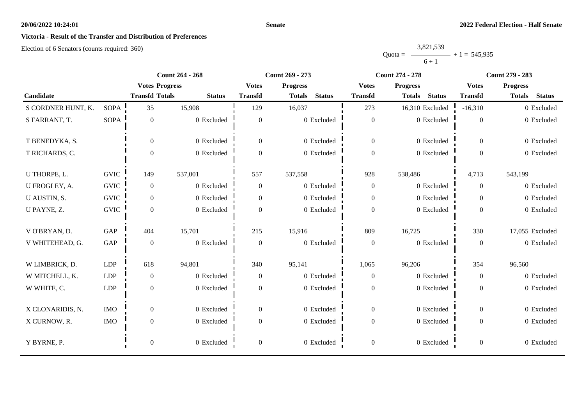#### **Senate**

## **Victoria - Result of the Transfer and Distribution of Preferences**

|           | 3,821,539 |                |
|-----------|-----------|----------------|
| $Quota =$ |           | $+1 = 545,935$ |
|           | $6 + 1$   |                |

|                    |             |                       | <b>Count 264 - 268</b> |                  | Count 269 - 273                | <b>Count 274 - 278</b> |                                | <b>Count 279 - 283</b> |                                |
|--------------------|-------------|-----------------------|------------------------|------------------|--------------------------------|------------------------|--------------------------------|------------------------|--------------------------------|
|                    |             | <b>Votes Progress</b> |                        | <b>Votes</b>     | <b>Progress</b>                | <b>Votes</b>           | <b>Progress</b>                | <b>Votes</b>           | <b>Progress</b>                |
| Candidate          |             | <b>Transfd Totals</b> | <b>Status</b>          | <b>Transfd</b>   | <b>Status</b><br><b>Totals</b> | <b>Transfd</b>         | <b>Status</b><br><b>Totals</b> | <b>Transfd</b>         | <b>Status</b><br><b>Totals</b> |
| S CORDNER HUNT, K. | <b>SOPA</b> | 35                    | 15,908                 | 129              | 16,037                         | 273                    | 16,310 Excluded                | $-16,310$              | 0 Excluded                     |
| S FARRANT, T.      | <b>SOPA</b> | $\boldsymbol{0}$      | 0 Excluded             | $\boldsymbol{0}$ | 0 Excluded                     | $\boldsymbol{0}$       | 0 Excluded                     | $\mathbf{0}$           | 0 Excluded                     |
| T BENEDYKA, S.     |             | $\mathbf{0}$          | 0 Excluded             | $\overline{0}$   | 0 Excluded                     | $\boldsymbol{0}$       | 0 Excluded                     | $\overline{0}$         | 0 Excluded                     |
| T RICHARDS, C.     |             | $\mathbf{0}$          | 0 Excluded             | $\Omega$         | 0 Excluded                     | $\boldsymbol{0}$       | 0 Excluded                     | $\overline{0}$         | 0 Excluded                     |
| U THORPE, L.       | <b>GVIC</b> | 149                   | 537,001                | 557              | 537,558                        | 928                    | 538,486                        | 4,713                  | 543,199                        |
| U FROGLEY, A.      | <b>GVIC</b> | $\boldsymbol{0}$      | 0 Excluded             | $\boldsymbol{0}$ | 0 Excluded                     | $\mathbf{0}$           | 0 Excluded                     | $\overline{0}$         | 0 Excluded                     |
| U AUSTIN, S.       | <b>GVIC</b> | $\mathbf{0}$          | 0 Excluded             | $\overline{0}$   | 0 Excluded                     | $\boldsymbol{0}$       | 0 Excluded                     | $\overline{0}$         | 0 Excluded                     |
| U PAYNE, Z.        | <b>GVIC</b> | $\mathbf{0}$          | 0 Excluded             | $\overline{0}$   | 0 Excluded                     | $\boldsymbol{0}$       | 0 Excluded                     | $\overline{0}$         | 0 Excluded                     |
| V O'BRYAN, D.      | GAP         | 404                   | 15,701                 | 215              | 15,916                         | 809                    | 16,725                         | 330                    | 17,055 Excluded                |
| V WHITEHEAD, G.    | GAP         | $\mathbf{0}$          | 0 Excluded             | $\boldsymbol{0}$ | 0 Excluded                     | $\mathbf{0}$           | 0 Excluded                     | $\mathbf{0}$           | 0 Excluded                     |
| W LIMBRICK, D.     | <b>LDP</b>  | 618                   | 94,801                 | 340              | 95,141                         | 1,065                  | 96,206                         | 354                    | 96,560                         |
| W MITCHELL, K.     | <b>LDP</b>  | $\boldsymbol{0}$      | 0 Excluded             | $\overline{0}$   | 0 Excluded                     | $\boldsymbol{0}$       | 0 Excluded                     | $\overline{0}$         | 0 Excluded                     |
| W WHITE, C.        | <b>LDP</b>  | $\boldsymbol{0}$      | 0 Excluded             | $\boldsymbol{0}$ | 0 Excluded                     | $\boldsymbol{0}$       | 0 Excluded                     | $\boldsymbol{0}$       | 0 Excluded                     |
| X CLONARIDIS, N.   | <b>IMO</b>  | $\boldsymbol{0}$      | 0 Excluded             | $\overline{0}$   | 0 Excluded                     | $\boldsymbol{0}$       | 0 Excluded                     | $\overline{0}$         | 0 Excluded                     |
| X CURNOW, R.       | <b>IMO</b>  | $\boldsymbol{0}$      | 0 Excluded             | $\overline{0}$   | 0 Excluded                     | $\boldsymbol{0}$       | 0 Excluded                     | $\overline{0}$         | 0 Excluded                     |
| Y BYRNE, P.        |             | $\boldsymbol{0}$      | 0 Excluded             | $\overline{0}$   | 0 Excluded                     | $\boldsymbol{0}$       | 0 Excluded                     | $\overline{0}$         | 0 Excluded                     |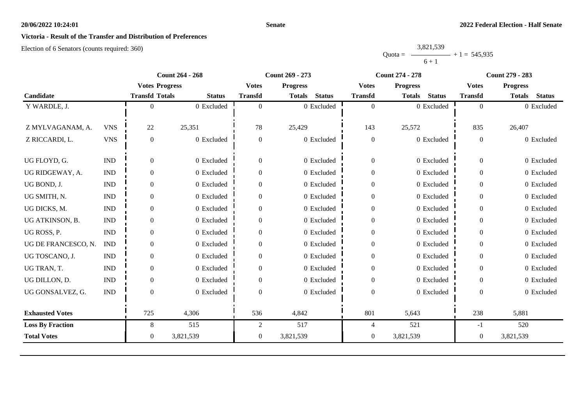#### **Senate**

## **Victoria - Result of the Transfer and Distribution of Preferences**

|           | 3,821,539 |                |
|-----------|-----------|----------------|
| $Quota =$ |           | $+1 = 545,935$ |
|           | $6 + 1$   |                |

|                         |                             |                       | <b>Count 264 - 268</b> |                | <b>Count 269 - 273</b>         |                  | <b>Count 274 - 278</b>         |                  | <b>Count 279 - 283</b>         |  |
|-------------------------|-----------------------------|-----------------------|------------------------|----------------|--------------------------------|------------------|--------------------------------|------------------|--------------------------------|--|
|                         |                             | <b>Votes Progress</b> |                        | <b>Votes</b>   | <b>Progress</b>                | <b>Votes</b>     | <b>Progress</b>                | <b>Votes</b>     | <b>Progress</b>                |  |
| Candidate               |                             | <b>Transfd Totals</b> | <b>Status</b>          | <b>Transfd</b> | <b>Status</b><br><b>Totals</b> | <b>Transfd</b>   | <b>Status</b><br><b>Totals</b> | <b>Transfd</b>   | <b>Status</b><br><b>Totals</b> |  |
| Y WARDLE, J.            |                             | 0                     | 0 Excluded             | $\theta$       | 0 Excluded                     | $\overline{0}$   | 0 Excluded                     | $\overline{0}$   | 0 Excluded                     |  |
|                         |                             |                       |                        |                |                                |                  |                                |                  |                                |  |
| Z MYLVAGANAM, A.        | <b>VNS</b>                  | 22                    | 25,351                 | 78             | 25,429                         | 143              | 25,572                         | 835              | 26,407                         |  |
| Z RICCARDI, L.          | <b>VNS</b>                  | $\overline{0}$        | 0 Excluded             | $\mathbf{0}$   | 0 Excluded                     | $\boldsymbol{0}$ | 0 Excluded                     | $\boldsymbol{0}$ | 0 Excluded                     |  |
|                         |                             |                       |                        |                |                                |                  |                                |                  |                                |  |
| UG FLOYD, G.            | <b>IND</b>                  | $\overline{0}$        | 0 Excluded             | $\mathbf{0}$   | 0 Excluded                     | $\boldsymbol{0}$ | 0 Excluded                     | $\boldsymbol{0}$ | 0 Excluded                     |  |
| UG RIDGEWAY, A.         | <b>IND</b>                  | $\overline{0}$        | 0 Excluded             | $\Omega$       | 0 Excluded                     | $\boldsymbol{0}$ | 0 Excluded                     | $\overline{0}$   | 0 Excluded                     |  |
| UG BOND, J.             | $\mathop{\rm IND}\nolimits$ | $\overline{0}$        | 0 Excluded             | $\theta$       | 0 Excluded                     | $\boldsymbol{0}$ | 0 Excluded                     | $\overline{0}$   | 0 Excluded                     |  |
| UG SMITH, N.            | <b>IND</b>                  | $\boldsymbol{0}$      | 0 Excluded             | $\mathbf{0}$   | 0 Excluded                     | $\boldsymbol{0}$ | 0 Excluded                     | $\overline{0}$   | 0 Excluded                     |  |
| UG DICKS, M.            | <b>IND</b>                  | $\overline{0}$        | 0 Excluded             | $\Omega$       | 0 Excluded                     | $\boldsymbol{0}$ | 0 Excluded                     | $\overline{0}$   | 0 Excluded                     |  |
| UG ATKINSON, B.         | $\mathop{\rm IND}\nolimits$ | $\mathbf{0}$          | 0 Excluded             | $\Omega$       | 0 Excluded                     | $\boldsymbol{0}$ | 0 Excluded                     | $\overline{0}$   | 0 Excluded                     |  |
| UG ROSS, P.             | <b>IND</b>                  | $\overline{0}$        | 0 Excluded             | $\mathbf{0}$   | 0 Excluded                     | $\boldsymbol{0}$ | 0 Excluded                     | $\boldsymbol{0}$ | 0 Excluded                     |  |
| UG DE FRANCESCO, N.     | <b>IND</b>                  | $\overline{0}$        | 0 Excluded             | $\Omega$       | 0 Excluded                     | $\boldsymbol{0}$ | 0 Excluded                     | $\overline{0}$   | 0 Excluded                     |  |
| UG TOSCANO, J.          | <b>IND</b>                  | $\overline{0}$        | 0 Excluded             | $\Omega$       | 0 Excluded                     | $\boldsymbol{0}$ | 0 Excluded                     | $\overline{0}$   | 0 Excluded                     |  |
| UG TRAN, T.             | <b>IND</b>                  | $\overline{0}$        | 0 Excluded             | $\mathbf{0}$   | 0 Excluded                     | $\boldsymbol{0}$ | 0 Excluded                     | $\overline{0}$   | 0 Excluded                     |  |
| UG DILLON, D.           | <b>IND</b>                  | $\overline{0}$        | 0 Excluded             | $\Omega$       | 0 Excluded                     | $\boldsymbol{0}$ | 0 Excluded                     | $\overline{0}$   | 0 Excluded                     |  |
| UG GONSALVEZ, G.        | <b>IND</b>                  | $\Omega$              | 0 Excluded             | $\Omega$       | 0 Excluded                     | $\boldsymbol{0}$ | 0 Excluded                     | $\Omega$         | 0 Excluded                     |  |
|                         |                             |                       |                        |                |                                |                  |                                |                  |                                |  |
| <b>Exhausted Votes</b>  |                             | 725                   | 4,306                  | 536            | 4,842                          | 801              | 5,643                          | 238              | 5,881                          |  |
| <b>Loss By Fraction</b> |                             | 8                     | 515                    | 2              | 517                            | 4                | 521                            | -1               | 520                            |  |
| <b>Total Votes</b>      |                             | $\boldsymbol{0}$      | 3,821,539              | $\mathbf{0}$   | 3,821,539                      | $\mathbf{0}$     | 3,821,539                      | $\boldsymbol{0}$ | 3,821,539                      |  |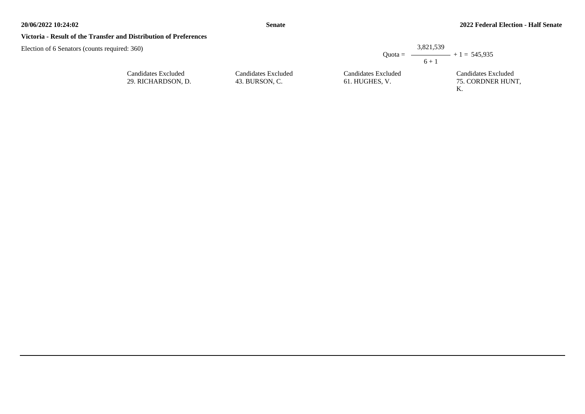### **Victoria - Result of the Transfer and Distribution of Preferences**

| $\pm 360$                                 |                                       |                                       | 3,821,539                                          |
|-------------------------------------------|---------------------------------------|---------------------------------------|----------------------------------------------------|
|                                           |                                       |                                       | Quota = $\longrightarrow$ + 1 = 545,935<br>$6 + 1$ |
| Candidates Excluded<br>29. RICHARDSON, D. | Candidates Excluded<br>43. BURSON, C. | Candidates Excluded<br>61. HUGHES, V. | Candidates Excluded<br>75. CORDNER HUNT,           |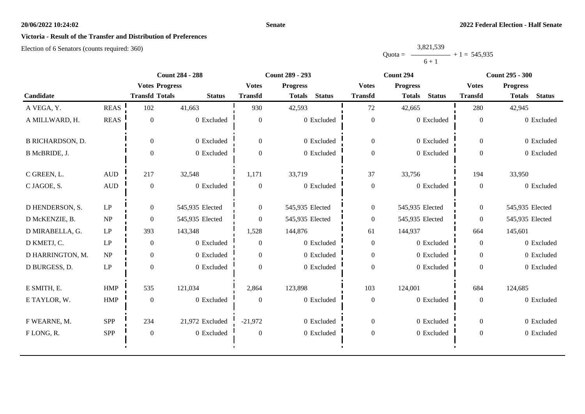#### **Senate**

## **Victoria - Result of the Transfer and Distribution of Preferences**

|           | 3,821,539 |                |
|-----------|-----------|----------------|
| $Quota =$ | __        | $+1 = 545,935$ |
|           | $6 + 1$   |                |

|                         |              | <b>Count 284 - 288</b> |                 | <b>Count 289 - 293</b> |                                |                  | Count 294                      | <b>Count 295 - 300</b> |                                |
|-------------------------|--------------|------------------------|-----------------|------------------------|--------------------------------|------------------|--------------------------------|------------------------|--------------------------------|
|                         |              | <b>Votes Progress</b>  |                 | <b>Votes</b>           | <b>Progress</b>                | <b>Votes</b>     | <b>Progress</b>                | <b>Votes</b>           | <b>Progress</b>                |
| Candidate               |              | <b>Transfd Totals</b>  | <b>Status</b>   | <b>Transfd</b>         | <b>Status</b><br><b>Totals</b> | <b>Transfd</b>   | <b>Status</b><br><b>Totals</b> | <b>Transfd</b>         | <b>Status</b><br><b>Totals</b> |
| A VEGA, Y.              | <b>REAS</b>  | 102                    | 41,663          | 930                    | 42,593                         | 72               | 42,665                         | 280                    | 42,945                         |
| A MILLWARD, H.          | <b>REAS</b>  | $\overline{0}$         | 0 Excluded      | $\boldsymbol{0}$       | 0 Excluded                     | $\boldsymbol{0}$ | 0 Excluded                     | $\mathbf{0}$           | 0 Excluded                     |
| <b>B RICHARDSON, D.</b> |              | $\theta$               | 0 Excluded      | $\overline{0}$         | 0 Excluded                     | $\overline{0}$   | 0 Excluded                     | $\Omega$               | 0 Excluded                     |
| B McBRIDE, J.           |              | $\Omega$               | 0 Excluded      | $\overline{0}$         | 0 Excluded                     | $\boldsymbol{0}$ | 0 Excluded                     | $\overline{0}$         | 0 Excluded                     |
| C GREEN, L.             | $\mbox{AUD}$ | 217                    | 32,548          | 1,171                  | 33,719                         | 37               | 33,756                         | 194                    | 33,950                         |
| C JAGOE, S.             | $\mbox{AUD}$ | $\overline{0}$         | 0 Excluded      | $\overline{0}$         | 0 Excluded                     | $\boldsymbol{0}$ | 0 Excluded                     | $\mathbf{0}$           | 0 Excluded                     |
| D HENDERSON, S.         | LP           | $\overline{0}$         | 545,935 Elected | $\overline{0}$         | 545,935 Elected                | $\overline{0}$   | 545,935 Elected                | $\overline{0}$         | 545,935 Elected                |
| D McKENZIE, B.          | NP           | $\theta$               | 545,935 Elected | $\overline{0}$         | 545,935 Elected                | $\boldsymbol{0}$ | 545,935 Elected                | $\overline{0}$         | 545,935 Elected                |
| D MIRABELLA, G.         | LP           | 393                    | 143,348         | 1,528                  | 144,876                        | 61               | 144,937                        | 664                    | 145,601                        |
| D KMETJ, C.             | LP           | $\mathbf{0}$           | 0 Excluded      | $\mathbf{0}$           | 0 Excluded                     | $\boldsymbol{0}$ | 0 Excluded                     | $\mathbf{0}$           | 0 Excluded                     |
| D HARRINGTON, M.        | NP           | $\overline{0}$         | 0 Excluded      | $\mathbf{0}$           | 0 Excluded                     | $\overline{0}$   | 0 Excluded                     | $\overline{0}$         | 0 Excluded                     |
| D BURGESS, D.           | LP           | $\theta$               | 0 Excluded      | $\theta$               | 0 Excluded                     | $\boldsymbol{0}$ | 0 Excluded                     | $\overline{0}$         | 0 Excluded                     |
| E SMITH, E.             | <b>HMP</b>   | 535                    | 121,034         | 2,864                  | 123,898                        | 103              | 124,001                        | 684                    | 124,685                        |
| E TAYLOR, W.            | <b>HMP</b>   | $\overline{0}$         | 0 Excluded      | $\overline{0}$         | 0 Excluded                     | $\boldsymbol{0}$ | 0 Excluded                     | $\boldsymbol{0}$       | 0 Excluded                     |
| F WEARNE, M.            | <b>SPP</b>   | 234                    | 21,972 Excluded | $-21,972$              | 0 Excluded                     | $\overline{0}$   | 0 Excluded                     | $\overline{0}$         | 0 Excluded                     |
| FLONG, R.               | SPP          | $\boldsymbol{0}$       | 0 Excluded      | $\boldsymbol{0}$       | 0 Excluded                     | $\boldsymbol{0}$ | 0 Excluded                     | $\boldsymbol{0}$       | 0 Excluded                     |
|                         |              |                        |                 |                        |                                |                  |                                |                        |                                |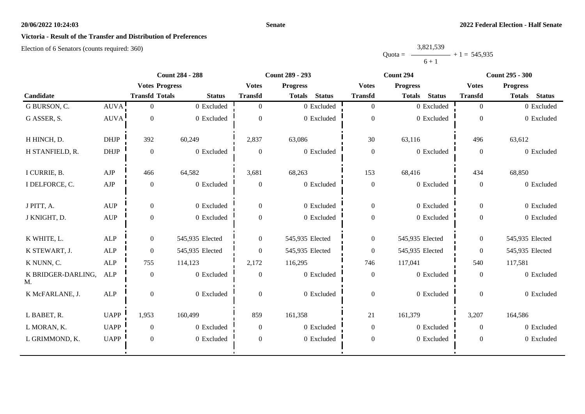#### **Senate**

## **Victoria - Result of the Transfer and Distribution of Preferences**

|           | 3,821,539 |                |
|-----------|-----------|----------------|
| $Quota =$ |           | $+1 = 545,935$ |
|           | $6 + 1$   |                |

|                          |                                  |                       | <b>Count 284 - 288</b> |                  | <b>Count 289 - 293</b>         |                  | Count 294                      |                | <b>Count 295 - 300</b>         |  |
|--------------------------|----------------------------------|-----------------------|------------------------|------------------|--------------------------------|------------------|--------------------------------|----------------|--------------------------------|--|
|                          |                                  | <b>Votes Progress</b> |                        | <b>Votes</b>     | <b>Progress</b>                | <b>Votes</b>     | <b>Progress</b>                | <b>Votes</b>   | <b>Progress</b>                |  |
| Candidate                |                                  | <b>Transfd Totals</b> | <b>Status</b>          | <b>Transfd</b>   | <b>Status</b><br><b>Totals</b> | <b>Transfd</b>   | <b>Status</b><br><b>Totals</b> | <b>Transfd</b> | <b>Totals</b><br><b>Status</b> |  |
| G BURSON, C.             | <b>AUVA</b>                      | $\overline{0}$        | 0 Excluded             | $\overline{0}$   | 0 Excluded                     | $\boldsymbol{0}$ | 0 Excluded                     | $\overline{0}$ | 0 Excluded                     |  |
| G ASSER, S.              | <b>AUVA</b>                      | $\overline{0}$        | 0 Excluded             | $\Omega$         | 0 Excluded                     | $\boldsymbol{0}$ | 0 Excluded                     | $\overline{0}$ | 0 Excluded                     |  |
| H HINCH, D.              | <b>DHJP</b>                      | 392                   | 60,249                 | 2,837            | 63,086                         | 30               | 63,116                         | 496            | 63,612                         |  |
| H STANFIELD, R.          | <b>DHJP</b>                      | $\mathbf{0}$          | 0 Excluded             | $\overline{0}$   | $0\,$ Excluded                 | $\boldsymbol{0}$ | 0 Excluded                     | $\Omega$       | 0 Excluded                     |  |
| I CURRIE, B.             | AJP                              | 466                   | 64,582                 | 3,681            | 68,263                         | 153              | 68,416                         | 434            | 68,850                         |  |
| I DELFORCE, C.           | ${\rm AJP}$                      | $\boldsymbol{0}$      | 0 Excluded             | $\boldsymbol{0}$ | 0 Excluded                     | $\boldsymbol{0}$ | 0 Excluded                     | $\overline{0}$ | 0 Excluded                     |  |
| J PITT, A.               | <b>AUP</b>                       | $\theta$              | 0 Excluded             | $\Omega$         | 0 Excluded                     | $\boldsymbol{0}$ | 0 Excluded                     | $\theta$       | 0 Excluded                     |  |
| J KNIGHT, D.             | $\mathbf{A}\mathbf{U}\mathbf{P}$ | $\overline{0}$        | 0 Excluded             | $\Omega$         | 0 Excluded                     | $\boldsymbol{0}$ | 0 Excluded                     | $\mathbf{0}$   | 0 Excluded                     |  |
| K WHITE, L.              | ALP                              | $\overline{0}$        | 545,935 Elected        | $\overline{0}$   | 545,935 Elected                | $\boldsymbol{0}$ | 545,935 Elected                | $\mathbf{0}$   | 545,935 Elected                |  |
| K STEWART, J.            | <b>ALP</b>                       | $\Omega$              | 545,935 Elected        | $\Omega$         | 545,935 Elected                | $\theta$         | 545,935 Elected                | $\Omega$       | 545,935 Elected                |  |
| K NUNN, C.               | ALP                              | 755                   | 114,123                | 2,172            | 116,295                        | 746              | 117,041                        | 540            | 117,581                        |  |
| K BRIDGER-DARLING,<br>M. | ALP                              | $\overline{0}$        | 0 Excluded             | $\overline{0}$   | 0 Excluded                     | $\boldsymbol{0}$ | 0 Excluded                     | $\overline{0}$ | 0 Excluded                     |  |
| K McFARLANE, J.          | ALP                              | $\overline{0}$        | 0 Excluded             | $\overline{0}$   | $0$ Excluded                   | $\boldsymbol{0}$ | 0 Excluded                     | $\overline{0}$ | 0 Excluded                     |  |
| L BABET, R.              | <b>UAPP</b>                      | 1,953                 | 160,499                | 859              | 161,358                        | 21               | 161,379                        | 3,207          | 164,586                        |  |
| L MORAN, K.              | <b>UAPP</b>                      | $\overline{0}$        | 0 Excluded             | $\overline{0}$   | 0 Excluded                     | $\boldsymbol{0}$ | 0 Excluded                     | $\theta$       | 0 Excluded                     |  |
| L GRIMMOND, K.           | <b>UAPP</b>                      | $\mathbf{0}$          | 0 Excluded             | $\overline{0}$   | 0 Excluded                     | $\boldsymbol{0}$ | 0 Excluded                     | $\mathbf{0}$   | 0 Excluded                     |  |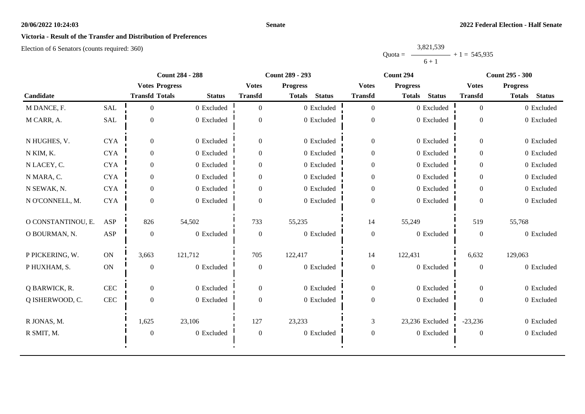## **Victoria - Result of the Transfer and Distribution of Preferences**

Election of 6 Senators (counts required: 360)

Quota = 3,821,539  $6 + 1$  $+ 1 = 545,935$ 

|                    |            | <b>Count 284 - 288</b><br><b>Count 289 - 293</b> |               |                  | Count 294                      | <b>Count 295 - 300</b> |                                |                  |                                |
|--------------------|------------|--------------------------------------------------|---------------|------------------|--------------------------------|------------------------|--------------------------------|------------------|--------------------------------|
|                    |            | <b>Votes Progress</b>                            |               | <b>Votes</b>     | <b>Progress</b>                | <b>Votes</b>           | <b>Progress</b>                | <b>Votes</b>     | <b>Progress</b>                |
| Candidate          |            | <b>Transfd Totals</b>                            | <b>Status</b> | <b>Transfd</b>   | <b>Status</b><br><b>Totals</b> | <b>Transfd</b>         | <b>Status</b><br><b>Totals</b> | <b>Transfd</b>   | <b>Status</b><br><b>Totals</b> |
| M DANCE, F.        | <b>SAL</b> | $\theta$                                         | 0 Excluded    | $\Omega$         | 0 Excluded                     | $\overline{0}$         | 0 Excluded                     | $\theta$         | 0 Excluded                     |
| M CARR, A.         | SAL        | $\boldsymbol{0}$                                 | 0 Excluded    | $\overline{0}$   | 0 Excluded                     | $\boldsymbol{0}$       | 0 Excluded                     | $\theta$         | 0 Excluded                     |
| N HUGHES, V.       | <b>CYA</b> | $\overline{0}$                                   | 0 Excluded    | $\overline{0}$   | 0 Excluded                     | $\overline{0}$         | 0 Excluded                     | $\overline{0}$   | 0 Excluded                     |
| N KIM, K.          | <b>CYA</b> | $\Omega$                                         | 0 Excluded    | $\overline{0}$   | 0 Excluded                     | $\boldsymbol{0}$       | 0 Excluded                     | $\theta$         | 0 Excluded                     |
| N LACEY, C.        | <b>CYA</b> | $\overline{0}$                                   | 0 Excluded    | $\mathbf{0}$     | 0 Excluded                     | $\boldsymbol{0}$       | 0 Excluded                     | $\theta$         | 0 Excluded                     |
| N MARA, C.         | <b>CYA</b> | $\theta$                                         | 0 Excluded    | $\overline{0}$   | 0 Excluded                     | $\boldsymbol{0}$       | 0 Excluded                     | $\Omega$         | 0 Excluded                     |
| N SEWAK, N.        | <b>CYA</b> | $\theta$                                         | 0 Excluded    | $\Omega$         | 0 Excluded                     | $\overline{0}$         | 0 Excluded                     | $\Omega$         | 0 Excluded                     |
| N O'CONNELL, M.    | <b>CYA</b> | $\theta$                                         | 0 Excluded    | $\Omega$         | 0 Excluded                     | $\boldsymbol{0}$       | 0 Excluded                     | $\theta$         | 0 Excluded                     |
| O CONSTANTINOU, E. | ASP        | 826                                              | 54,502        | 733              | 55,235                         | 14                     | 55,249                         | 519              | 55,768                         |
| O BOURMAN, N.      | ASP        | $\overline{0}$                                   | 0 Excluded    | $\overline{0}$   | 0 Excluded                     | $\boldsymbol{0}$       | 0 Excluded                     | $\overline{0}$   | 0 Excluded                     |
| P PICKERING, W.    | ON         | 3,663                                            | 121,712       | 705              | 122,417                        | 14                     | 122,431                        | 6,632            | 129,063                        |
| P HUXHAM, S.       | ON         | $\overline{0}$                                   | 0 Excluded    | $\boldsymbol{0}$ | 0 Excluded                     | $\boldsymbol{0}$       | 0 Excluded                     | $\boldsymbol{0}$ | 0 Excluded                     |
| Q BARWICK, R.      | CEC        | $\theta$                                         | 0 Excluded    | $\overline{0}$   | 0 Excluded                     | $\overline{0}$         | 0 Excluded                     | $\theta$         | 0 Excluded                     |
| Q ISHERWOOD, C.    | <b>CEC</b> | $\overline{0}$                                   | 0 Excluded    | $\mathbf{0}$     | 0 Excluded                     | $\boldsymbol{0}$       | 0 Excluded                     | $\Omega$         | 0 Excluded                     |
| R JONAS, M.        |            | 1,625                                            | 23,106        | 127              | 23,233                         | 3                      | 23,236 Excluded                | $-23,236$        | 0 Excluded                     |
| R SMIT, M.         |            | $\mathbf{0}$                                     | 0 Excluded    | $\boldsymbol{0}$ | 0 Excluded                     | $\boldsymbol{0}$       | 0 Excluded                     | $\boldsymbol{0}$ | 0 Excluded                     |
|                    |            |                                                  |               |                  |                                |                        |                                |                  |                                |

**Senate**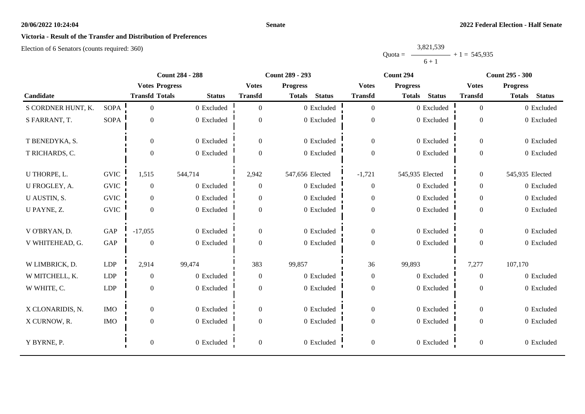# **Victoria - Result of the Transfer and Distribution of Preferences**

Election of 6 Senators (counts required: 360)

|           | 3,821,539 |                |
|-----------|-----------|----------------|
| $Quota =$ |           | $+1 = 545,935$ |
|           | $6 + 1$   |                |

|                    | <b>Count 284 - 288</b> |                       | <b>Count 289 - 293</b> |                  | Count 294                      |                  | <b>Count 295 - 300</b>         |                  |                                |
|--------------------|------------------------|-----------------------|------------------------|------------------|--------------------------------|------------------|--------------------------------|------------------|--------------------------------|
|                    |                        | <b>Votes Progress</b> |                        | <b>Votes</b>     | <b>Progress</b>                | <b>Votes</b>     | <b>Progress</b>                | <b>Votes</b>     | <b>Progress</b>                |
| Candidate          |                        | <b>Transfd Totals</b> | <b>Status</b>          | <b>Transfd</b>   | <b>Status</b><br><b>Totals</b> | <b>Transfd</b>   | <b>Status</b><br><b>Totals</b> | <b>Transfd</b>   | <b>Status</b><br><b>Totals</b> |
| S CORDNER HUNT, K. | <b>SOPA</b>            | $\overline{0}$        | $0$ Excluded           | $\Omega$         | 0 Excluded                     | $\overline{0}$   | 0 Excluded                     | $\overline{0}$   | 0 Excluded                     |
| S FARRANT, T.      | <b>SOPA</b>            | $\mathbf{0}$          | 0 Excluded             | $\overline{0}$   | 0 Excluded                     | $\boldsymbol{0}$ | 0 Excluded                     | $\boldsymbol{0}$ | 0 Excluded                     |
| T BENEDYKA, S.     |                        | $\overline{0}$        | 0 Excluded             | $\overline{0}$   | 0 Excluded                     | $\boldsymbol{0}$ | 0 Excluded                     | $\overline{0}$   | 0 Excluded                     |
| T RICHARDS, C.     |                        | $\boldsymbol{0}$      | 0 Excluded             | $\Omega$         | 0 Excluded                     | $\boldsymbol{0}$ | 0 Excluded                     | $\overline{0}$   | 0 Excluded                     |
| U THORPE, L.       | <b>GVIC</b>            | 1,515                 | 544,714                | 2,942            | 547,656 Elected                | $-1,721$         | 545,935 Elected                | $\overline{0}$   | 545,935 Elected                |
| U FROGLEY, A.      | <b>GVIC</b>            | $\mathbf{0}$          | 0 Excluded             | $\overline{0}$   | 0 Excluded                     | $\overline{0}$   | 0 Excluded                     | $\overline{0}$   | 0 Excluded                     |
| U AUSTIN, S.       | <b>GVIC</b>            | $\overline{0}$        | 0 Excluded             | $\overline{0}$   | 0 Excluded                     | $\boldsymbol{0}$ | 0 Excluded                     | $\overline{0}$   | 0 Excluded                     |
| U PAYNE, Z.        | <b>GVIC</b>            | $\overline{0}$        | 0 Excluded             | $\overline{0}$   | 0 Excluded                     | $\boldsymbol{0}$ | 0 Excluded                     | $\overline{0}$   | 0 Excluded                     |
| V O'BRYAN, D.      | GAP                    | $-17,055$             | 0 Excluded             | $\boldsymbol{0}$ | 0 Excluded                     | $\overline{0}$   | 0 Excluded                     | $\overline{0}$   | 0 Excluded                     |
| V WHITEHEAD, G.    | GAP                    | $\boldsymbol{0}$      | 0 Excluded             | $\Omega$         | 0 Excluded                     | $\boldsymbol{0}$ | 0 Excluded                     | $\overline{0}$   | 0 Excluded                     |
| W LIMBRICK, D.     | LDP                    | 2,914                 | 99,474                 | 383              | 99,857                         | 36               | 99,893                         | 7,277            | 107,170                        |
| W MITCHELL, K.     | <b>LDP</b>             | $\boldsymbol{0}$      | 0 Excluded             | $\overline{0}$   | 0 Excluded                     | $\boldsymbol{0}$ | 0 Excluded                     | $\overline{0}$   | 0 Excluded                     |
| W WHITE, C.        | <b>LDP</b>             | $\boldsymbol{0}$      | 0 Excluded             | $\overline{0}$   | 0 Excluded                     | $\boldsymbol{0}$ | 0 Excluded                     | $\overline{0}$   | 0 Excluded                     |
| X CLONARIDIS, N.   | <b>IMO</b>             | $\boldsymbol{0}$      | 0 Excluded             | $\overline{0}$   | 0 Excluded                     | $\overline{0}$   | 0 Excluded                     | $\overline{0}$   | 0 Excluded                     |
| X CURNOW, R.       | <b>IMO</b>             | $\boldsymbol{0}$      | 0 Excluded             | $\overline{0}$   | 0 Excluded                     | $\boldsymbol{0}$ | 0 Excluded                     | $\overline{0}$   | 0 Excluded                     |
| Y BYRNE, P.        |                        | $\boldsymbol{0}$      | 0 Excluded             | $\boldsymbol{0}$ | 0 Excluded                     | $\boldsymbol{0}$ | 0 Excluded                     | $\overline{0}$   | 0 Excluded                     |

**Senate**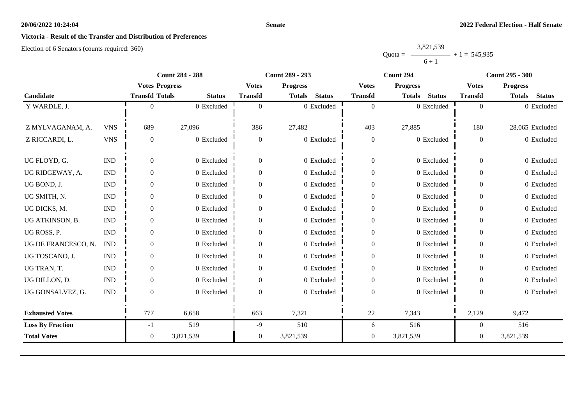#### **Senate**

## **Victoria - Result of the Transfer and Distribution of Preferences**

|           | 3,821,539 |                |
|-----------|-----------|----------------|
| $Quota =$ |           | $+1 = 545,935$ |
|           | $6 + 1$   |                |

|                         |                             | <b>Count 284 - 288</b> |               |                  | <b>Count 289 - 293</b>         |                  | Count 294                      | <b>Count 295 - 300</b> |                                |
|-------------------------|-----------------------------|------------------------|---------------|------------------|--------------------------------|------------------|--------------------------------|------------------------|--------------------------------|
|                         |                             | <b>Votes Progress</b>  |               | <b>Votes</b>     | <b>Progress</b>                | <b>Votes</b>     | <b>Progress</b>                | <b>Votes</b>           | <b>Progress</b>                |
| Candidate               |                             | <b>Transfd Totals</b>  | <b>Status</b> | <b>Transfd</b>   | <b>Status</b><br><b>Totals</b> | <b>Transfd</b>   | <b>Status</b><br><b>Totals</b> | <b>Transfd</b>         | <b>Status</b><br><b>Totals</b> |
| Y WARDLE, J.            |                             |                        | 0 Excluded    | $\theta$         | 0 Excluded                     | $\overline{0}$   | 0 Excluded                     | $\overline{0}$         | 0 Excluded                     |
|                         |                             |                        |               |                  |                                |                  |                                |                        |                                |
| Z MYLVAGANAM, A.        | <b>VNS</b>                  | 689                    | 27,096        | 386              | 27,482                         | 403              | 27,885                         | 180                    | 28,065 Excluded                |
| Z RICCARDI, L.          | <b>VNS</b>                  | $\theta$               | 0 Excluded    | $\overline{0}$   | 0 Excluded                     | $\boldsymbol{0}$ | 0 Excluded                     | $\boldsymbol{0}$       | 0 Excluded                     |
|                         |                             |                        |               |                  |                                |                  |                                |                        |                                |
| UG FLOYD, G.            | <b>IND</b>                  | $\Omega$               | 0 Excluded    | $\mathbf{0}$     | 0 Excluded                     | $\boldsymbol{0}$ | 0 Excluded                     | $\boldsymbol{0}$       | 0 Excluded                     |
| UG RIDGEWAY, A.         | <b>IND</b>                  | $\overline{0}$         | 0 Excluded    | $\Omega$         | 0 Excluded                     | $\mathbf{0}$     | 0 Excluded                     | $\overline{0}$         | 0 Excluded                     |
| UG BOND, J.             | $\mathop{\rm IND}\nolimits$ | $\overline{0}$         | 0 Excluded    | $\Omega$         | 0 Excluded                     | $\boldsymbol{0}$ | 0 Excluded                     | $\overline{0}$         | 0 Excluded                     |
| UG SMITH, N.            | $\mathop{\rm IND}\nolimits$ | $\overline{0}$         | 0 Excluded    | $\Omega$         | 0 Excluded                     | $\boldsymbol{0}$ | 0 Excluded                     | $\overline{0}$         | 0 Excluded                     |
| UG DICKS, M.            | <b>IND</b>                  | $\overline{0}$         | 0 Excluded    | $\Omega$         | 0 Excluded                     | $\boldsymbol{0}$ | 0 Excluded                     | $\overline{0}$         | 0 Excluded                     |
| UG ATKINSON, B.         | $\mathop{\rm IND}\nolimits$ | $\overline{0}$         | 0 Excluded    | $\mathbf{0}$     | 0 Excluded                     | $\boldsymbol{0}$ | 0 Excluded                     | $\overline{0}$         | 0 Excluded                     |
| UG ROSS, P.             | <b>IND</b>                  | $\boldsymbol{0}$       | 0 Excluded    | $\boldsymbol{0}$ | 0 Excluded                     | $\boldsymbol{0}$ | 0 Excluded                     | $\mathbf{0}$           | 0 Excluded                     |
| UG DE FRANCESCO, N.     | <b>IND</b>                  | $\theta$               | 0 Excluded    | $\Omega$         | 0 Excluded                     | $\mathbf{0}$     | 0 Excluded                     | $\theta$               | 0 Excluded                     |
| UG TOSCANO, J.          | <b>IND</b>                  | $\overline{0}$         | 0 Excluded    | 0                | 0 Excluded                     | $\boldsymbol{0}$ | 0 Excluded                     | $\overline{0}$         | 0 Excluded                     |
| UG TRAN, T.             | $\mathop{\rm IND}\nolimits$ | $\overline{0}$         | 0 Excluded    | $\mathbf{0}$     | 0 Excluded                     | $\boldsymbol{0}$ | 0 Excluded                     | $\mathbf{0}$           | 0 Excluded                     |
| UG DILLON, D.           | <b>IND</b>                  | $\overline{0}$         | 0 Excluded    | $\Omega$         | 0 Excluded                     | $\boldsymbol{0}$ | 0 Excluded                     | $\Omega$               | 0 Excluded                     |
| UG GONSALVEZ, G.        | <b>IND</b>                  | $\Omega$               | 0 Excluded    | $\Omega$         | 0 Excluded                     | $\boldsymbol{0}$ | 0 Excluded                     | $\Omega$               | 0 Excluded                     |
|                         |                             |                        |               |                  |                                |                  |                                |                        |                                |
| <b>Exhausted Votes</b>  |                             | 777                    | 6,658         | 663              | 7,321                          | 22               | 7,343                          | 2,129                  | 9,472                          |
| <b>Loss By Fraction</b> |                             | $-1$                   | 519           | $-9$             | 510                            | 6                | 516                            | $\overline{0}$         | 516                            |
| <b>Total Votes</b>      |                             | $\overline{0}$         | 3,821,539     | $\overline{0}$   | 3,821,539                      | $\overline{0}$   | 3,821,539                      | $\mathbf{0}$           | 3,821,539                      |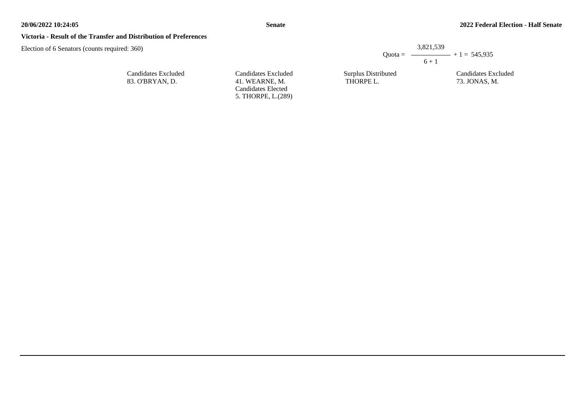#### **Senate**

#### **Victoria - Result of the Transfer and Distribution of Preferences**

Election of 6 Senators (counts required: 360)

Candidates Excluded 83. O'BRYAN, D.

Candidates Excluded 41. WEARNE, M. Candidates Elected 5. THORPE, L.(289) Quota =  $-$ 3,821,539  $6 + 1$  $- + 1 = 545,935$ 

Surplus Distributed THORPE L.

Candidates Excluded 73. JONAS, M.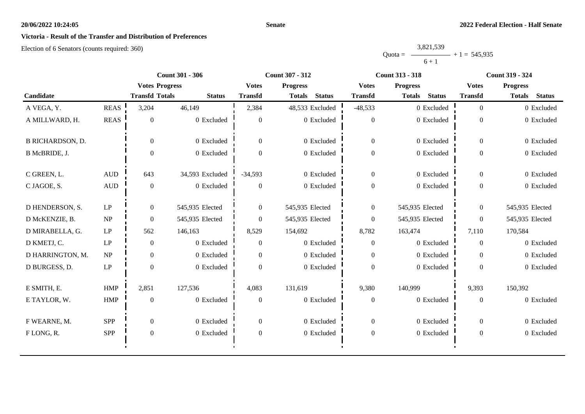#### **Senate**

## **Victoria - Result of the Transfer and Distribution of Preferences**

|           | 3,821,539 |                |
|-----------|-----------|----------------|
| $Quota =$ |           | $+1 = 545,935$ |
|           | $6 + 1$   |                |

|                         |                        | <b>Count 301 - 306</b> |                 |                  | Count 307 - 312                |                  | <b>Count 313 - 318</b>         | Count 319 - 324  |                                |
|-------------------------|------------------------|------------------------|-----------------|------------------|--------------------------------|------------------|--------------------------------|------------------|--------------------------------|
|                         |                        | <b>Votes Progress</b>  |                 | <b>Votes</b>     | <b>Progress</b>                | <b>Votes</b>     | <b>Progress</b>                | <b>Votes</b>     | <b>Progress</b>                |
| Candidate               |                        | <b>Transfd Totals</b>  | <b>Status</b>   | <b>Transfd</b>   | <b>Status</b><br><b>Totals</b> | <b>Transfd</b>   | <b>Status</b><br><b>Totals</b> | <b>Transfd</b>   | <b>Status</b><br><b>Totals</b> |
| A VEGA, Y.              | <b>REAS</b>            | 3,204                  | 46,149          | 2,384            | 48,533 Excluded                | $-48,533$        | 0 Excluded                     | $\overline{0}$   | 0 Excluded                     |
| A MILLWARD, H.          | <b>REAS</b>            | $\overline{0}$         | 0 Excluded      | $\theta$         | 0 Excluded                     | $\overline{0}$   | 0 Excluded                     | $\theta$         | 0 Excluded                     |
| <b>B RICHARDSON, D.</b> |                        | $\overline{0}$         | 0 Excluded      | $\overline{0}$   | 0 Excluded                     | $\overline{0}$   | 0 Excluded                     | $\overline{0}$   | 0 Excluded                     |
| B McBRIDE, J.           |                        | $\overline{0}$         | 0 Excluded      | $\overline{0}$   | 0 Excluded                     | $\boldsymbol{0}$ | 0 Excluded                     | $\overline{0}$   | 0 Excluded                     |
| C GREEN, L.             | <b>AUD</b>             | 643                    | 34,593 Excluded | $-34,593$        | 0 Excluded                     | $\overline{0}$   | 0 Excluded                     | $\Omega$         | 0 Excluded                     |
| C JAGOE, S.             | $\mbox{AUD}$           | $\overline{0}$         | 0 Excluded      | $\Omega$         | 0 Excluded                     | $\boldsymbol{0}$ | 0 Excluded                     | $\overline{0}$   | 0 Excluded                     |
| D HENDERSON, S.         | $\operatorname{LP}$    | $\overline{0}$         | 545,935 Elected | $\overline{0}$   | 545,935 Elected                | $\overline{0}$   | 545,935 Elected                | $\overline{0}$   | 545,935 Elected                |
| D McKENZIE, B.          | NP                     | $\Omega$               | 545,935 Elected | $\Omega$         | 545,935 Elected                | $\overline{0}$   | 545,935 Elected                | $\theta$         | 545,935 Elected                |
| D MIRABELLA, G.         | $\operatorname{LP}$    | 562                    | 146,163         | 8,529            | 154,692                        | 8,782            | 163,474                        | 7,110            | 170,584                        |
| D KMETJ, C.             | $\mathrm{L}\mathrm{P}$ | $\overline{0}$         | 0 Excluded      | $\overline{0}$   | 0 Excluded                     | $\overline{0}$   | 0 Excluded                     | $\theta$         | 0 Excluded                     |
| D HARRINGTON, M.        | NP                     | $\overline{0}$         | 0 Excluded      | $\Omega$         | 0 Excluded                     | $\boldsymbol{0}$ | 0 Excluded                     | $\theta$         | 0 Excluded                     |
| D BURGESS, D.           | LP                     | $\Omega$               | 0 Excluded      | $\Omega$         | 0 Excluded                     | $\theta$         | 0 Excluded                     | $\theta$         | 0 Excluded                     |
| E SMITH, E.             | <b>HMP</b>             | 2,851                  | 127,536         | 4,083            | 131,619                        | 9,380            | 140,999                        | 9,393            | 150,392                        |
| E TAYLOR, W.            | <b>HMP</b>             | $\mathbf{0}$           | 0 Excluded      | $\theta$         | 0 Excluded                     | $\boldsymbol{0}$ | 0 Excluded                     | $\overline{0}$   | 0 Excluded                     |
| F WEARNE, M.            | <b>SPP</b>             | $\overline{0}$         | 0 Excluded      | $\overline{0}$   | 0 Excluded                     | $\overline{0}$   | 0 Excluded                     | $\theta$         | 0 Excluded                     |
| FLONG, R.               | SPP                    | $\boldsymbol{0}$       | 0 Excluded      | $\boldsymbol{0}$ | 0 Excluded                     | $\boldsymbol{0}$ | 0 Excluded                     | $\boldsymbol{0}$ | 0 Excluded                     |
|                         |                        |                        |                 |                  |                                |                  |                                |                  |                                |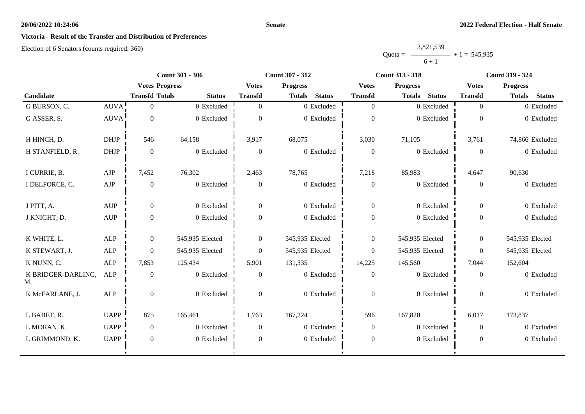### **Senate**

## **Victoria - Result of the Transfer and Distribution of Preferences**

|           | 3,821,539 |                |
|-----------|-----------|----------------|
| $Quota =$ |           | $+1 = 545,935$ |
|           | $6 + 1$   |                |

|                          | <b>Count 301 - 306</b>           |                       |                 | Count 307 - 312 |                                | <b>Count 313 - 318</b> | <b>Count 319 - 324</b>         |                  |                                |
|--------------------------|----------------------------------|-----------------------|-----------------|-----------------|--------------------------------|------------------------|--------------------------------|------------------|--------------------------------|
|                          |                                  | <b>Votes Progress</b> |                 | <b>Votes</b>    | <b>Progress</b>                | <b>Votes</b>           | <b>Progress</b>                | <b>Votes</b>     | <b>Progress</b>                |
| Candidate                |                                  | <b>Transfd Totals</b> | <b>Status</b>   | <b>Transfd</b>  | <b>Status</b><br><b>Totals</b> | <b>Transfd</b>         | <b>Status</b><br><b>Totals</b> | <b>Transfd</b>   | <b>Totals</b><br><b>Status</b> |
| G BURSON, C.             | <b>AUVA</b>                      | $\Omega$              | 0 Excluded      | $\Omega$        | 0 Excluded                     | $\overline{0}$         | 0 Excluded                     | $\overline{0}$   | 0 Excluded                     |
| G ASSER, S.              | <b>AUVA</b>                      | $\overline{0}$        | 0 Excluded      | $\Omega$        | 0 Excluded                     | $\boldsymbol{0}$       | 0 Excluded                     | $\theta$         | 0 Excluded                     |
| H HINCH, D.              | <b>DHJP</b>                      | 546                   | 64,158          | 3,917           | 68,075                         | 3,030                  | 71,105                         | 3,761            | 74,866 Excluded                |
| H STANFIELD, R.          | <b>DHJP</b>                      | $\mathbf{0}$          | 0 Excluded      | $\overline{0}$  | 0 Excluded                     | $\mathbf{0}$           | 0 Excluded                     | $\Omega$         | 0 Excluded                     |
| I CURRIE, B.             | AJP                              | 7,452                 | 76,302          | 2,463           | 78,765                         | 7,218                  | 85,983                         | 4,647            | 90,630                         |
| I DELFORCE, C.           | ${\rm AJP}$                      | $\boldsymbol{0}$      | 0 Excluded      | $\mathbf{0}$    | 0 Excluded                     | $\boldsymbol{0}$       | 0 Excluded                     | $\boldsymbol{0}$ | 0 Excluded                     |
| J PITT, A.               | <b>AUP</b>                       | $\overline{0}$        | 0 Excluded      | $\Omega$        | 0 Excluded                     | $\overline{0}$         | 0 Excluded                     | $\Omega$         | 0 Excluded                     |
| J KNIGHT, D.             | $\mathbf{A}\mathbf{U}\mathbf{P}$ | $\overline{0}$        | 0 Excluded      | $\Omega$        | 0 Excluded                     | $\boldsymbol{0}$       | 0 Excluded                     | $\overline{0}$   | 0 Excluded                     |
| K WHITE, L.              | <b>ALP</b>                       | $\overline{0}$        | 545,935 Elected | $\overline{0}$  | 545,935 Elected                | $\overline{0}$         | 545,935 Elected                | $\mathbf{0}$     | 545,935 Elected                |
| K STEWART, J.            | <b>ALP</b>                       | $\Omega$              | 545,935 Elected | $\theta$        | 545,935 Elected                | $\mathbf{0}$           | 545,935 Elected                | $\Omega$         | 545,935 Elected                |
| K NUNN, C.               | <b>ALP</b>                       | 7,853                 | 125,434         | 5,901           | 131,335                        | 14,225                 | 145,560                        | 7,044            | 152,604                        |
| K BRIDGER-DARLING,<br>M. | <b>ALP</b>                       | $\mathbf{0}$          | 0 Excluded      | $\overline{0}$  | 0 Excluded                     | $\overline{0}$         | 0 Excluded                     | $\theta$         | 0 Excluded                     |
| K McFARLANE, J.          | ALP                              | $\overline{0}$        | 0 Excluded      | $\overline{0}$  | 0 Excluded                     | $\boldsymbol{0}$       | 0 Excluded                     | $\mathbf{0}$     | 0 Excluded                     |
| L BABET, R.              | <b>UAPP</b>                      | 875                   | 165,461         | 1,763           | 167,224                        | 596                    | 167,820                        | 6,017            | 173,837                        |
| L MORAN, K.              | <b>UAPP</b>                      | $\boldsymbol{0}$      | 0 Excluded      | $\mathbf{0}$    | 0 Excluded                     | $\overline{0}$         | 0 Excluded                     | $\theta$         | 0 Excluded                     |
| L GRIMMOND, K.           | <b>UAPP</b>                      | $\overline{0}$        | 0 Excluded      | $\overline{0}$  | 0 Excluded                     | $\boldsymbol{0}$       | 0 Excluded                     | $\mathbf{0}$     | 0 Excluded                     |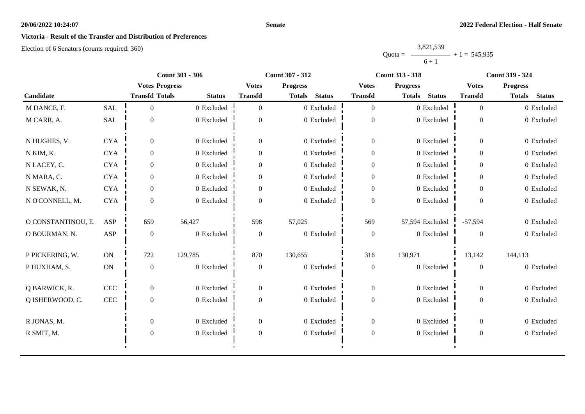## **Victoria - Result of the Transfer and Distribution of Preferences**

Election of 6 Senators (counts required: 360)

|           | 3,821,539 |                |
|-----------|-----------|----------------|
| $Quota =$ |           | $+1 = 545,935$ |
|           | $6 + 1$   |                |

|                    |              | <b>Count 301 - 306</b> |               |                  | <b>Count 307 - 312</b>         |                  | <b>Count 313 - 318</b>         | <b>Count 319 - 324</b> |                                |
|--------------------|--------------|------------------------|---------------|------------------|--------------------------------|------------------|--------------------------------|------------------------|--------------------------------|
|                    |              | <b>Votes Progress</b>  |               | <b>Votes</b>     | <b>Progress</b>                | <b>Votes</b>     | <b>Progress</b>                | <b>Votes</b>           | <b>Progress</b>                |
| Candidate          |              | <b>Transfd Totals</b>  | <b>Status</b> | <b>Transfd</b>   | <b>Status</b><br><b>Totals</b> | <b>Transfd</b>   | <b>Status</b><br><b>Totals</b> | <b>Transfd</b>         | <b>Status</b><br><b>Totals</b> |
| M DANCE, F.        | <b>SAL</b>   | $\theta$               | 0 Excluded    | $\theta$         | 0 Excluded                     | $\overline{0}$   | 0 Excluded                     | $\overline{0}$         | 0 Excluded                     |
| M CARR, A.         | SAL          | $\overline{0}$         | 0 Excluded    | $\theta$         | 0 Excluded                     | $\boldsymbol{0}$ | 0 Excluded                     | $\overline{0}$         | 0 Excluded                     |
| N HUGHES, V.       | <b>CYA</b>   | $\theta$               | 0 Excluded    | $\overline{0}$   | 0 Excluded                     | $\overline{0}$   | 0 Excluded                     | $\overline{0}$         | 0 Excluded                     |
| N KIM, K.          | <b>CYA</b>   | $\overline{0}$         | 0 Excluded    | $\theta$         | 0 Excluded                     | $\overline{0}$   | 0 Excluded                     | $\overline{0}$         | 0 Excluded                     |
| N LACEY, C.        | <b>CYA</b>   | $\overline{0}$         | 0 Excluded    | $\mathbf{0}$     | 0 Excluded                     | $\boldsymbol{0}$ | 0 Excluded                     | $\overline{0}$         | 0 Excluded                     |
| N MARA, C.         | <b>CYA</b>   | $\overline{0}$         | 0 Excluded    | $\boldsymbol{0}$ | 0 Excluded                     | $\boldsymbol{0}$ | 0 Excluded                     | $\overline{0}$         | 0 Excluded                     |
| N SEWAK, N.        | <b>CYA</b>   | $\Omega$               | 0 Excluded    | $\Omega$         | 0 Excluded                     | $\boldsymbol{0}$ | 0 Excluded                     | $\theta$               | 0 Excluded                     |
| N O'CONNELL, M.    | <b>CYA</b>   | $\overline{0}$         | 0 Excluded    | $\theta$         | 0 Excluded                     | $\boldsymbol{0}$ | 0 Excluded                     | $\Omega$               | 0 Excluded                     |
| O CONSTANTINOU, E. | ASP          | 659                    | 56,427        | 598              | 57,025                         | 569              | 57,594 Excluded                | $-57,594$              | 0 Excluded                     |
| O BOURMAN, N.      | <b>ASP</b>   | $\overline{0}$         | 0 Excluded    | $\overline{0}$   | 0 Excluded                     | $\boldsymbol{0}$ | 0 Excluded                     | $\Omega$               | 0 Excluded                     |
| P PICKERING, W.    | ON           | 722                    | 129,785       | 870              | 130,655                        | 316              | 130,971                        | 13,142                 | 144,113                        |
| P HUXHAM, S.       | ON           | $\overline{0}$         | 0 Excluded    | $\theta$         | 0 Excluded                     | $\boldsymbol{0}$ | 0 Excluded                     | $\overline{0}$         | 0 Excluded                     |
| Q BARWICK, R.      | $\mbox{CEC}$ | $\overline{0}$         | 0 Excluded    | $\boldsymbol{0}$ | 0 Excluded                     | $\boldsymbol{0}$ | 0 Excluded                     | $\overline{0}$         | 0 Excluded                     |
| Q ISHERWOOD, C.    | CEC          | $\overline{0}$         | 0 Excluded    | $\mathbf{0}$     | 0 Excluded                     | $\boldsymbol{0}$ | 0 Excluded                     | $\overline{0}$         | 0 Excluded                     |
| R JONAS, M.        |              | $\overline{0}$         | 0 Excluded    | $\mathbf{0}$     | 0 Excluded                     | $\boldsymbol{0}$ | 0 Excluded                     | $\overline{0}$         | 0 Excluded                     |
| R SMIT, M.         |              | $\boldsymbol{0}$       | 0 Excluded    | $\boldsymbol{0}$ | 0 Excluded                     | $\boldsymbol{0}$ | 0 Excluded                     | $\overline{0}$         | 0 Excluded                     |
|                    |              |                        |               |                  |                                |                  |                                |                        |                                |

**Senate**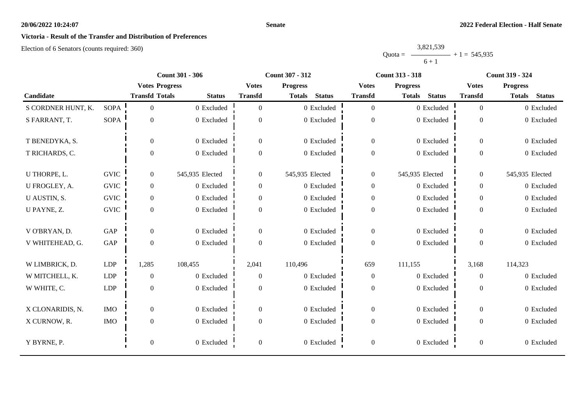## **Victoria - Result of the Transfer and Distribution of Preferences**

Election of 6 Senators (counts required: 360)

#### Quota = 3,821,539  $6 + 1$  $+ 1 = 545,935$

|                    | <b>Count 301 - 306</b><br><b>Count 307 - 312</b> |                       |                 | <b>Count 313 - 318</b> | <b>Count 319 - 324</b>         |                  |                                |                  |                                |
|--------------------|--------------------------------------------------|-----------------------|-----------------|------------------------|--------------------------------|------------------|--------------------------------|------------------|--------------------------------|
|                    |                                                  | <b>Votes Progress</b> |                 | <b>Votes</b>           | <b>Progress</b>                | <b>Votes</b>     | <b>Progress</b>                | <b>Votes</b>     | <b>Progress</b>                |
| Candidate          |                                                  | <b>Transfd Totals</b> | <b>Status</b>   | <b>Transfd</b>         | <b>Status</b><br><b>Totals</b> | <b>Transfd</b>   | <b>Status</b><br><b>Totals</b> | <b>Transfd</b>   | <b>Status</b><br><b>Totals</b> |
| S CORDNER HUNT, K. | <b>SOPA</b>                                      | $\overline{0}$        | 0 Excluded      | $\Omega$               | 0 Excluded                     | $\overline{0}$   | 0 Excluded                     | $\Omega$         | 0 Excluded                     |
| S FARRANT, T.      | <b>SOPA</b>                                      | $\boldsymbol{0}$      | 0 Excluded      | $\overline{0}$         | $0\,$ Excluded                 | $\boldsymbol{0}$ | 0 Excluded                     | $\boldsymbol{0}$ | 0 Excluded                     |
| T BENEDYKA, S.     |                                                  | $\boldsymbol{0}$      | 0 Excluded      | $\overline{0}$         | 0 Excluded                     | $\boldsymbol{0}$ | 0 Excluded                     | $\overline{0}$   | 0 Excluded                     |
| T RICHARDS, C.     |                                                  | $\boldsymbol{0}$      | 0 Excluded      | $\boldsymbol{0}$       | 0 Excluded                     | $\boldsymbol{0}$ | 0 Excluded                     | $\overline{0}$   | 0 Excluded                     |
| U THORPE, L.       | <b>GVIC</b>                                      | $\overline{0}$        | 545,935 Elected | $\overline{0}$         | 545,935 Elected                | $\boldsymbol{0}$ | 545,935 Elected                | $\overline{0}$   | 545,935 Elected                |
| U FROGLEY, A.      | <b>GVIC</b>                                      | $\overline{0}$        | 0 Excluded      | $\boldsymbol{0}$       | 0 Excluded                     | $\boldsymbol{0}$ | 0 Excluded                     | $\overline{0}$   | 0 Excluded                     |
| U AUSTIN, S.       | <b>GVIC</b>                                      | $\mathbf{0}$          | 0 Excluded      | $\overline{0}$         | 0 Excluded                     | $\boldsymbol{0}$ | 0 Excluded                     | $\overline{0}$   | 0 Excluded                     |
| U PAYNE, Z.        | <b>GVIC</b>                                      | $\boldsymbol{0}$      | 0 Excluded      | $\overline{0}$         | 0 Excluded                     | $\boldsymbol{0}$ | 0 Excluded                     | $\overline{0}$   | 0 Excluded                     |
| V O'BRYAN, D.      | GAP                                              | $\overline{0}$        | 0 Excluded      | $\boldsymbol{0}$       | 0 Excluded                     | $\boldsymbol{0}$ | 0 Excluded                     | $\overline{0}$   | 0 Excluded                     |
| V WHITEHEAD, G.    | GAP                                              | $\mathbf{0}$          | 0 Excluded      | $\boldsymbol{0}$       | 0 Excluded                     | $\mathbf{0}$     | 0 Excluded                     | $\overline{0}$   | 0 Excluded                     |
| W LIMBRICK, D.     | <b>LDP</b>                                       | 1,285                 | 108,455         | 2,041                  | 110,496                        | 659              | 111,155                        | 3,168            | 114,323                        |
| W MITCHELL, K.     | LDP                                              | $\boldsymbol{0}$      | 0 Excluded      | $\boldsymbol{0}$       | 0 Excluded                     | $\boldsymbol{0}$ | 0 Excluded                     | $\overline{0}$   | 0 Excluded                     |
| W WHITE, C.        | <b>LDP</b>                                       | $\boldsymbol{0}$      | 0 Excluded      | $\overline{0}$         | 0 Excluded                     | $\boldsymbol{0}$ | 0 Excluded                     | $\overline{0}$   | 0 Excluded                     |
| X CLONARIDIS, N.   | <b>IMO</b>                                       | $\boldsymbol{0}$      | 0 Excluded      | $\overline{0}$         | 0 Excluded                     | $\boldsymbol{0}$ | 0 Excluded                     | $\overline{0}$   | 0 Excluded                     |
| X CURNOW, R.       | <b>IMO</b>                                       | $\boldsymbol{0}$      | 0 Excluded      | $\Omega$               | 0 Excluded                     | $\boldsymbol{0}$ | 0 Excluded                     | $\overline{0}$   | 0 Excluded                     |
| Y BYRNE, P.        |                                                  | $\boldsymbol{0}$      | 0 Excluded      | $\overline{0}$         | 0 Excluded                     | $\boldsymbol{0}$ | 0 Excluded                     | $\overline{0}$   | 0 Excluded                     |

**Senate**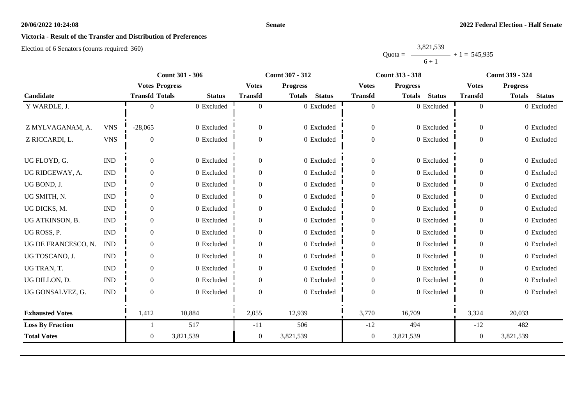#### **Senate**

## **Victoria - Result of the Transfer and Distribution of Preferences**

|           | 3,821,539 |                |
|-----------|-----------|----------------|
| $Quota =$ |           | $+1 = 545,935$ |
|           | $6 + 1$   |                |

|                         |                             |                       | <b>Count 301 - 306</b> |                  | <b>Count 307 - 312</b>  |                  | <b>Count 313 - 318</b>         |                  | <b>Count 319 - 324</b>         |
|-------------------------|-----------------------------|-----------------------|------------------------|------------------|-------------------------|------------------|--------------------------------|------------------|--------------------------------|
|                         |                             | <b>Votes Progress</b> |                        | <b>Votes</b>     | <b>Progress</b>         | <b>Votes</b>     | <b>Progress</b>                | <b>Votes</b>     | <b>Progress</b>                |
| Candidate               |                             | <b>Transfd Totals</b> | <b>Status</b>          | <b>Transfd</b>   | <b>Status</b><br>Totals | <b>Transfd</b>   | <b>Status</b><br><b>Totals</b> | <b>Transfd</b>   | <b>Status</b><br><b>Totals</b> |
| Y WARDLE, J.            |                             |                       | 0 Excluded             | $\overline{0}$   | 0 Excluded              | $\overline{0}$   | 0 Excluded                     | $\overline{0}$   | 0 Excluded                     |
|                         |                             |                       |                        |                  |                         |                  |                                |                  |                                |
| Z MYLVAGANAM, A.        | <b>VNS</b>                  | $-28,065$             | 0 Excluded             | $\overline{0}$   | 0 Excluded              | $\boldsymbol{0}$ | 0 Excluded                     | $\overline{0}$   | 0 Excluded                     |
| Z RICCARDI, L.          | <b>VNS</b>                  | $\Omega$              | 0 Excluded             | $\overline{0}$   | 0 Excluded              | $\boldsymbol{0}$ | 0 Excluded                     | $\overline{0}$   | 0 Excluded                     |
|                         |                             |                       |                        |                  |                         |                  |                                |                  |                                |
| UG FLOYD, G.            | <b>IND</b>                  | $\theta$              | 0 Excluded             | $\overline{0}$   | 0 Excluded              | $\boldsymbol{0}$ | 0 Excluded                     | $\Omega$         | 0 Excluded                     |
| UG RIDGEWAY, A.         | <b>IND</b>                  | 0                     | 0 Excluded             | $\Omega$         | 0 Excluded              | $\boldsymbol{0}$ | 0 Excluded                     | $\Omega$         | 0 Excluded                     |
| UG BOND, J.             | $\mathop{\rm IND}\nolimits$ | $\mathbf{0}$          | 0 Excluded             | 0                | 0 Excluded              | $\boldsymbol{0}$ | 0 Excluded                     | $\overline{0}$   | 0 Excluded                     |
| UG SMITH, N.            | <b>IND</b>                  | $\Omega$              | 0 Excluded             | $\overline{0}$   | 0 Excluded              | $\boldsymbol{0}$ | 0 Excluded                     | $\theta$         | 0 Excluded                     |
| UG DICKS, M.            | <b>IND</b>                  | $\Omega$              | 0 Excluded             | 0                | 0 Excluded              | $\boldsymbol{0}$ | 0 Excluded                     | $\Omega$         | 0 Excluded                     |
| UG ATKINSON, B.         | <b>IND</b>                  | $\theta$              | 0 Excluded             | $\overline{0}$   | 0 Excluded              | $\boldsymbol{0}$ | 0 Excluded                     | $\Omega$         | 0 Excluded                     |
| UG ROSS, P.             | <b>IND</b>                  | $\Omega$              | 0 Excluded             | $\boldsymbol{0}$ | 0 Excluded              | $\boldsymbol{0}$ | 0 Excluded                     | $\Omega$         | 0 Excluded                     |
| UG DE FRANCESCO, N.     | <b>IND</b>                  | $\Omega$              | 0 Excluded             | $\Omega$         | 0 Excluded              | $\boldsymbol{0}$ | 0 Excluded                     | $\Omega$         | 0 Excluded                     |
| UG TOSCANO, J.          | <b>IND</b>                  | 0                     | 0 Excluded             | 0                | 0 Excluded              | $\boldsymbol{0}$ | 0 Excluded                     | $\overline{0}$   | 0 Excluded                     |
| UG TRAN, T.             | <b>IND</b>                  | $\Omega$              | 0 Excluded             | $\mathbf{0}$     | 0 Excluded              | $\boldsymbol{0}$ | 0 Excluded                     | $\overline{0}$   | 0 Excluded                     |
| UG DILLON, D.           | <b>IND</b>                  | $\Omega$              | 0 Excluded             | $\Omega$         | 0 Excluded              | $\boldsymbol{0}$ | 0 Excluded                     | $\Omega$         | 0 Excluded                     |
| UG GONSALVEZ, G.        | <b>IND</b>                  | $\Omega$              | 0 Excluded             | $\Omega$         | 0 Excluded              | $\overline{0}$   | 0 Excluded                     | $\Omega$         | 0 Excluded                     |
|                         |                             |                       |                        |                  |                         |                  |                                |                  |                                |
| <b>Exhausted Votes</b>  |                             | 1,412                 | 10,884                 | 2,055            | 12,939                  | 3,770            | 16,709                         | 3,324            | 20,033                         |
| <b>Loss By Fraction</b> |                             |                       | 517                    | $-11$            | 506                     | $-12$            | 494                            | $-12$            | 482                            |
| <b>Total Votes</b>      |                             | $\overline{0}$        | 3,821,539              | $\overline{0}$   | 3,821,539               | $\boldsymbol{0}$ | 3,821,539                      | $\boldsymbol{0}$ | 3,821,539                      |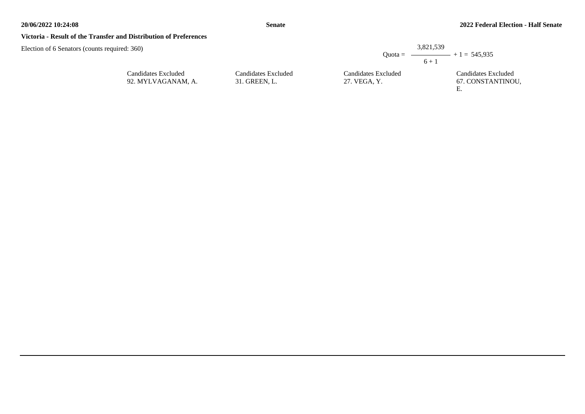#### **Victoria - Result of the Transfer and Distribution of Preferences**

| d: 360)                                   |                                      | 3,821,539                           |                                                |
|-------------------------------------------|--------------------------------------|-------------------------------------|------------------------------------------------|
|                                           |                                      | $6 + 1$                             | Quota = $\longrightarrow$ + 1 = 545,935        |
| Candidates Excluded<br>92. MYLVAGANAM, A. | Candidates Excluded<br>31. GREEN, L. | Candidates Excluded<br>27. VEGA, Y. | Candidates Excluded<br>67. CONSTANTINOU,<br>Е. |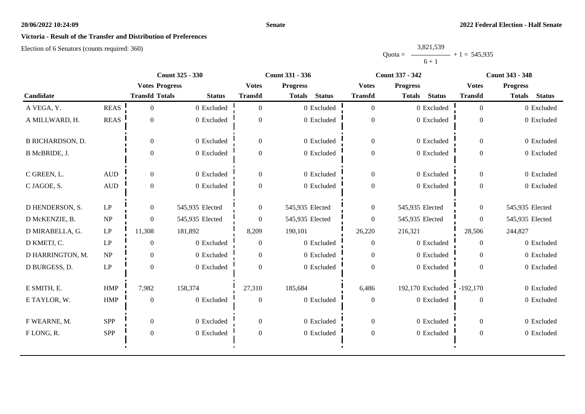#### **Senate**

# **Victoria - Result of the Transfer and Distribution of Preferences**

Election of 6 Senators (counts required: 360)

|           | 3,821,539 |                |
|-----------|-----------|----------------|
| $Quota =$ |           | $+1 = 545,935$ |
|           | $6 + 1$   |                |

|                         |                                 | <b>Count 325 - 330</b> |                 |                | <b>Count 331 - 336</b>         |                  | <b>Count 337 - 342</b>         | <b>Count 343 - 348</b> |                                |  |
|-------------------------|---------------------------------|------------------------|-----------------|----------------|--------------------------------|------------------|--------------------------------|------------------------|--------------------------------|--|
|                         |                                 | <b>Votes Progress</b>  |                 | <b>Votes</b>   | <b>Progress</b>                | <b>Votes</b>     | <b>Progress</b>                | <b>Votes</b>           | <b>Progress</b>                |  |
| Candidate               |                                 | <b>Transfd Totals</b>  | <b>Status</b>   | <b>Transfd</b> | <b>Status</b><br><b>Totals</b> | <b>Transfd</b>   | <b>Status</b><br><b>Totals</b> | <b>Transfd</b>         | <b>Status</b><br><b>Totals</b> |  |
| A VEGA, Y.              | <b>REAS</b>                     | $\theta$               | 0 Excluded      | $\Omega$       | 0 Excluded                     | $\overline{0}$   | 0 Excluded                     | $\theta$               | 0 Excluded                     |  |
| A MILLWARD, H.          | <b>REAS</b>                     | $\overline{0}$         | 0 Excluded      | $\Omega$       | 0 Excluded                     | $\boldsymbol{0}$ | 0 Excluded                     | $\overline{0}$         | 0 Excluded                     |  |
| <b>B RICHARDSON, D.</b> |                                 | $\Omega$               | 0 Excluded      | $\Omega$       | 0 Excluded                     | $\overline{0}$   | 0 Excluded                     | $\theta$               | 0 Excluded                     |  |
| B McBRIDE, J.           |                                 | $\Omega$               | 0 Excluded      | $\overline{0}$ | 0 Excluded                     | $\boldsymbol{0}$ | 0 Excluded                     | $\theta$               | 0 Excluded                     |  |
| C GREEN, L.             | $\mbox{AUD}$                    | $\Omega$               | 0 Excluded      | $\Omega$       | 0 Excluded                     | $\mathbf{0}$     | 0 Excluded                     | $\overline{0}$         | 0 Excluded                     |  |
| C JAGOE, S.             | <b>AUD</b>                      | $\overline{0}$         | 0 Excluded      | $\theta$       | 0 Excluded                     | $\boldsymbol{0}$ | 0 Excluded                     | $\overline{0}$         | 0 Excluded                     |  |
| D HENDERSON, S.         | $\mathrm{LP}$                   | $\overline{0}$         | 545,935 Elected | $\overline{0}$ | 545,935 Elected                | $\boldsymbol{0}$ | 545,935 Elected                | $\overline{0}$         | 545,935 Elected                |  |
| D McKENZIE, B.          | $\ensuremath{\text{NP}}\xspace$ | $\theta$               | 545,935 Elected | $\Omega$       | 545,935 Elected                | $\overline{0}$   | 545,935 Elected                | $\Omega$               | 545,935 Elected                |  |
| D MIRABELLA, G.         | LP                              | 11,308                 | 181,892         | 8,209          | 190,101                        | 26,220           | 216,321                        | 28,506                 | 244,827                        |  |
| D KMETJ, C.             | $\ensuremath{\mathrm{LP}}$      | $\Omega$               | 0 Excluded      | $\overline{0}$ | 0 Excluded                     | $\theta$         | 0 Excluded                     | $\Omega$               | 0 Excluded                     |  |
| D HARRINGTON, M.        | NP                              | $\overline{0}$         | 0 Excluded      | $\Omega$       | 0 Excluded                     | $\overline{0}$   | 0 Excluded                     | $\theta$               | 0 Excluded                     |  |
| D BURGESS, D.           | $\ensuremath{\mathrm{LP}}$      | $\Omega$               | 0 Excluded      | $\Omega$       | $0\,$ Excluded                 | $\theta$         | 0 Excluded                     | $\Omega$               | 0 Excluded                     |  |
| E SMITH, E.             | <b>HMP</b>                      | 7,982                  | 158,374         | 27,310         | 185,684                        | 6,486            | 192,170 Excluded               | $-192,170$             | 0 Excluded                     |  |
| E TAYLOR, W.            | <b>HMP</b>                      | $\mathbf{0}$           | 0 Excluded      | $\mathbf{0}$   | 0 Excluded                     | $\boldsymbol{0}$ | 0 Excluded                     | $\Omega$               | 0 Excluded                     |  |
| F WEARNE, M.            | <b>SPP</b>                      | $\overline{0}$         | 0 Excluded      | $\overline{0}$ | 0 Excluded                     | $\overline{0}$   | 0 Excluded                     | $\overline{0}$         | 0 Excluded                     |  |
| FLONG, R.               | <b>SPP</b>                      | $\boldsymbol{0}$       | 0 Excluded      | $\mathbf{0}$   | 0 Excluded                     | $\boldsymbol{0}$ | 0 Excluded                     | $\boldsymbol{0}$       | 0 Excluded                     |  |
|                         |                                 |                        |                 |                |                                |                  |                                |                        |                                |  |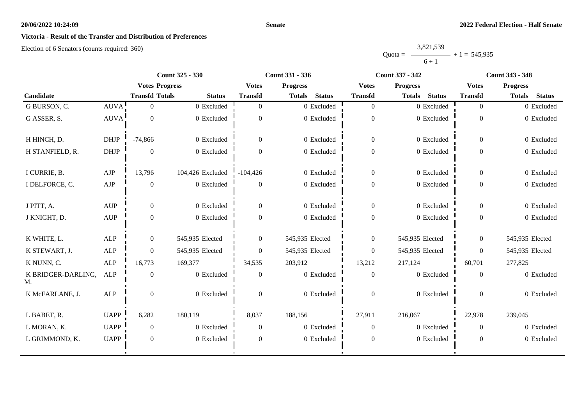## **Senate**

# **Victoria - Result of the Transfer and Distribution of Preferences**

Election of 6 Senators (counts required: 360)

|           | 3,821,539 |                |
|-----------|-----------|----------------|
| $Quota =$ |           | $+1 = 545,935$ |
|           | $6 + 1$   |                |

|                          |                                  |                       | <b>Count 325 - 330</b> |                | <b>Count 331 - 336</b>         |                  | <b>Count 337 - 342</b>         | <b>Count 343 - 348</b> |                                |  |
|--------------------------|----------------------------------|-----------------------|------------------------|----------------|--------------------------------|------------------|--------------------------------|------------------------|--------------------------------|--|
|                          |                                  | <b>Votes Progress</b> |                        | <b>Votes</b>   | <b>Progress</b>                | <b>Votes</b>     | <b>Progress</b>                | <b>Votes</b>           | <b>Progress</b>                |  |
| Candidate                |                                  | <b>Transfd Totals</b> | <b>Status</b>          | <b>Transfd</b> | <b>Status</b><br><b>Totals</b> | <b>Transfd</b>   | <b>Status</b><br><b>Totals</b> | <b>Transfd</b>         | <b>Totals</b><br><b>Status</b> |  |
| G BURSON, C.             | <b>AUVA</b>                      | $\Omega$              | 0 Excluded             | $\overline{0}$ | 0 Excluded                     | $\overline{0}$   | 0 Excluded                     | $\overline{0}$         | 0 Excluded                     |  |
| G ASSER, S.              | <b>AUVA</b>                      | $\overline{0}$        | 0 Excluded             | $\overline{0}$ | 0 Excluded                     | $\boldsymbol{0}$ | 0 Excluded                     | $\overline{0}$         | 0 Excluded                     |  |
| H HINCH, D.              | <b>DHJP</b>                      | $-74,866$             | 0 Excluded             | $\overline{0}$ | 0 Excluded                     | $\overline{0}$   | 0 Excluded                     | $\overline{0}$         | 0 Excluded                     |  |
| H STANFIELD, R.          | <b>DHJP</b>                      | $\mathbf{0}$          | $0$ Excluded           | $\Omega$       | 0 Excluded                     | $\boldsymbol{0}$ | 0 Excluded                     | $\mathbf{0}$           | 0 Excluded                     |  |
| I CURRIE, B.             | ${\rm AJP}$                      | 13,796                | 104,426 Excluded       | $-104,426$     | 0 Excluded                     | $\overline{0}$   | 0 Excluded                     | $\overline{0}$         | 0 Excluded                     |  |
| I DELFORCE, C.           | AJP                              | $\mathbf{0}$          | 0 Excluded             | $\mathbf{0}$   | 0 Excluded                     | $\boldsymbol{0}$ | 0 Excluded                     | $\overline{0}$         | 0 Excluded                     |  |
| J PITT, A.               | <b>AUP</b>                       | $\theta$              | 0 Excluded             | $\Omega$       | 0 Excluded                     | $\mathbf{0}$     | 0 Excluded                     | $\Omega$               | 0 Excluded                     |  |
| J KNIGHT, D.             | $\mathbf{A}\mathbf{U}\mathbf{P}$ | $\overline{0}$        | 0 Excluded             | $\Omega$       | 0 Excluded                     | $\boldsymbol{0}$ | 0 Excluded                     | $\overline{0}$         | 0 Excluded                     |  |
| K WHITE, L.              | <b>ALP</b>                       | $\overline{0}$        | 545,935 Elected        | $\overline{0}$ | 545,935 Elected                | $\boldsymbol{0}$ | 545,935 Elected                | $\mathbf{0}$           | 545,935 Elected                |  |
| K STEWART, J.            | <b>ALP</b>                       | $\Omega$              | 545,935 Elected        | $\Omega$       | 545,935 Elected                | $\overline{0}$   | 545,935 Elected                | $\Omega$               | 545,935 Elected                |  |
| K NUNN, C.               | <b>ALP</b>                       | 16,773                | 169,377                | 34,535         | 203,912                        | 13,212           | 217,124                        | 60,701                 | 277,825                        |  |
| K BRIDGER-DARLING,<br>M. | ALP                              | $\overline{0}$        | 0 Excluded             | $\overline{0}$ | 0 Excluded                     | $\theta$         | 0 Excluded                     | $\overline{0}$         | 0 Excluded                     |  |
| K McFARLANE, J.          | ALP                              | $\overline{0}$        | $0$ Excluded           | $\overline{0}$ | 0 Excluded                     | $\mathbf{0}$     | 0 Excluded                     | $\mathbf{0}$           | 0 Excluded                     |  |
| L BABET, R.              | <b>UAPP</b>                      | 6,282                 | 180,119                | 8,037          | 188,156                        | 27,911           | 216,067                        | 22,978                 | 239,045                        |  |
| L MORAN, K.              | <b>UAPP</b>                      | $\overline{0}$        | 0 Excluded             | $\overline{0}$ | 0 Excluded                     | $\theta$         | 0 Excluded                     | $\theta$               | 0 Excluded                     |  |
| L GRIMMOND, K.           | <b>UAPP</b>                      | $\mathbf{0}$          | 0 Excluded             | $\overline{0}$ | 0 Excluded                     | $\boldsymbol{0}$ | 0 Excluded                     | $\mathbf{0}$           | 0 Excluded                     |  |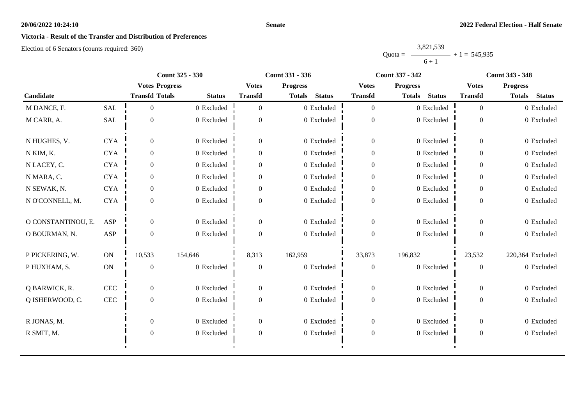# **Victoria - Result of the Transfer and Distribution of Preferences**

Election of 6 Senators (counts required: 360)

Quota = 3,821,539  $6 + 1$  $+ 1 = 545,935$ 

|                    |               |                       | <b>Count 325 - 330</b> |                | <b>Count 331 - 336</b>         |                  | <b>Count 337 - 342</b>         |                  | <b>Count 343 - 348</b>         |
|--------------------|---------------|-----------------------|------------------------|----------------|--------------------------------|------------------|--------------------------------|------------------|--------------------------------|
|                    |               | <b>Votes Progress</b> |                        | <b>Votes</b>   | <b>Progress</b>                | <b>Votes</b>     | <b>Progress</b>                | <b>Votes</b>     | <b>Progress</b>                |
| Candidate          |               | <b>Transfd Totals</b> | <b>Status</b>          | <b>Transfd</b> | <b>Status</b><br><b>Totals</b> | <b>Transfd</b>   | <b>Status</b><br><b>Totals</b> | <b>Transfd</b>   | <b>Status</b><br><b>Totals</b> |
| M DANCE, F.        | <b>SAL</b>    | $\Omega$              | 0 Excluded             | $\Omega$       | 0 Excluded                     | $\overline{0}$   | 0 Excluded                     | $\theta$         | 0 Excluded                     |
| M CARR, A.         | SAL           | $\overline{0}$        | 0 Excluded             | $\overline{0}$ | 0 Excluded                     | $\boldsymbol{0}$ | 0 Excluded                     | $\Omega$         | 0 Excluded                     |
| N HUGHES, V.       | <b>CYA</b>    | $\theta$              | 0 Excluded             | $\Omega$       | 0 Excluded                     | $\overline{0}$   | 0 Excluded                     | $\theta$         | 0 Excluded                     |
| N KIM, K.          | <b>CYA</b>    | $\theta$              | 0 Excluded             | $\overline{0}$ | 0 Excluded                     | $\overline{0}$   | 0 Excluded                     | $\overline{0}$   | 0 Excluded                     |
| N LACEY, C.        | <b>CYA</b>    | $\overline{0}$        | 0 Excluded             | $\overline{0}$ | 0 Excluded                     | $\boldsymbol{0}$ | 0 Excluded                     | $\overline{0}$   | 0 Excluded                     |
| N MARA, C.         | <b>CYA</b>    | $\mathbf{0}$          | 0 Excluded             | $\overline{0}$ | 0 Excluded                     | $\boldsymbol{0}$ | 0 Excluded                     | $\Omega$         | 0 Excluded                     |
| N SEWAK, N.        | <b>CYA</b>    | $\mathbf{0}$          | 0 Excluded             | $\overline{0}$ | 0 Excluded                     | $\boldsymbol{0}$ | 0 Excluded                     | $\overline{0}$   | 0 Excluded                     |
| N O'CONNELL, M.    | <b>CYA</b>    | $\theta$              | 0 Excluded             | $\Omega$       | 0 Excluded                     | $\boldsymbol{0}$ | 0 Excluded                     | $\Omega$         | 0 Excluded                     |
| O CONSTANTINOU, E. | ASP           | $\Omega$              | 0 Excluded             | $\overline{0}$ | 0 Excluded                     | $\boldsymbol{0}$ | 0 Excluded                     | $\overline{0}$   | 0 Excluded                     |
| O BOURMAN, N.      | ASP           | $\theta$              | 0 Excluded             | $\Omega$       | 0 Excluded                     | $\boldsymbol{0}$ | 0 Excluded                     | $\theta$         | 0 Excluded                     |
| P PICKERING, W.    | ON            | 10,533                | 154,646                | 8,313          | 162,959                        | 33,873           | 196,832                        | 23,532           | 220,364 Excluded               |
| P HUXHAM, S.       | $\mathbf{ON}$ | $\overline{0}$        | 0 Excluded             | $\overline{0}$ | 0 Excluded                     | $\boldsymbol{0}$ | 0 Excluded                     | $\boldsymbol{0}$ | 0 Excluded                     |
| Q BARWICK, R.      | CEC           | $\overline{0}$        | 0 Excluded             | $\overline{0}$ | 0 Excluded                     | $\overline{0}$   | 0 Excluded                     | $\overline{0}$   | 0 Excluded                     |
| Q ISHERWOOD, C.    | $\mbox{CEC}$  | $\mathbf{0}$          | 0 Excluded             | $\mathbf{0}$   | 0 Excluded                     | $\boldsymbol{0}$ | 0 Excluded                     | $\Omega$         | 0 Excluded                     |
| R JONAS, M.        |               | $\theta$              | 0 Excluded             | $\overline{0}$ | 0 Excluded                     | $\overline{0}$   | 0 Excluded                     | $\overline{0}$   | 0 Excluded                     |
| R SMIT, M.         |               | $\boldsymbol{0}$      | 0 Excluded             | $\mathbf{0}$   | 0 Excluded                     | $\boldsymbol{0}$ | 0 Excluded                     | $\boldsymbol{0}$ | 0 Excluded                     |
|                    |               |                       |                        |                |                                |                  |                                |                  |                                |

**Senate**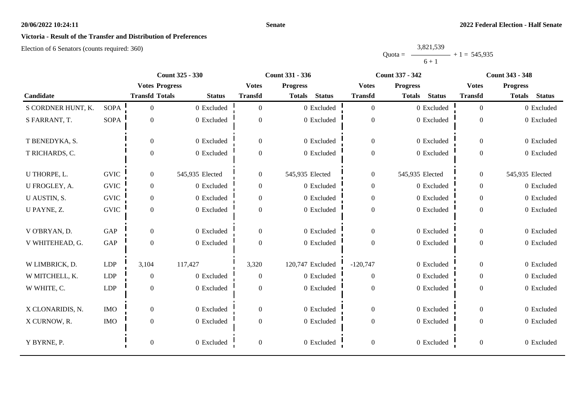# **Victoria - Result of the Transfer and Distribution of Preferences**

Election of 6 Senators (counts required: 360)

Quota = 3,821,539  $6 + 1$  $+ 1 = 545,935$ 

|                    |             |                       | <b>Count 325 - 330</b> |                  | <b>Count 331 - 336</b>         |                  | <b>Count 337 - 342</b>         | <b>Count 343 - 348</b> |                                |  |
|--------------------|-------------|-----------------------|------------------------|------------------|--------------------------------|------------------|--------------------------------|------------------------|--------------------------------|--|
|                    |             | <b>Votes Progress</b> |                        | <b>Votes</b>     | <b>Progress</b>                | <b>Votes</b>     | <b>Progress</b>                | <b>Votes</b>           | <b>Progress</b>                |  |
| Candidate          |             | <b>Transfd Totals</b> | <b>Status</b>          | <b>Transfd</b>   | <b>Status</b><br><b>Totals</b> | <b>Transfd</b>   | <b>Status</b><br><b>Totals</b> | <b>Transfd</b>         | <b>Status</b><br><b>Totals</b> |  |
| S CORDNER HUNT, K. | <b>SOPA</b> | $\overline{0}$        | 0 Excluded             | $\Omega$         | 0 Excluded                     | $\overline{0}$   | 0 Excluded                     | $\theta$               | 0 Excluded                     |  |
| S FARRANT, T.      | <b>SOPA</b> | $\boldsymbol{0}$      | 0 Excluded             | $\overline{0}$   | 0 Excluded                     | $\boldsymbol{0}$ | 0 Excluded                     | $\theta$               | 0 Excluded                     |  |
| T BENEDYKA, S.     |             | $\boldsymbol{0}$      | 0 Excluded             | $\overline{0}$   | 0 Excluded                     | $\overline{0}$   | 0 Excluded                     | $\overline{0}$         | 0 Excluded                     |  |
| T RICHARDS, C.     |             | $\boldsymbol{0}$      | 0 Excluded             | $\overline{0}$   | 0 Excluded                     | $\boldsymbol{0}$ | 0 Excluded                     | $\overline{0}$         | 0 Excluded                     |  |
| U THORPE, L.       | <b>GVIC</b> | $\overline{0}$        | 545,935 Elected        | $\overline{0}$   | 545,935 Elected                | $\boldsymbol{0}$ | 545,935 Elected                | $\overline{0}$         | 545,935 Elected                |  |
| U FROGLEY, A.      | <b>GVIC</b> | $\mathbf{0}$          | 0 Excluded             | $\overline{0}$   | 0 Excluded                     | $\boldsymbol{0}$ | 0 Excluded                     | $\overline{0}$         | 0 Excluded                     |  |
| U AUSTIN, S.       | <b>GVIC</b> | $\overline{0}$        | 0 Excluded             | $\overline{0}$   | 0 Excluded                     | $\overline{0}$   | 0 Excluded                     | $\overline{0}$         | 0 Excluded                     |  |
| U PAYNE, Z.        | <b>GVIC</b> | $\boldsymbol{0}$      | 0 Excluded             | $\overline{0}$   | 0 Excluded                     | $\boldsymbol{0}$ | 0 Excluded                     | $\overline{0}$         | 0 Excluded                     |  |
| V O'BRYAN, D.      | GAP         | $\boldsymbol{0}$      | 0 Excluded             | $\overline{0}$   | 0 Excluded                     | $\boldsymbol{0}$ | 0 Excluded                     | $\overline{0}$         | 0 Excluded                     |  |
| V WHITEHEAD, G.    | GAP         | $\boldsymbol{0}$      | 0 Excluded             | $\Omega$         | 0 Excluded                     | $\boldsymbol{0}$ | 0 Excluded                     | $\Omega$               | 0 Excluded                     |  |
| W LIMBRICK, D.     | LDP         | 3,104                 | 117,427                | 3,320            | 120,747 Excluded               | $-120,747$       | 0 Excluded                     | $\theta$               | 0 Excluded                     |  |
| W MITCHELL, K.     | LDP         | $\theta$              | 0 Excluded             | $\overline{0}$   | 0 Excluded                     | $\overline{0}$   | 0 Excluded                     | $\overline{0}$         | 0 Excluded                     |  |
| W WHITE, C.        | LDP         | $\overline{0}$        | 0 Excluded             | $\Omega$         | 0 Excluded                     | $\mathbf{0}$     | 0 Excluded                     | $\Omega$               | 0 Excluded                     |  |
| X CLONARIDIS, N.   | <b>IMO</b>  | $\overline{0}$        | 0 Excluded             | $\overline{0}$   | 0 Excluded                     | $\overline{0}$   | 0 Excluded                     | $\overline{0}$         | 0 Excluded                     |  |
| X CURNOW, R.       | <b>IMO</b>  | $\boldsymbol{0}$      | 0 Excluded             | $\overline{0}$   | 0 Excluded                     | $\boldsymbol{0}$ | 0 Excluded                     | $\overline{0}$         | 0 Excluded                     |  |
| Y BYRNE, P.        |             | $\boldsymbol{0}$      | 0 Excluded             | $\boldsymbol{0}$ | 0 Excluded                     | $\boldsymbol{0}$ | 0 Excluded                     | $\overline{0}$         | 0 Excluded                     |  |

**Senate**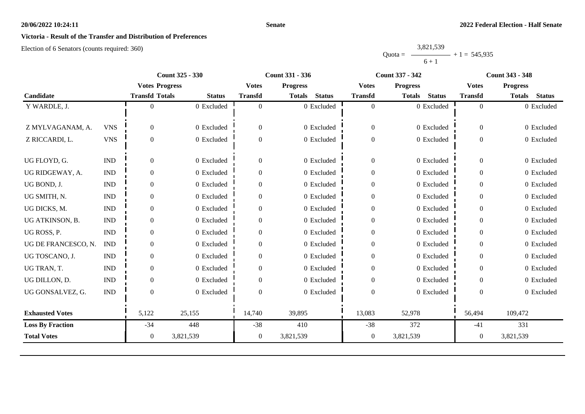#### **Senate**

# **Victoria - Result of the Transfer and Distribution of Preferences**

Election of 6 Senators (counts required: 360)

|           | 3,821,539 |                |
|-----------|-----------|----------------|
| $Quota =$ |           | $+1 = 545,935$ |
|           | $6 + 1$   |                |

|                         |                             |                       | <b>Count 325 - 330</b> |                | <b>Count 331 - 336</b>         |                  | <b>Count 337 - 342</b>         |                  | <b>Count 343 - 348</b>         |
|-------------------------|-----------------------------|-----------------------|------------------------|----------------|--------------------------------|------------------|--------------------------------|------------------|--------------------------------|
|                         |                             | <b>Votes Progress</b> |                        | <b>Votes</b>   | <b>Progress</b>                | <b>Votes</b>     | <b>Progress</b>                | <b>Votes</b>     | <b>Progress</b>                |
| Candidate               |                             | <b>Transfd Totals</b> | <b>Status</b>          | <b>Transfd</b> | <b>Status</b><br><b>Totals</b> | <b>Transfd</b>   | <b>Status</b><br><b>Totals</b> | <b>Transfd</b>   | <b>Status</b><br><b>Totals</b> |
| Y WARDLE, J.            |                             |                       | 0 Excluded             | $\theta$       | 0 Excluded                     | $\overline{0}$   | 0 Excluded                     | $\overline{0}$   | 0 Excluded                     |
|                         |                             |                       |                        |                |                                |                  |                                |                  |                                |
| Z MYLVAGANAM, A.        | <b>VNS</b>                  | $\overline{0}$        | 0 Excluded             | $\theta$       | 0 Excluded                     | $\overline{0}$   | 0 Excluded                     | $\boldsymbol{0}$ | 0 Excluded                     |
| Z RICCARDI, L.          | <b>VNS</b>                  | $\overline{0}$        | 0 Excluded             | $\mathbf{0}$   | 0 Excluded                     | $\boldsymbol{0}$ | 0 Excluded                     | $\boldsymbol{0}$ | 0 Excluded                     |
|                         |                             |                       |                        |                |                                |                  |                                |                  |                                |
| UG FLOYD, G.            | $\mathop{\rm IND}\nolimits$ | $\Omega$              | 0 Excluded             | $\mathbf{0}$   | 0 Excluded                     | $\boldsymbol{0}$ | 0 Excluded                     | $\theta$         | 0 Excluded                     |
| UG RIDGEWAY, A.         | <b>IND</b>                  | $\Omega$              | 0 Excluded             | $\Omega$       | 0 Excluded                     | $\mathbf{0}$     | 0 Excluded                     | $\overline{0}$   | 0 Excluded                     |
| UG BOND, J.             | $\mathop{\rm IND}\nolimits$ | $\overline{0}$        | 0 Excluded             | $\theta$       | 0 Excluded                     | $\theta$         | 0 Excluded                     | $\theta$         | 0 Excluded                     |
| UG SMITH, N.            | $\mathop{\rm IND}\nolimits$ | $\overline{0}$        | 0 Excluded             | $\theta$       | 0 Excluded                     | $\boldsymbol{0}$ | 0 Excluded                     | $\overline{0}$   | 0 Excluded                     |
| UG DICKS, M.            | <b>IND</b>                  | $\Omega$              | 0 Excluded             | 0              | 0 Excluded                     | $\boldsymbol{0}$ | 0 Excluded                     | $\overline{0}$   | 0 Excluded                     |
| UG ATKINSON, B.         | $\mathop{\rm IND}\nolimits$ | $\overline{0}$        | 0 Excluded             | $\overline{0}$ | 0 Excluded                     | $\boldsymbol{0}$ | 0 Excluded                     | $\overline{0}$   | 0 Excluded                     |
| UG ROSS, P.             | <b>IND</b>                  | $\overline{0}$        | 0 Excluded             | $\mathbf{0}$   | 0 Excluded                     | $\boldsymbol{0}$ | 0 Excluded                     | $\mathbf{0}$     | 0 Excluded                     |
| UG DE FRANCESCO, N.     | <b>IND</b>                  | $\Omega$              | 0 Excluded             | $\Omega$       | 0 Excluded                     | $\mathbf{0}$     | 0 Excluded                     | $\theta$         | 0 Excluded                     |
| UG TOSCANO, J.          | <b>IND</b>                  | 0                     | 0 Excluded             | 0              | 0 Excluded                     | $\mathbf{0}$     | 0 Excluded                     | $\overline{0}$   | 0 Excluded                     |
| UG TRAN, T.             | $\mathop{\rm IND}\nolimits$ | $\overline{0}$        | 0 Excluded             | $\Omega$       | 0 Excluded                     | $\boldsymbol{0}$ | 0 Excluded                     | $\overline{0}$   | 0 Excluded                     |
| UG DILLON, D.           | <b>IND</b>                  | $\Omega$              | 0 Excluded             | $\Omega$       | 0 Excluded                     | $\overline{0}$   | 0 Excluded                     | $\Omega$         | 0 Excluded                     |
| UG GONSALVEZ, G.        | <b>IND</b>                  | $\Omega$              | 0 Excluded             | $\Omega$       | 0 Excluded                     | $\boldsymbol{0}$ | 0 Excluded                     | $\Omega$         | 0 Excluded                     |
|                         |                             |                       |                        |                |                                |                  |                                |                  |                                |
| <b>Exhausted Votes</b>  |                             | 5,122                 | 25,155                 | 14,740         | 39,895                         | 13,083           | 52,978                         | 56,494           | 109,472                        |
| <b>Loss By Fraction</b> |                             | $-34$                 | 448                    | $-38$          | 410                            | $-38$            | 372                            | $-41$            | 331                            |
| <b>Total Votes</b>      |                             | $\overline{0}$        | 3,821,539              | $\mathbf{0}$   | 3,821,539                      | 0                | 3,821,539                      | 0                | 3,821,539                      |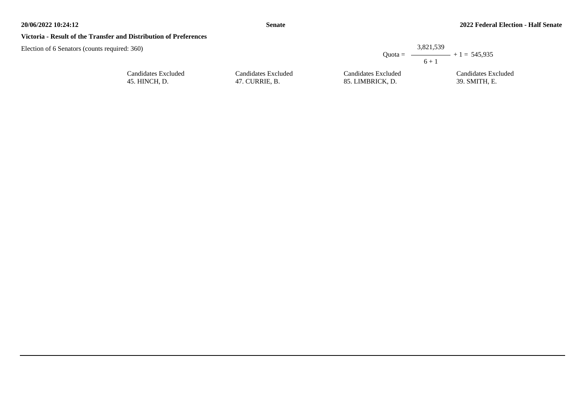#### **Victoria - Result of the Transfer and Distribution of Preferences**

Election of 6 Senators (counts required: 36

| d: 360)             |                     | 3,821,539<br>$6 + 1$ | Quota = $\longrightarrow$ + 1 = 545,935 |
|---------------------|---------------------|----------------------|-----------------------------------------|
| Candidates Excluded | Candidates Excluded | Candidates Excluded  | Candidates Excluded                     |
| 45. HINCH, D.       | 47. CURRIE, B.      | 85. LIMBRICK, D.     | 39. SMITH, E.                           |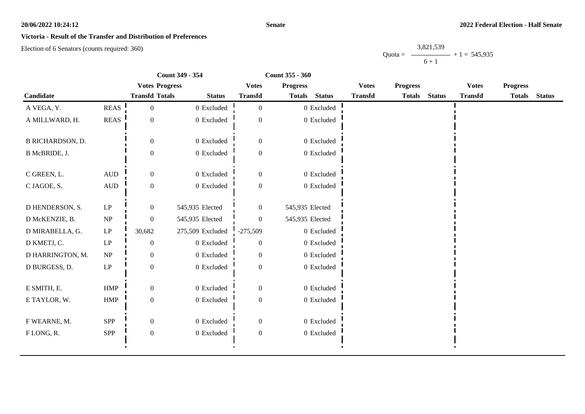#### **Senate**

## **Victoria - Result of the Transfer and Distribution of Preferences**

Election of 6 Senators (counts required: 360)

Quota =  $\longrightarrow$  + 1 = 545,935 3,821,539  $6 + 1$ 

|                         |                            | Count 349 - 354       | Count 355 - 360  |                  |                 |               |                |                 |               |                |                 |  |
|-------------------------|----------------------------|-----------------------|------------------|------------------|-----------------|---------------|----------------|-----------------|---------------|----------------|-----------------|--|
|                         |                            | <b>Votes Progress</b> |                  | <b>Votes</b>     | <b>Progress</b> |               | <b>Votes</b>   | <b>Progress</b> |               | <b>Votes</b>   | <b>Progress</b> |  |
| Candidate               |                            | <b>Transfd Totals</b> | <b>Status</b>    | <b>Transfd</b>   | <b>Totals</b>   | <b>Status</b> | <b>Transfd</b> | <b>Totals</b>   | <b>Status</b> | <b>Transfd</b> | Totals Status   |  |
| A VEGA, Y.              | <b>REAS</b>                | $\boldsymbol{0}$      | 0 Excluded       | $\overline{0}$   |                 | $0$ Excluded  |                |                 |               |                |                 |  |
| A MILLWARD, H.          | <b>REAS</b>                | $\boldsymbol{0}$      | 0 Excluded       | $\overline{0}$   |                 | 0 Excluded    |                |                 |               |                |                 |  |
| <b>B RICHARDSON, D.</b> |                            | $\theta$              | 0 Excluded       | $\mathbf{0}$     |                 | 0 Excluded    |                |                 |               |                |                 |  |
| B McBRIDE, J.           |                            | $\boldsymbol{0}$      | 0 Excluded       | $\boldsymbol{0}$ |                 | 0 Excluded    |                |                 |               |                |                 |  |
| C GREEN, L.             | $\hbox{AUD}$               | $\boldsymbol{0}$      | 0 Excluded       | $\boldsymbol{0}$ |                 | 0 Excluded    |                |                 |               |                |                 |  |
| C JAGOE, S.             | $\hbox{AUD}$               | $\boldsymbol{0}$      | 0 Excluded       | $\mathbf{0}$     |                 | $0$ Excluded  |                |                 |               |                |                 |  |
| D HENDERSON, S.         | $\ensuremath{\mathrm{LP}}$ | $\boldsymbol{0}$      | 545,935 Elected  | $\boldsymbol{0}$ | 545,935 Elected |               |                |                 |               |                |                 |  |
| D McKENZIE, B.          | NP                         | $\boldsymbol{0}$      | 545,935 Elected  | $\overline{0}$   | 545,935 Elected |               |                |                 |               |                |                 |  |
| D MIRABELLA, G.         | $\operatorname{LP}$        | 30,682                | 275,509 Excluded | $-275,509$       |                 | 0 Excluded    |                |                 |               |                |                 |  |
| D KMETJ, C.             | $\ensuremath{\mathrm{LP}}$ | $\boldsymbol{0}$      | 0 Excluded       | $\theta$         |                 | $0$ Excluded  |                |                 |               |                |                 |  |
| D HARRINGTON, M.        | NP                         | $\boldsymbol{0}$      | 0 Excluded       | $\boldsymbol{0}$ |                 | $0$ Excluded  |                |                 |               |                |                 |  |
| D BURGESS, D.           | $\ensuremath{\mathrm{LP}}$ | $\boldsymbol{0}$      | 0 Excluded       | $\mathbf{0}$     |                 | $0$ Excluded  |                |                 |               |                |                 |  |
| E SMITH, E.             | ${\rm HMP}$                | $\boldsymbol{0}$      | 0 Excluded       | $\overline{0}$   |                 | 0 Excluded    |                |                 |               |                |                 |  |
| E TAYLOR, W.            | ${\rm HMP}$                | $\boldsymbol{0}$      | 0 Excluded       | $\boldsymbol{0}$ |                 | $0$ Excluded  |                |                 |               |                |                 |  |
| F WEARNE, M.            | SPP                        | $\boldsymbol{0}$      | 0 Excluded       | $\boldsymbol{0}$ |                 | 0 Excluded    |                |                 |               |                |                 |  |
| FLONG, R.               | SPP                        | $\boldsymbol{0}$      | 0 Excluded       | $\boldsymbol{0}$ |                 | 0 Excluded    |                |                 |               |                |                 |  |
|                         |                            |                       |                  |                  |                 |               |                |                 |               |                |                 |  |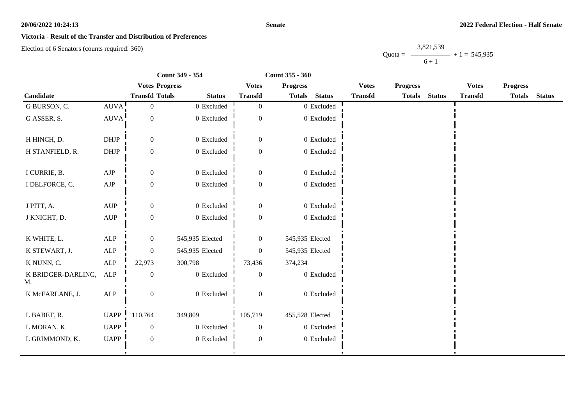#### **Senate**

## **Victoria - Result of the Transfer and Distribution of Preferences**

Election of 6 Senators (counts required: 360)

Quota =  $-$ 3,821,539  $6 + 1$  $- + 1 = 545,935$ 

|                          |                                  |                       | Count 349 - 354 | Count 355 - 360  |                 |               |                |                 |               |                |                 |               |
|--------------------------|----------------------------------|-----------------------|-----------------|------------------|-----------------|---------------|----------------|-----------------|---------------|----------------|-----------------|---------------|
|                          |                                  | <b>Votes Progress</b> |                 | <b>Votes</b>     | <b>Progress</b> |               | <b>Votes</b>   | <b>Progress</b> |               | <b>Votes</b>   | <b>Progress</b> |               |
| Candidate                |                                  | <b>Transfd Totals</b> | <b>Status</b>   | <b>Transfd</b>   | <b>Totals</b>   | <b>Status</b> | <b>Transfd</b> | <b>Totals</b>   | <b>Status</b> | <b>Transfd</b> | <b>Totals</b>   | <b>Status</b> |
| G BURSON, C.             | AUVA!                            | $\boldsymbol{0}$      | 0 Excluded      | $\overline{0}$   |                 | 0 Excluded    |                |                 |               |                |                 |               |
| G ASSER, S.              | <b>AUVA</b>                      | $\boldsymbol{0}$      | 0 Excluded      | $\boldsymbol{0}$ |                 | $0$ Excluded  |                |                 |               |                |                 |               |
| H HINCH, D.              | <b>DHJP</b>                      | $\mathbf{0}$          | 0 Excluded      | $\mathbf{0}$     |                 | 0 Excluded    |                |                 |               |                |                 |               |
| H STANFIELD, R.          | DHJP                             | $\boldsymbol{0}$      | 0 Excluded      | $\boldsymbol{0}$ |                 | 0 Excluded    |                |                 |               |                |                 |               |
| I CURRIE, B.             | ${\rm AJP}$                      | $\boldsymbol{0}$      | 0 Excluded      | $\boldsymbol{0}$ |                 | 0 Excluded    |                |                 |               |                |                 |               |
| I DELFORCE, C.           | ${\rm AJP}$                      | $\boldsymbol{0}$      | 0 Excluded      | $\boldsymbol{0}$ |                 | $0$ Excluded  |                |                 |               |                |                 |               |
| J PITT, A.               | $\mathbf{A}\mathbf{U}\mathbf{P}$ | $\boldsymbol{0}$      | 0 Excluded      | $\boldsymbol{0}$ |                 | $0$ Excluded  |                |                 |               |                |                 |               |
| J KNIGHT, D.             | $\mathbf{A}\mathbf{U}\mathbf{P}$ | $\boldsymbol{0}$      | 0 Excluded      | $\mathbf{0}$     |                 | 0 Excluded    |                |                 |               |                |                 |               |
| K WHITE, L.              | ALP                              | $\mathbf{0}$          | 545,935 Elected | $\overline{0}$   | 545,935 Elected |               |                |                 |               |                |                 |               |
| K STEWART, J.            | $\mbox{ALP}$                     | $\boldsymbol{0}$      | 545,935 Elected | $\theta$         | 545,935 Elected |               |                |                 |               |                |                 |               |
| K NUNN, C.               | ALP                              | 22,973                | 300,798         | 73,436           | 374,234         |               |                |                 |               |                |                 |               |
| K BRIDGER-DARLING,<br>М. | ALP                              | $\boldsymbol{0}$      | 0 Excluded      | $\boldsymbol{0}$ |                 | $0$ Excluded  |                |                 |               |                |                 |               |
| K McFARLANE, J.          | ALP                              | $\boldsymbol{0}$      | 0 Excluded      | $\mathbf{0}$     |                 | 0 Excluded    |                |                 |               |                |                 |               |
| L BABET, R.              | UAPP $\overline{\phantom{a}}$    | 110,764               | 349,809         | 105,719          | 455,528 Elected |               |                |                 |               |                |                 |               |
| L MORAN, K.              | <b>UAPP</b>                      | $\mathbf{0}$          | 0 Excluded      | $\boldsymbol{0}$ |                 | $0$ Excluded  |                |                 |               |                |                 |               |
| L GRIMMOND, K.           | <b>UAPP</b>                      | $\boldsymbol{0}$      | 0 Excluded      | $\mathbf{0}$     |                 | 0 Excluded    |                |                 |               |                |                 |               |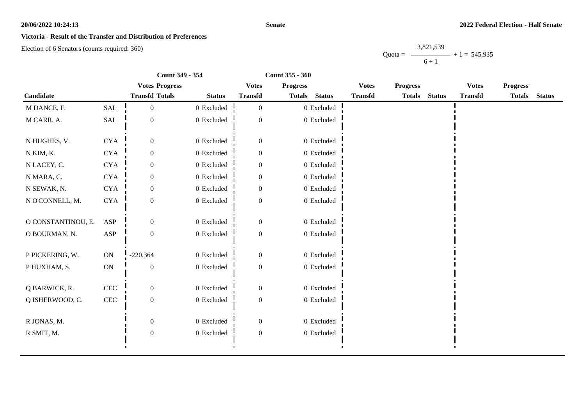#### **Senate**

## **Victoria - Result of the Transfer and Distribution of Preferences**

Election of 6 Senators (counts required: 360)

Quota = 3,821,539  $6 + 1$  $+ 1 = 545,935$ 

|                    | Count 349 - 354 |                       |                | Count 355 - 360  |                 |                |                |                 |               |                |                 |               |
|--------------------|-----------------|-----------------------|----------------|------------------|-----------------|----------------|----------------|-----------------|---------------|----------------|-----------------|---------------|
|                    |                 | <b>Votes Progress</b> |                | <b>Votes</b>     | <b>Progress</b> |                | <b>Votes</b>   | <b>Progress</b> |               | <b>Votes</b>   | <b>Progress</b> |               |
| Candidate          |                 | <b>Transfd Totals</b> | <b>Status</b>  | <b>Transfd</b>   | <b>Totals</b>   | <b>Status</b>  | <b>Transfd</b> | <b>Totals</b>   | <b>Status</b> | <b>Transfd</b> | <b>Totals</b>   | <b>Status</b> |
| M DANCE, F.        | SAL             | $\boldsymbol{0}$      | 0 Excluded     | $\overline{0}$   |                 | 0 Excluded     |                |                 |               |                |                 |               |
| M CARR, A.         | SAL             | $\boldsymbol{0}$      | 0 Excluded     | $\boldsymbol{0}$ |                 | 0 Excluded     |                |                 |               |                |                 |               |
| N HUGHES, V.       | $\rm CYA$       | $\boldsymbol{0}$      | 0 Excluded     | $\boldsymbol{0}$ |                 | 0 Excluded     |                |                 |               |                |                 |               |
| N KIM, K.          | <b>CYA</b>      | $\mathbf{0}$          | 0 Excluded     | $\boldsymbol{0}$ |                 | 0 Excluded     |                |                 |               |                |                 |               |
| N LACEY, C.        | ${\rm CYA}$     | $\mathbf{0}$          | 0 Excluded     | $\theta$         |                 | $0$ Excluded   |                |                 |               |                |                 |               |
| N MARA, C.         | <b>CYA</b>      | $\boldsymbol{0}$      | 0 Excluded     | $\mathbf{0}$     |                 | $0$ Excluded   |                |                 |               |                |                 |               |
| N SEWAK, N.        | ${\rm CYA}$     | $\mathbf{0}$          | 0 Excluded     | $\boldsymbol{0}$ |                 | 0 Excluded     |                |                 |               |                |                 |               |
| N O'CONNELL, M.    | $\rm CYA$       | $\boldsymbol{0}$      | $0$ Excluded   | $\theta$         |                 | 0 Excluded     |                |                 |               |                |                 |               |
| O CONSTANTINOU, E. | ASP             | $\theta$              | 0 Excluded     | $\boldsymbol{0}$ |                 | 0 Excluded     |                |                 |               |                |                 |               |
| O BOURMAN, N.      | ASP             | $\boldsymbol{0}$      | 0 Excluded     | $\boldsymbol{0}$ |                 | $0$ Excluded   |                |                 |               |                |                 |               |
| P PICKERING, W.    | ON              | $-220,364$            | 0 Excluded     | $\boldsymbol{0}$ |                 | 0 Excluded     |                |                 |               |                |                 |               |
| PHUXHAM, S.        | ON              | $\boldsymbol{0}$      | $0$ Excluded   | $\boldsymbol{0}$ |                 | $0\,$ Excluded |                |                 |               |                |                 |               |
| Q BARWICK, R.      | <b>CEC</b>      | $\boldsymbol{0}$      | 0 Excluded     | $\boldsymbol{0}$ |                 | 0 Excluded     |                |                 |               |                |                 |               |
| Q ISHERWOOD, C.    | $\mbox{CEC}$    | $\boldsymbol{0}$      | $0\,$ Excluded | $\boldsymbol{0}$ |                 | $0$ Excluded   |                |                 |               |                |                 |               |
| R JONAS, M.        |                 | $\overline{0}$        | 0 Excluded     | $\mathbf{0}$     |                 | 0 Excluded     |                |                 |               |                |                 |               |
| R SMIT, M.         |                 | $\boldsymbol{0}$      | 0 Excluded     | $\boldsymbol{0}$ |                 | $0$ Excluded   |                |                 |               |                |                 |               |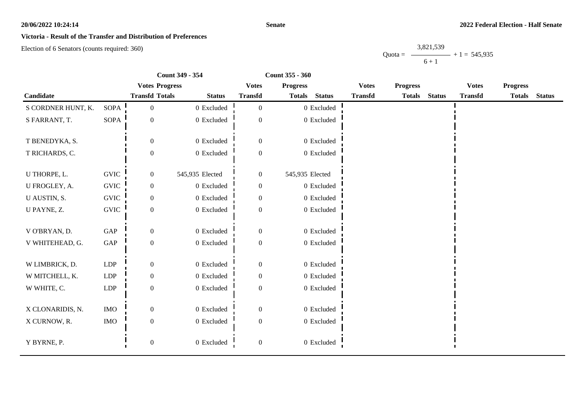#### **Senate**

## **Victoria - Result of the Transfer and Distribution of Preferences**

Election of 6 Senators (counts required: 360)

Quota =  $\longrightarrow$  + 1 = 545,935 3,821,539  $6 + 1$ 

|                    |                      | Count 349 - 354       |                 | Count 355 - 360  |                 |                |                |                 |               |                                 |               |               |
|--------------------|----------------------|-----------------------|-----------------|------------------|-----------------|----------------|----------------|-----------------|---------------|---------------------------------|---------------|---------------|
|                    |                      | <b>Votes Progress</b> |                 | <b>Votes</b>     | <b>Progress</b> |                | <b>Votes</b>   | <b>Progress</b> |               | <b>Progress</b><br><b>Votes</b> |               |               |
| Candidate          |                      | <b>Transfd Totals</b> | <b>Status</b>   | <b>Transfd</b>   | <b>Totals</b>   | <b>Status</b>  | <b>Transfd</b> | <b>Totals</b>   | <b>Status</b> | <b>Transfd</b>                  | <b>Totals</b> | <b>Status</b> |
| S CORDNER HUNT, K. | <b>SOPA</b>          | $\boldsymbol{0}$      | 0 Excluded      | $\overline{0}$   |                 | $0$ Excluded   |                |                 |               |                                 |               |               |
| S FARRANT, T.      | <b>SOPA</b>          | $\boldsymbol{0}$      | 0 Excluded      | $\overline{0}$   |                 | $0$ Excluded   |                |                 |               |                                 |               |               |
| T BENEDYKA, S.     |                      | $\theta$              | 0 Excluded      | $\boldsymbol{0}$ |                 | 0 Excluded     |                |                 |               |                                 |               |               |
| T RICHARDS, C.     |                      | $\boldsymbol{0}$      | 0 Excluded      | $\boldsymbol{0}$ |                 | $0$ Excluded   |                |                 |               |                                 |               |               |
| U THORPE, L.       | <b>GVIC</b>          | $\boldsymbol{0}$      | 545,935 Elected | $\boldsymbol{0}$ | 545,935 Elected |                |                |                 |               |                                 |               |               |
| U FROGLEY, A.      | ${\rm GNIC}$         | $\boldsymbol{0}$      | 0 Excluded      | $\boldsymbol{0}$ |                 | 0 Excluded     |                |                 |               |                                 |               |               |
| U AUSTIN, S.       | <b>GVIC</b>          | $\mathbf{0}$          | 0 Excluded      | $\overline{0}$   |                 | $0\,$ Excluded |                |                 |               |                                 |               |               |
| U PAYNE, Z.        | <b>GVIC</b>          | $\boldsymbol{0}$      | 0 Excluded      | $\overline{0}$   |                 | 0 Excluded     |                |                 |               |                                 |               |               |
| V O'BRYAN, D.      | GAP                  | $\overline{0}$        | 0 Excluded      | $\boldsymbol{0}$ |                 | 0 Excluded     |                |                 |               |                                 |               |               |
| V WHITEHEAD, G.    | $\operatorname{GAP}$ | $\boldsymbol{0}$      | 0 Excluded      | $\boldsymbol{0}$ |                 | 0 Excluded     |                |                 |               |                                 |               |               |
| W LIMBRICK, D.     | LDP                  | $\mathbf{0}$          | 0 Excluded      | $\boldsymbol{0}$ |                 | 0 Excluded     |                |                 |               |                                 |               |               |
| W MITCHELL, K.     | LDP                  | $\mathbf{0}$          | 0 Excluded      | $\overline{0}$   |                 | 0 Excluded     |                |                 |               |                                 |               |               |
| W WHITE, C.        | <b>LDP</b>           | $\theta$              | 0 Excluded      | $\overline{0}$   |                 | 0 Excluded     |                |                 |               |                                 |               |               |
| X CLONARIDIS, N.   | <b>IMO</b>           | $\boldsymbol{0}$      | 0 Excluded      | $\boldsymbol{0}$ |                 | $0$ Excluded   |                |                 |               |                                 |               |               |
| X CURNOW, R.       | <b>IMO</b>           | $\boldsymbol{0}$      | 0 Excluded      | $\overline{0}$   |                 | 0 Excluded     |                |                 |               |                                 |               |               |
| Y BYRNE, P.        |                      | $\boldsymbol{0}$      | 0 Excluded      | $\boldsymbol{0}$ |                 | $0$ Excluded   |                |                 |               |                                 |               |               |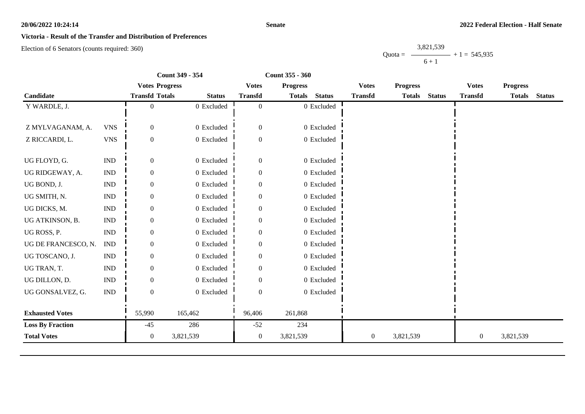#### **Senate**

## **Victoria - Result of the Transfer and Distribution of Preferences**

Election of 6 Senators (counts required: 360)

Quota =  $\longrightarrow$  + 1 = 545,935 3,821,539  $6 + 1$ 

|                         |                             | Count 349 - 354       |               | Count 355 - 360  |                 |               |                  |                 |               |                  |                 |               |
|-------------------------|-----------------------------|-----------------------|---------------|------------------|-----------------|---------------|------------------|-----------------|---------------|------------------|-----------------|---------------|
|                         |                             | <b>Votes Progress</b> |               | <b>Votes</b>     | <b>Progress</b> |               | <b>Votes</b>     | <b>Progress</b> |               | <b>Votes</b>     | <b>Progress</b> |               |
| Candidate               |                             | <b>Transfd Totals</b> | <b>Status</b> | <b>Transfd</b>   | <b>Totals</b>   | <b>Status</b> | <b>Transfd</b>   | <b>Totals</b>   | <b>Status</b> | <b>Transfd</b>   | <b>Totals</b>   | <b>Status</b> |
| Y WARDLE, J.            |                             | $\overline{0}$        | 0 Excluded    | $\overline{0}$   |                 | 0 Excluded    |                  |                 |               |                  |                 |               |
| Z MYLVAGANAM, A.        | <b>VNS</b>                  | $\overline{0}$        | 0 Excluded    | $\boldsymbol{0}$ |                 | 0 Excluded    |                  |                 |               |                  |                 |               |
| Z RICCARDI, L.          | <b>VNS</b>                  | $\mathbf{0}$          | 0 Excluded    | $\overline{0}$   |                 | 0 Excluded    |                  |                 |               |                  |                 |               |
| UG FLOYD, G.            | $\ensuremath{\text{IND}}$   | $\boldsymbol{0}$      | 0 Excluded    | $\boldsymbol{0}$ |                 | 0 Excluded    |                  |                 |               |                  |                 |               |
| UG RIDGEWAY, A.         | <b>IND</b>                  | $\overline{0}$        | 0 Excluded    | $\overline{0}$   |                 | 0 Excluded    |                  |                 |               |                  |                 |               |
| UG BOND, J.             | $\mathop{\rm IND}\nolimits$ | $\mathbf{0}$          | 0 Excluded    | $\mathbf{0}$     |                 | 0 Excluded    |                  |                 |               |                  |                 |               |
| UG SMITH, N.            | $\mathop{\rm IND}\nolimits$ | $\boldsymbol{0}$      | 0 Excluded    | $\boldsymbol{0}$ |                 | $0$ Excluded  |                  |                 |               |                  |                 |               |
| UG DICKS, M.            | $\mathop{\rm IND}\nolimits$ | $\overline{0}$        | 0 Excluded    | $\overline{0}$   |                 | 0 Excluded    |                  |                 |               |                  |                 |               |
| UG ATKINSON, B.         | $\mathop{\rm IND}\nolimits$ | $\boldsymbol{0}$      | 0 Excluded    | 0                |                 | 0 Excluded    |                  |                 |               |                  |                 |               |
| UG ROSS, P.             | $\mathop{\rm IND}\nolimits$ | $\boldsymbol{0}$      | 0 Excluded    | $\overline{0}$   |                 | 0 Excluded    |                  |                 |               |                  |                 |               |
| UG DE FRANCESCO, N.     | <b>IND</b>                  | $\overline{0}$        | 0 Excluded    | $\overline{0}$   |                 | 0 Excluded    |                  |                 |               |                  |                 |               |
| UG TOSCANO, J.          | $\mathop{\rm IND}\nolimits$ | $\overline{0}$        | 0 Excluded    | 0                |                 | $0$ Excluded  |                  |                 |               |                  |                 |               |
| UG TRAN, T.             | <b>IND</b>                  | $\mathbf{0}$          | $0$ Excluded  | $\overline{0}$   |                 | 0 Excluded    |                  |                 |               |                  |                 |               |
| UG DILLON, D.           | <b>IND</b>                  | $\overline{0}$        | 0 Excluded    | $\overline{0}$   |                 | 0 Excluded    |                  |                 |               |                  |                 |               |
| UG GONSALVEZ, G.        | $\ensuremath{\text{IND}}$   | $\overline{0}$        | 0 Excluded    | $\Omega$         |                 | 0 Excluded    |                  |                 |               |                  |                 |               |
| <b>Exhausted Votes</b>  |                             | 55,990                | 165,462       | 96,406           | 261,868         |               |                  |                 |               |                  |                 |               |
| <b>Loss By Fraction</b> |                             | $-45$                 | 286           | $-52$            | 234             |               |                  |                 |               |                  |                 |               |
| <b>Total Votes</b>      |                             | $\overline{0}$        | 3,821,539     | $\overline{0}$   | 3,821,539       |               | $\boldsymbol{0}$ | 3,821,539       |               | $\boldsymbol{0}$ | 3,821,539       |               |